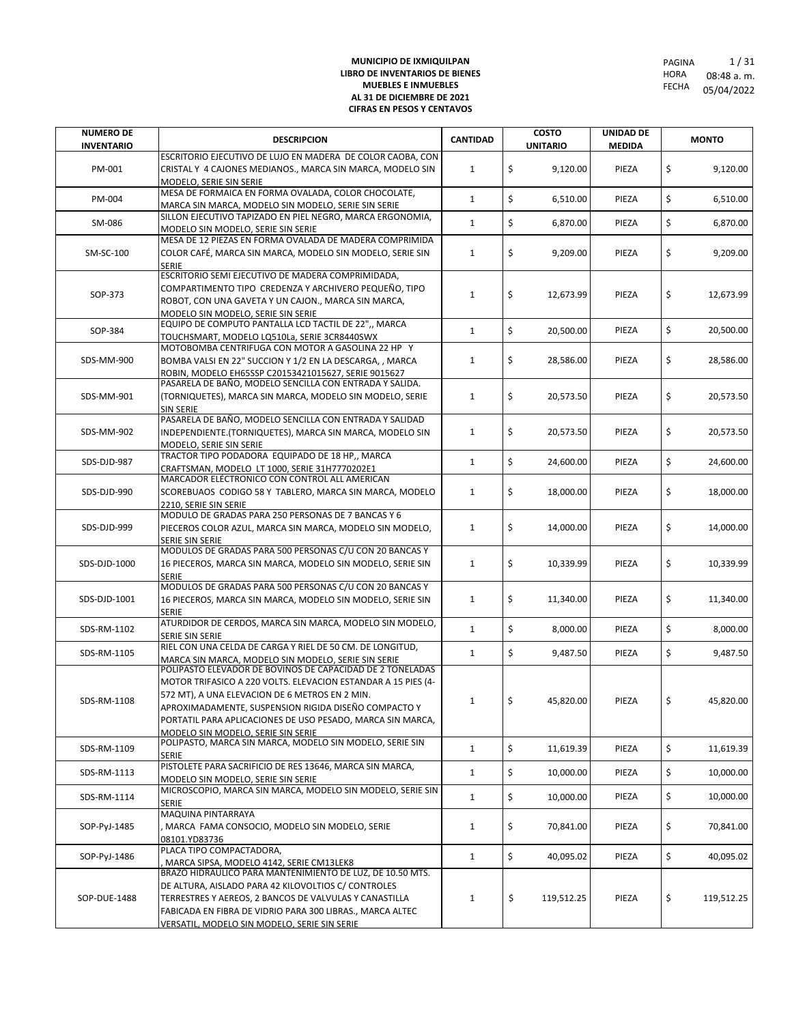| <b>NUMERO DE</b><br><b>INVENTARIO</b> | <b>DESCRIPCION</b>                                                                                                                                                                                                                                                                                                                       | <b>CANTIDAD</b> | <b>COSTO</b><br><b>UNITARIO</b> | <b>UNIDAD DE</b><br><b>MEDIDA</b> | <b>MONTO</b>     |
|---------------------------------------|------------------------------------------------------------------------------------------------------------------------------------------------------------------------------------------------------------------------------------------------------------------------------------------------------------------------------------------|-----------------|---------------------------------|-----------------------------------|------------------|
| PM-001                                | ESCRITORIO EJECUTIVO DE LUJO EN MADERA DE COLOR CAOBA, CON<br>CRISTAL Y 4 CAJONES MEDIANOS., MARCA SIN MARCA, MODELO SIN<br>MODELO, SERIE SIN SERIE                                                                                                                                                                                      | $\mathbf{1}$    | \$<br>9,120.00                  | PIEZA                             | \$<br>9,120.00   |
| PM-004                                | MESA DE FORMAICA EN FORMA OVALADA, COLOR CHOCOLATE,<br>MARCA SIN MARCA, MODELO SIN MODELO, SERIE SIN SERIE                                                                                                                                                                                                                               | 1               | \$<br>6,510.00                  | PIEZA                             | \$<br>6,510.00   |
| SM-086                                | SILLON EJECUTIVO TAPIZADO EN PIEL NEGRO, MARCA ERGONOMIA,<br>MODELO SIN MODELO, SERIE SIN SERIE                                                                                                                                                                                                                                          | $\mathbf{1}$    | \$<br>6,870.00                  | PIEZA                             | \$<br>6,870.00   |
| SM-SC-100                             | MESA DE 12 PIEZAS EN FORMA OVALADA DE MADERA COMPRIMIDA<br>COLOR CAFÉ, MARCA SIN MARCA, MODELO SIN MODELO, SERIE SIN<br><b>SERIE</b>                                                                                                                                                                                                     | $\mathbf{1}$    | \$<br>9,209.00                  | PIEZA                             | \$<br>9,209.00   |
| SOP-373                               | ESCRITORIO SEMI EJECUTIVO DE MADERA COMPRIMIDADA,<br>COMPARTIMENTO TIPO CREDENZA Y ARCHIVERO PEQUEÑO, TIPO<br>ROBOT, CON UNA GAVETA Y UN CAJON., MARCA SIN MARCA,<br>MODELO SIN MODELO. SERIE SIN SERIE                                                                                                                                  | $\mathbf{1}$    | \$<br>12,673.99                 | PIEZA                             | \$<br>12,673.99  |
| SOP-384                               | EQUIPO DE COMPUTO PANTALLA LCD TACTIL DE 22",, MARCA<br>TOUCHSMART, MODELO LQ510La, SERIE 3CR8440SWX                                                                                                                                                                                                                                     | $\mathbf{1}$    | \$<br>20,500.00                 | PIEZA                             | \$<br>20,500.00  |
| SDS-MM-900                            | MOTOBOMBA CENTRIFUGA CON MOTOR A GASOLINA 22 HP Y<br>BOMBA VALSI EN 22" SUCCION Y 1/2 EN LA DESCARGA, , MARCA<br>ROBIN, MODELO EH65SSP C20153421015627, SERIE 9015627                                                                                                                                                                    | $\mathbf{1}$    | \$<br>28,586.00                 | PIEZA                             | \$<br>28,586.00  |
| SDS-MM-901                            | PASARELA DE BAÑO, MODELO SENCILLA CON ENTRADA Y SALIDA.<br>(TORNIQUETES), MARCA SIN MARCA, MODELO SIN MODELO, SERIE<br><b>SIN SERIE</b>                                                                                                                                                                                                  | $\mathbf{1}$    | \$<br>20,573.50                 | PIEZA                             | \$<br>20,573.50  |
| SDS-MM-902                            | PASARELA DE BAÑO, MODELO SENCILLA CON ENTRADA Y SALIDAD<br>INDEPENDIENTE.(TORNIQUETES), MARCA SIN MARCA, MODELO SIN<br>MODELO, SERIE SIN SERIE                                                                                                                                                                                           | $\mathbf{1}$    | \$<br>20,573.50                 | PIEZA                             | \$<br>20,573.50  |
| SDS-DJD-987                           | TRACTOR TIPO PODADORA EQUIPADO DE 18 HP,, MARCA<br>CRAFTSMAN, MODELO LT 1000, SERIE 31H7770202E1                                                                                                                                                                                                                                         | $\mathbf{1}$    | \$<br>24,600.00                 | PIEZA                             | \$<br>24,600.00  |
| SDS-DJD-990                           | MARCADOR ELÉCTRONICO CON CONTROL ALL AMERICAN<br>SCOREBUAOS CODIGO 58 Y TABLERO, MARCA SIN MARCA, MODELO<br>2210, SERIE SIN SERIE                                                                                                                                                                                                        | $\mathbf{1}$    | \$<br>18,000.00                 | PIEZA                             | \$<br>18,000.00  |
| SDS-DJD-999                           | MODULO DE GRADAS PARA 250 PERSONAS DE 7 BANCAS Y 6<br>PIECEROS COLOR AZUL, MARCA SIN MARCA, MODELO SIN MODELO,<br>SERIE SIN SERIE                                                                                                                                                                                                        | $\mathbf{1}$    | \$<br>14,000.00                 | PIEZA                             | \$<br>14,000.00  |
| SDS-DJD-1000                          | MODULOS DE GRADAS PARA 500 PERSONAS C/U CON 20 BANCAS Y<br>16 PIECEROS, MARCA SIN MARCA, MODELO SIN MODELO, SERIE SIN<br><b>SERIE</b>                                                                                                                                                                                                    | $\mathbf{1}$    | \$<br>10,339.99                 | PIEZA                             | \$<br>10,339.99  |
| SDS-DJD-1001                          | MODULOS DE GRADAS PARA 500 PERSONAS C/U CON 20 BANCAS Y<br>16 PIECEROS, MARCA SIN MARCA, MODELO SIN MODELO, SERIE SIN<br><b>SERIE</b>                                                                                                                                                                                                    | $\mathbf{1}$    | \$<br>11,340.00                 | PIEZA                             | \$<br>11,340.00  |
| SDS-RM-1102                           | ATURDIDOR DE CERDOS, MARCA SIN MARCA, MODELO SIN MODELO,<br>SERIE SIN SERIE                                                                                                                                                                                                                                                              | $\mathbf{1}$    | \$<br>8,000.00                  | PIEZA                             | \$<br>8,000.00   |
| SDS-RM-1105                           | RIEL CON UNA CELDA DE CARGA Y RIEL DE 50 CM. DE LONGITUD,<br>MARCA SIN MARCA, MODELO SIN MODELO, SERIE SIN SERIE                                                                                                                                                                                                                         | $\mathbf{1}$    | \$<br>9,487.50                  | PIEZA                             | \$<br>9,487.50   |
| SDS-RM-1108                           | POLIPASTO ELEVADOR DE BOVINOS DE CAPACIDAD DE 2 TONELADAS<br>MOTOR TRIFASICO A 220 VOLTS. ELEVACION ESTANDAR A 15 PIES (4-<br>572 MT), A UNA ELEVACION DE 6 METROS EN 2 MIN.<br>APROXIMADAMENTE, SUSPENSION RIGIDA DISEÑO COMPACTO Y<br>PORTATIL PARA APLICACIONES DE USO PESADO, MARCA SIN MARCA,<br>MODELO SIN MODELO. SERIE SIN SERIE | 1               | \$<br>45,820.00                 | PIEZA                             | \$<br>45,820.00  |
| SDS-RM-1109                           | POLIPASTO, MARCA SIN MARCA, MODELO SIN MODELO, SERIE SIN<br><b>SERIE</b>                                                                                                                                                                                                                                                                 | $\mathbf{1}$    | \$<br>11,619.39                 | PIEZA                             | \$<br>11,619.39  |
| SDS-RM-1113                           | PISTOLETE PARA SACRIFICIO DE RES 13646, MARCA SIN MARCA,<br>MODELO SIN MODELO, SERIE SIN SERIE                                                                                                                                                                                                                                           | $\mathbf{1}$    | \$<br>10,000.00                 | PIEZA                             | \$<br>10,000.00  |
| SDS-RM-1114                           | MICROSCOPIO, MARCA SIN MARCA, MODELO SIN MODELO, SERIE SIN<br><b>SERIE</b>                                                                                                                                                                                                                                                               | $\mathbf{1}$    | \$<br>10,000.00                 | PIEZA                             | \$<br>10,000.00  |
| SOP-PyJ-1485                          | MAQUINA PINTARRAYA<br>MARCA FAMA CONSOCIO, MODELO SIN MODELO, SERIE<br>08101.YD83736                                                                                                                                                                                                                                                     | $\mathbf{1}$    | \$<br>70,841.00                 | PIEZA                             | \$<br>70,841.00  |
| SOP-PyJ-1486                          | PLACA TIPO COMPACTADORA,<br>MARCA SIPSA, MODELO 4142, SERIE CM13LEK8                                                                                                                                                                                                                                                                     | $\mathbf{1}$    | \$<br>40,095.02                 | PIEZA                             | \$<br>40,095.02  |
| SOP-DUE-1488                          | BRAZO HIDRAULICO PARA MANTENIMIENTO DE LUZ, DE 10.50 MTS.<br>DE ALTURA, AISLADO PARA 42 KILOVOLTIOS C/ CONTROLES<br>TERRESTRES Y AEREOS, 2 BANCOS DE VALVULAS Y CANASTILLA<br>FABICADA EN FIBRA DE VIDRIO PARA 300 LIBRAS., MARCA ALTEC<br>VERSATIL, MODELO SIN MODELO, SERIE SIN SERIE                                                  | 1               | \$<br>119,512.25                | PIEZA                             | \$<br>119,512.25 |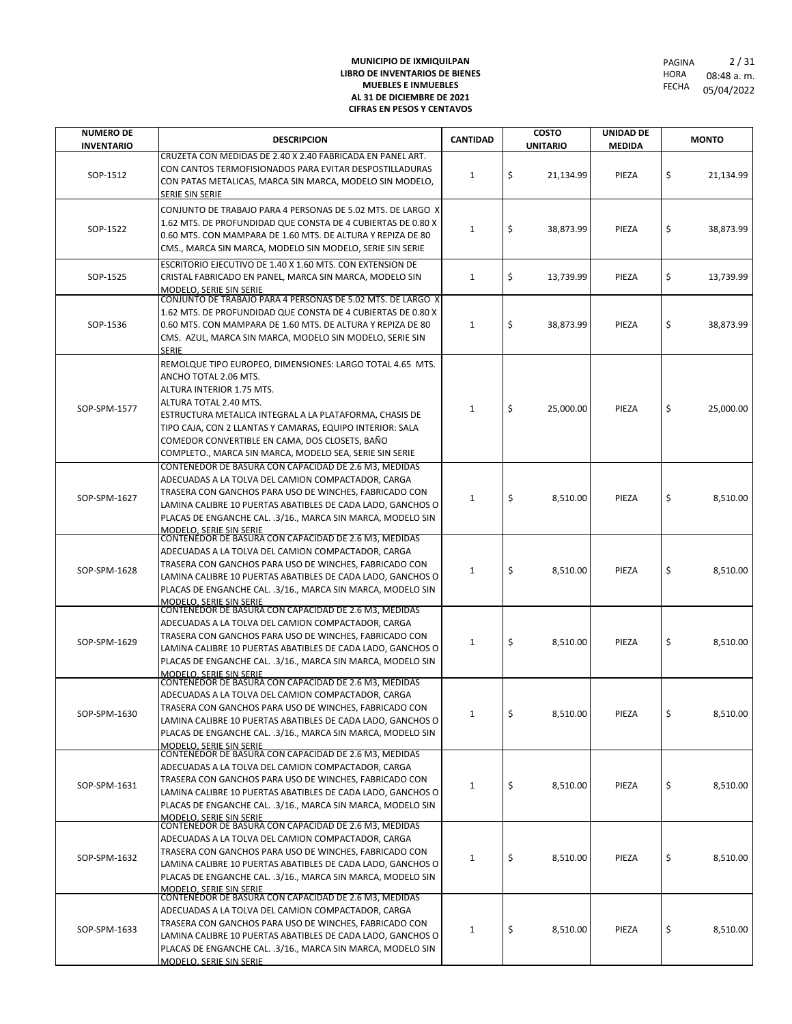| <b>NUMERO DE</b>  | <b>DESCRIPCION</b>                                                                                                                                                                                                                                                                                                                                                                      | <b>CANTIDAD</b> | <b>COSTO</b>    | <b>UNIDAD DE</b> | <b>MONTO</b>    |
|-------------------|-----------------------------------------------------------------------------------------------------------------------------------------------------------------------------------------------------------------------------------------------------------------------------------------------------------------------------------------------------------------------------------------|-----------------|-----------------|------------------|-----------------|
| <b>INVENTARIO</b> |                                                                                                                                                                                                                                                                                                                                                                                         |                 | <b>UNITARIO</b> | <b>MEDIDA</b>    |                 |
| SOP-1512          | CRUZETA CON MEDIDAS DE 2.40 X 2.40 FABRICADA EN PANEL ART.<br>CON CANTOS TERMOFISIONADOS PARA EVITAR DESPOSTILLADURAS<br>CON PATAS METALICAS, MARCA SIN MARCA, MODELO SIN MODELO,<br>SERIE SIN SERIE                                                                                                                                                                                    | 1               | \$<br>21,134.99 | PIEZA            | \$<br>21,134.99 |
| SOP-1522          | CONJUNTO DE TRABAJO PARA 4 PERSONAS DE 5.02 MTS. DE LARGO X<br>1.62 MTS. DE PROFUNDIDAD QUE CONSTA DE 4 CUBIERTAS DE 0.80 X<br>0.60 MTS. CON MAMPARA DE 1.60 MTS. DE ALTURA Y REPIZA DE 80<br>CMS., MARCA SIN MARCA, MODELO SIN MODELO, SERIE SIN SERIE                                                                                                                                 | $\mathbf{1}$    | \$<br>38,873.99 | PIEZA            | \$<br>38,873.99 |
| SOP-1525          | ESCRITORIO EJECUTIVO DE 1.40 X 1.60 MTS. CON EXTENSION DE<br>CRISTAL FABRICADO EN PANEL, MARCA SIN MARCA, MODELO SIN<br>MODELO, SERIE SIN SERIE                                                                                                                                                                                                                                         | $\mathbf{1}$    | \$<br>13,739.99 | PIEZA            | \$<br>13,739.99 |
| SOP-1536          | CONJUNTO DE TRABAJO PARA 4 PERSONAS DE 5.02 MTS. DE LARGO X<br>1.62 MTS. DE PROFUNDIDAD QUE CONSTA DE 4 CUBIERTAS DE 0.80 X<br>0.60 MTS. CON MAMPARA DE 1.60 MTS. DE ALTURA Y REPIZA DE 80<br>CMS. AZUL, MARCA SIN MARCA, MODELO SIN MODELO, SERIE SIN<br>SERIE                                                                                                                         | $\mathbf{1}$    | \$<br>38,873.99 | PIEZA            | \$<br>38,873.99 |
| SOP-SPM-1577      | REMOLQUE TIPO EUROPEO, DIMENSIONES: LARGO TOTAL 4.65 MTS.<br>ANCHO TOTAL 2.06 MTS.<br>ALTURA INTERIOR 1.75 MTS.<br>ALTURA TOTAL 2.40 MTS.<br>ESTRUCTURA METALICA INTEGRAL A LA PLATAFORMA, CHASIS DE<br>TIPO CAJA, CON 2 LLANTAS Y CAMARAS, EQUIPO INTERIOR: SALA<br>COMEDOR CONVERTIBLE EN CAMA, DOS CLOSETS, BAÑO<br>COMPLETO., MARCA SIN MARCA, MODELO SEA, SERIE SIN SERIE          | $\mathbf{1}$    | \$<br>25,000.00 | PIEZA            | \$<br>25,000.00 |
| SOP-SPM-1627      | CONTENEDOR DE BASURA CON CAPACIDAD DE 2.6 M3, MEDIDAS<br>ADECUADAS A LA TOLVA DEL CAMION COMPACTADOR, CARGA<br>TRASERA CON GANCHOS PARA USO DE WINCHES, FABRICADO CON<br>LAMINA CALIBRE 10 PUERTAS ABATIBLES DE CADA LADO, GANCHOS O<br>PLACAS DE ENGANCHE CAL. .3/16., MARCA SIN MARCA, MODELO SIN<br>MODELO. SERIE SIN SERIE                                                          | 1               | \$<br>8,510.00  | PIEZA            | \$<br>8,510.00  |
| SOP-SPM-1628      | CONTENEDOR DE BASURA CON CAPACIDAD DE 2.6 M3, MEDIDAS<br>ADECUADAS A LA TOLVA DEL CAMION COMPACTADOR, CARGA<br>TRASERA CON GANCHOS PARA USO DE WINCHES, FABRICADO CON<br>LAMINA CALIBRE 10 PUERTAS ABATIBLES DE CADA LADO, GANCHOS O<br>PLACAS DE ENGANCHE CAL. .3/16., MARCA SIN MARCA, MODELO SIN<br>MODELO. SERIE SIN SERIE                                                          | $\mathbf{1}$    | \$<br>8,510.00  | PIEZA            | \$<br>8,510.00  |
| SOP-SPM-1629      | CONTENEDOR DE BASURA CON CAPACIDAD DE 2.6 M3, MEDIDAS<br>ADECUADAS A LA TOLVA DEL CAMION COMPACTADOR, CARGA<br>TRASERA CON GANCHOS PARA USO DE WINCHES, FABRICADO CON<br>LAMINA CALIBRE 10 PUERTAS ABATIBLES DE CADA LADO, GANCHOS O<br>PLACAS DE ENGANCHE CAL. .3/16., MARCA SIN MARCA, MODELO SIN<br>MODELO. SERIE SIN SERIE                                                          | 1               | \$<br>8,510.00  | PIEZA            | \$<br>8,510.00  |
| SOP-SPM-1630      | CONTENEDOR DE BASURA CON CAPACIDAD DE 2.6 M3, MEDIDAS<br>ADECUADAS A LA TOLVA DEL CAMION COMPACTADOR, CARGA<br>TRASERA CON GANCHOS PARA USO DE WINCHES, FABRICADO CON<br>LAMINA CALIBRE 10 PUERTAS ABATIBLES DE CADA LADO, GANCHOS O<br>PLACAS DE ENGANCHE CAL. .3/16., MARCA SIN MARCA, MODELO SIN<br><u>MODELO. SERIE SIN SERIE</u>                                                   | 1               | \$<br>8,510.00  | PIEZA            | \$<br>8,510.00  |
| SOP-SPM-1631      | CONTENEDOR DE BASURA CON CAPACIDAD DE 2.6 M3, MEDIDAS<br>ADECUADAS A LA TOLVA DEL CAMION COMPACTADOR, CARGA<br>TRASERA CON GANCHOS PARA USO DE WINCHES, FABRICADO CON<br>LAMINA CALIBRE 10 PUERTAS ABATIBLES DE CADA LADO, GANCHOS O<br>PLACAS DE ENGANCHE CAL. .3/16., MARCA SIN MARCA, MODELO SIN<br>MODELO, SERIE SIN SERIE                                                          | 1               | \$<br>8,510.00  | PIEZA            | \$<br>8,510.00  |
| SOP-SPM-1632      | CONTENEDOR DE BASURA CON CAPACIDAD DE 2.6 M3, MEDIDAS<br>ADECUADAS A LA TOLVA DEL CAMION COMPACTADOR, CARGA<br>TRASERA CON GANCHOS PARA USO DE WINCHES, FABRICADO CON<br>LAMINA CALIBRE 10 PUERTAS ABATIBLES DE CADA LADO, GANCHOS O<br>PLACAS DE ENGANCHE CAL. .3/16., MARCA SIN MARCA, MODELO SIN<br>MODELO, SERIE SIN SERIE<br>CONTENEDOR DE BASURA CON CAPACIDAD DE 2.6 M3, MEDIDAS | 1               | \$<br>8,510.00  | PIEZA            | \$<br>8,510.00  |
| SOP-SPM-1633      | ADECUADAS A LA TOLVA DEL CAMION COMPACTADOR, CARGA<br>TRASERA CON GANCHOS PARA USO DE WINCHES, FABRICADO CON<br>LAMINA CALIBRE 10 PUERTAS ABATIBLES DE CADA LADO, GANCHOS O<br>PLACAS DE ENGANCHE CAL. .3/16., MARCA SIN MARCA, MODELO SIN<br>MODELO. SERIE SIN SERIE                                                                                                                   | 1               | \$<br>8,510.00  | PIEZA            | \$<br>8,510.00  |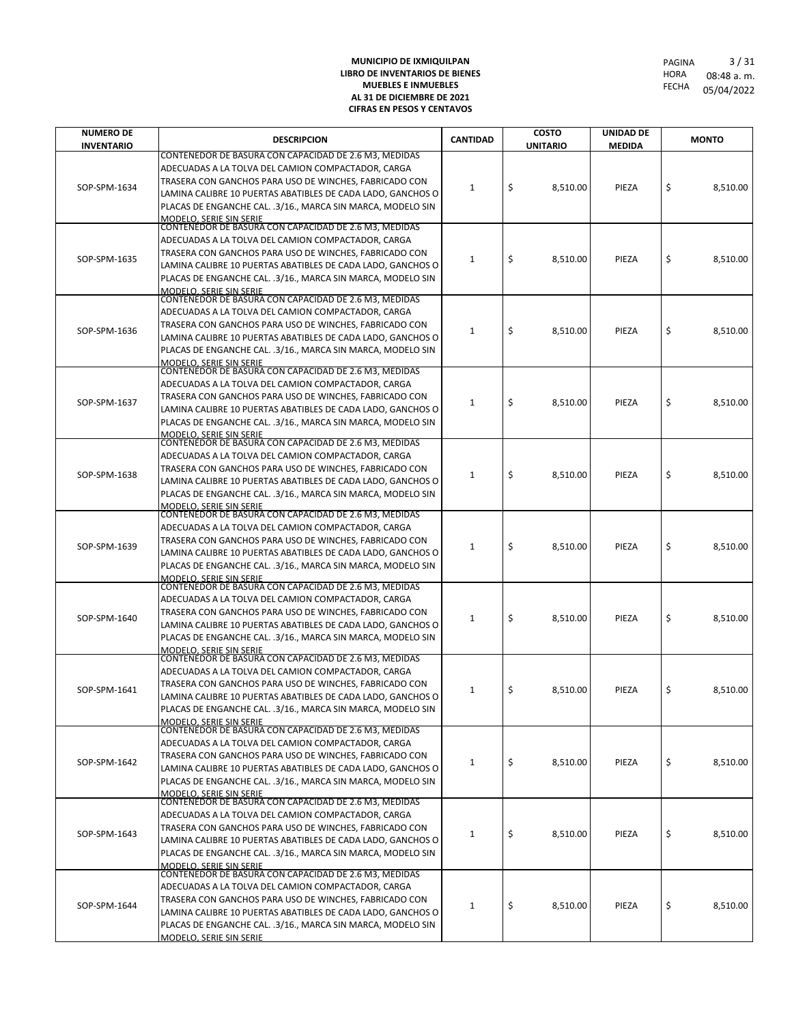| <b>NUMERO DE</b>  | <b>DESCRIPCION</b>                                                                                                         | <b>CANTIDAD</b> | <b>COSTO</b>    | UNIDAD DE      |          | <b>MONTO</b> |          |
|-------------------|----------------------------------------------------------------------------------------------------------------------------|-----------------|-----------------|----------------|----------|--------------|----------|
| <b>INVENTARIO</b> | CONTENEDOR DE BASURA CON CAPACIDAD DE 2.6 M3, MEDIDAS                                                                      |                 | <b>UNITARIO</b> | <b>MEDIDA</b>  |          |              |          |
|                   | ADECUADAS A LA TOLVA DEL CAMION COMPACTADOR, CARGA                                                                         |                 |                 |                |          |              |          |
| SOP-SPM-1634      | TRASERA CON GANCHOS PARA USO DE WINCHES, FABRICADO CON                                                                     | 1               |                 | \$<br>8,510.00 | PIEZA    | \$           | 8,510.00 |
|                   | LAMINA CALIBRE 10 PUERTAS ABATIBLES DE CADA LADO, GANCHOS O                                                                |                 |                 |                |          |              |          |
|                   | PLACAS DE ENGANCHE CAL. .3/16., MARCA SIN MARCA, MODELO SIN                                                                |                 |                 |                |          |              |          |
|                   | <b>MODELO, SERIE SIN SERIE</b><br>CONTENEDOR DE BASURA CON CAPACIDAD DE 2.6 M3, MEDIDAS                                    |                 |                 |                |          |              |          |
|                   | ADECUADAS A LA TOLVA DEL CAMION COMPACTADOR, CARGA                                                                         |                 |                 |                |          |              |          |
| SOP-SPM-1635      | TRASERA CON GANCHOS PARA USO DE WINCHES, FABRICADO CON                                                                     | 1               | \$<br>8,510.00  | PIEZA          | \$       | 8,510.00     |          |
|                   | LAMINA CALIBRE 10 PUERTAS ABATIBLES DE CADA LADO, GANCHOS O                                                                |                 |                 |                |          |              |          |
|                   | PLACAS DE ENGANCHE CAL. .3/16., MARCA SIN MARCA, MODELO SIN                                                                |                 |                 |                |          |              |          |
|                   | MODELO. SERIE SIN SERIE<br>CONTENEDOR DE BASURA CON CAPACIDAD DE 2.6 M3, MEDIDAS                                           |                 |                 |                |          |              |          |
|                   | ADECUADAS A LA TOLVA DEL CAMION COMPACTADOR, CARGA                                                                         |                 |                 |                |          |              |          |
| SOP-SPM-1636      | TRASERA CON GANCHOS PARA USO DE WINCHES, FABRICADO CON                                                                     | 1               | \$<br>8,510.00  | PIEZA          | \$       | 8,510.00     |          |
|                   | LAMINA CALIBRE 10 PUERTAS ABATIBLES DE CADA LADO, GANCHOS O                                                                |                 |                 |                |          |              |          |
|                   | PLACAS DE ENGANCHE CAL. .3/16., MARCA SIN MARCA, MODELO SIN                                                                |                 |                 |                |          |              |          |
|                   | <b>MODELO, SERIE SIN SERIE</b><br>CONTENEDOR DE BASURA CON CAPACIDAD DE 2.6 M3, MEDIDAS                                    |                 |                 |                |          |              |          |
|                   | ADECUADAS A LA TOLVA DEL CAMION COMPACTADOR, CARGA                                                                         | 1               |                 |                |          |              |          |
| SOP-SPM-1637      | TRASERA CON GANCHOS PARA USO DE WINCHES, FABRICADO CON                                                                     |                 | \$<br>8,510.00  | PIEZA          | \$       | 8,510.00     |          |
|                   | LAMINA CALIBRE 10 PUERTAS ABATIBLES DE CADA LADO, GANCHOS O                                                                |                 |                 |                |          |              |          |
|                   | PLACAS DE ENGANCHE CAL. .3/16., MARCA SIN MARCA, MODELO SIN                                                                |                 |                 |                |          |              |          |
|                   | MODELO. SERIE SIN SERIE<br>CONTENEDOR DE BASURA CON CAPACIDAD DE 2.6 M3, MEDIDAS                                           |                 |                 |                |          |              |          |
|                   | ADECUADAS A LA TOLVA DEL CAMION COMPACTADOR, CARGA                                                                         |                 |                 |                |          |              |          |
| SOP-SPM-1638      | TRASERA CON GANCHOS PARA USO DE WINCHES, FABRICADO CON                                                                     | 1               | \$<br>8,510.00  | PIEZA          | \$       | 8,510.00     |          |
|                   | LAMINA CALIBRE 10 PUERTAS ABATIBLES DE CADA LADO, GANCHOS O                                                                |                 |                 |                |          |              |          |
|                   | PLACAS DE ENGANCHE CAL. .3/16., MARCA SIN MARCA, MODELO SIN                                                                |                 |                 |                |          |              |          |
|                   | <b>MODELO, SERIE SIN SERIE</b><br>CONTENEDOR DE BASURA CON CAPACIDAD DE 2.6 M3, MEDIDAS                                    |                 |                 |                |          |              |          |
|                   | ADECUADAS A LA TOLVA DEL CAMION COMPACTADOR, CARGA                                                                         |                 |                 |                |          |              |          |
| SOP-SPM-1639      | TRASERA CON GANCHOS PARA USO DE WINCHES, FABRICADO CON                                                                     | 1               | \$<br>8,510.00  | PIEZA          | \$       | 8,510.00     |          |
|                   | LAMINA CALIBRE 10 PUERTAS ABATIBLES DE CADA LADO, GANCHOS O                                                                |                 |                 |                |          |              |          |
|                   | PLACAS DE ENGANCHE CAL. .3/16., MARCA SIN MARCA, MODELO SIN<br>MODELO. SERIE SIN SERIE                                     |                 |                 |                |          |              |          |
|                   | CONTENEDOR DE BASURA CON CAPACIDAD DE 2.6 M3, MEDIDAS                                                                      |                 |                 |                |          |              |          |
|                   | ADECUADAS A LA TOLVA DEL CAMION COMPACTADOR, CARGA                                                                         | 1               |                 |                |          |              |          |
| SOP-SPM-1640      | TRASERA CON GANCHOS PARA USO DE WINCHES, FABRICADO CON                                                                     |                 |                 | \$             | 8,510.00 | PIEZA        | \$       |
|                   | LAMINA CALIBRE 10 PUERTAS ABATIBLES DE CADA LADO, GANCHOS O                                                                |                 |                 |                |          |              |          |
|                   | PLACAS DE ENGANCHE CAL. .3/16., MARCA SIN MARCA, MODELO SIN<br><b>MODELO, SERIE SIN SERIE</b>                              |                 |                 |                |          |              |          |
|                   | CONTENEDOR DE BASURA CON CAPACIDAD DE 2.6 M3, MEDIDAS                                                                      |                 |                 |                |          |              |          |
|                   | ADECUADAS A LA TOLVA DEL CAMION COMPACTADOR, CARGA                                                                         |                 |                 |                |          |              |          |
| SOP-SPM-1641      | TRASERA CON GANCHOS PARA USO DE WINCHES, FABRICADO CON                                                                     | 1               | \$<br>8,510.00  | PIEZA          | \$       | 8.510.00     |          |
|                   | LAMINA CALIBRE 10 PUERTAS ABATIBLES DE CADA LADO, GANCHOS O<br>PLACAS DE ENGANCHE CAL. .3/16., MARCA SIN MARCA, MODELO SIN |                 |                 |                |          |              |          |
|                   | <b>MODELO. SERIE SIN SERIE</b>                                                                                             |                 |                 |                |          |              |          |
|                   | CONTENEDOR DE BASURA CON CAPACIDAD DE 2.6 M3, MEDIDAS                                                                      |                 |                 |                |          |              |          |
|                   | ADECUADAS A LA TOLVA DEL CAMION COMPACTADOR, CARGA                                                                         |                 |                 |                |          |              |          |
| SOP-SPM-1642      | TRASERA CON GANCHOS PARA USO DE WINCHES, FABRICADO CON<br>LAMINA CALIBRE 10 PUERTAS ABATIBLES DE CADA LADO, GANCHOS O      | $\mathbf{1}$    | \$<br>8,510.00  | PIEZA          | \$       | 8,510.00     |          |
|                   | PLACAS DE ENGANCHE CAL. .3/16., MARCA SIN MARCA, MODELO SIN                                                                |                 |                 |                |          |              |          |
|                   | <u>MODELO, SERIE SIN S</u> ERIE                                                                                            |                 |                 |                |          |              |          |
|                   | CONTENEDOR DE BASURA CON CAPACIDAD DE 2.6 M3, MEDIDAS                                                                      |                 |                 |                |          |              |          |
|                   | ADECUADAS A LA TOLVA DEL CAMION COMPACTADOR, CARGA                                                                         |                 |                 |                |          |              |          |
| SOP-SPM-1643      | TRASERA CON GANCHOS PARA USO DE WINCHES, FABRICADO CON<br>LAMINA CALIBRE 10 PUERTAS ABATIBLES DE CADA LADO, GANCHOS O      | 1               | \$<br>8,510.00  | PIEZA          | \$       | 8,510.00     |          |
|                   | PLACAS DE ENGANCHE CAL. .3/16., MARCA SIN MARCA, MODELO SIN                                                                |                 |                 |                |          |              |          |
|                   | MODELO. SERIE SIN SERIE                                                                                                    |                 |                 |                |          |              |          |
|                   | CONTENEDOR DE BASURA CON CAPACIDAD DE 2.6 M3, MEDIDAS                                                                      |                 |                 |                |          |              |          |
|                   | ADECUADAS A LA TOLVA DEL CAMION COMPACTADOR, CARGA                                                                         |                 |                 |                |          |              |          |
| SOP-SPM-1644      | TRASERA CON GANCHOS PARA USO DE WINCHES, FABRICADO CON<br>LAMINA CALIBRE 10 PUERTAS ABATIBLES DE CADA LADO, GANCHOS O      | 1               |                 | \$<br>8,510.00 | PIEZA    | \$           | 8,510.00 |
|                   | PLACAS DE ENGANCHE CAL. .3/16., MARCA SIN MARCA, MODELO SIN                                                                |                 |                 |                |          |              |          |
|                   | MODELO. SERIE SIN SERIE                                                                                                    |                 |                 |                |          |              |          |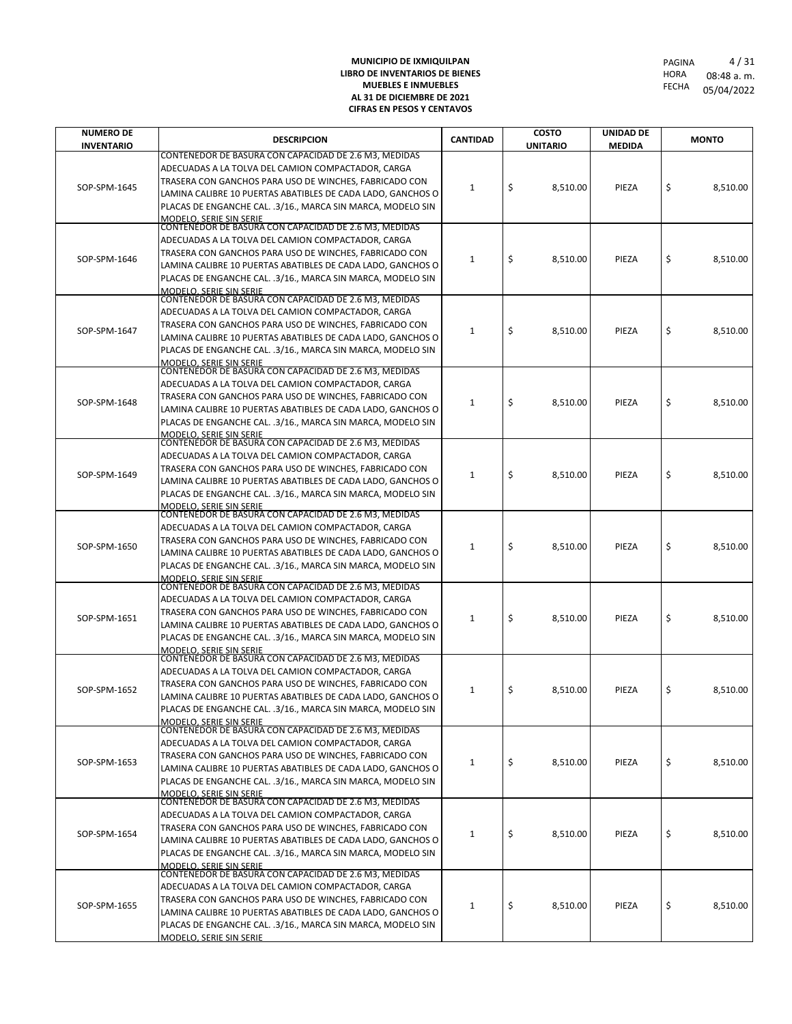| <b>NUMERO DE</b>  | <b>DESCRIPCION</b>                                                                                                         | <b>CANTIDAD</b> | <b>COSTO</b>    | UNIDAD DE      |    | <b>MONTO</b> |  |  |
|-------------------|----------------------------------------------------------------------------------------------------------------------------|-----------------|-----------------|----------------|----|--------------|--|--|
| <b>INVENTARIO</b> | CONTENEDOR DE BASURA CON CAPACIDAD DE 2.6 M3, MEDIDAS                                                                      |                 | <b>UNITARIO</b> | <b>MEDIDA</b>  |    |              |  |  |
|                   | ADECUADAS A LA TOLVA DEL CAMION COMPACTADOR, CARGA                                                                         |                 |                 |                |    |              |  |  |
| SOP-SPM-1645      | TRASERA CON GANCHOS PARA USO DE WINCHES, FABRICADO CON                                                                     | 1               | \$<br>8,510.00  | PIEZA          | \$ | 8,510.00     |  |  |
|                   | LAMINA CALIBRE 10 PUERTAS ABATIBLES DE CADA LADO, GANCHOS O                                                                |                 |                 |                |    |              |  |  |
|                   | PLACAS DE ENGANCHE CAL. .3/16., MARCA SIN MARCA, MODELO SIN<br><b>MODELO, SERIE SIN SERIE</b>                              |                 |                 |                |    |              |  |  |
|                   | CONTENEDOR DE BASURA CON CAPACIDAD DE 2.6 M3, MEDIDAS                                                                      |                 |                 |                |    |              |  |  |
|                   | ADECUADAS A LA TOLVA DEL CAMION COMPACTADOR, CARGA                                                                         |                 |                 |                |    |              |  |  |
| SOP-SPM-1646      | TRASERA CON GANCHOS PARA USO DE WINCHES, FABRICADO CON<br>LAMINA CALIBRE 10 PUERTAS ABATIBLES DE CADA LADO, GANCHOS O      | 1               | \$<br>8,510.00  | PIEZA          | \$ | 8,510.00     |  |  |
|                   | PLACAS DE ENGANCHE CAL. .3/16., MARCA SIN MARCA, MODELO SIN                                                                |                 |                 |                |    |              |  |  |
|                   | MODELO. SERIE SIN SERIE                                                                                                    |                 |                 |                |    |              |  |  |
|                   | CONTENEDOR DE BASURA CON CAPACIDAD DE 2.6 M3, MEDIDAS<br>ADECUADAS A LA TOLVA DEL CAMION COMPACTADOR, CARGA                |                 |                 |                |    |              |  |  |
|                   | TRASERA CON GANCHOS PARA USO DE WINCHES, FABRICADO CON                                                                     |                 |                 |                |    |              |  |  |
| SOP-SPM-1647      | LAMINA CALIBRE 10 PUERTAS ABATIBLES DE CADA LADO, GANCHOS O                                                                | 1               | \$<br>8,510.00  | PIEZA          | \$ | 8,510.00     |  |  |
|                   | PLACAS DE ENGANCHE CAL. .3/16., MARCA SIN MARCA, MODELO SIN                                                                |                 |                 |                |    |              |  |  |
|                   | <b>MODELO, SERIE SIN SERIE</b><br>CONTENEDOR DE BASURA CON CAPACIDAD DE 2.6 M3, MEDIDAS                                    |                 |                 |                |    |              |  |  |
|                   | ADECUADAS A LA TOLVA DEL CAMION COMPACTADOR, CARGA                                                                         | 1               |                 |                |    |              |  |  |
| SOP-SPM-1648      | TRASERA CON GANCHOS PARA USO DE WINCHES, FABRICADO CON                                                                     |                 | \$<br>8,510.00  | PIEZA          | \$ | 8,510.00     |  |  |
|                   | LAMINA CALIBRE 10 PUERTAS ABATIBLES DE CADA LADO, GANCHOS O                                                                |                 |                 |                |    |              |  |  |
|                   | PLACAS DE ENGANCHE CAL. .3/16., MARCA SIN MARCA, MODELO SIN<br>MODELO. SERIE SIN SERIE                                     |                 |                 |                |    |              |  |  |
|                   | CONTENEDOR DE BASURA CON CAPACIDAD DE 2.6 M3, MEDIDAS                                                                      |                 |                 |                |    |              |  |  |
|                   | ADECUADAS A LA TOLVA DEL CAMION COMPACTADOR, CARGA                                                                         |                 |                 |                |    | 8,510.00     |  |  |
| SOP-SPM-1649      | TRASERA CON GANCHOS PARA USO DE WINCHES, FABRICADO CON<br>LAMINA CALIBRE 10 PUERTAS ABATIBLES DE CADA LADO, GANCHOS O      | 1               | \$<br>8,510.00  | PIEZA          | \$ |              |  |  |
|                   | PLACAS DE ENGANCHE CAL. .3/16., MARCA SIN MARCA, MODELO SIN                                                                |                 |                 |                |    |              |  |  |
|                   | <b>MODELO, SERIE SIN SERIE</b>                                                                                             |                 |                 |                |    |              |  |  |
|                   | CONTENEDOR DE BASURA CON CAPACIDAD DE 2.6 M3, MEDIDAS                                                                      |                 |                 |                |    |              |  |  |
|                   | ADECUADAS A LA TOLVA DEL CAMION COMPACTADOR, CARGA<br>TRASERA CON GANCHOS PARA USO DE WINCHES, FABRICADO CON               |                 |                 |                |    |              |  |  |
| SOP-SPM-1650      | LAMINA CALIBRE 10 PUERTAS ABATIBLES DE CADA LADO, GANCHOS O                                                                | 1               | \$<br>8,510.00  | PIEZA          | \$ | 8,510.00     |  |  |
|                   | PLACAS DE ENGANCHE CAL. .3/16., MARCA SIN MARCA, MODELO SIN                                                                |                 |                 |                |    |              |  |  |
|                   | MODELO. SERIE SIN SERIE<br>CONTENEDOR DE BASURA CON CAPACIDAD DE 2.6 M3, MEDIDAS                                           |                 |                 |                |    |              |  |  |
|                   | ADECUADAS A LA TOLVA DEL CAMION COMPACTADOR, CARGA                                                                         |                 | 1               |                |    |              |  |  |
| SOP-SPM-1651      | TRASERA CON GANCHOS PARA USO DE WINCHES, FABRICADO CON                                                                     |                 |                 | \$<br>8,510.00 |    | \$           |  |  |
|                   | LAMINA CALIBRE 10 PUERTAS ABATIBLES DE CADA LADO, GANCHOS O                                                                |                 |                 | PIEZA          |    | 8,510.00     |  |  |
|                   | PLACAS DE ENGANCHE CAL. .3/16., MARCA SIN MARCA, MODELO SIN                                                                |                 |                 |                |    |              |  |  |
|                   | <b>MODELO, SERIE SIN SERIE</b><br>CONTENEDOR DE BASURA CON CAPACIDAD DE 2.6 M3, MEDIDAS                                    |                 |                 |                |    |              |  |  |
|                   | ADECUADAS A LA TOLVA DEL CAMION COMPACTADOR, CARGA                                                                         |                 |                 |                |    |              |  |  |
| SOP-SPM-1652      | TRASERA CON GANCHOS PARA USO DE WINCHES, FABRICADO CON                                                                     | 1               | \$<br>8,510.00  | PIEZA          | \$ | 8.510.00     |  |  |
|                   | LAMINA CALIBRE 10 PUERTAS ABATIBLES DE CADA LADO, GANCHOS O<br>PLACAS DE ENGANCHE CAL. .3/16., MARCA SIN MARCA, MODELO SIN |                 |                 |                |    |              |  |  |
|                   | <b>MODELO. SERIE SIN SERIE</b>                                                                                             |                 |                 |                |    |              |  |  |
|                   | CONTENEDOR DE BASURA CON CAPACIDAD DE 2.6 M3, MEDIDAS                                                                      |                 |                 |                |    |              |  |  |
|                   | ADECUADAS A LA TOLVA DEL CAMION COMPACTADOR, CARGA<br>TRASERA CON GANCHOS PARA USO DE WINCHES, FABRICADO CON               |                 |                 |                |    |              |  |  |
| SOP-SPM-1653      | LAMINA CALIBRE 10 PUERTAS ABATIBLES DE CADA LADO, GANCHOS O                                                                | $\mathbf{1}$    | \$<br>8,510.00  | PIEZA          | \$ | 8,510.00     |  |  |
|                   | PLACAS DE ENGANCHE CAL. .3/16., MARCA SIN MARCA, MODELO SIN                                                                |                 |                 |                |    |              |  |  |
|                   | MODELO, SERIE SIN SERIE<br>CONTENEDOR DE BASURA CON CAPACIDAD DE 2.6 M3, MEDIDAS                                           |                 |                 |                |    |              |  |  |
|                   | ADECUADAS A LA TOLVA DEL CAMION COMPACTADOR, CARGA                                                                         |                 |                 |                |    |              |  |  |
|                   | TRASERA CON GANCHOS PARA USO DE WINCHES, FABRICADO CON                                                                     |                 |                 |                |    |              |  |  |
| SOP-SPM-1654      | LAMINA CALIBRE 10 PUERTAS ABATIBLES DE CADA LADO, GANCHOS O                                                                | 1               | \$<br>8,510.00  | PIEZA          | \$ | 8,510.00     |  |  |
|                   | PLACAS DE ENGANCHE CAL. .3/16., MARCA SIN MARCA, MODELO SIN                                                                |                 |                 |                |    |              |  |  |
|                   | MODELO. SERIE SIN SERIE<br>CONTENEDOR DE BASURA CON CAPACIDAD DE 2.6 M3, MEDIDAS                                           |                 |                 |                |    |              |  |  |
|                   | ADECUADAS A LA TOLVA DEL CAMION COMPACTADOR, CARGA                                                                         | \$<br>1         | 8,510.00        | PIEZA          |    |              |  |  |
| SOP-SPM-1655      | TRASERA CON GANCHOS PARA USO DE WINCHES, FABRICADO CON                                                                     |                 |                 |                | \$ | 8,510.00     |  |  |
|                   | LAMINA CALIBRE 10 PUERTAS ABATIBLES DE CADA LADO, GANCHOS O<br>PLACAS DE ENGANCHE CAL. .3/16., MARCA SIN MARCA, MODELO SIN |                 |                 |                |    |              |  |  |
|                   | MODELO. SERIE SIN SERIE                                                                                                    |                 |                 |                |    |              |  |  |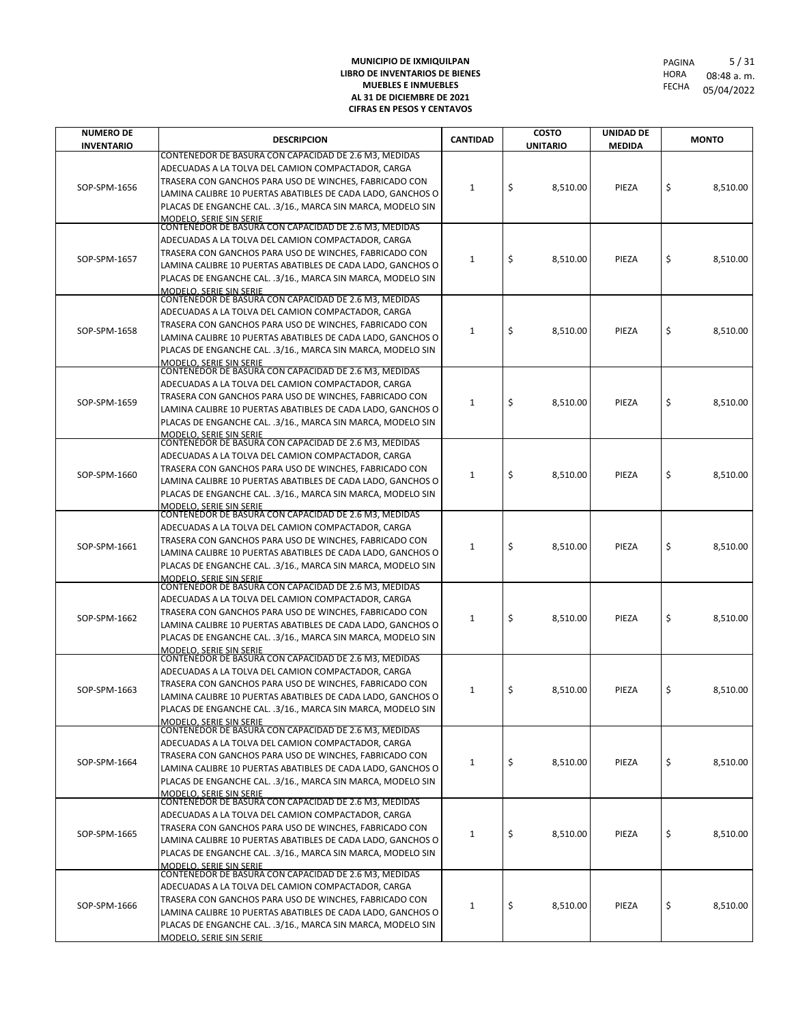| <b>NUMERO DE</b>  | <b>DESCRIPCION</b>                                                                                                         | <b>CANTIDAD</b> | <b>COSTO</b>    | UNIDAD DE     |                | <b>MONTO</b> |    |          |
|-------------------|----------------------------------------------------------------------------------------------------------------------------|-----------------|-----------------|---------------|----------------|--------------|----|----------|
| <b>INVENTARIO</b> | CONTENEDOR DE BASURA CON CAPACIDAD DE 2.6 M3, MEDIDAS                                                                      |                 | <b>UNITARIO</b> | <b>MEDIDA</b> |                |              |    |          |
|                   | ADECUADAS A LA TOLVA DEL CAMION COMPACTADOR, CARGA                                                                         |                 |                 |               |                |              |    |          |
| SOP-SPM-1656      | TRASERA CON GANCHOS PARA USO DE WINCHES, FABRICADO CON                                                                     | 1               | \$<br>8,510.00  | PIEZA         | \$             | 8,510.00     |    |          |
|                   | LAMINA CALIBRE 10 PUERTAS ABATIBLES DE CADA LADO, GANCHOS O                                                                |                 |                 |               |                |              |    |          |
|                   | PLACAS DE ENGANCHE CAL. .3/16., MARCA SIN MARCA, MODELO SIN<br><b>MODELO, SERIE SIN SERIE</b>                              |                 |                 |               |                |              |    |          |
|                   | CONTENEDOR DE BASURA CON CAPACIDAD DE 2.6 M3, MEDIDAS                                                                      |                 |                 |               |                |              |    |          |
|                   | ADECUADAS A LA TOLVA DEL CAMION COMPACTADOR, CARGA                                                                         |                 |                 |               |                |              |    |          |
| SOP-SPM-1657      | TRASERA CON GANCHOS PARA USO DE WINCHES, FABRICADO CON<br>LAMINA CALIBRE 10 PUERTAS ABATIBLES DE CADA LADO, GANCHOS O      | 1               | \$<br>8,510.00  | PIEZA         | \$             | 8,510.00     |    |          |
|                   | PLACAS DE ENGANCHE CAL. .3/16., MARCA SIN MARCA, MODELO SIN                                                                |                 |                 |               |                |              |    |          |
|                   | MODELO. SERIE SIN SERIE                                                                                                    |                 |                 |               |                |              |    |          |
|                   | CONTENEDOR DE BASURA CON CAPACIDAD DE 2.6 M3, MEDIDAS<br>ADECUADAS A LA TOLVA DEL CAMION COMPACTADOR, CARGA                |                 |                 |               |                |              |    |          |
|                   | TRASERA CON GANCHOS PARA USO DE WINCHES, FABRICADO CON                                                                     |                 |                 |               |                |              |    |          |
| SOP-SPM-1658      | LAMINA CALIBRE 10 PUERTAS ABATIBLES DE CADA LADO, GANCHOS O                                                                | 1               | \$<br>8,510.00  | PIEZA         | \$             | 8,510.00     |    |          |
|                   | PLACAS DE ENGANCHE CAL. .3/16., MARCA SIN MARCA, MODELO SIN                                                                |                 |                 |               |                |              |    |          |
|                   | <b>MODELO, SERIE SIN SERIE</b><br>CONTENEDOR DE BASURA CON CAPACIDAD DE 2.6 M3, MEDIDAS                                    |                 |                 |               |                |              |    |          |
|                   | ADECUADAS A LA TOLVA DEL CAMION COMPACTADOR, CARGA                                                                         | 1               |                 |               |                |              |    |          |
| SOP-SPM-1659      | TRASERA CON GANCHOS PARA USO DE WINCHES, FABRICADO CON                                                                     |                 | \$<br>8,510.00  | PIEZA         | \$             | 8,510.00     |    |          |
|                   | LAMINA CALIBRE 10 PUERTAS ABATIBLES DE CADA LADO, GANCHOS O                                                                |                 |                 |               |                |              |    |          |
|                   | PLACAS DE ENGANCHE CAL. .3/16., MARCA SIN MARCA, MODELO SIN<br>MODELO. SERIE SIN SERIE                                     |                 |                 |               |                |              |    |          |
|                   | CONTENEDOR DE BASURA CON CAPACIDAD DE 2.6 M3, MEDIDAS                                                                      |                 |                 |               |                |              |    |          |
|                   | ADECUADAS A LA TOLVA DEL CAMION COMPACTADOR, CARGA                                                                         |                 |                 |               |                | 8,510.00     |    |          |
| SOP-SPM-1660      | TRASERA CON GANCHOS PARA USO DE WINCHES, FABRICADO CON<br>LAMINA CALIBRE 10 PUERTAS ABATIBLES DE CADA LADO, GANCHOS O      | 1               | \$<br>8,510.00  | PIEZA         | \$             |              |    |          |
|                   | PLACAS DE ENGANCHE CAL. .3/16., MARCA SIN MARCA, MODELO SIN                                                                |                 |                 |               |                |              |    |          |
|                   | <b>MODELO, SERIE SIN SERIE</b>                                                                                             |                 |                 |               |                |              |    |          |
|                   | CONTENEDOR DE BASURA CON CAPACIDAD DE 2.6 M3, MEDIDAS                                                                      |                 |                 |               |                |              |    |          |
|                   | ADECUADAS A LA TOLVA DEL CAMION COMPACTADOR, CARGA<br>TRASERA CON GANCHOS PARA USO DE WINCHES, FABRICADO CON               |                 |                 |               |                |              |    |          |
| SOP-SPM-1661      | LAMINA CALIBRE 10 PUERTAS ABATIBLES DE CADA LADO, GANCHOS O                                                                | 1               | \$<br>8,510.00  | PIEZA         | \$             | 8,510.00     |    |          |
|                   | PLACAS DE ENGANCHE CAL. .3/16., MARCA SIN MARCA, MODELO SIN                                                                |                 |                 |               |                |              |    |          |
|                   | MODELO. SERIE SIN SERIE<br>CONTENEDOR DE BASURA CON CAPACIDAD DE 2.6 M3, MEDIDAS                                           |                 |                 |               |                |              |    |          |
|                   | ADECUADAS A LA TOLVA DEL CAMION COMPACTADOR, CARGA                                                                         |                 |                 |               |                |              |    |          |
| SOP-SPM-1662      | TRASERA CON GANCHOS PARA USO DE WINCHES, FABRICADO CON                                                                     |                 |                 | 1             | \$<br>8,510.00 | PIEZA        | \$ | 8,510.00 |
|                   | LAMINA CALIBRE 10 PUERTAS ABATIBLES DE CADA LADO, GANCHOS O                                                                |                 |                 |               |                |              |    |          |
|                   | PLACAS DE ENGANCHE CAL. .3/16., MARCA SIN MARCA, MODELO SIN                                                                |                 |                 |               |                |              |    |          |
|                   | <b>MODELO, SERIE SIN SERIE</b><br>CONTENEDOR DE BASURA CON CAPACIDAD DE 2.6 M3, MEDIDAS                                    |                 |                 |               |                |              |    |          |
|                   | ADECUADAS A LA TOLVA DEL CAMION COMPACTADOR, CARGA                                                                         |                 |                 |               |                |              |    |          |
| SOP-SPM-1663      | TRASERA CON GANCHOS PARA USO DE WINCHES, FABRICADO CON                                                                     | 1               | \$<br>8,510.00  | PIEZA         | \$             | 8.510.00     |    |          |
|                   | LAMINA CALIBRE 10 PUERTAS ABATIBLES DE CADA LADO, GANCHOS O<br>PLACAS DE ENGANCHE CAL. .3/16., MARCA SIN MARCA, MODELO SIN |                 |                 |               |                |              |    |          |
|                   | <b>MODELO. SERIE SIN SERIE</b>                                                                                             |                 |                 |               |                |              |    |          |
|                   | CONTENEDOR DE BASURA CON CAPACIDAD DE 2.6 M3, MEDIDAS                                                                      |                 |                 |               |                |              |    |          |
|                   | ADECUADAS A LA TOLVA DEL CAMION COMPACTADOR, CARGA<br>TRASERA CON GANCHOS PARA USO DE WINCHES, FABRICADO CON               |                 |                 |               |                |              |    |          |
| SOP-SPM-1664      | LAMINA CALIBRE 10 PUERTAS ABATIBLES DE CADA LADO, GANCHOS O                                                                | $\mathbf{1}$    | \$<br>8,510.00  | PIEZA         | \$             | 8,510.00     |    |          |
|                   | PLACAS DE ENGANCHE CAL. .3/16., MARCA SIN MARCA, MODELO SIN                                                                |                 |                 |               |                |              |    |          |
|                   | MODELO, SERIE SIN SERIE<br>CONTENEDOR DE BASURA CON CAPACIDAD DE 2.6 M3, MEDIDAS                                           |                 |                 |               |                |              |    |          |
|                   | ADECUADAS A LA TOLVA DEL CAMION COMPACTADOR, CARGA                                                                         |                 |                 |               |                |              |    |          |
|                   | TRASERA CON GANCHOS PARA USO DE WINCHES, FABRICADO CON                                                                     |                 |                 |               |                |              |    |          |
| SOP-SPM-1665      | LAMINA CALIBRE 10 PUERTAS ABATIBLES DE CADA LADO, GANCHOS O                                                                | 1               | \$<br>8,510.00  | PIEZA         | \$             | 8,510.00     |    |          |
|                   | PLACAS DE ENGANCHE CAL. .3/16., MARCA SIN MARCA, MODELO SIN                                                                |                 |                 |               |                |              |    |          |
|                   | MODELO. SERIE SIN SERIE<br>CONTENEDOR DE BASURA CON CAPACIDAD DE 2.6 M3, MEDIDAS                                           |                 |                 |               |                |              |    |          |
|                   | ADECUADAS A LA TOLVA DEL CAMION COMPACTADOR, CARGA                                                                         | 1               |                 |               |                |              |    |          |
| SOP-SPM-1666      | TRASERA CON GANCHOS PARA USO DE WINCHES, FABRICADO CON                                                                     |                 | \$<br>8,510.00  | PIEZA         | \$             | 8,510.00     |    |          |
|                   | LAMINA CALIBRE 10 PUERTAS ABATIBLES DE CADA LADO, GANCHOS O<br>PLACAS DE ENGANCHE CAL. .3/16., MARCA SIN MARCA, MODELO SIN |                 |                 |               |                |              |    |          |
|                   | MODELO. SERIE SIN SERIE                                                                                                    |                 |                 |               |                |              |    |          |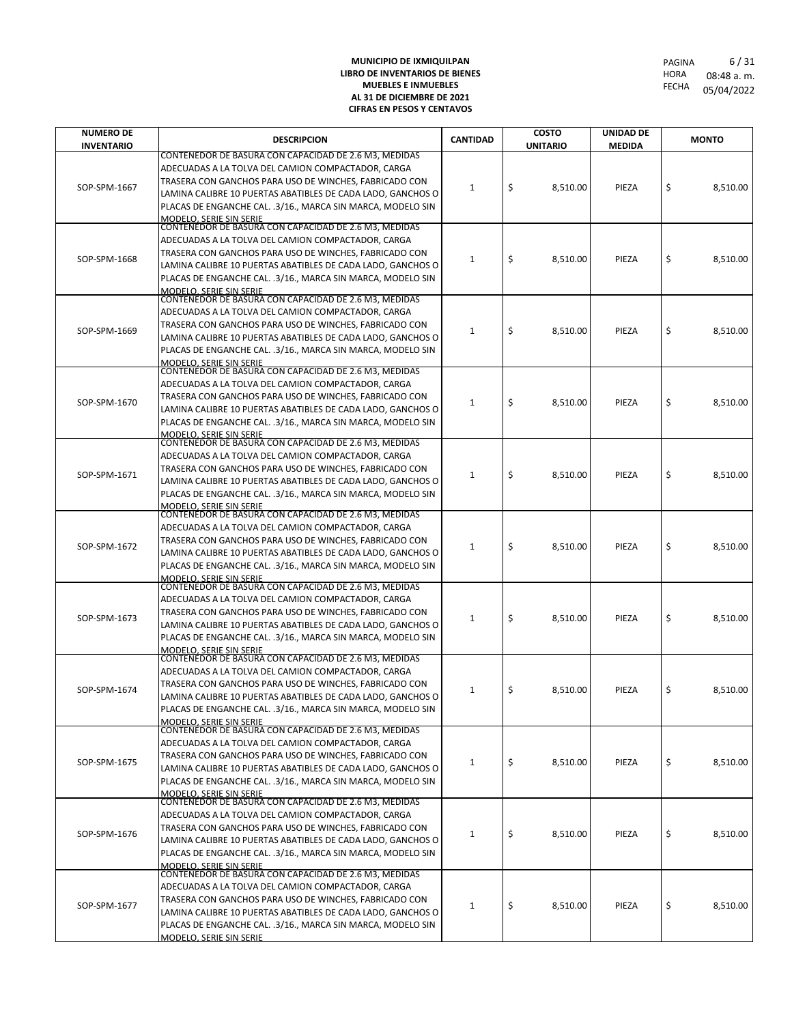| CONTENEDOR DE BASURA CON CAPACIDAD DE 2.6 M3, MEDIDAS<br>ADECUADAS A LA TOLVA DEL CAMION COMPACTADOR, CARGA<br>TRASERA CON GANCHOS PARA USO DE WINCHES, FABRICADO CON<br>\$<br>\$<br>SOP-SPM-1667<br>8,510.00<br>PIEZA<br>8,510.00<br>1<br>LAMINA CALIBRE 10 PUERTAS ABATIBLES DE CADA LADO, GANCHOS O<br>PLACAS DE ENGANCHE CAL. .3/16., MARCA SIN MARCA, MODELO SIN<br><b>MODELO, SERIE SIN SERIE</b><br>CONTENEDOR DE BASURA CON CAPACIDAD DE 2.6 M3, MEDIDAS<br>ADECUADAS A LA TOLVA DEL CAMION COMPACTADOR, CARGA<br>TRASERA CON GANCHOS PARA USO DE WINCHES, FABRICADO CON<br>\$<br>\$<br>SOP-SPM-1668<br>1<br>8,510.00<br>PIEZA<br>8,510.00<br>LAMINA CALIBRE 10 PUERTAS ABATIBLES DE CADA LADO, GANCHOS O<br>PLACAS DE ENGANCHE CAL. .3/16., MARCA SIN MARCA, MODELO SIN<br>MODELO. SERIE SIN SERIE<br>CONTENEDOR DE BASURA CON CAPACIDAD DE 2.6 M3, MEDIDAS<br>ADECUADAS A LA TOLVA DEL CAMION COMPACTADOR, CARGA<br>TRASERA CON GANCHOS PARA USO DE WINCHES, FABRICADO CON<br>\$<br>\$<br>SOP-SPM-1669<br>PIEZA<br>8,510.00<br>1<br>8,510.00<br>LAMINA CALIBRE 10 PUERTAS ABATIBLES DE CADA LADO, GANCHOS O<br>PLACAS DE ENGANCHE CAL. .3/16., MARCA SIN MARCA, MODELO SIN<br><b>MODELO, SERIE SIN SERIE</b><br>CONTENEDOR DE BASURA CON CAPACIDAD DE 2.6 M3, MEDIDAS<br>ADECUADAS A LA TOLVA DEL CAMION COMPACTADOR, CARGA<br>TRASERA CON GANCHOS PARA USO DE WINCHES, FABRICADO CON<br>\$<br>\$<br>SOP-SPM-1670<br>8,510.00<br>PIEZA<br>8,510.00<br>1<br>LAMINA CALIBRE 10 PUERTAS ABATIBLES DE CADA LADO, GANCHOS O<br>PLACAS DE ENGANCHE CAL. .3/16., MARCA SIN MARCA, MODELO SIN<br>MODELO. SERIE SIN SERIE<br>CONTENEDOR DE BASURA CON CAPACIDAD DE 2.6 M3, MEDIDAS<br>ADECUADAS A LA TOLVA DEL CAMION COMPACTADOR, CARGA<br>TRASERA CON GANCHOS PARA USO DE WINCHES, FABRICADO CON<br>\$<br>\$<br>SOP-SPM-1671<br>1<br>8,510.00<br>PIEZA<br>8,510.00<br>LAMINA CALIBRE 10 PUERTAS ABATIBLES DE CADA LADO, GANCHOS O<br>PLACAS DE ENGANCHE CAL. .3/16., MARCA SIN MARCA, MODELO SIN<br><b>MODELO, SERIE SIN SERIE</b><br>CONTENEDOR DE BASURA CON CAPACIDAD DE 2.6 M3, MEDIDAS<br>ADECUADAS A LA TOLVA DEL CAMION COMPACTADOR, CARGA<br>TRASERA CON GANCHOS PARA USO DE WINCHES, FABRICADO CON<br>\$<br>\$<br>SOP-SPM-1672<br>1<br>8,510.00<br>PIEZA<br>8,510.00<br>LAMINA CALIBRE 10 PUERTAS ABATIBLES DE CADA LADO, GANCHOS O<br>PLACAS DE ENGANCHE CAL. .3/16., MARCA SIN MARCA, MODELO SIN<br>MODELO. SERIE SIN SERIE<br>CONTENEDOR DE BASURA CON CAPACIDAD DE 2.6 M3, MEDIDAS<br>ADECUADAS A LA TOLVA DEL CAMION COMPACTADOR, CARGA<br>TRASERA CON GANCHOS PARA USO DE WINCHES, FABRICADO CON<br>\$<br>\$<br>8,510.00<br>SOP-SPM-1673<br>1<br>8,510.00<br>PIEZA<br>LAMINA CALIBRE 10 PUERTAS ABATIBLES DE CADA LADO, GANCHOS O<br>PLACAS DE ENGANCHE CAL. .3/16., MARCA SIN MARCA, MODELO SIN<br><b>MODELO, SERIE SIN SERIE</b><br>CONTENEDOR DE BASURA CON CAPACIDAD DE 2.6 M3, MEDIDAS<br>ADECUADAS A LA TOLVA DEL CAMION COMPACTADOR, CARGA<br>TRASERA CON GANCHOS PARA USO DE WINCHES, FABRICADO CON<br>\$<br>\$<br>8,510.00<br>SOP-SPM-1674<br>1<br>8,510.00<br>PIEZA<br>LAMINA CALIBRE 10 PUERTAS ABATIBLES DE CADA LADO, GANCHOS O<br>PLACAS DE ENGANCHE CAL. .3/16., MARCA SIN MARCA, MODELO SIN<br><b>MODELO. SERIE SIN SERIE</b><br>CONTENEDOR DE BASURA CON CAPACIDAD DE 2.6 M3, MEDIDAS<br>ADECUADAS A LA TOLVA DEL CAMION COMPACTADOR, CARGA<br>TRASERA CON GANCHOS PARA USO DE WINCHES, FABRICADO CON<br>\$<br>\$<br>$\mathbf{1}$<br>SOP-SPM-1675<br>8,510.00<br>PIEZA<br>8,510.00<br>LAMINA CALIBRE 10 PUERTAS ABATIBLES DE CADA LADO, GANCHOS O<br>PLACAS DE ENGANCHE CAL. .3/16., MARCA SIN MARCA, MODELO SIN<br>MODELO, SERIE SIN SERIE<br>CONTENEDOR DE BASURA CON CAPACIDAD DE 2.6 M3, MEDIDAS<br>ADECUADAS A LA TOLVA DEL CAMION COMPACTADOR, CARGA<br>TRASERA CON GANCHOS PARA USO DE WINCHES, FABRICADO CON<br>\$<br>\$<br>SOP-SPM-1676<br>8,510.00<br>PIEZA<br>8,510.00<br>1<br>LAMINA CALIBRE 10 PUERTAS ABATIBLES DE CADA LADO, GANCHOS O<br>PLACAS DE ENGANCHE CAL. .3/16., MARCA SIN MARCA, MODELO SIN<br>MODELO. SERIE SIN SERIE<br>CONTENEDOR DE BASURA CON CAPACIDAD DE 2.6 M3, MEDIDAS<br>ADECUADAS A LA TOLVA DEL CAMION COMPACTADOR, CARGA<br>TRASERA CON GANCHOS PARA USO DE WINCHES, FABRICADO CON<br>\$<br>\$<br>SOP-SPM-1677<br>PIEZA<br>8,510.00<br>1<br>8,510.00<br>LAMINA CALIBRE 10 PUERTAS ABATIBLES DE CADA LADO, GANCHOS O<br>PLACAS DE ENGANCHE CAL. .3/16., MARCA SIN MARCA, MODELO SIN | <b>NUMERO DE</b>  | <b>DESCRIPCION</b> | <b>CANTIDAD</b> | <b>COSTO</b>    | UNIDAD DE     |  | <b>MONTO</b> |  |  |
|-------------------------------------------------------------------------------------------------------------------------------------------------------------------------------------------------------------------------------------------------------------------------------------------------------------------------------------------------------------------------------------------------------------------------------------------------------------------------------------------------------------------------------------------------------------------------------------------------------------------------------------------------------------------------------------------------------------------------------------------------------------------------------------------------------------------------------------------------------------------------------------------------------------------------------------------------------------------------------------------------------------------------------------------------------------------------------------------------------------------------------------------------------------------------------------------------------------------------------------------------------------------------------------------------------------------------------------------------------------------------------------------------------------------------------------------------------------------------------------------------------------------------------------------------------------------------------------------------------------------------------------------------------------------------------------------------------------------------------------------------------------------------------------------------------------------------------------------------------------------------------------------------------------------------------------------------------------------------------------------------------------------------------------------------------------------------------------------------------------------------------------------------------------------------------------------------------------------------------------------------------------------------------------------------------------------------------------------------------------------------------------------------------------------------------------------------------------------------------------------------------------------------------------------------------------------------------------------------------------------------------------------------------------------------------------------------------------------------------------------------------------------------------------------------------------------------------------------------------------------------------------------------------------------------------------------------------------------------------------------------------------------------------------------------------------------------------------------------------------------------------------------------------------------------------------------------------------------------------------------------------------------------------------------------------------------------------------------------------------------------------------------------------------------------------------------------------------------------------------------------------------------------------------------------------------------------------------------------------------------------------------------------------------------------------------------------------------------------------------------------------------------------------------------------------------------------------------------------------------------------------------------------------------------------------------------------------------------------------------------------------------------------------------------------------------------------------------------------------------------------------------------------------------------------------------------------------------------------------------------------------------------------------------------------------------------------------------------------------------------------------------------------------------------------------------------------------------|-------------------|--------------------|-----------------|-----------------|---------------|--|--------------|--|--|
|                                                                                                                                                                                                                                                                                                                                                                                                                                                                                                                                                                                                                                                                                                                                                                                                                                                                                                                                                                                                                                                                                                                                                                                                                                                                                                                                                                                                                                                                                                                                                                                                                                                                                                                                                                                                                                                                                                                                                                                                                                                                                                                                                                                                                                                                                                                                                                                                                                                                                                                                                                                                                                                                                                                                                                                                                                                                                                                                                                                                                                                                                                                                                                                                                                                                                                                                                                                                                                                                                                                                                                                                                                                                                                                                                                                                                                                                                                                                                                                                                                                                                                                                                                                                                                                                                                                                                                                                                                                             | <b>INVENTARIO</b> |                    |                 | <b>UNITARIO</b> | <b>MEDIDA</b> |  |              |  |  |
|                                                                                                                                                                                                                                                                                                                                                                                                                                                                                                                                                                                                                                                                                                                                                                                                                                                                                                                                                                                                                                                                                                                                                                                                                                                                                                                                                                                                                                                                                                                                                                                                                                                                                                                                                                                                                                                                                                                                                                                                                                                                                                                                                                                                                                                                                                                                                                                                                                                                                                                                                                                                                                                                                                                                                                                                                                                                                                                                                                                                                                                                                                                                                                                                                                                                                                                                                                                                                                                                                                                                                                                                                                                                                                                                                                                                                                                                                                                                                                                                                                                                                                                                                                                                                                                                                                                                                                                                                                                             |                   |                    |                 |                 |               |  |              |  |  |
|                                                                                                                                                                                                                                                                                                                                                                                                                                                                                                                                                                                                                                                                                                                                                                                                                                                                                                                                                                                                                                                                                                                                                                                                                                                                                                                                                                                                                                                                                                                                                                                                                                                                                                                                                                                                                                                                                                                                                                                                                                                                                                                                                                                                                                                                                                                                                                                                                                                                                                                                                                                                                                                                                                                                                                                                                                                                                                                                                                                                                                                                                                                                                                                                                                                                                                                                                                                                                                                                                                                                                                                                                                                                                                                                                                                                                                                                                                                                                                                                                                                                                                                                                                                                                                                                                                                                                                                                                                                             |                   |                    |                 |                 |               |  |              |  |  |
|                                                                                                                                                                                                                                                                                                                                                                                                                                                                                                                                                                                                                                                                                                                                                                                                                                                                                                                                                                                                                                                                                                                                                                                                                                                                                                                                                                                                                                                                                                                                                                                                                                                                                                                                                                                                                                                                                                                                                                                                                                                                                                                                                                                                                                                                                                                                                                                                                                                                                                                                                                                                                                                                                                                                                                                                                                                                                                                                                                                                                                                                                                                                                                                                                                                                                                                                                                                                                                                                                                                                                                                                                                                                                                                                                                                                                                                                                                                                                                                                                                                                                                                                                                                                                                                                                                                                                                                                                                                             |                   |                    |                 |                 |               |  |              |  |  |
|                                                                                                                                                                                                                                                                                                                                                                                                                                                                                                                                                                                                                                                                                                                                                                                                                                                                                                                                                                                                                                                                                                                                                                                                                                                                                                                                                                                                                                                                                                                                                                                                                                                                                                                                                                                                                                                                                                                                                                                                                                                                                                                                                                                                                                                                                                                                                                                                                                                                                                                                                                                                                                                                                                                                                                                                                                                                                                                                                                                                                                                                                                                                                                                                                                                                                                                                                                                                                                                                                                                                                                                                                                                                                                                                                                                                                                                                                                                                                                                                                                                                                                                                                                                                                                                                                                                                                                                                                                                             |                   |                    |                 |                 |               |  |              |  |  |
|                                                                                                                                                                                                                                                                                                                                                                                                                                                                                                                                                                                                                                                                                                                                                                                                                                                                                                                                                                                                                                                                                                                                                                                                                                                                                                                                                                                                                                                                                                                                                                                                                                                                                                                                                                                                                                                                                                                                                                                                                                                                                                                                                                                                                                                                                                                                                                                                                                                                                                                                                                                                                                                                                                                                                                                                                                                                                                                                                                                                                                                                                                                                                                                                                                                                                                                                                                                                                                                                                                                                                                                                                                                                                                                                                                                                                                                                                                                                                                                                                                                                                                                                                                                                                                                                                                                                                                                                                                                             |                   |                    |                 |                 |               |  |              |  |  |
|                                                                                                                                                                                                                                                                                                                                                                                                                                                                                                                                                                                                                                                                                                                                                                                                                                                                                                                                                                                                                                                                                                                                                                                                                                                                                                                                                                                                                                                                                                                                                                                                                                                                                                                                                                                                                                                                                                                                                                                                                                                                                                                                                                                                                                                                                                                                                                                                                                                                                                                                                                                                                                                                                                                                                                                                                                                                                                                                                                                                                                                                                                                                                                                                                                                                                                                                                                                                                                                                                                                                                                                                                                                                                                                                                                                                                                                                                                                                                                                                                                                                                                                                                                                                                                                                                                                                                                                                                                                             |                   |                    |                 |                 |               |  |              |  |  |
|                                                                                                                                                                                                                                                                                                                                                                                                                                                                                                                                                                                                                                                                                                                                                                                                                                                                                                                                                                                                                                                                                                                                                                                                                                                                                                                                                                                                                                                                                                                                                                                                                                                                                                                                                                                                                                                                                                                                                                                                                                                                                                                                                                                                                                                                                                                                                                                                                                                                                                                                                                                                                                                                                                                                                                                                                                                                                                                                                                                                                                                                                                                                                                                                                                                                                                                                                                                                                                                                                                                                                                                                                                                                                                                                                                                                                                                                                                                                                                                                                                                                                                                                                                                                                                                                                                                                                                                                                                                             |                   |                    |                 |                 |               |  |              |  |  |
|                                                                                                                                                                                                                                                                                                                                                                                                                                                                                                                                                                                                                                                                                                                                                                                                                                                                                                                                                                                                                                                                                                                                                                                                                                                                                                                                                                                                                                                                                                                                                                                                                                                                                                                                                                                                                                                                                                                                                                                                                                                                                                                                                                                                                                                                                                                                                                                                                                                                                                                                                                                                                                                                                                                                                                                                                                                                                                                                                                                                                                                                                                                                                                                                                                                                                                                                                                                                                                                                                                                                                                                                                                                                                                                                                                                                                                                                                                                                                                                                                                                                                                                                                                                                                                                                                                                                                                                                                                                             |                   |                    |                 |                 |               |  |              |  |  |
|                                                                                                                                                                                                                                                                                                                                                                                                                                                                                                                                                                                                                                                                                                                                                                                                                                                                                                                                                                                                                                                                                                                                                                                                                                                                                                                                                                                                                                                                                                                                                                                                                                                                                                                                                                                                                                                                                                                                                                                                                                                                                                                                                                                                                                                                                                                                                                                                                                                                                                                                                                                                                                                                                                                                                                                                                                                                                                                                                                                                                                                                                                                                                                                                                                                                                                                                                                                                                                                                                                                                                                                                                                                                                                                                                                                                                                                                                                                                                                                                                                                                                                                                                                                                                                                                                                                                                                                                                                                             |                   |                    |                 |                 |               |  |              |  |  |
|                                                                                                                                                                                                                                                                                                                                                                                                                                                                                                                                                                                                                                                                                                                                                                                                                                                                                                                                                                                                                                                                                                                                                                                                                                                                                                                                                                                                                                                                                                                                                                                                                                                                                                                                                                                                                                                                                                                                                                                                                                                                                                                                                                                                                                                                                                                                                                                                                                                                                                                                                                                                                                                                                                                                                                                                                                                                                                                                                                                                                                                                                                                                                                                                                                                                                                                                                                                                                                                                                                                                                                                                                                                                                                                                                                                                                                                                                                                                                                                                                                                                                                                                                                                                                                                                                                                                                                                                                                                             |                   |                    |                 |                 |               |  |              |  |  |
|                                                                                                                                                                                                                                                                                                                                                                                                                                                                                                                                                                                                                                                                                                                                                                                                                                                                                                                                                                                                                                                                                                                                                                                                                                                                                                                                                                                                                                                                                                                                                                                                                                                                                                                                                                                                                                                                                                                                                                                                                                                                                                                                                                                                                                                                                                                                                                                                                                                                                                                                                                                                                                                                                                                                                                                                                                                                                                                                                                                                                                                                                                                                                                                                                                                                                                                                                                                                                                                                                                                                                                                                                                                                                                                                                                                                                                                                                                                                                                                                                                                                                                                                                                                                                                                                                                                                                                                                                                                             |                   |                    |                 |                 |               |  |              |  |  |
|                                                                                                                                                                                                                                                                                                                                                                                                                                                                                                                                                                                                                                                                                                                                                                                                                                                                                                                                                                                                                                                                                                                                                                                                                                                                                                                                                                                                                                                                                                                                                                                                                                                                                                                                                                                                                                                                                                                                                                                                                                                                                                                                                                                                                                                                                                                                                                                                                                                                                                                                                                                                                                                                                                                                                                                                                                                                                                                                                                                                                                                                                                                                                                                                                                                                                                                                                                                                                                                                                                                                                                                                                                                                                                                                                                                                                                                                                                                                                                                                                                                                                                                                                                                                                                                                                                                                                                                                                                                             |                   |                    |                 |                 |               |  |              |  |  |
|                                                                                                                                                                                                                                                                                                                                                                                                                                                                                                                                                                                                                                                                                                                                                                                                                                                                                                                                                                                                                                                                                                                                                                                                                                                                                                                                                                                                                                                                                                                                                                                                                                                                                                                                                                                                                                                                                                                                                                                                                                                                                                                                                                                                                                                                                                                                                                                                                                                                                                                                                                                                                                                                                                                                                                                                                                                                                                                                                                                                                                                                                                                                                                                                                                                                                                                                                                                                                                                                                                                                                                                                                                                                                                                                                                                                                                                                                                                                                                                                                                                                                                                                                                                                                                                                                                                                                                                                                                                             |                   |                    |                 |                 |               |  |              |  |  |
|                                                                                                                                                                                                                                                                                                                                                                                                                                                                                                                                                                                                                                                                                                                                                                                                                                                                                                                                                                                                                                                                                                                                                                                                                                                                                                                                                                                                                                                                                                                                                                                                                                                                                                                                                                                                                                                                                                                                                                                                                                                                                                                                                                                                                                                                                                                                                                                                                                                                                                                                                                                                                                                                                                                                                                                                                                                                                                                                                                                                                                                                                                                                                                                                                                                                                                                                                                                                                                                                                                                                                                                                                                                                                                                                                                                                                                                                                                                                                                                                                                                                                                                                                                                                                                                                                                                                                                                                                                                             |                   |                    |                 |                 |               |  |              |  |  |
|                                                                                                                                                                                                                                                                                                                                                                                                                                                                                                                                                                                                                                                                                                                                                                                                                                                                                                                                                                                                                                                                                                                                                                                                                                                                                                                                                                                                                                                                                                                                                                                                                                                                                                                                                                                                                                                                                                                                                                                                                                                                                                                                                                                                                                                                                                                                                                                                                                                                                                                                                                                                                                                                                                                                                                                                                                                                                                                                                                                                                                                                                                                                                                                                                                                                                                                                                                                                                                                                                                                                                                                                                                                                                                                                                                                                                                                                                                                                                                                                                                                                                                                                                                                                                                                                                                                                                                                                                                                             |                   |                    |                 |                 |               |  |              |  |  |
|                                                                                                                                                                                                                                                                                                                                                                                                                                                                                                                                                                                                                                                                                                                                                                                                                                                                                                                                                                                                                                                                                                                                                                                                                                                                                                                                                                                                                                                                                                                                                                                                                                                                                                                                                                                                                                                                                                                                                                                                                                                                                                                                                                                                                                                                                                                                                                                                                                                                                                                                                                                                                                                                                                                                                                                                                                                                                                                                                                                                                                                                                                                                                                                                                                                                                                                                                                                                                                                                                                                                                                                                                                                                                                                                                                                                                                                                                                                                                                                                                                                                                                                                                                                                                                                                                                                                                                                                                                                             |                   |                    |                 |                 |               |  |              |  |  |
|                                                                                                                                                                                                                                                                                                                                                                                                                                                                                                                                                                                                                                                                                                                                                                                                                                                                                                                                                                                                                                                                                                                                                                                                                                                                                                                                                                                                                                                                                                                                                                                                                                                                                                                                                                                                                                                                                                                                                                                                                                                                                                                                                                                                                                                                                                                                                                                                                                                                                                                                                                                                                                                                                                                                                                                                                                                                                                                                                                                                                                                                                                                                                                                                                                                                                                                                                                                                                                                                                                                                                                                                                                                                                                                                                                                                                                                                                                                                                                                                                                                                                                                                                                                                                                                                                                                                                                                                                                                             |                   |                    |                 |                 |               |  |              |  |  |
|                                                                                                                                                                                                                                                                                                                                                                                                                                                                                                                                                                                                                                                                                                                                                                                                                                                                                                                                                                                                                                                                                                                                                                                                                                                                                                                                                                                                                                                                                                                                                                                                                                                                                                                                                                                                                                                                                                                                                                                                                                                                                                                                                                                                                                                                                                                                                                                                                                                                                                                                                                                                                                                                                                                                                                                                                                                                                                                                                                                                                                                                                                                                                                                                                                                                                                                                                                                                                                                                                                                                                                                                                                                                                                                                                                                                                                                                                                                                                                                                                                                                                                                                                                                                                                                                                                                                                                                                                                                             |                   |                    |                 |                 |               |  |              |  |  |
|                                                                                                                                                                                                                                                                                                                                                                                                                                                                                                                                                                                                                                                                                                                                                                                                                                                                                                                                                                                                                                                                                                                                                                                                                                                                                                                                                                                                                                                                                                                                                                                                                                                                                                                                                                                                                                                                                                                                                                                                                                                                                                                                                                                                                                                                                                                                                                                                                                                                                                                                                                                                                                                                                                                                                                                                                                                                                                                                                                                                                                                                                                                                                                                                                                                                                                                                                                                                                                                                                                                                                                                                                                                                                                                                                                                                                                                                                                                                                                                                                                                                                                                                                                                                                                                                                                                                                                                                                                                             |                   |                    |                 |                 |               |  |              |  |  |
|                                                                                                                                                                                                                                                                                                                                                                                                                                                                                                                                                                                                                                                                                                                                                                                                                                                                                                                                                                                                                                                                                                                                                                                                                                                                                                                                                                                                                                                                                                                                                                                                                                                                                                                                                                                                                                                                                                                                                                                                                                                                                                                                                                                                                                                                                                                                                                                                                                                                                                                                                                                                                                                                                                                                                                                                                                                                                                                                                                                                                                                                                                                                                                                                                                                                                                                                                                                                                                                                                                                                                                                                                                                                                                                                                                                                                                                                                                                                                                                                                                                                                                                                                                                                                                                                                                                                                                                                                                                             |                   |                    |                 |                 |               |  |              |  |  |
|                                                                                                                                                                                                                                                                                                                                                                                                                                                                                                                                                                                                                                                                                                                                                                                                                                                                                                                                                                                                                                                                                                                                                                                                                                                                                                                                                                                                                                                                                                                                                                                                                                                                                                                                                                                                                                                                                                                                                                                                                                                                                                                                                                                                                                                                                                                                                                                                                                                                                                                                                                                                                                                                                                                                                                                                                                                                                                                                                                                                                                                                                                                                                                                                                                                                                                                                                                                                                                                                                                                                                                                                                                                                                                                                                                                                                                                                                                                                                                                                                                                                                                                                                                                                                                                                                                                                                                                                                                                             |                   |                    |                 |                 |               |  |              |  |  |
|                                                                                                                                                                                                                                                                                                                                                                                                                                                                                                                                                                                                                                                                                                                                                                                                                                                                                                                                                                                                                                                                                                                                                                                                                                                                                                                                                                                                                                                                                                                                                                                                                                                                                                                                                                                                                                                                                                                                                                                                                                                                                                                                                                                                                                                                                                                                                                                                                                                                                                                                                                                                                                                                                                                                                                                                                                                                                                                                                                                                                                                                                                                                                                                                                                                                                                                                                                                                                                                                                                                                                                                                                                                                                                                                                                                                                                                                                                                                                                                                                                                                                                                                                                                                                                                                                                                                                                                                                                                             |                   |                    |                 |                 |               |  |              |  |  |
|                                                                                                                                                                                                                                                                                                                                                                                                                                                                                                                                                                                                                                                                                                                                                                                                                                                                                                                                                                                                                                                                                                                                                                                                                                                                                                                                                                                                                                                                                                                                                                                                                                                                                                                                                                                                                                                                                                                                                                                                                                                                                                                                                                                                                                                                                                                                                                                                                                                                                                                                                                                                                                                                                                                                                                                                                                                                                                                                                                                                                                                                                                                                                                                                                                                                                                                                                                                                                                                                                                                                                                                                                                                                                                                                                                                                                                                                                                                                                                                                                                                                                                                                                                                                                                                                                                                                                                                                                                                             |                   |                    |                 |                 |               |  |              |  |  |
|                                                                                                                                                                                                                                                                                                                                                                                                                                                                                                                                                                                                                                                                                                                                                                                                                                                                                                                                                                                                                                                                                                                                                                                                                                                                                                                                                                                                                                                                                                                                                                                                                                                                                                                                                                                                                                                                                                                                                                                                                                                                                                                                                                                                                                                                                                                                                                                                                                                                                                                                                                                                                                                                                                                                                                                                                                                                                                                                                                                                                                                                                                                                                                                                                                                                                                                                                                                                                                                                                                                                                                                                                                                                                                                                                                                                                                                                                                                                                                                                                                                                                                                                                                                                                                                                                                                                                                                                                                                             |                   |                    |                 |                 |               |  |              |  |  |
|                                                                                                                                                                                                                                                                                                                                                                                                                                                                                                                                                                                                                                                                                                                                                                                                                                                                                                                                                                                                                                                                                                                                                                                                                                                                                                                                                                                                                                                                                                                                                                                                                                                                                                                                                                                                                                                                                                                                                                                                                                                                                                                                                                                                                                                                                                                                                                                                                                                                                                                                                                                                                                                                                                                                                                                                                                                                                                                                                                                                                                                                                                                                                                                                                                                                                                                                                                                                                                                                                                                                                                                                                                                                                                                                                                                                                                                                                                                                                                                                                                                                                                                                                                                                                                                                                                                                                                                                                                                             |                   |                    |                 |                 |               |  |              |  |  |
|                                                                                                                                                                                                                                                                                                                                                                                                                                                                                                                                                                                                                                                                                                                                                                                                                                                                                                                                                                                                                                                                                                                                                                                                                                                                                                                                                                                                                                                                                                                                                                                                                                                                                                                                                                                                                                                                                                                                                                                                                                                                                                                                                                                                                                                                                                                                                                                                                                                                                                                                                                                                                                                                                                                                                                                                                                                                                                                                                                                                                                                                                                                                                                                                                                                                                                                                                                                                                                                                                                                                                                                                                                                                                                                                                                                                                                                                                                                                                                                                                                                                                                                                                                                                                                                                                                                                                                                                                                                             |                   |                    |                 |                 |               |  |              |  |  |
|                                                                                                                                                                                                                                                                                                                                                                                                                                                                                                                                                                                                                                                                                                                                                                                                                                                                                                                                                                                                                                                                                                                                                                                                                                                                                                                                                                                                                                                                                                                                                                                                                                                                                                                                                                                                                                                                                                                                                                                                                                                                                                                                                                                                                                                                                                                                                                                                                                                                                                                                                                                                                                                                                                                                                                                                                                                                                                                                                                                                                                                                                                                                                                                                                                                                                                                                                                                                                                                                                                                                                                                                                                                                                                                                                                                                                                                                                                                                                                                                                                                                                                                                                                                                                                                                                                                                                                                                                                                             |                   |                    |                 |                 |               |  |              |  |  |
|                                                                                                                                                                                                                                                                                                                                                                                                                                                                                                                                                                                                                                                                                                                                                                                                                                                                                                                                                                                                                                                                                                                                                                                                                                                                                                                                                                                                                                                                                                                                                                                                                                                                                                                                                                                                                                                                                                                                                                                                                                                                                                                                                                                                                                                                                                                                                                                                                                                                                                                                                                                                                                                                                                                                                                                                                                                                                                                                                                                                                                                                                                                                                                                                                                                                                                                                                                                                                                                                                                                                                                                                                                                                                                                                                                                                                                                                                                                                                                                                                                                                                                                                                                                                                                                                                                                                                                                                                                                             |                   |                    |                 |                 |               |  |              |  |  |
|                                                                                                                                                                                                                                                                                                                                                                                                                                                                                                                                                                                                                                                                                                                                                                                                                                                                                                                                                                                                                                                                                                                                                                                                                                                                                                                                                                                                                                                                                                                                                                                                                                                                                                                                                                                                                                                                                                                                                                                                                                                                                                                                                                                                                                                                                                                                                                                                                                                                                                                                                                                                                                                                                                                                                                                                                                                                                                                                                                                                                                                                                                                                                                                                                                                                                                                                                                                                                                                                                                                                                                                                                                                                                                                                                                                                                                                                                                                                                                                                                                                                                                                                                                                                                                                                                                                                                                                                                                                             |                   |                    |                 |                 |               |  |              |  |  |
|                                                                                                                                                                                                                                                                                                                                                                                                                                                                                                                                                                                                                                                                                                                                                                                                                                                                                                                                                                                                                                                                                                                                                                                                                                                                                                                                                                                                                                                                                                                                                                                                                                                                                                                                                                                                                                                                                                                                                                                                                                                                                                                                                                                                                                                                                                                                                                                                                                                                                                                                                                                                                                                                                                                                                                                                                                                                                                                                                                                                                                                                                                                                                                                                                                                                                                                                                                                                                                                                                                                                                                                                                                                                                                                                                                                                                                                                                                                                                                                                                                                                                                                                                                                                                                                                                                                                                                                                                                                             |                   |                    |                 |                 |               |  |              |  |  |
|                                                                                                                                                                                                                                                                                                                                                                                                                                                                                                                                                                                                                                                                                                                                                                                                                                                                                                                                                                                                                                                                                                                                                                                                                                                                                                                                                                                                                                                                                                                                                                                                                                                                                                                                                                                                                                                                                                                                                                                                                                                                                                                                                                                                                                                                                                                                                                                                                                                                                                                                                                                                                                                                                                                                                                                                                                                                                                                                                                                                                                                                                                                                                                                                                                                                                                                                                                                                                                                                                                                                                                                                                                                                                                                                                                                                                                                                                                                                                                                                                                                                                                                                                                                                                                                                                                                                                                                                                                                             |                   |                    |                 |                 |               |  |              |  |  |
|                                                                                                                                                                                                                                                                                                                                                                                                                                                                                                                                                                                                                                                                                                                                                                                                                                                                                                                                                                                                                                                                                                                                                                                                                                                                                                                                                                                                                                                                                                                                                                                                                                                                                                                                                                                                                                                                                                                                                                                                                                                                                                                                                                                                                                                                                                                                                                                                                                                                                                                                                                                                                                                                                                                                                                                                                                                                                                                                                                                                                                                                                                                                                                                                                                                                                                                                                                                                                                                                                                                                                                                                                                                                                                                                                                                                                                                                                                                                                                                                                                                                                                                                                                                                                                                                                                                                                                                                                                                             |                   |                    |                 |                 |               |  |              |  |  |
|                                                                                                                                                                                                                                                                                                                                                                                                                                                                                                                                                                                                                                                                                                                                                                                                                                                                                                                                                                                                                                                                                                                                                                                                                                                                                                                                                                                                                                                                                                                                                                                                                                                                                                                                                                                                                                                                                                                                                                                                                                                                                                                                                                                                                                                                                                                                                                                                                                                                                                                                                                                                                                                                                                                                                                                                                                                                                                                                                                                                                                                                                                                                                                                                                                                                                                                                                                                                                                                                                                                                                                                                                                                                                                                                                                                                                                                                                                                                                                                                                                                                                                                                                                                                                                                                                                                                                                                                                                                             |                   |                    |                 |                 |               |  |              |  |  |
|                                                                                                                                                                                                                                                                                                                                                                                                                                                                                                                                                                                                                                                                                                                                                                                                                                                                                                                                                                                                                                                                                                                                                                                                                                                                                                                                                                                                                                                                                                                                                                                                                                                                                                                                                                                                                                                                                                                                                                                                                                                                                                                                                                                                                                                                                                                                                                                                                                                                                                                                                                                                                                                                                                                                                                                                                                                                                                                                                                                                                                                                                                                                                                                                                                                                                                                                                                                                                                                                                                                                                                                                                                                                                                                                                                                                                                                                                                                                                                                                                                                                                                                                                                                                                                                                                                                                                                                                                                                             |                   |                    |                 |                 |               |  |              |  |  |
|                                                                                                                                                                                                                                                                                                                                                                                                                                                                                                                                                                                                                                                                                                                                                                                                                                                                                                                                                                                                                                                                                                                                                                                                                                                                                                                                                                                                                                                                                                                                                                                                                                                                                                                                                                                                                                                                                                                                                                                                                                                                                                                                                                                                                                                                                                                                                                                                                                                                                                                                                                                                                                                                                                                                                                                                                                                                                                                                                                                                                                                                                                                                                                                                                                                                                                                                                                                                                                                                                                                                                                                                                                                                                                                                                                                                                                                                                                                                                                                                                                                                                                                                                                                                                                                                                                                                                                                                                                                             |                   |                    |                 |                 |               |  |              |  |  |
|                                                                                                                                                                                                                                                                                                                                                                                                                                                                                                                                                                                                                                                                                                                                                                                                                                                                                                                                                                                                                                                                                                                                                                                                                                                                                                                                                                                                                                                                                                                                                                                                                                                                                                                                                                                                                                                                                                                                                                                                                                                                                                                                                                                                                                                                                                                                                                                                                                                                                                                                                                                                                                                                                                                                                                                                                                                                                                                                                                                                                                                                                                                                                                                                                                                                                                                                                                                                                                                                                                                                                                                                                                                                                                                                                                                                                                                                                                                                                                                                                                                                                                                                                                                                                                                                                                                                                                                                                                                             |                   |                    |                 |                 |               |  |              |  |  |
|                                                                                                                                                                                                                                                                                                                                                                                                                                                                                                                                                                                                                                                                                                                                                                                                                                                                                                                                                                                                                                                                                                                                                                                                                                                                                                                                                                                                                                                                                                                                                                                                                                                                                                                                                                                                                                                                                                                                                                                                                                                                                                                                                                                                                                                                                                                                                                                                                                                                                                                                                                                                                                                                                                                                                                                                                                                                                                                                                                                                                                                                                                                                                                                                                                                                                                                                                                                                                                                                                                                                                                                                                                                                                                                                                                                                                                                                                                                                                                                                                                                                                                                                                                                                                                                                                                                                                                                                                                                             |                   |                    |                 |                 |               |  |              |  |  |
|                                                                                                                                                                                                                                                                                                                                                                                                                                                                                                                                                                                                                                                                                                                                                                                                                                                                                                                                                                                                                                                                                                                                                                                                                                                                                                                                                                                                                                                                                                                                                                                                                                                                                                                                                                                                                                                                                                                                                                                                                                                                                                                                                                                                                                                                                                                                                                                                                                                                                                                                                                                                                                                                                                                                                                                                                                                                                                                                                                                                                                                                                                                                                                                                                                                                                                                                                                                                                                                                                                                                                                                                                                                                                                                                                                                                                                                                                                                                                                                                                                                                                                                                                                                                                                                                                                                                                                                                                                                             |                   |                    |                 |                 |               |  |              |  |  |
|                                                                                                                                                                                                                                                                                                                                                                                                                                                                                                                                                                                                                                                                                                                                                                                                                                                                                                                                                                                                                                                                                                                                                                                                                                                                                                                                                                                                                                                                                                                                                                                                                                                                                                                                                                                                                                                                                                                                                                                                                                                                                                                                                                                                                                                                                                                                                                                                                                                                                                                                                                                                                                                                                                                                                                                                                                                                                                                                                                                                                                                                                                                                                                                                                                                                                                                                                                                                                                                                                                                                                                                                                                                                                                                                                                                                                                                                                                                                                                                                                                                                                                                                                                                                                                                                                                                                                                                                                                                             |                   |                    |                 |                 |               |  |              |  |  |
|                                                                                                                                                                                                                                                                                                                                                                                                                                                                                                                                                                                                                                                                                                                                                                                                                                                                                                                                                                                                                                                                                                                                                                                                                                                                                                                                                                                                                                                                                                                                                                                                                                                                                                                                                                                                                                                                                                                                                                                                                                                                                                                                                                                                                                                                                                                                                                                                                                                                                                                                                                                                                                                                                                                                                                                                                                                                                                                                                                                                                                                                                                                                                                                                                                                                                                                                                                                                                                                                                                                                                                                                                                                                                                                                                                                                                                                                                                                                                                                                                                                                                                                                                                                                                                                                                                                                                                                                                                                             |                   |                    |                 |                 |               |  |              |  |  |
|                                                                                                                                                                                                                                                                                                                                                                                                                                                                                                                                                                                                                                                                                                                                                                                                                                                                                                                                                                                                                                                                                                                                                                                                                                                                                                                                                                                                                                                                                                                                                                                                                                                                                                                                                                                                                                                                                                                                                                                                                                                                                                                                                                                                                                                                                                                                                                                                                                                                                                                                                                                                                                                                                                                                                                                                                                                                                                                                                                                                                                                                                                                                                                                                                                                                                                                                                                                                                                                                                                                                                                                                                                                                                                                                                                                                                                                                                                                                                                                                                                                                                                                                                                                                                                                                                                                                                                                                                                                             |                   |                    |                 |                 |               |  |              |  |  |
|                                                                                                                                                                                                                                                                                                                                                                                                                                                                                                                                                                                                                                                                                                                                                                                                                                                                                                                                                                                                                                                                                                                                                                                                                                                                                                                                                                                                                                                                                                                                                                                                                                                                                                                                                                                                                                                                                                                                                                                                                                                                                                                                                                                                                                                                                                                                                                                                                                                                                                                                                                                                                                                                                                                                                                                                                                                                                                                                                                                                                                                                                                                                                                                                                                                                                                                                                                                                                                                                                                                                                                                                                                                                                                                                                                                                                                                                                                                                                                                                                                                                                                                                                                                                                                                                                                                                                                                                                                                             |                   |                    |                 |                 |               |  |              |  |  |
|                                                                                                                                                                                                                                                                                                                                                                                                                                                                                                                                                                                                                                                                                                                                                                                                                                                                                                                                                                                                                                                                                                                                                                                                                                                                                                                                                                                                                                                                                                                                                                                                                                                                                                                                                                                                                                                                                                                                                                                                                                                                                                                                                                                                                                                                                                                                                                                                                                                                                                                                                                                                                                                                                                                                                                                                                                                                                                                                                                                                                                                                                                                                                                                                                                                                                                                                                                                                                                                                                                                                                                                                                                                                                                                                                                                                                                                                                                                                                                                                                                                                                                                                                                                                                                                                                                                                                                                                                                                             |                   |                    |                 |                 |               |  |              |  |  |
|                                                                                                                                                                                                                                                                                                                                                                                                                                                                                                                                                                                                                                                                                                                                                                                                                                                                                                                                                                                                                                                                                                                                                                                                                                                                                                                                                                                                                                                                                                                                                                                                                                                                                                                                                                                                                                                                                                                                                                                                                                                                                                                                                                                                                                                                                                                                                                                                                                                                                                                                                                                                                                                                                                                                                                                                                                                                                                                                                                                                                                                                                                                                                                                                                                                                                                                                                                                                                                                                                                                                                                                                                                                                                                                                                                                                                                                                                                                                                                                                                                                                                                                                                                                                                                                                                                                                                                                                                                                             |                   |                    |                 |                 |               |  |              |  |  |
|                                                                                                                                                                                                                                                                                                                                                                                                                                                                                                                                                                                                                                                                                                                                                                                                                                                                                                                                                                                                                                                                                                                                                                                                                                                                                                                                                                                                                                                                                                                                                                                                                                                                                                                                                                                                                                                                                                                                                                                                                                                                                                                                                                                                                                                                                                                                                                                                                                                                                                                                                                                                                                                                                                                                                                                                                                                                                                                                                                                                                                                                                                                                                                                                                                                                                                                                                                                                                                                                                                                                                                                                                                                                                                                                                                                                                                                                                                                                                                                                                                                                                                                                                                                                                                                                                                                                                                                                                                                             |                   |                    |                 |                 |               |  |              |  |  |
|                                                                                                                                                                                                                                                                                                                                                                                                                                                                                                                                                                                                                                                                                                                                                                                                                                                                                                                                                                                                                                                                                                                                                                                                                                                                                                                                                                                                                                                                                                                                                                                                                                                                                                                                                                                                                                                                                                                                                                                                                                                                                                                                                                                                                                                                                                                                                                                                                                                                                                                                                                                                                                                                                                                                                                                                                                                                                                                                                                                                                                                                                                                                                                                                                                                                                                                                                                                                                                                                                                                                                                                                                                                                                                                                                                                                                                                                                                                                                                                                                                                                                                                                                                                                                                                                                                                                                                                                                                                             |                   |                    |                 |                 |               |  |              |  |  |
|                                                                                                                                                                                                                                                                                                                                                                                                                                                                                                                                                                                                                                                                                                                                                                                                                                                                                                                                                                                                                                                                                                                                                                                                                                                                                                                                                                                                                                                                                                                                                                                                                                                                                                                                                                                                                                                                                                                                                                                                                                                                                                                                                                                                                                                                                                                                                                                                                                                                                                                                                                                                                                                                                                                                                                                                                                                                                                                                                                                                                                                                                                                                                                                                                                                                                                                                                                                                                                                                                                                                                                                                                                                                                                                                                                                                                                                                                                                                                                                                                                                                                                                                                                                                                                                                                                                                                                                                                                                             |                   |                    |                 |                 |               |  |              |  |  |
|                                                                                                                                                                                                                                                                                                                                                                                                                                                                                                                                                                                                                                                                                                                                                                                                                                                                                                                                                                                                                                                                                                                                                                                                                                                                                                                                                                                                                                                                                                                                                                                                                                                                                                                                                                                                                                                                                                                                                                                                                                                                                                                                                                                                                                                                                                                                                                                                                                                                                                                                                                                                                                                                                                                                                                                                                                                                                                                                                                                                                                                                                                                                                                                                                                                                                                                                                                                                                                                                                                                                                                                                                                                                                                                                                                                                                                                                                                                                                                                                                                                                                                                                                                                                                                                                                                                                                                                                                                                             |                   |                    |                 |                 |               |  |              |  |  |
|                                                                                                                                                                                                                                                                                                                                                                                                                                                                                                                                                                                                                                                                                                                                                                                                                                                                                                                                                                                                                                                                                                                                                                                                                                                                                                                                                                                                                                                                                                                                                                                                                                                                                                                                                                                                                                                                                                                                                                                                                                                                                                                                                                                                                                                                                                                                                                                                                                                                                                                                                                                                                                                                                                                                                                                                                                                                                                                                                                                                                                                                                                                                                                                                                                                                                                                                                                                                                                                                                                                                                                                                                                                                                                                                                                                                                                                                                                                                                                                                                                                                                                                                                                                                                                                                                                                                                                                                                                                             |                   |                    |                 |                 |               |  |              |  |  |
|                                                                                                                                                                                                                                                                                                                                                                                                                                                                                                                                                                                                                                                                                                                                                                                                                                                                                                                                                                                                                                                                                                                                                                                                                                                                                                                                                                                                                                                                                                                                                                                                                                                                                                                                                                                                                                                                                                                                                                                                                                                                                                                                                                                                                                                                                                                                                                                                                                                                                                                                                                                                                                                                                                                                                                                                                                                                                                                                                                                                                                                                                                                                                                                                                                                                                                                                                                                                                                                                                                                                                                                                                                                                                                                                                                                                                                                                                                                                                                                                                                                                                                                                                                                                                                                                                                                                                                                                                                                             |                   |                    |                 |                 |               |  |              |  |  |
| MODELO. SERIE SIN SERIE                                                                                                                                                                                                                                                                                                                                                                                                                                                                                                                                                                                                                                                                                                                                                                                                                                                                                                                                                                                                                                                                                                                                                                                                                                                                                                                                                                                                                                                                                                                                                                                                                                                                                                                                                                                                                                                                                                                                                                                                                                                                                                                                                                                                                                                                                                                                                                                                                                                                                                                                                                                                                                                                                                                                                                                                                                                                                                                                                                                                                                                                                                                                                                                                                                                                                                                                                                                                                                                                                                                                                                                                                                                                                                                                                                                                                                                                                                                                                                                                                                                                                                                                                                                                                                                                                                                                                                                                                                     |                   |                    |                 |                 |               |  |              |  |  |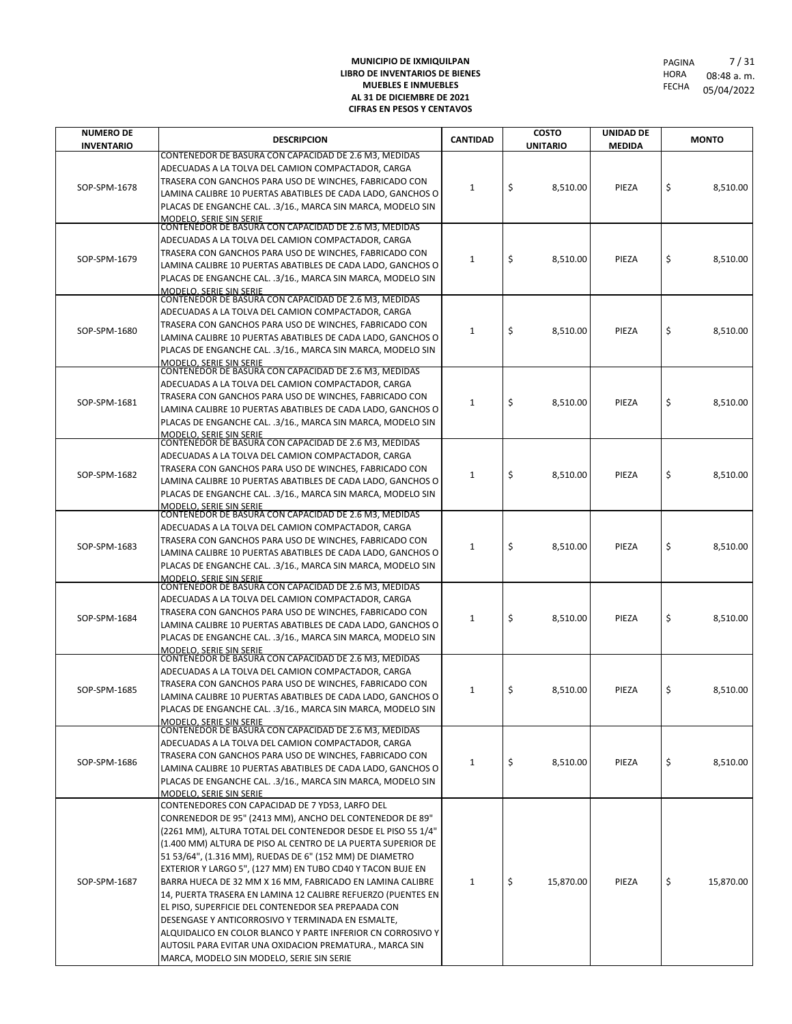| <b>NUMERO DE</b>  | <b>DESCRIPCION</b>                                                                                                                                                                                                                                                                                                                                                                                                                                                                                                                                                                                                                                                                                                                                                                    | <b>CANTIDAD</b> | <b>COSTO</b>    | UNIDAD DE     | <b>MONTO</b>    |
|-------------------|---------------------------------------------------------------------------------------------------------------------------------------------------------------------------------------------------------------------------------------------------------------------------------------------------------------------------------------------------------------------------------------------------------------------------------------------------------------------------------------------------------------------------------------------------------------------------------------------------------------------------------------------------------------------------------------------------------------------------------------------------------------------------------------|-----------------|-----------------|---------------|-----------------|
| <b>INVENTARIO</b> |                                                                                                                                                                                                                                                                                                                                                                                                                                                                                                                                                                                                                                                                                                                                                                                       |                 | <b>UNITARIO</b> | <b>MEDIDA</b> |                 |
| SOP-SPM-1678      | CONTENEDOR DE BASURA CON CAPACIDAD DE 2.6 M3, MEDIDAS<br>ADECUADAS A LA TOLVA DEL CAMION COMPACTADOR, CARGA<br>TRASERA CON GANCHOS PARA USO DE WINCHES, FABRICADO CON<br>LAMINA CALIBRE 10 PUERTAS ABATIBLES DE CADA LADO, GANCHOS O<br>PLACAS DE ENGANCHE CAL. .3/16., MARCA SIN MARCA, MODELO SIN<br><u>MODELO. SERIE SIN SERIE</u>                                                                                                                                                                                                                                                                                                                                                                                                                                                 | 1               | \$<br>8,510.00  | PIEZA         | \$<br>8,510.00  |
| SOP-SPM-1679      | CONTENEDOR DE BASURA CON CAPACIDAD DE 2.6 M3, MEDIDAS<br>ADECUADAS A LA TOLVA DEL CAMION COMPACTADOR, CARGA<br>TRASERA CON GANCHOS PARA USO DE WINCHES, FABRICADO CON<br>LAMINA CALIBRE 10 PUERTAS ABATIBLES DE CADA LADO. GANCHOS O<br>PLACAS DE ENGANCHE CAL. .3/16., MARCA SIN MARCA, MODELO SIN<br>MODELO. SERIE SIN SERIE                                                                                                                                                                                                                                                                                                                                                                                                                                                        | 1               | \$<br>8,510.00  | PIEZA         | \$<br>8.510.00  |
| SOP-SPM-1680      | CONTENEDOR DE BASURA CON CAPACIDAD DE 2.6 M3, MEDIDAS<br>ADECUADAS A LA TOLVA DEL CAMION COMPACTADOR, CARGA<br>TRASERA CON GANCHOS PARA USO DE WINCHES, FABRICADO CON<br>LAMINA CALIBRE 10 PUERTAS ABATIBLES DE CADA LADO, GANCHOS O<br>PLACAS DE ENGANCHE CAL. .3/16., MARCA SIN MARCA, MODELO SIN<br><b>MODELO, SERIE SIN SERIE</b>                                                                                                                                                                                                                                                                                                                                                                                                                                                 | 1               | \$<br>8,510.00  | PIEZA         | \$<br>8,510.00  |
| SOP-SPM-1681      | CONTENEDOR DE BASURA CON CAPACIDAD DE 2.6 M3, MEDIDAS<br>ADECUADAS A LA TOLVA DEL CAMION COMPACTADOR, CARGA<br>TRASERA CON GANCHOS PARA USO DE WINCHES, FABRICADO CON<br>LAMINA CALIBRE 10 PUERTAS ABATIBLES DE CADA LADO, GANCHOS O<br>PLACAS DE ENGANCHE CAL. .3/16., MARCA SIN MARCA, MODELO SIN<br>MODELO, SERIE SIN SERIE                                                                                                                                                                                                                                                                                                                                                                                                                                                        | 1               | \$<br>8,510.00  | PIEZA         | \$<br>8.510.00  |
| SOP-SPM-1682      | CONTENEDOR DE BASURA CON CAPACIDAD DE 2.6 M3, MEDIDAS<br>ADECUADAS A LA TOLVA DEL CAMION COMPACTADOR, CARGA<br>TRASERA CON GANCHOS PARA USO DE WINCHES, FABRICADO CON<br>LAMINA CALIBRE 10 PUERTAS ABATIBLES DE CADA LADO, GANCHOS O<br>PLACAS DE ENGANCHE CAL. .3/16., MARCA SIN MARCA, MODELO SIN<br><b>MODELO, SERIE SIN SERIE</b>                                                                                                                                                                                                                                                                                                                                                                                                                                                 | 1               | \$<br>8,510.00  | PIEZA         | \$<br>8.510.00  |
| SOP-SPM-1683      | CONTENEDOR DE BASURA CON CAPACIDAD DE 2.6 M3, MEDIDAS<br>ADECUADAS A LA TOLVA DEL CAMION COMPACTADOR, CARGA<br>TRASERA CON GANCHOS PARA USO DE WINCHES, FABRICADO CON<br>LAMINA CALIBRE 10 PUERTAS ABATIBLES DE CADA LADO, GANCHOS O<br>PLACAS DE ENGANCHE CAL. .3/16., MARCA SIN MARCA, MODELO SIN<br>MODELO. SERIE SIN SERIE                                                                                                                                                                                                                                                                                                                                                                                                                                                        | 1               | \$<br>8,510.00  | PIEZA         | \$<br>8,510.00  |
| SOP-SPM-1684      | CONTENEDOR DE BASURA CON CAPACIDAD DE 2.6 M3, MEDIDAS<br>ADECUADAS A LA TOLVA DEL CAMION COMPACTADOR, CARGA<br>TRASERA CON GANCHOS PARA USO DE WINCHES, FABRICADO CON<br>LAMINA CALIBRE 10 PUERTAS ABATIBLES DE CADA LADO, GANCHOS O<br>PLACAS DE ENGANCHE CAL. .3/16., MARCA SIN MARCA, MODELO SIN<br><b>MODELO, SERIE SIN SERIE</b>                                                                                                                                                                                                                                                                                                                                                                                                                                                 | 1               | \$<br>8,510.00  | PIEZA         | \$<br>8,510.00  |
| SOP-SPM-1685      | CONTENEDOR DE BASURA CON CAPACIDAD DE 2.6 M3, MEDIDAS<br>ADECUADAS A LA TOLVA DEL CAMION COMPACTADOR, CARGA<br>TRASERA CON GANCHOS PARA USO DE WINCHES, FABRICADO CON<br>LAMINA CALIBRE 10 PUERTAS ABATIBLES DE CADA LADO, GANCHOS O<br>PLACAS DE ENGANCHE CAL. .3/16., MARCA SIN MARCA, MODELO SIN<br><u>MODELO. SERIE SIN SERIE</u>                                                                                                                                                                                                                                                                                                                                                                                                                                                 | 1               | \$<br>8,510.00  | PIEZA         | \$<br>8,510.00  |
| SOP-SPM-1686      | CONTENEDOR DE BASURA CON CAPACIDAD DE 2.6 M3, MEDIDAS<br>ADECUADAS A LA TOLVA DEL CAMION COMPACTADOR, CARGA<br>TRASERA CON GANCHOS PARA USO DE WINCHES, FABRICADO CON<br>LAMINA CALIBRE 10 PUERTAS ABATIBLES DE CADA LADO, GANCHOS O<br>PLACAS DE ENGANCHE CAL. .3/16., MARCA SIN MARCA, MODELO SIN<br>MODELO. SERIE SIN SERIE                                                                                                                                                                                                                                                                                                                                                                                                                                                        | 1               | \$<br>8,510.00  | PIEZA         | \$<br>8,510.00  |
| SOP-SPM-1687      | CONTENEDORES CON CAPACIDAD DE 7 YD53, LARFO DEL<br>CONRENEDOR DE 95" (2413 MM), ANCHO DEL CONTENEDOR DE 89"<br>(2261 MM), ALTURA TOTAL DEL CONTENEDOR DESDE EL PISO 55 1/4"<br>(1.400 MM) ALTURA DE PISO AL CENTRO DE LA PUERTA SUPERIOR DE<br>51 53/64", (1.316 MM), RUEDAS DE 6" (152 MM) DE DIAMETRO<br>EXTERIOR Y LARGO 5", (127 MM) EN TUBO CD40 Y TACON BUJE EN<br>BARRA HUECA DE 32 MM X 16 MM, FABRICADO EN LAMINA CALIBRE<br>14, PUERTA TRASERA EN LAMINA 12 CALIBRE REFUERZO (PUENTES EN<br>EL PISO, SUPERFICIE DEL CONTENEDOR SEA PREPAADA CON<br>DESENGASE Y ANTICORROSIVO Y TERMINADA EN ESMALTE,<br>ALQUIDALICO EN COLOR BLANCO Y PARTE INFERIOR CN CORROSIVO Y<br>AUTOSIL PARA EVITAR UNA OXIDACION PREMATURA., MARCA SIN<br>MARCA, MODELO SIN MODELO, SERIE SIN SERIE | $\mathbf{1}$    | \$<br>15,870.00 | PIEZA         | \$<br>15,870.00 |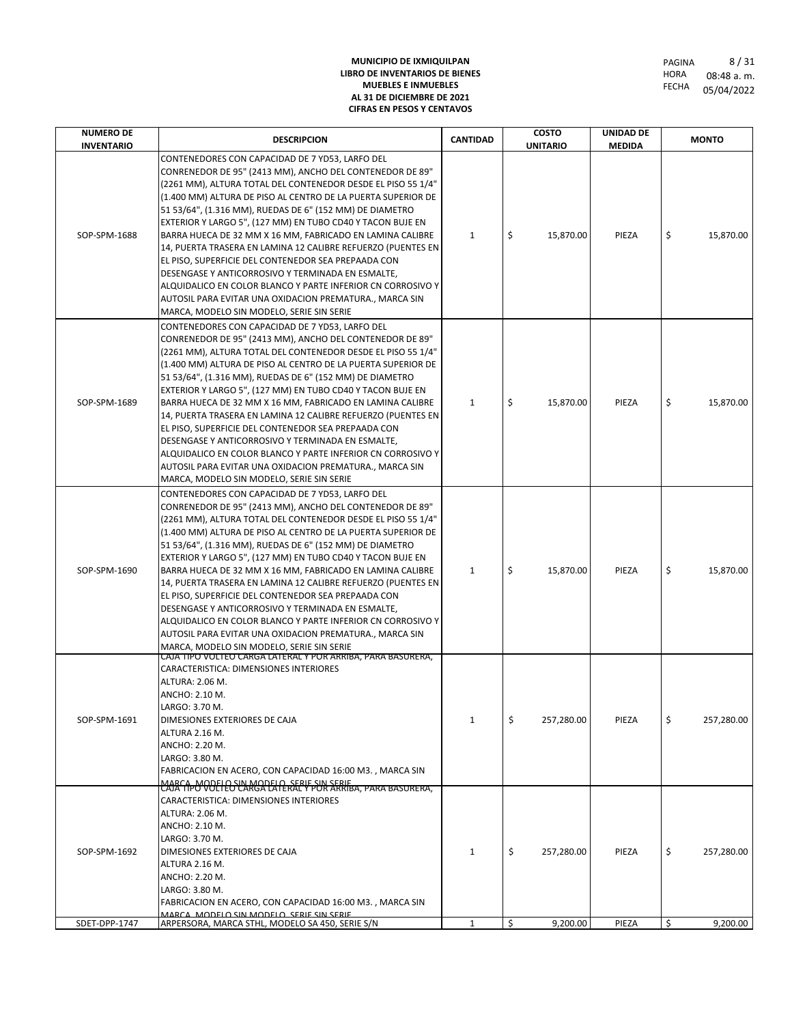| CONTENEDORES CON CAPACIDAD DE 7 YD53, LARFO DEL<br>CONRENEDOR DE 95" (2413 MM), ANCHO DEL CONTENEDOR DE 89"<br>(2261 MM), ALTURA TOTAL DEL CONTENEDOR DESDE EL PISO 55 1/4"<br>(1.400 MM) ALTURA DE PISO AL CENTRO DE LA PUERTA SUPERIOR DE<br>51 53/64", (1.316 MM), RUEDAS DE 6" (152 MM) DE DIAMETRO<br>EXTERIOR Y LARGO 5", (127 MM) EN TUBO CD40 Y TACON BUJE EN<br>\$<br>\$<br>SOP-SPM-1688<br>BARRA HUECA DE 32 MM X 16 MM, FABRICADO EN LAMINA CALIBRE<br>$\mathbf{1}$<br>15,870.00<br>PIEZA<br>14, PUERTA TRASERA EN LAMINA 12 CALIBRE REFUERZO (PUENTES EN<br>EL PISO, SUPERFICIE DEL CONTENEDOR SEA PREPAADA CON<br>DESENGASE Y ANTICORROSIVO Y TERMINADA EN ESMALTE,<br>ALQUIDALICO EN COLOR BLANCO Y PARTE INFERIOR CN CORROSIVO Y<br>AUTOSIL PARA EVITAR UNA OXIDACION PREMATURA., MARCA SIN<br>MARCA, MODELO SIN MODELO, SERIE SIN SERIE<br>CONTENEDORES CON CAPACIDAD DE 7 YD53, LARFO DEL<br>CONRENEDOR DE 95" (2413 MM), ANCHO DEL CONTENEDOR DE 89"<br>(2261 MM), ALTURA TOTAL DEL CONTENEDOR DESDE EL PISO 55 1/4"<br>(1.400 MM) ALTURA DE PISO AL CENTRO DE LA PUERTA SUPERIOR DE<br>51 53/64", (1.316 MM), RUEDAS DE 6" (152 MM) DE DIAMETRO<br>EXTERIOR Y LARGO 5", (127 MM) EN TUBO CD40 Y TACON BUJE EN<br>\$<br>\$<br>PIEZA<br>SOP-SPM-1689<br>BARRA HUECA DE 32 MM X 16 MM, FABRICADO EN LAMINA CALIBRE<br>$\mathbf{1}$<br>15,870.00<br>14, PUERTA TRASERA EN LAMINA 12 CALIBRE REFUERZO (PUENTES EN<br>EL PISO, SUPERFICIE DEL CONTENEDOR SEA PREPAADA CON<br>DESENGASE Y ANTICORROSIVO Y TERMINADA EN ESMALTE,<br>ALQUIDALICO EN COLOR BLANCO Y PARTE INFERIOR CN CORROSIVO Y<br>AUTOSIL PARA EVITAR UNA OXIDACION PREMATURA., MARCA SIN<br>MARCA, MODELO SIN MODELO, SERIE SIN SERIE<br>CONTENEDORES CON CAPACIDAD DE 7 YD53, LARFO DEL<br>CONRENEDOR DE 95" (2413 MM), ANCHO DEL CONTENEDOR DE 89"<br>(2261 MM), ALTURA TOTAL DEL CONTENEDOR DESDE EL PISO 55 1/4"<br>(1.400 MM) ALTURA DE PISO AL CENTRO DE LA PUERTA SUPERIOR DE<br>51 53/64", (1.316 MM), RUEDAS DE 6" (152 MM) DE DIAMETRO<br>EXTERIOR Y LARGO 5", (127 MM) EN TUBO CD40 Y TACON BUJE EN<br>\$<br>\$<br>SOP-SPM-1690<br>BARRA HUECA DE 32 MM X 16 MM, FABRICADO EN LAMINA CALIBRE<br>$\mathbf{1}$<br>15,870.00<br>PIEZA<br>14, PUERTA TRASERA EN LAMINA 12 CALIBRE REFUERZO (PUENTES EN<br>EL PISO, SUPERFICIE DEL CONTENEDOR SEA PREPAADA CON<br>DESENGASE Y ANTICORROSIVO Y TERMINADA EN ESMALTE,<br>ALQUIDALICO EN COLOR BLANCO Y PARTE INFERIOR CN CORROSIVO Y<br>AUTOSIL PARA EVITAR UNA OXIDACION PREMATURA., MARCA SIN<br>MARCA, MODELO SIN MODELO, SERIE SIN SERIE<br>CAJA TIPO VOLTEO CARGA LATERAL Y POR ARRIBA, PARA BASURERA,<br>CARACTERISTICA: DIMENSIONES INTERIORES<br>ALTURA: 2.06 M.<br>ANCHO: 2.10 M.<br>LARGO: 3.70 M.<br>\$<br>\$<br>257,280.00<br>PIEZA<br>SOP-SPM-1691<br>$\mathbf{1}$<br>DIMESIONES EXTERIORES DE CAJA<br>ALTURA 2.16 M.<br>ANCHO: 2.20 M.<br>LARGO: 3.80 M.<br>FABRICACION EN ACERO, CON CAPACIDAD 16:00 M3., MARCA SIN<br>MARCA MODELLO LA MODELLA SERIE SIN SERIE A, PARA BASURERA,<br>CARACTERISTICA: DIMENSIONES INTERIORES<br>ALTURA: 2.06 M.<br>ANCHO: 2.10 M.<br>LARGO: 3.70 M.<br>\$<br>SOP-SPM-1692<br>DIMESIONES EXTERIORES DE CAJA<br>$\mathbf{1}$<br>257,280.00<br>PIEZA<br>\$<br>ALTURA 2.16 M.<br>ANCHO: 2.20 M.<br>LARGO: 3.80 M. | <b>NUMERO DE</b><br><b>INVENTARIO</b> | <b>DESCRIPCION</b>                                       | <b>CANTIDAD</b> | <b>COSTO</b><br><b>UNITARIO</b> | UNIDAD DE<br><b>MEDIDA</b> | <b>MONTO</b>           |
|----------------------------------------------------------------------------------------------------------------------------------------------------------------------------------------------------------------------------------------------------------------------------------------------------------------------------------------------------------------------------------------------------------------------------------------------------------------------------------------------------------------------------------------------------------------------------------------------------------------------------------------------------------------------------------------------------------------------------------------------------------------------------------------------------------------------------------------------------------------------------------------------------------------------------------------------------------------------------------------------------------------------------------------------------------------------------------------------------------------------------------------------------------------------------------------------------------------------------------------------------------------------------------------------------------------------------------------------------------------------------------------------------------------------------------------------------------------------------------------------------------------------------------------------------------------------------------------------------------------------------------------------------------------------------------------------------------------------------------------------------------------------------------------------------------------------------------------------------------------------------------------------------------------------------------------------------------------------------------------------------------------------------------------------------------------------------------------------------------------------------------------------------------------------------------------------------------------------------------------------------------------------------------------------------------------------------------------------------------------------------------------------------------------------------------------------------------------------------------------------------------------------------------------------------------------------------------------------------------------------------------------------------------------------------------------------------------------------------------------------------------------------------------------------------------------------------------------------------------------------------------------------------------------------------------------------------------------------------------------------------------------------------------------------------------------------------------------------------------------------------------------------------------------------------------------------------------------------------------------------------------------------------------------------|---------------------------------------|----------------------------------------------------------|-----------------|---------------------------------|----------------------------|------------------------|
|                                                                                                                                                                                                                                                                                                                                                                                                                                                                                                                                                                                                                                                                                                                                                                                                                                                                                                                                                                                                                                                                                                                                                                                                                                                                                                                                                                                                                                                                                                                                                                                                                                                                                                                                                                                                                                                                                                                                                                                                                                                                                                                                                                                                                                                                                                                                                                                                                                                                                                                                                                                                                                                                                                                                                                                                                                                                                                                                                                                                                                                                                                                                                                                                                                                                                              |                                       |                                                          |                 |                                 |                            | 15,870.00              |
|                                                                                                                                                                                                                                                                                                                                                                                                                                                                                                                                                                                                                                                                                                                                                                                                                                                                                                                                                                                                                                                                                                                                                                                                                                                                                                                                                                                                                                                                                                                                                                                                                                                                                                                                                                                                                                                                                                                                                                                                                                                                                                                                                                                                                                                                                                                                                                                                                                                                                                                                                                                                                                                                                                                                                                                                                                                                                                                                                                                                                                                                                                                                                                                                                                                                                              |                                       |                                                          |                 |                                 |                            | 15,870.00              |
|                                                                                                                                                                                                                                                                                                                                                                                                                                                                                                                                                                                                                                                                                                                                                                                                                                                                                                                                                                                                                                                                                                                                                                                                                                                                                                                                                                                                                                                                                                                                                                                                                                                                                                                                                                                                                                                                                                                                                                                                                                                                                                                                                                                                                                                                                                                                                                                                                                                                                                                                                                                                                                                                                                                                                                                                                                                                                                                                                                                                                                                                                                                                                                                                                                                                                              |                                       |                                                          |                 |                                 |                            | 15,870.00              |
|                                                                                                                                                                                                                                                                                                                                                                                                                                                                                                                                                                                                                                                                                                                                                                                                                                                                                                                                                                                                                                                                                                                                                                                                                                                                                                                                                                                                                                                                                                                                                                                                                                                                                                                                                                                                                                                                                                                                                                                                                                                                                                                                                                                                                                                                                                                                                                                                                                                                                                                                                                                                                                                                                                                                                                                                                                                                                                                                                                                                                                                                                                                                                                                                                                                                                              |                                       |                                                          |                 |                                 |                            | 257,280.00             |
| MARCA MODELO SIN MODELO SERIE SIN SERIE<br>\$<br>SDET-DPP-1747<br>ARPERSORA, MARCA STHL, MODELO SA 450, SERIE S/N<br>$\mathbf{1}$<br>9,200.00<br>PIEZA<br>\$                                                                                                                                                                                                                                                                                                                                                                                                                                                                                                                                                                                                                                                                                                                                                                                                                                                                                                                                                                                                                                                                                                                                                                                                                                                                                                                                                                                                                                                                                                                                                                                                                                                                                                                                                                                                                                                                                                                                                                                                                                                                                                                                                                                                                                                                                                                                                                                                                                                                                                                                                                                                                                                                                                                                                                                                                                                                                                                                                                                                                                                                                                                                 |                                       | FABRICACION EN ACERO, CON CAPACIDAD 16:00 M3., MARCA SIN |                 |                                 |                            | 257,280.00<br>9,200.00 |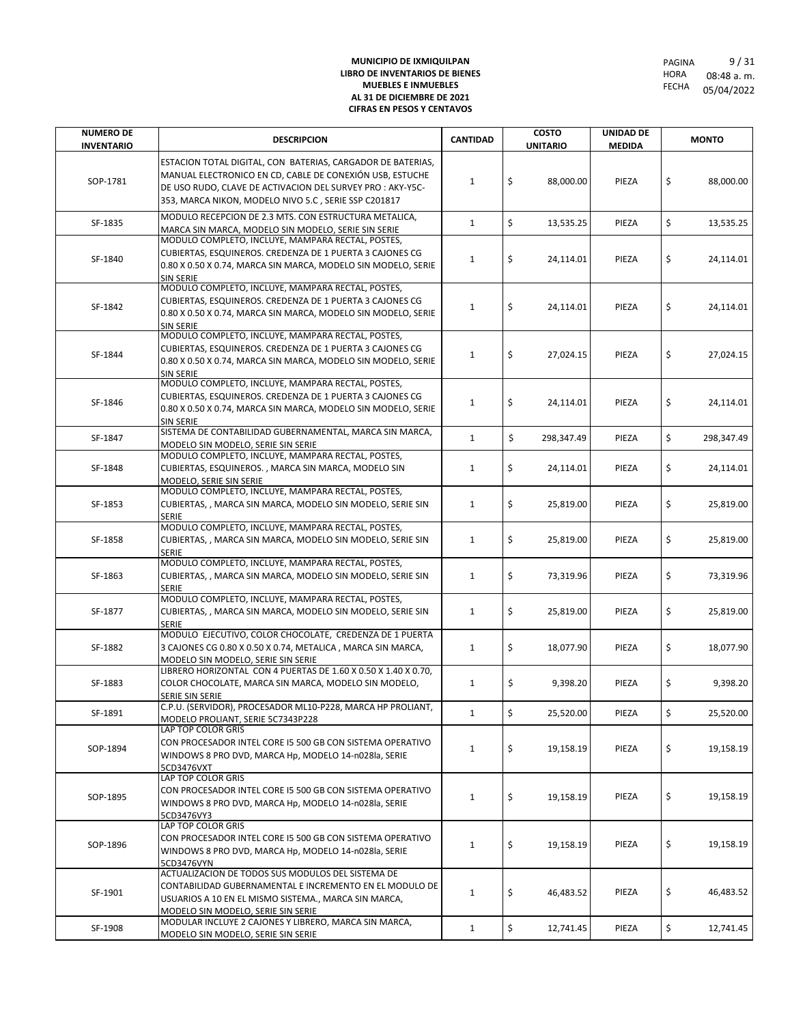| <b>NUMERO DE</b><br><b>INVENTARIO</b> | <b>DESCRIPCION</b>                                                                                                                                                                                                                            | <b>CANTIDAD</b> | <b>COSTO</b><br><b>UNITARIO</b> | <b>UNIDAD DE</b><br><b>MEDIDA</b> | <b>MONTO</b>     |
|---------------------------------------|-----------------------------------------------------------------------------------------------------------------------------------------------------------------------------------------------------------------------------------------------|-----------------|---------------------------------|-----------------------------------|------------------|
| SOP-1781                              | ESTACION TOTAL DIGITAL, CON BATERIAS, CARGADOR DE BATERIAS,<br>MANUAL ELECTRONICO EN CD, CABLE DE CONEXIÓN USB, ESTUCHE<br>DE USO RUDO, CLAVE DE ACTIVACION DEL SURVEY PRO : AKY-Y5C-<br>353, MARCA NIKON, MODELO NIVO 5.C, SERIE SSP C201817 | $\mathbf{1}$    | \$<br>88,000.00                 | PIEZA                             | \$<br>88,000.00  |
| SF-1835                               | MODULO RECEPCION DE 2.3 MTS. CON ESTRUCTURA METALICA,<br>MARCA SIN MARCA, MODELO SIN MODELO, SERIE SIN SERIE                                                                                                                                  | $\mathbf{1}$    | \$<br>13,535.25                 | PIEZA                             | \$<br>13,535.25  |
| SF-1840                               | MODULO COMPLETO, INCLUYE, MAMPARA RECTAL, POSTES,<br>CUBIERTAS, ESQUINEROS. CREDENZA DE 1 PUERTA 3 CAJONES CG<br>0.80 X 0.50 X 0.74, MARCA SIN MARCA, MODELO SIN MODELO, SERIE<br><b>SIN SERIE</b>                                            | $\mathbf{1}$    | \$<br>24,114.01                 | PIEZA                             | \$<br>24,114.01  |
| SF-1842                               | MODULO COMPLETO, INCLUYE, MAMPARA RECTAL, POSTES,<br>CUBIERTAS, ESQUINEROS. CREDENZA DE 1 PUERTA 3 CAJONES CG<br>0.80 X 0.50 X 0.74, MARCA SIN MARCA, MODELO SIN MODELO, SERIE<br><b>SIN SERIE</b>                                            | $\mathbf{1}$    | \$<br>24,114.01                 | PIEZA                             | \$<br>24,114.01  |
| SF-1844                               | MODULO COMPLETO, INCLUYE, MAMPARA RECTAL, POSTES,<br>CUBIERTAS, ESQUINEROS. CREDENZA DE 1 PUERTA 3 CAJONES CG<br>0.80 X 0.50 X 0.74, MARCA SIN MARCA, MODELO SIN MODELO, SERIE<br><b>SIN SERIE</b>                                            | 1               | \$<br>27,024.15                 | PIEZA                             | \$<br>27,024.15  |
| SF-1846                               | MODULO COMPLETO, INCLUYE, MAMPARA RECTAL, POSTES,<br>CUBIERTAS, ESQUINEROS. CREDENZA DE 1 PUERTA 3 CAJONES CG<br>0.80 X 0.50 X 0.74, MARCA SIN MARCA, MODELO SIN MODELO, SERIE<br>SIN SERIE                                                   | $\mathbf{1}$    | \$<br>24,114.01                 | PIEZA                             | \$<br>24.114.01  |
| SF-1847                               | SISTEMA DE CONTABILIDAD GUBERNAMENTAL, MARCA SIN MARCA,<br>MODELO SIN MODELO, SERIE SIN SERIE                                                                                                                                                 | $\mathbf{1}$    | \$<br>298,347.49                | PIEZA                             | \$<br>298,347.49 |
| SF-1848                               | MODULO COMPLETO, INCLUYE, MAMPARA RECTAL, POSTES,<br>CUBIERTAS, ESQUINEROS., MARCA SIN MARCA, MODELO SIN<br>MODELO, SERIE SIN SERIE                                                                                                           | 1               | \$<br>24,114.01                 | PIEZA                             | \$<br>24,114.01  |
| SF-1853                               | MODULO COMPLETO, INCLUYE, MAMPARA RECTAL, POSTES,<br>CUBIERTAS, , MARCA SIN MARCA, MODELO SIN MODELO, SERIE SIN<br><b>SERIE</b>                                                                                                               | $\mathbf{1}$    | \$<br>25,819.00                 | PIEZA                             | \$<br>25,819.00  |
| SF-1858                               | MODULO COMPLETO, INCLUYE, MAMPARA RECTAL, POSTES,<br>CUBIERTAS,, MARCA SIN MARCA, MODELO SIN MODELO, SERIE SIN<br><b>SERIE</b>                                                                                                                | $\mathbf{1}$    | \$<br>25,819.00                 | PIEZA                             | \$<br>25,819.00  |
| SF-1863                               | MODULO COMPLETO, INCLUYE, MAMPARA RECTAL, POSTES,<br>CUBIERTAS, , MARCA SIN MARCA, MODELO SIN MODELO, SERIE SIN<br><b>SERIE</b>                                                                                                               | $\mathbf{1}$    | \$<br>73,319.96                 | PIEZA                             | \$<br>73,319.96  |
| SF-1877                               | MODULO COMPLETO, INCLUYE, MAMPARA RECTAL, POSTES,<br>CUBIERTAS,, MARCA SIN MARCA, MODELO SIN MODELO, SERIE SIN<br><b>SERIE</b>                                                                                                                | 1               | \$<br>25,819.00                 | PIEZA                             | \$<br>25,819.00  |
| SF-1882                               | MODULO EJECUTIVO, COLOR CHOCOLATE, CREDENZA DE 1 PUERTA<br>3 CAJONES CG 0.80 X 0.50 X 0.74, METALICA, MARCA SIN MARCA,<br>MODELO SIN MODELO, SERIE SIN SERIE                                                                                  | $\mathbf{1}$    | \$<br>18,077.90                 | PIEZA                             | \$<br>18,077.90  |
| SF-1883                               | LIBRERO HORIZONTAL CON 4 PUERTAS DE 1.60 X 0.50 X 1.40 X 0.70,<br>COLOR CHOCOLATE, MARCA SIN MARCA, MODELO SIN MODELO,<br>SERIE SIN SERIE                                                                                                     | $\mathbf{1}$    | \$<br>9,398.20                  | PIEZA                             | \$<br>9,398.20   |
| SF-1891                               | C.P.U. (SERVIDOR), PROCESADOR ML10-P228, MARCA HP PROLIANT,<br>MODELO PROLIANT. SERIE 5C7343P228                                                                                                                                              | $\mathbf{1}$    | \$<br>25,520.00                 | PIEZA                             | \$<br>25,520.00  |
| SOP-1894                              | LAP TOP COLOR GRIS<br>CON PROCESADOR INTEL CORE I5 500 GB CON SISTEMA OPERATIVO<br>WINDOWS 8 PRO DVD, MARCA Hp, MODELO 14-n028la, SERIE<br>5CD3476VXT                                                                                         | $\mathbf{1}$    | \$<br>19,158.19                 | PIEZA                             | \$<br>19,158.19  |
| SOP-1895                              | LAP TOP COLOR GRIS<br>CON PROCESADOR INTEL CORE I5 500 GB CON SISTEMA OPERATIVO<br>WINDOWS 8 PRO DVD, MARCA Hp, MODELO 14-n028la, SERIE<br>5CD3476VY3                                                                                         | $\mathbf{1}$    | \$<br>19,158.19                 | PIEZA                             | \$<br>19,158.19  |
| SOP-1896                              | LAP TOP COLOR GRIS<br>CON PROCESADOR INTEL CORE I5 500 GB CON SISTEMA OPERATIVO<br>WINDOWS 8 PRO DVD, MARCA Hp, MODELO 14-n028la, SERIE<br>5CD3476VYN                                                                                         | $\mathbf{1}$    | \$<br>19,158.19                 | PIEZA                             | \$<br>19,158.19  |
| SF-1901                               | ACTUALIZACION DE TODOS SUS MODULOS DEL SISTEMA DE<br>CONTABILIDAD GUBERNAMENTAL E INCREMENTO EN EL MODULO DE<br>USUARIOS A 10 EN EL MISMO SISTEMA., MARCA SIN MARCA,<br>MODELO SIN MODELO, SERIE SIN SERIE                                    | $\mathbf{1}$    | \$<br>46,483.52                 | PIEZA                             | \$<br>46,483.52  |
| SF-1908                               | MODULAR INCLUYE 2 CAJONES Y LIBRERO, MARCA SIN MARCA,<br>MODELO SIN MODELO, SERIE SIN SERIE                                                                                                                                                   | $\mathbf{1}$    | \$<br>12,741.45                 | PIEZA                             | \$<br>12,741.45  |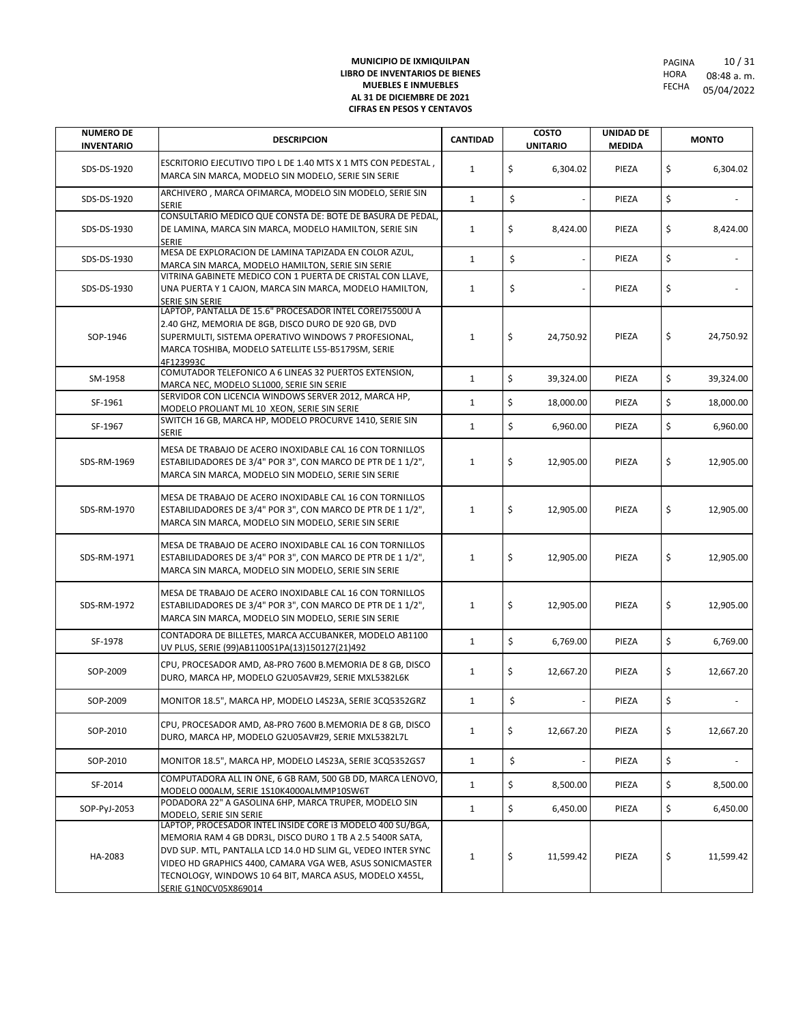| <b>NUMERO DE</b><br><b>INVENTARIO</b> | <b>DESCRIPCION</b>                                                                                                                                                                                                                                                                                                                      | <b>CANTIDAD</b> | <b>COSTO</b><br><b>UNITARIO</b> | UNIDAD DE<br><b>MEDIDA</b> | <b>MONTO</b>    |
|---------------------------------------|-----------------------------------------------------------------------------------------------------------------------------------------------------------------------------------------------------------------------------------------------------------------------------------------------------------------------------------------|-----------------|---------------------------------|----------------------------|-----------------|
| SDS-DS-1920                           | ESCRITORIO EJECUTIVO TIPO L DE 1.40 MTS X 1 MTS CON PEDESTAL,<br>MARCA SIN MARCA, MODELO SIN MODELO, SERIE SIN SERIE                                                                                                                                                                                                                    | $\mathbf{1}$    | \$<br>6,304.02                  | PIEZA                      | \$<br>6,304.02  |
| SDS-DS-1920                           | ARCHIVERO, MARCA OFIMARCA, MODELO SIN MODELO, SERIE SIN<br><b>SERIE</b>                                                                                                                                                                                                                                                                 | $\mathbf{1}$    | \$                              | PIEZA                      | \$              |
| SDS-DS-1930                           | CONSULTARIO MEDICO QUE CONSTA DE: BOTE DE BASURA DE PEDAL,<br>DE LAMINA, MARCA SIN MARCA, MODELO HAMILTON, SERIE SIN<br><b>SERIE</b>                                                                                                                                                                                                    | $\mathbf{1}$    | \$<br>8,424.00                  | PIEZA                      | \$<br>8,424.00  |
| SDS-DS-1930                           | MESA DE EXPLORACION DE LAMINA TAPIZADA EN COLOR AZUL,<br>MARCA SIN MARCA, MODELO HAMILTON, SERIE SIN SERIE                                                                                                                                                                                                                              | $\mathbf{1}$    | \$                              | PIEZA                      | \$              |
| SDS-DS-1930                           | VITRINA GABINETE MEDICO CON 1 PUERTA DE CRISTAL CON LLAVE,<br>UNA PUERTA Y 1 CAJON, MARCA SIN MARCA, MODELO HAMILTON,<br>SERIE SIN SERIE                                                                                                                                                                                                | $\mathbf{1}$    | \$                              | PIEZA                      | \$              |
| SOP-1946                              | LAPTOP, PANTALLA DE 15.6" PROCESADOR INTEL COREI75500U A<br>2.40 GHZ, MEMORIA DE 8GB, DISCO DURO DE 920 GB, DVD<br>SUPERMULTI, SISTEMA OPERATIVO WINDOWS 7 PROFESIONAL,<br>MARCA TOSHIBA, MODELO SATELLITE L55-B5179SM, SERIE<br>4F123993C                                                                                              | $\mathbf{1}$    | \$<br>24,750.92                 | PIEZA                      | \$<br>24,750.92 |
| SM-1958                               | COMUTADOR TELEFONICO A 6 LINEAS 32 PUERTOS EXTENSION,<br>MARCA NEC, MODELO SL1000, SERIE SIN SERIE                                                                                                                                                                                                                                      | $\mathbf{1}$    | \$<br>39,324.00                 | PIEZA                      | \$<br>39,324.00 |
| SF-1961                               | SERVIDOR CON LICENCIA WINDOWS SERVER 2012, MARCA HP,<br>MODELO PROLIANT ML 10 XEON, SERIE SIN SERIE                                                                                                                                                                                                                                     | $\mathbf{1}$    | \$<br>18,000.00                 | PIEZA                      | \$<br>18,000.00 |
| SF-1967                               | SWITCH 16 GB, MARCA HP, MODELO PROCURVE 1410, SERIE SIN<br>SERIE                                                                                                                                                                                                                                                                        | $\mathbf{1}$    | \$<br>6,960.00                  | PIEZA                      | \$<br>6,960.00  |
| SDS-RM-1969                           | MESA DE TRABAJO DE ACERO INOXIDABLE CAL 16 CON TORNILLOS<br>ESTABILIDADORES DE 3/4" POR 3", CON MARCO DE PTR DE 1 1/2",<br>MARCA SIN MARCA, MODELO SIN MODELO, SERIE SIN SERIE                                                                                                                                                          | $\mathbf{1}$    | \$<br>12,905.00                 | PIEZA                      | \$<br>12,905.00 |
| SDS-RM-1970                           | MESA DE TRABAJO DE ACERO INOXIDABLE CAL 16 CON TORNILLOS<br>ESTABILIDADORES DE 3/4" POR 3", CON MARCO DE PTR DE 1 1/2",<br>MARCA SIN MARCA, MODELO SIN MODELO, SERIE SIN SERIE                                                                                                                                                          | $\mathbf{1}$    | \$<br>12,905.00                 | PIEZA                      | \$<br>12,905.00 |
| SDS-RM-1971                           | MESA DE TRABAJO DE ACERO INOXIDABLE CAL 16 CON TORNILLOS<br>ESTABILIDADORES DE 3/4" POR 3", CON MARCO DE PTR DE 1 1/2",<br>MARCA SIN MARCA, MODELO SIN MODELO, SERIE SIN SERIE                                                                                                                                                          | $\mathbf{1}$    | \$<br>12,905.00                 | PIEZA                      | \$<br>12,905.00 |
| SDS-RM-1972                           | MESA DE TRABAJO DE ACERO INOXIDABLE CAL 16 CON TORNILLOS<br>ESTABILIDADORES DE 3/4" POR 3", CON MARCO DE PTR DE 1 1/2",<br>MARCA SIN MARCA, MODELO SIN MODELO, SERIE SIN SERIE                                                                                                                                                          | $\mathbf{1}$    | \$<br>12,905.00                 | PIEZA                      | \$<br>12,905.00 |
| SF-1978                               | CONTADORA DE BILLETES, MARCA ACCUBANKER, MODELO AB1100<br>UV PLUS, SERIE (99)AB1100S1PA(13)150127(21)492                                                                                                                                                                                                                                | $\mathbf{1}$    | \$<br>6,769.00                  | PIEZA                      | \$<br>6,769.00  |
| SOP-2009                              | CPU, PROCESADOR AMD, A8-PRO 7600 B.MEMORIA DE 8 GB, DISCO<br>DURO, MARCA HP, MODELO G2U05AV#29, SERIE MXL5382L6K                                                                                                                                                                                                                        | $\mathbf{1}$    | \$<br>12,667.20                 | PIEZA                      | \$<br>12,667.20 |
| SOP-2009                              | MONITOR 18.5", MARCA HP, MODELO L4S23A, SERIE 3CQ5352GRZ                                                                                                                                                                                                                                                                                | $\mathbf{1}$    | \$                              | PIEZA                      | \$              |
| SOP-2010                              | CPU, PROCESADOR AMD, A8-PRO 7600 B.MEMORIA DE 8 GB, DISCO<br>DURO, MARCA HP, MODELO G2U05AV#29, SERIE MXL5382L7L                                                                                                                                                                                                                        | $\mathbf{1}$    | \$<br>12,667.20                 | PIEZA                      | \$<br>12,667.20 |
| SOP-2010                              | MONITOR 18.5", MARCA HP, MODELO L4S23A, SERIE 3CQ5352GS7                                                                                                                                                                                                                                                                                | $\mathbf{1}$    | \$<br>$\overline{\phantom{a}}$  | PIEZA                      | \$              |
| SF-2014                               | COMPUTADORA ALL IN ONE, 6 GB RAM, 500 GB DD, MARCA LENOVO,<br>MODELO 000ALM, SERIE 1S10K4000ALMMP10SW6T                                                                                                                                                                                                                                 | $\mathbf{1}$    | \$<br>8,500.00                  | PIEZA                      | \$<br>8,500.00  |
| SOP-PyJ-2053                          | PODADORA 22" A GASOLINA 6HP, MARCA TRUPER, MODELO SIN<br>MODELO, SERIE SIN SERIE                                                                                                                                                                                                                                                        | $\mathbf{1}$    | \$<br>6,450.00                  | PIEZA                      | \$<br>6,450.00  |
| HA-2083                               | LAPTOP, PROCESADOR INTEL INSIDE CORE I3 MODELO 400 SU/BGA,<br>MEMORIA RAM 4 GB DDR3L, DISCO DURO 1 TB A 2.5 5400R SATA,<br>DVD SUP. MTL, PANTALLA LCD 14.0 HD SLIM GL, VEDEO INTER SYNC<br>VIDEO HD GRAPHICS 4400, CAMARA VGA WEB, ASUS SONICMASTER<br>TECNOLOGY, WINDOWS 10 64 BIT, MARCA ASUS, MODELO X455L,<br>SERIE G1N0CV05X869014 | $\mathbf{1}$    | \$<br>11,599.42                 | PIEZA                      | \$<br>11,599.42 |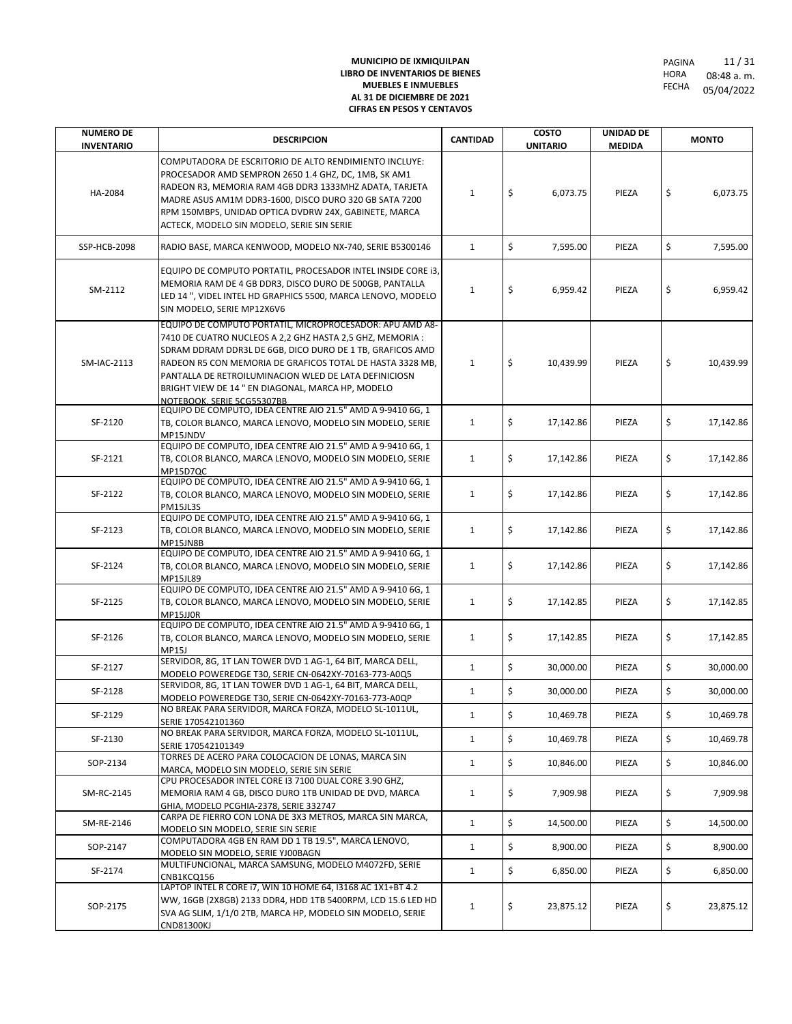| <b>NUMERO DE</b><br><b>INVENTARIO</b> | <b>DESCRIPCION</b>                                                                                                                                                                                                                                                                                                                                                                          | <b>CANTIDAD</b> | <b>COSTO</b><br><b>UNITARIO</b> | <b>UNIDAD DE</b><br><b>MEDIDA</b> | <b>MONTO</b>    |
|---------------------------------------|---------------------------------------------------------------------------------------------------------------------------------------------------------------------------------------------------------------------------------------------------------------------------------------------------------------------------------------------------------------------------------------------|-----------------|---------------------------------|-----------------------------------|-----------------|
| HA-2084                               | COMPUTADORA DE ESCRITORIO DE ALTO RENDIMIENTO INCLUYE:<br>PROCESADOR AMD SEMPRON 2650 1.4 GHZ, DC, 1MB, SK AM1<br>RADEON R3, MEMORIA RAM 4GB DDR3 1333MHZ ADATA, TARJETA<br>MADRE ASUS AM1M DDR3-1600, DISCO DURO 320 GB SATA 7200<br>RPM 150MBPS, UNIDAD OPTICA DVDRW 24X, GABINETE, MARCA<br>ACTECK, MODELO SIN MODELO, SERIE SIN SERIE                                                   | $\mathbf{1}$    | \$<br>6,073.75                  | PIEZA                             | \$<br>6,073.75  |
| <b>SSP-HCB-2098</b>                   | RADIO BASE, MARCA KENWOOD, MODELO NX-740, SERIE B5300146                                                                                                                                                                                                                                                                                                                                    | $\mathbf{1}$    | \$<br>7,595.00                  | PIEZA                             | \$<br>7,595.00  |
| SM-2112                               | EQUIPO DE COMPUTO PORTATIL, PROCESADOR INTEL INSIDE CORE 13,<br>MEMORIA RAM DE 4 GB DDR3, DISCO DURO DE 500GB, PANTALLA<br>LED 14", VIDEL INTEL HD GRAPHICS 5500, MARCA LENOVO, MODELO<br>SIN MODELO, SERIE MP12X6V6                                                                                                                                                                        | $\mathbf{1}$    | \$<br>6,959.42                  | PIEZA                             | \$<br>6,959.42  |
| SM-IAC-2113                           | EQUIPO DE COMPUTO PORTATIL, MICROPROCESADOR: APU AMD A8-<br>7410 DE CUATRO NUCLEOS A 2,2 GHZ HASTA 2,5 GHZ, MEMORIA :<br>SDRAM DDRAM DDR3L DE 6GB, DICO DURO DE 1 TB, GRAFICOS AMD<br>RADEON R5 CON MEMORIA DE GRAFICOS TOTAL DE HASTA 3328 MB,<br>PANTALLA DE RETROILUMINACION WLED DE LATA DEFINICIOSN<br>BRIGHT VIEW DE 14 " EN DIAGONAL, MARCA HP, MODELO<br>NOTEBOOK, SERIE 5CG55307BB | $\mathbf{1}$    | \$<br>10,439.99                 | PIEZA                             | \$<br>10,439.99 |
| SF-2120                               | EQUIPO DE COMPUTO, IDEA CENTRE AIO 21.5" AMD A 9-9410 6G, 1<br>TB, COLOR BLANCO, MARCA LENOVO, MODELO SIN MODELO, SERIE<br>MP15JNDV                                                                                                                                                                                                                                                         | $\mathbf{1}$    | \$<br>17,142.86                 | PIEZA                             | \$<br>17,142.86 |
| SF-2121                               | EQUIPO DE COMPUTO, IDEA CENTRE AIO 21.5" AMD A 9-9410 6G, 1<br>TB, COLOR BLANCO, MARCA LENOVO, MODELO SIN MODELO, SERIE<br><b>MP15D7QC</b>                                                                                                                                                                                                                                                  | $\mathbf{1}$    | \$<br>17,142.86                 | PIEZA                             | \$<br>17,142.86 |
| SF-2122                               | EQUIPO DE COMPUTO, IDEA CENTRE AIO 21.5" AMD A 9-9410 6G, 1<br>TB, COLOR BLANCO, MARCA LENOVO, MODELO SIN MODELO, SERIE<br>PM15JL3S                                                                                                                                                                                                                                                         | $\mathbf{1}$    | \$<br>17,142.86                 | PIEZA                             | \$<br>17,142.86 |
| SF-2123                               | EQUIPO DE COMPUTO, IDEA CENTRE AIO 21.5" AMD A 9-9410 6G, 1<br>TB, COLOR BLANCO, MARCA LENOVO, MODELO SIN MODELO, SERIE<br>MP15JN8B                                                                                                                                                                                                                                                         | $\mathbf{1}$    | \$<br>17,142.86                 | PIEZA                             | \$<br>17,142.86 |
| SF-2124                               | EQUIPO DE COMPUTO, IDEA CENTRE AIO 21.5" AMD A 9-9410 6G, 1<br>TB, COLOR BLANCO, MARCA LENOVO, MODELO SIN MODELO, SERIE<br><b>MP15JL89</b>                                                                                                                                                                                                                                                  | $\mathbf{1}$    | \$<br>17,142.86                 | PIEZA                             | \$<br>17,142.86 |
| SF-2125                               | EQUIPO DE COMPUTO, IDEA CENTRE AIO 21.5" AMD A 9-9410 6G, 1<br>TB, COLOR BLANCO, MARCA LENOVO, MODELO SIN MODELO, SERIE<br>MP15JJ0R                                                                                                                                                                                                                                                         | $\mathbf{1}$    | \$<br>17,142.85                 | PIEZA                             | \$<br>17,142.85 |
| SF-2126                               | EQUIPO DE COMPUTO, IDEA CENTRE AIO 21.5" AMD A 9-9410 6G, 1<br>TB, COLOR BLANCO, MARCA LENOVO, MODELO SIN MODELO, SERIE<br><b>MP15J</b>                                                                                                                                                                                                                                                     | $\mathbf{1}$    | \$<br>17,142.85                 | PIEZA                             | \$<br>17,142.85 |
| SF-2127                               | SERVIDOR, 8G, 1T LAN TOWER DVD 1 AG-1, 64 BIT, MARCA DELL,<br>MODELO POWEREDGE T30, SERIE CN-0642XY-70163-773-A0Q5                                                                                                                                                                                                                                                                          | $\mathbf{1}$    | \$<br>30,000.00                 | PIEZA                             | \$<br>30,000.00 |
| SF-2128                               | SERVIDOR, 8G, 1T LAN TOWER DVD 1 AG-1, 64 BIT, MARCA DELL,<br>MODELO POWEREDGE T30, SERIE CN-0642XY-70163-773-A0QP                                                                                                                                                                                                                                                                          | $\mathbf{1}$    | \$<br>30,000.00                 | PIEZA                             | \$<br>30,000.00 |
| SF-2129                               | NO BREAK PARA SERVIDOR, MARCA FORZA, MODELO SL-1011UL,<br>SERIE 170542101360                                                                                                                                                                                                                                                                                                                | $\mathbf{1}$    | \$<br>10,469.78                 | PIEZA                             | \$<br>10,469.78 |
| SF-2130                               | NO BREAK PARA SERVIDOR, MARCA FORZA, MODELO SL-1011UL,<br>SERIE 170542101349                                                                                                                                                                                                                                                                                                                | $\mathbf{1}$    | \$<br>10,469.78                 | PIEZA                             | \$<br>10,469.78 |
| SOP-2134                              | TORRES DE ACERO PARA COLOCACION DE LONAS, MARCA SIN<br>MARCA, MODELO SIN MODELO, SERIE SIN SERIE                                                                                                                                                                                                                                                                                            | $\mathbf{1}$    | \$<br>10,846.00                 | PIEZA                             | \$<br>10,846.00 |
| SM-RC-2145                            | CPU PROCESADOR INTEL CORE I3 7100 DUAL CORE 3.90 GHZ,<br>MEMORIA RAM 4 GB, DISCO DURO 1TB UNIDAD DE DVD, MARCA<br>GHIA, MODELO PCGHIA-2378, SERIE 332747                                                                                                                                                                                                                                    | $\mathbf{1}$    | \$<br>7,909.98                  | PIEZA                             | \$<br>7,909.98  |
| SM-RE-2146                            | CARPA DE FIERRO CON LONA DE 3X3 METROS, MARCA SIN MARCA,<br>MODELO SIN MODELO, SERIE SIN SERIE                                                                                                                                                                                                                                                                                              | $\mathbf{1}$    | \$<br>14,500.00                 | PIEZA                             | \$<br>14,500.00 |
| SOP-2147                              | COMPUTADORA 4GB EN RAM DD 1 TB 19.5", MARCA LENOVO,<br>MODELO SIN MODELO, SERIE YJ00BAGN                                                                                                                                                                                                                                                                                                    | $\mathbf{1}$    | \$<br>8,900.00                  | PIEZA                             | \$<br>8,900.00  |
| SF-2174                               | MULTIFUNCIONAL, MARCA SAMSUNG, MODELO M4072FD, SERIE<br>CNB1KCQ156                                                                                                                                                                                                                                                                                                                          | $\mathbf{1}$    | \$<br>6,850.00                  | PIEZA                             | \$<br>6,850.00  |
| SOP-2175                              | LAPTOP INTEL R CORE 17, WIN 10 HOME 64, 13168 AC 1X1+BT 4.2<br>WW, 16GB (2X8GB) 2133 DDR4, HDD 1TB 5400RPM, LCD 15.6 LED HD<br>SVA AG SLIM, 1/1/0 2TB, MARCA HP, MODELO SIN MODELO, SERIE<br><b>CND81300KJ</b>                                                                                                                                                                              | $\mathbf{1}$    | \$<br>23,875.12                 | PIEZA                             | \$<br>23,875.12 |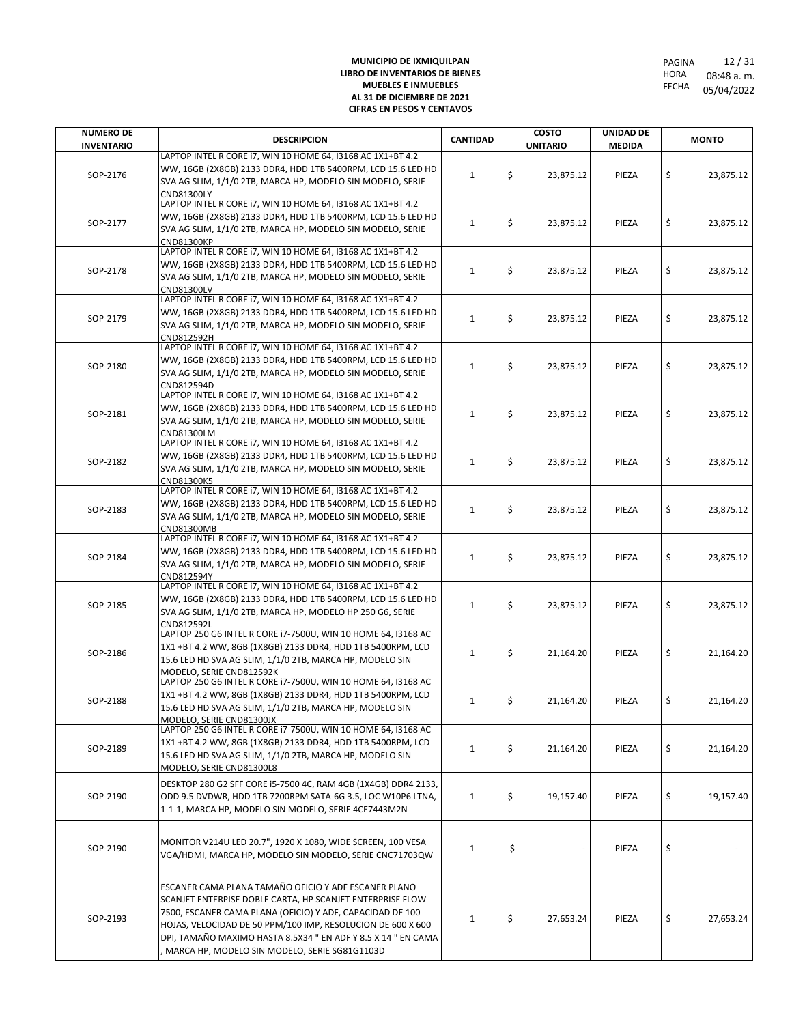| <b>NUMERO DE</b>  | <b>DESCRIPCION</b>                                                                                                          | <b>CANTIDAD</b> | <b>COSTO</b>    | <b>UNIDAD DE</b> | <b>MONTO</b>    |  |  |
|-------------------|-----------------------------------------------------------------------------------------------------------------------------|-----------------|-----------------|------------------|-----------------|--|--|
| <b>INVENTARIO</b> |                                                                                                                             |                 | <b>UNITARIO</b> | <b>MEDIDA</b>    |                 |  |  |
|                   | LAPTOP INTEL R CORE 17, WIN 10 HOME 64, 13168 AC 1X1+BT 4.2<br>WW, 16GB (2X8GB) 2133 DDR4, HDD 1TB 5400RPM, LCD 15.6 LED HD |                 |                 |                  |                 |  |  |
| SOP-2176          | SVA AG SLIM, 1/1/0 2TB, MARCA HP, MODELO SIN MODELO, SERIE                                                                  | $\mathbf{1}$    | \$<br>23,875.12 | PIEZA            | \$<br>23,875.12 |  |  |
|                   | CND81300LY                                                                                                                  |                 |                 |                  |                 |  |  |
|                   | LAPTOP INTEL R CORE 17, WIN 10 HOME 64, 13168 AC 1X1+BT 4.2                                                                 |                 |                 |                  |                 |  |  |
| SOP-2177          | WW, 16GB (2X8GB) 2133 DDR4, HDD 1TB 5400RPM, LCD 15.6 LED HD                                                                | $\mathbf{1}$    | \$<br>23,875.12 | PIEZA            | \$<br>23,875.12 |  |  |
|                   | SVA AG SLIM, 1/1/0 2TB, MARCA HP, MODELO SIN MODELO, SERIE                                                                  |                 |                 |                  |                 |  |  |
|                   | <b>CND81300KP</b><br>LAPTOP INTEL R CORE 17, WIN 10 HOME 64, 13168 AC 1X1+BT 4.2                                            |                 |                 |                  |                 |  |  |
|                   | WW, 16GB (2X8GB) 2133 DDR4, HDD 1TB 5400RPM, LCD 15.6 LED HD                                                                |                 |                 |                  |                 |  |  |
| SOP-2178          | SVA AG SLIM, 1/1/0 2TB, MARCA HP, MODELO SIN MODELO, SERIE                                                                  | $\mathbf{1}$    | \$<br>23,875.12 | PIEZA            | \$<br>23,875.12 |  |  |
|                   | CND81300LV                                                                                                                  |                 |                 |                  |                 |  |  |
|                   | LAPTOP INTEL R CORE 17, WIN 10 HOME 64, 13168 AC 1X1+BT 4.2                                                                 |                 |                 |                  |                 |  |  |
| SOP-2179          | WW, 16GB (2X8GB) 2133 DDR4, HDD 1TB 5400RPM, LCD 15.6 LED HD                                                                | $\mathbf{1}$    | \$<br>23,875.12 | PIEZA            | \$<br>23,875.12 |  |  |
|                   | SVA AG SLIM, 1/1/0 2TB, MARCA HP, MODELO SIN MODELO, SERIE                                                                  |                 |                 |                  |                 |  |  |
|                   | CND812592H<br>LAPTOP INTEL R CORE 17, WIN 10 HOME 64, 13168 AC 1X1+BT 4.2                                                   |                 |                 |                  |                 |  |  |
|                   | WW, 16GB (2X8GB) 2133 DDR4, HDD 1TB 5400RPM, LCD 15.6 LED HD                                                                |                 |                 |                  |                 |  |  |
| SOP-2180          | SVA AG SLIM, 1/1/0 2TB, MARCA HP, MODELO SIN MODELO, SERIE                                                                  | $\mathbf{1}$    | \$<br>23,875.12 | PIEZA            | \$<br>23,875.12 |  |  |
|                   | CND812594D                                                                                                                  |                 |                 |                  |                 |  |  |
|                   | LAPTOP INTEL R CORE 17, WIN 10 HOME 64, 13168 AC 1X1+BT 4.2                                                                 |                 |                 |                  |                 |  |  |
| SOP-2181          | WW, 16GB (2X8GB) 2133 DDR4, HDD 1TB 5400RPM, LCD 15.6 LED HD                                                                | $\mathbf{1}$    | \$<br>23,875.12 | PIEZA            | \$<br>23,875.12 |  |  |
|                   | SVA AG SLIM, 1/1/0 2TB, MARCA HP, MODELO SIN MODELO, SERIE                                                                  |                 |                 |                  |                 |  |  |
|                   | CND81300LM<br>LAPTOP INTEL R CORE 17, WIN 10 HOME 64, 13168 AC 1X1+BT 4.2                                                   |                 |                 |                  |                 |  |  |
|                   | WW, 16GB (2X8GB) 2133 DDR4, HDD 1TB 5400RPM, LCD 15.6 LED HD                                                                |                 |                 |                  |                 |  |  |
| SOP-2182          | SVA AG SLIM, 1/1/0 2TB, MARCA HP, MODELO SIN MODELO, SERIE                                                                  | $\mathbf{1}$    | \$<br>23,875.12 | PIEZA            | \$<br>23,875.12 |  |  |
|                   | CND81300K5                                                                                                                  |                 |                 |                  |                 |  |  |
|                   | LAPTOP INTEL R CORE 17, WIN 10 HOME 64, 13168 AC 1X1+BT 4.2                                                                 |                 |                 |                  |                 |  |  |
| SOP-2183          | WW, 16GB (2X8GB) 2133 DDR4, HDD 1TB 5400RPM, LCD 15.6 LED HD                                                                | $\mathbf{1}$    | \$<br>23,875.12 | PIEZA            | \$<br>23,875.12 |  |  |
|                   | SVA AG SLIM, 1/1/0 2TB, MARCA HP, MODELO SIN MODELO, SERIE                                                                  |                 |                 |                  |                 |  |  |
|                   | CND81300MB<br>LAPTOP INTEL R CORE 17, WIN 10 HOME 64, 13168 AC 1X1+BT 4.2                                                   |                 |                 |                  |                 |  |  |
|                   | WW, 16GB (2X8GB) 2133 DDR4, HDD 1TB 5400RPM, LCD 15.6 LED HD                                                                |                 |                 |                  |                 |  |  |
| SOP-2184          | SVA AG SLIM, 1/1/0 2TB, MARCA HP, MODELO SIN MODELO, SERIE                                                                  | $\mathbf{1}$    | \$<br>23,875.12 | PIEZA            | \$<br>23,875.12 |  |  |
|                   | CND812594Y                                                                                                                  |                 |                 |                  |                 |  |  |
|                   | LAPTOP INTEL R CORE 17, WIN 10 HOME 64, 13168 AC 1X1+BT 4.2                                                                 |                 |                 |                  |                 |  |  |
| SOP-2185          | WW, 16GB (2X8GB) 2133 DDR4, HDD 1TB 5400RPM, LCD 15.6 LED HD                                                                | $\mathbf{1}$    | \$<br>23,875.12 | PIEZA            | \$<br>23,875.12 |  |  |
|                   | SVA AG SLIM, 1/1/0 2TB, MARCA HP, MODELO HP 250 G6, SERIE<br>CND812592L                                                     |                 |                 |                  |                 |  |  |
|                   | LAPTOP 250 G6 INTEL R CORE i7-7500U, WIN 10 HOME 64, I3168 AC                                                               |                 |                 |                  |                 |  |  |
| SOP-2186          | 1X1 +BT 4.2 WW, 8GB (1X8GB) 2133 DDR4, HDD 1TB 5400RPM, LCD                                                                 |                 | 21,164.20       | PIEZA            | \$<br>21,164.20 |  |  |
|                   | 15.6 LED HD SVA AG SLIM, 1/1/0 2TB, MARCA HP, MODELO SIN                                                                    | $\mathbf{1}$    |                 | \$               |                 |  |  |
|                   | MODELO, SERIE CND812592K<br>LAPTOP 250 G6 INTEL R CORE 17-7500U, WIN 10 HOME 64, I3168 AC                                   |                 |                 |                  |                 |  |  |
|                   | 1X1 +BT 4.2 WW, 8GB (1X8GB) 2133 DDR4, HDD 1TB 5400RPM, LCD                                                                 |                 |                 |                  |                 |  |  |
| SOP-2188          | 15.6 LED HD SVA AG SLIM, 1/1/0 2TB, MARCA HP, MODELO SIN                                                                    | $\mathbf{1}$    | \$<br>21,164.20 | PIEZA            | \$<br>21,164.20 |  |  |
|                   | MODELO, SERIE CND81300JX                                                                                                    |                 |                 |                  |                 |  |  |
|                   | LAPTOP 250 G6 INTEL R CORE 17-7500U, WIN 10 HOME 64, I3168 AC                                                               |                 |                 |                  |                 |  |  |
| SOP-2189          | 1X1+BT 4.2 WW, 8GB (1X8GB) 2133 DDR4, HDD 1TB 5400RPM, LCD                                                                  | $\mathbf{1}$    | \$<br>21,164.20 | PIEZA            | \$<br>21,164.20 |  |  |
|                   | 15.6 LED HD SVA AG SLIM, 1/1/0 2TB, MARCA HP, MODELO SIN                                                                    |                 |                 |                  |                 |  |  |
|                   | MODELO, SERIE CND81300L8                                                                                                    |                 |                 |                  |                 |  |  |
|                   | DESKTOP 280 G2 SFF CORE i5-7500 4C, RAM 4GB (1X4GB) DDR4 2133,                                                              |                 |                 |                  |                 |  |  |
| SOP-2190          | ODD 9.5 DVDWR, HDD 1TB 7200RPM SATA-6G 3.5, LOC W10P6 LTNA,                                                                 | $\mathbf{1}$    | \$<br>19,157.40 | PIEZA            | \$<br>19,157.40 |  |  |
|                   | 1-1-1, MARCA HP, MODELO SIN MODELO, SERIE 4CE7443M2N                                                                        |                 |                 |                  |                 |  |  |
|                   |                                                                                                                             |                 |                 |                  |                 |  |  |
| SOP-2190          | MONITOR V214U LED 20.7", 1920 X 1080, WIDE SCREEN, 100 VESA                                                                 | $\mathbf{1}$    | \$              | PIEZA            | \$              |  |  |
|                   | VGA/HDMI, MARCA HP, MODELO SIN MODELO, SERIE CNC71703QW                                                                     |                 |                 |                  |                 |  |  |
|                   |                                                                                                                             |                 |                 |                  |                 |  |  |
|                   | ESCANER CAMA PLANA TAMAÑO OFICIO Y ADF ESCANER PLANO                                                                        |                 |                 |                  |                 |  |  |
|                   | SCANJET ENTERPISE DOBLE CARTA, HP SCANJET ENTERPRISE FLOW                                                                   |                 |                 |                  |                 |  |  |
| SOP-2193          | 7500, ESCANER CAMA PLANA (OFICIO) Y ADF, CAPACIDAD DE 100                                                                   | 1               | \$<br>27,653.24 | PIEZA            | \$<br>27,653.24 |  |  |
|                   | HOJAS, VELOCIDAD DE 50 PPM/100 IMP, RESOLUCION DE 600 X 600                                                                 |                 |                 |                  |                 |  |  |
|                   | DPI, TAMAÑO MAXIMO HASTA 8.5X34 " EN ADF Y 8.5 X 14 " EN CAMA<br>MARCA HP, MODELO SIN MODELO, SERIE SG81G1103D              |                 |                 |                  |                 |  |  |
|                   |                                                                                                                             |                 |                 |                  |                 |  |  |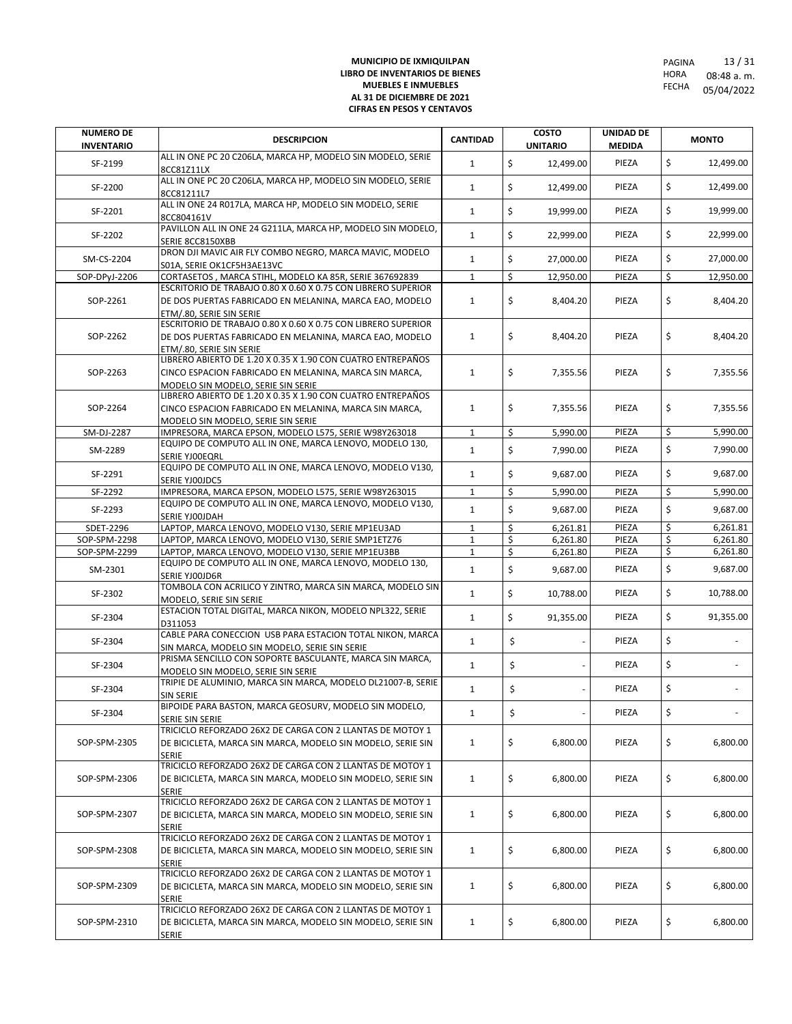| <b>NUMERO DE</b><br><b>INVENTARIO</b> | <b>DESCRIPCION</b>                                                                                                                                          | <b>CANTIDAD</b> | <b>COSTO</b><br><b>UNITARIO</b> | <b>UNIDAD DE</b><br><b>MEDIDA</b> | <b>MONTO</b>    |
|---------------------------------------|-------------------------------------------------------------------------------------------------------------------------------------------------------------|-----------------|---------------------------------|-----------------------------------|-----------------|
| SF-2199                               | ALL IN ONE PC 20 C206LA, MARCA HP, MODELO SIN MODELO, SERIE<br>8CC81Z11LX                                                                                   | $\mathbf{1}$    | \$<br>12,499.00                 | PIEZA                             | \$<br>12,499.00 |
| SF-2200                               | ALL IN ONE PC 20 C206LA, MARCA HP, MODELO SIN MODELO, SERIE<br>8CC81211L7                                                                                   | 1               | \$<br>12,499.00                 | PIEZA                             | \$<br>12,499.00 |
| SF-2201                               | ALL IN ONE 24 R017LA, MARCA HP, MODELO SIN MODELO, SERIE<br>8CC804161V                                                                                      | $\mathbf{1}$    | \$<br>19.999.00                 | PIEZA                             | \$<br>19,999.00 |
| SF-2202                               | PAVILLON ALL IN ONE 24 G211LA, MARCA HP, MODELO SIN MODELO,<br>SERIE 8CC8150XBB                                                                             | $\mathbf{1}$    | \$<br>22,999.00                 | PIEZA                             | \$<br>22,999.00 |
| SM-CS-2204                            | DRON DJI MAVIC AIR FLY COMBO NEGRO, MARCA MAVIC, MODELO<br>S01A, SERIE OK1CF5H3AE13VC                                                                       | $\mathbf{1}$    | \$<br>27,000.00                 | PIEZA                             | \$<br>27,000.00 |
| SOP-DPyJ-2206                         | CORTASETOS, MARCA STIHL, MODELO KA 85R, SERIE 367692839                                                                                                     | $\mathbf{1}$    | \$<br>12,950.00                 | PIEZA                             | \$<br>12,950.00 |
| SOP-2261                              | ESCRITORIO DE TRABAJO 0.80 X 0.60 X 0.75 CON LIBRERO SUPERIOR<br>DE DOS PUERTAS FABRICADO EN MELANINA, MARCA EAO, MODELO<br>ETM/.80. SERIE SIN SERIE        | 1               | \$<br>8,404.20                  | PIEZA                             | \$<br>8,404.20  |
| SOP-2262                              | ESCRITORIO DE TRABAJO 0.80 X 0.60 X 0.75 CON LIBRERO SUPERIOR<br>DE DOS PUERTAS FABRICADO EN MELANINA, MARCA EAO, MODELO<br>ETM/.80, SERIE SIN SERIE        | 1               | \$<br>8,404.20                  | PIEZA                             | \$<br>8,404.20  |
| SOP-2263                              | LIBRERO ABIERTO DE 1.20 X 0.35 X 1.90 CON CUATRO ENTREPAÑOS<br>CINCO ESPACION FABRICADO EN MELANINA, MARCA SIN MARCA,<br>MODELO SIN MODELO, SERIE SIN SERIE | $\mathbf{1}$    | \$<br>7,355.56                  | PIEZA                             | \$<br>7,355.56  |
| SOP-2264                              | LIBRERO ABIERTO DE 1.20 X 0.35 X 1.90 CON CUATRO ENTREPAÑOS<br>CINCO ESPACION FABRICADO EN MELANINA, MARCA SIN MARCA,<br>MODELO SIN MODELO, SERIE SIN SERIE | $\mathbf{1}$    | \$<br>7,355.56                  | PIEZA                             | \$<br>7,355.56  |
| SM-DJ-2287                            | IMPRESORA, MARCA EPSON, MODELO L575, SERIE W98Y263018                                                                                                       | 1               | \$<br>5.990.00                  | PIEZA                             | \$<br>5,990.00  |
| SM-2289                               | EQUIPO DE COMPUTO ALL IN ONE, MARCA LENOVO, MODELO 130,<br>SERIE YJOOEQRL                                                                                   | $\mathbf{1}$    | \$<br>7,990.00                  | PIEZA                             | \$<br>7,990.00  |
| SF-2291                               | EQUIPO DE COMPUTO ALL IN ONE, MARCA LENOVO, MODELO V130,<br>SERIE YJOOJDC5                                                                                  | $\mathbf{1}$    | \$<br>9,687.00                  | PIEZA                             | \$<br>9,687.00  |
| SF-2292                               | IMPRESORA, MARCA EPSON, MODELO L575, SERIE W98Y263015                                                                                                       | $\mathbf{1}$    | \$<br>5,990.00                  | PIEZA                             | \$<br>5,990.00  |
| SF-2293                               | EQUIPO DE COMPUTO ALL IN ONE. MARCA LENOVO. MODELO V130.<br>SERIE YJOOJDAH                                                                                  | $\mathbf{1}$    | \$<br>9,687.00                  | PIEZA                             | \$<br>9,687.00  |
| SDET-2296                             | LAPTOP, MARCA LENOVO, MODELO V130, SERIE MP1EU3AD                                                                                                           | $\mathbf{1}$    | \$<br>6,261.81                  | PIEZA                             | \$<br>6,261.81  |
| SOP-SPM-2298                          | LAPTOP, MARCA LENOVO, MODELO V130, SERIE SMP1ETZ76                                                                                                          | $\mathbf{1}$    | \$<br>6,261.80                  | PIEZA                             | \$<br>6,261.80  |
| SOP-SPM-2299                          | LAPTOP, MARCA LENOVO, MODELO V130, SERIE MP1EU3BB                                                                                                           | $\mathbf{1}$    | \$<br>6,261.80                  | PIEZA                             | \$<br>6,261.80  |
| SM-2301                               | EQUIPO DE COMPUTO ALL IN ONE, MARCA LENOVO, MODELO 130,<br>SERIE YJOOJD6R                                                                                   | $\mathbf{1}$    | \$<br>9,687.00                  | PIEZA                             | \$<br>9,687.00  |
| SF-2302                               | TOMBOLA CON ACRILICO Y ZINTRO, MARCA SIN MARCA, MODELO SIN<br>MODELO, SERIE SIN SERIE                                                                       | $\mathbf{1}$    | \$<br>10,788.00                 | PIEZA                             | \$<br>10,788.00 |
| SF-2304                               | ESTACION TOTAL DIGITAL, MARCA NIKON, MODELO NPL322, SERIE<br>D311053                                                                                        | $\mathbf{1}$    | \$<br>91,355.00                 | PIEZA                             | \$<br>91,355.00 |
| SF-2304                               | CABLE PARA CONECCION USB PARA ESTACION TOTAL NIKON, MARCA<br>SIN MARCA, MODELO SIN MODELO, SERIE SIN SERIE                                                  | $\mathbf{1}$    | \$                              | PIEZA                             | \$              |
| SF-2304                               | PRISMA SENCILLO CON SOPORTE BASCULANTE, MARCA SIN MARCA,<br>MODELO SIN MODELO, SERIE SIN SERIE                                                              | $\mathbf{1}$    | \$                              | PIEZA                             | \$              |
| SF-2304                               | TRIPIE DE ALUMINIO, MARCA SIN MARCA, MODELO DL21007-B, SERIE<br>SIN SERIE                                                                                   | $\mathbf{1}$    | \$                              | PIEZA                             | \$              |
| SF-2304                               | BIPOIDE PARA BASTON, MARCA GEOSURV, MODELO SIN MODELO,<br>SERIE SIN SERIE                                                                                   | 1               | \$                              | PIEZA                             | \$              |
| SOP-SPM-2305                          | TRICICLO REFORZADO 26X2 DE CARGA CON 2 LLANTAS DE MOTOY 1<br>DE BICICLETA, MARCA SIN MARCA, MODELO SIN MODELO, SERIE SIN<br><b>SERIE</b>                    | $\mathbf{1}$    | \$<br>6,800.00                  | PIEZA                             | \$<br>6,800.00  |
| SOP-SPM-2306                          | TRICICLO REFORZADO 26X2 DE CARGA CON 2 LLANTAS DE MOTOY 1<br>DE BICICLETA, MARCA SIN MARCA, MODELO SIN MODELO, SERIE SIN<br><b>SERIE</b>                    | $\mathbf{1}$    | \$<br>6,800.00                  | PIEZA                             | \$<br>6,800.00  |
| SOP-SPM-2307                          | TRICICLO REFORZADO 26X2 DE CARGA CON 2 LLANTAS DE MOTOY 1<br>DE BICICLETA, MARCA SIN MARCA, MODELO SIN MODELO, SERIE SIN<br><b>SERIE</b>                    | $\mathbf{1}$    | \$<br>6,800.00                  | PIEZA                             | \$<br>6,800.00  |
| SOP-SPM-2308                          | TRICICLO REFORZADO 26X2 DE CARGA CON 2 LLANTAS DE MOTOY 1<br>DE BICICLETA, MARCA SIN MARCA, MODELO SIN MODELO, SERIE SIN<br><b>SERIE</b>                    | $\mathbf{1}$    | \$<br>6,800.00                  | PIEZA                             | \$<br>6,800.00  |
| SOP-SPM-2309                          | TRICICLO REFORZADO 26X2 DE CARGA CON 2 LLANTAS DE MOTOY 1<br>DE BICICLETA, MARCA SIN MARCA, MODELO SIN MODELO, SERIE SIN<br>SERIE                           | $\mathbf{1}$    | \$<br>6,800.00                  | PIEZA                             | \$<br>6,800.00  |
| SOP-SPM-2310                          | TRICICLO REFORZADO 26X2 DE CARGA CON 2 LLANTAS DE MOTOY 1<br>DE BICICLETA, MARCA SIN MARCA, MODELO SIN MODELO, SERIE SIN<br><b>SERIE</b>                    | $\mathbf{1}$    | \$<br>6,800.00                  | PIEZA                             | \$<br>6,800.00  |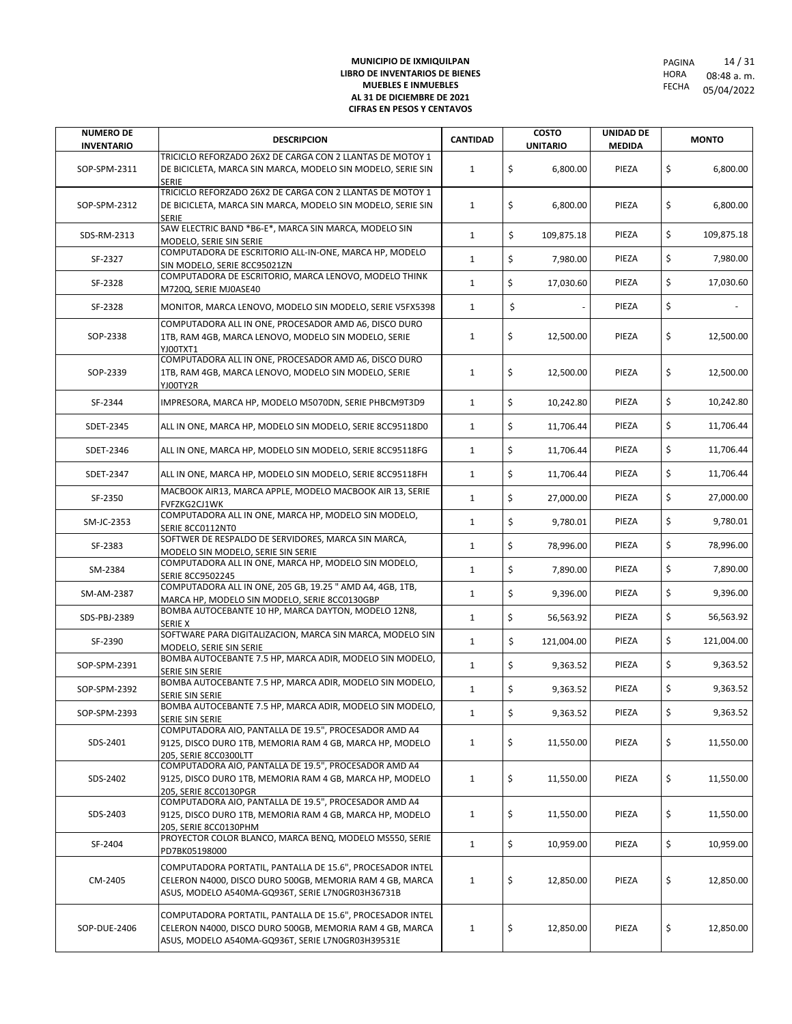| <b>NUMERO DE</b>  | <b>DESCRIPCION</b>                                                                                                                                                         | <b>CANTIDAD</b> | <b>COSTO</b>     | UNIDAD DE     | <b>MONTO</b>     |
|-------------------|----------------------------------------------------------------------------------------------------------------------------------------------------------------------------|-----------------|------------------|---------------|------------------|
| <b>INVENTARIO</b> | TRICICLO REFORZADO 26X2 DE CARGA CON 2 LLANTAS DE MOTOY 1                                                                                                                  |                 | <b>UNITARIO</b>  | <b>MEDIDA</b> |                  |
| SOP-SPM-2311      | DE BICICLETA, MARCA SIN MARCA, MODELO SIN MODELO, SERIE SIN<br><b>SERIE</b>                                                                                                | $\mathbf{1}$    | \$<br>6,800.00   | PIEZA         | \$<br>6,800.00   |
| SOP-SPM-2312      | TRICICLO REFORZADO 26X2 DE CARGA CON 2 LLANTAS DE MOTOY 1<br>DE BICICLETA, MARCA SIN MARCA, MODELO SIN MODELO, SERIE SIN                                                   | $\mathbf{1}$    | \$<br>6,800.00   | PIEZA         | \$<br>6,800.00   |
| SDS-RM-2313       | <b>SERIE</b><br>SAW ELECTRIC BAND *B6-E*, MARCA SIN MARCA, MODELO SIN                                                                                                      | $\mathbf{1}$    | \$<br>109,875.18 | PIEZA         | \$<br>109,875.18 |
| SF-2327           | MODELO, SERIE SIN SERIE<br>COMPUTADORA DE ESCRITORIO ALL-IN-ONE, MARCA HP, MODELO                                                                                          | $\mathbf{1}$    | \$<br>7,980.00   | PIEZA         | \$<br>7,980.00   |
| SF-2328           | SIN MODELO, SERIE 8CC95021ZN<br>COMPUTADORA DE ESCRITORIO, MARCA LENOVO, MODELO THINK                                                                                      | $\mathbf{1}$    | \$<br>17,030.60  | PIEZA         | \$<br>17,030.60  |
| SF-2328           | M720Q, SERIE MJ0ASE40<br>MONITOR, MARCA LENOVO, MODELO SIN MODELO, SERIE V5FX5398                                                                                          | $\mathbf{1}$    | \$               | PIEZA         | \$               |
|                   | COMPUTADORA ALL IN ONE, PROCESADOR AMD A6, DISCO DURO                                                                                                                      |                 |                  |               |                  |
| SOP-2338          | 1TB, RAM 4GB, MARCA LENOVO, MODELO SIN MODELO, SERIE<br>YJ00TXT1                                                                                                           | $\mathbf{1}$    | \$<br>12,500.00  | PIEZA         | \$<br>12,500.00  |
| SOP-2339          | COMPUTADORA ALL IN ONE, PROCESADOR AMD A6, DISCO DURO<br>1TB, RAM 4GB, MARCA LENOVO, MODELO SIN MODELO, SERIE<br>YJ00TY2R                                                  | $\mathbf{1}$    | \$<br>12,500.00  | PIEZA         | \$<br>12,500.00  |
| SF-2344           | IMPRESORA, MARCA HP, MODELO M5070DN, SERIE PHBCM9T3D9                                                                                                                      | $\mathbf{1}$    | \$<br>10,242.80  | PIEZA         | \$<br>10,242.80  |
| SDET-2345         | ALL IN ONE, MARCA HP, MODELO SIN MODELO, SERIE 8CC95118D0                                                                                                                  | $\mathbf{1}$    | \$<br>11,706.44  | PIEZA         | \$<br>11,706.44  |
| SDET-2346         | ALL IN ONE, MARCA HP, MODELO SIN MODELO, SERIE 8CC95118FG                                                                                                                  | $\mathbf{1}$    | \$<br>11,706.44  | PIEZA         | \$<br>11,706.44  |
| SDET-2347         | ALL IN ONE, MARCA HP, MODELO SIN MODELO, SERIE 8CC95118FH                                                                                                                  | $\mathbf{1}$    | \$<br>11,706.44  | PIEZA         | \$<br>11.706.44  |
| SF-2350           | MACBOOK AIR13, MARCA APPLE, MODELO MACBOOK AIR 13, SERIE<br>FVFZKG2CJ1WK                                                                                                   | $\mathbf{1}$    | \$<br>27,000.00  | PIEZA         | \$<br>27,000.00  |
| SM-JC-2353        | COMPUTADORA ALL IN ONE, MARCA HP, MODELO SIN MODELO,<br>SERIE 8CC0112NT0                                                                                                   | $\mathbf{1}$    | \$<br>9,780.01   | PIEZA         | \$<br>9,780.01   |
| SF-2383           | SOFTWER DE RESPALDO DE SERVIDORES, MARCA SIN MARCA,<br>MODELO SIN MODELO, SERIE SIN SERIE                                                                                  | $\mathbf{1}$    | \$<br>78,996.00  | PIEZA         | \$<br>78,996.00  |
| SM-2384           | COMPUTADORA ALL IN ONE, MARCA HP, MODELO SIN MODELO,<br><b>SERIE 8CC9502245</b>                                                                                            | $\mathbf{1}$    | \$<br>7,890.00   | PIEZA         | \$<br>7,890.00   |
| SM-AM-2387        | COMPUTADORA ALL IN ONE, 205 GB, 19.25 " AMD A4, 4GB, 1TB,<br>MARCA HP, MODELO SIN MODELO, SERIE 8CC0130GBP                                                                 | $\mathbf{1}$    | \$<br>9,396.00   | PIEZA         | \$<br>9,396.00   |
| SDS-PBJ-2389      | BOMBA AUTOCEBANTE 10 HP, MARCA DAYTON, MODELO 12N8,<br><b>SERIE X</b>                                                                                                      | $\mathbf{1}$    | \$<br>56,563.92  | PIEZA         | \$<br>56,563.92  |
| SF-2390           | SOFTWARE PARA DIGITALIZACION, MARCA SIN MARCA, MODELO SIN<br>MODELO, SERIE SIN SERIE                                                                                       | $\mathbf{1}$    | \$<br>121,004.00 | PIEZA         | \$<br>121,004.00 |
| SOP-SPM-2391      | BOMBA AUTOCEBANTE 7.5 HP, MARCA ADIR, MODELO SIN MODELO,<br>SERIE SIN SERIE                                                                                                | $\mathbf{1}$    | \$<br>9,363.52   | PIEZA         | \$<br>9,363.52   |
| SOP-SPM-2392      | BOMBA AUTOCEBANTE 7.5 HP, MARCA ADIR, MODELO SIN MODELO,<br>SERIE SIN SERIE                                                                                                | $\mathbf{1}$    | \$<br>9,363.52   | PIEZA         | \$<br>9,363.52   |
| SOP-SPM-2393      | BOMBA AUTOCEBANTE 7.5 HP, MARCA ADIR, MODELO SIN MODELO,<br>SERIE SIN SERIE                                                                                                | $\mathbf{1}$    | \$<br>9,363.52   | PIEZA         | \$<br>9,363.52   |
| SDS-2401          | COMPUTADORA AIO, PANTALLA DE 19.5", PROCESADOR AMD A4<br>9125, DISCO DURO 1TB, MEMORIA RAM 4 GB, MARCA HP, MODELO<br>205, SERIE 8CC0300LTT                                 | $\mathbf{1}$    | \$<br>11,550.00  | PIEZA         | \$<br>11,550.00  |
| SDS-2402          | COMPUTADORA AIO, PANTALLA DE 19.5", PROCESADOR AMD A4<br>9125, DISCO DURO 1TB, MEMORIA RAM 4 GB, MARCA HP, MODELO                                                          | $\mathbf{1}$    | \$<br>11,550.00  | PIEZA         | \$<br>11,550.00  |
| SDS-2403          | 205, SERIE 8CC0130PGR<br>COMPUTADORA AIO, PANTALLA DE 19.5", PROCESADOR AMD A4<br>9125, DISCO DURO 1TB, MEMORIA RAM 4 GB, MARCA HP, MODELO                                 | 1               | \$<br>11,550.00  | PIEZA         | \$<br>11,550.00  |
| SF-2404           | 205, SERIE 8CC0130PHM<br>PROYECTOR COLOR BLANCO, MARCA BENQ, MODELO MS550, SERIE<br>PD7BK05198000                                                                          | $\mathbf{1}$    | \$<br>10,959.00  | PIEZA         | \$<br>10,959.00  |
| CM-2405           | COMPUTADORA PORTATIL, PANTALLA DE 15.6", PROCESADOR INTEL<br>CELERON N4000, DISCO DURO 500GB, MEMORIA RAM 4 GB, MARCA<br>ASUS, MODELO A540MA-GQ936T, SERIE L7N0GR03H36731B | 1               | \$<br>12,850.00  | PIEZA         | \$<br>12,850.00  |
| SOP-DUE-2406      | COMPUTADORA PORTATIL, PANTALLA DE 15.6", PROCESADOR INTEL<br>CELERON N4000, DISCO DURO 500GB, MEMORIA RAM 4 GB, MARCA<br>ASUS, MODELO A540MA-GQ936T, SERIE L7N0GR03H39531E | $\mathbf{1}$    | \$<br>12,850.00  | PIEZA         | \$<br>12,850.00  |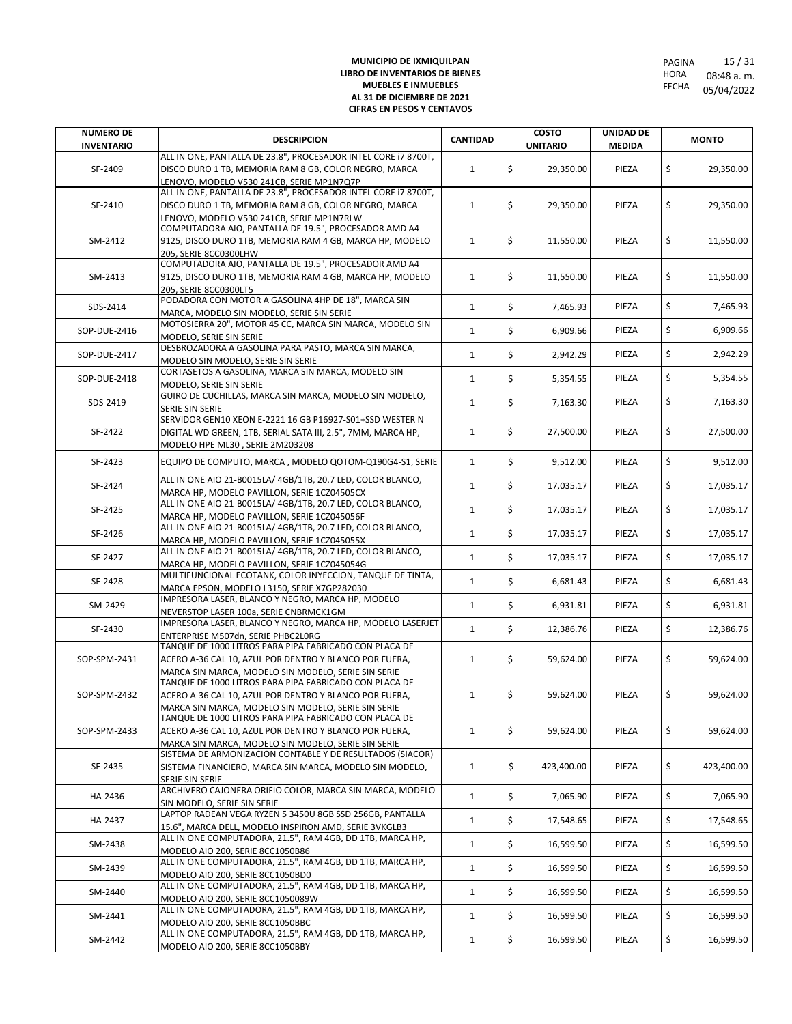| <b>NUMERO DE</b>  | <b>DESCRIPCION</b>                                                                                                 | <b>CANTIDAD</b> | <b>COSTO</b>     | <b>UNIDAD DE</b> | <b>MONTO</b>     |
|-------------------|--------------------------------------------------------------------------------------------------------------------|-----------------|------------------|------------------|------------------|
| <b>INVENTARIO</b> | ALL IN ONE, PANTALLA DE 23.8", PROCESADOR INTEL CORE I7 8700T,                                                     |                 | <b>UNITARIO</b>  | <b>MEDIDA</b>    |                  |
| SF-2409           | DISCO DURO 1 TB, MEMORIA RAM 8 GB, COLOR NEGRO, MARCA                                                              | $\mathbf{1}$    | \$<br>29,350.00  | PIEZA            | \$<br>29,350.00  |
|                   | LENOVO, MODELO V530 241CB, SERIE MP1N7Q7P                                                                          |                 |                  |                  |                  |
|                   | ALL IN ONE, PANTALLA DE 23.8", PROCESADOR INTEL CORE 17 8700T,                                                     |                 |                  |                  |                  |
| SF-2410           | DISCO DURO 1 TB, MEMORIA RAM 8 GB, COLOR NEGRO, MARCA                                                              | $\mathbf{1}$    | \$<br>29,350.00  | PIEZA            | \$<br>29,350.00  |
|                   | LENOVO. MODELO V530 241CB. SERIE MP1N7RLW                                                                          |                 |                  |                  |                  |
|                   | COMPUTADORA AIO, PANTALLA DE 19.5", PROCESADOR AMD A4                                                              |                 |                  |                  |                  |
| SM-2412           | 9125, DISCO DURO 1TB, MEMORIA RAM 4 GB, MARCA HP, MODELO                                                           | $\mathbf{1}$    | \$<br>11,550.00  | PIEZA            | \$<br>11,550.00  |
|                   | 205, SERIE 8CC0300LHW                                                                                              |                 |                  |                  |                  |
|                   | COMPUTADORA AIO, PANTALLA DE 19.5", PROCESADOR AMD A4                                                              |                 |                  |                  |                  |
| SM-2413           | 9125, DISCO DURO 1TB, MEMORIA RAM 4 GB, MARCA HP, MODELO                                                           | $\mathbf{1}$    | \$<br>11,550.00  | PIEZA            | \$<br>11,550.00  |
|                   | 205. SERIE 8CC0300LT5                                                                                              |                 |                  |                  |                  |
| SDS-2414          | PODADORA CON MOTOR A GASOLINA 4HP DE 18", MARCA SIN                                                                | $\mathbf{1}$    | \$<br>7,465.93   | PIEZA            | \$<br>7,465.93   |
|                   | MARCA. MODELO SIN MODELO. SERIE SIN SERIE                                                                          |                 |                  |                  |                  |
| SOP-DUE-2416      | MOTOSIERRA 20", MOTOR 45 CC, MARCA SIN MARCA, MODELO SIN                                                           | $\mathbf{1}$    | \$<br>6,909.66   | PIEZA            | \$<br>6,909.66   |
|                   | MODELO, SERIE SIN SERIE<br>DESBROZADORA A GASOLINA PARA PASTO, MARCA SIN MARCA,                                    |                 |                  |                  |                  |
| SOP-DUE-2417      | MODELO SIN MODELO, SERIE SIN SERIE                                                                                 | $\mathbf{1}$    | \$<br>2,942.29   | PIEZA            | \$<br>2,942.29   |
|                   | CORTASETOS A GASOLINA, MARCA SIN MARCA, MODELO SIN                                                                 |                 |                  |                  |                  |
| SOP-DUE-2418      | MODELO, SERIE SIN SERIE                                                                                            | $\mathbf{1}$    | \$<br>5,354.55   | PIEZA            | \$<br>5,354.55   |
|                   | GUIRO DE CUCHILLAS, MARCA SIN MARCA, MODELO SIN MODELO,                                                            |                 |                  |                  |                  |
| SDS-2419          | SERIE SIN SERIE                                                                                                    | $\mathbf{1}$    | \$<br>7,163.30   | PIEZA            | \$<br>7,163.30   |
|                   | SERVIDOR GEN10 XEON E-2221 16 GB P16927-S01+SSD WESTER N                                                           |                 |                  |                  |                  |
| SF-2422           | DIGITAL WD GREEN, 1TB, SERIAL SATA III, 2.5", 7MM, MARCA HP,                                                       | $\mathbf{1}$    | \$<br>27,500.00  | PIEZA            | \$<br>27,500.00  |
|                   | MODELO HPE ML30, SERIE 2M203208                                                                                    |                 |                  |                  |                  |
| SF-2423           | EQUIPO DE COMPUTO, MARCA, MODELO QOTOM-Q190G4-S1, SERIE                                                            | $\mathbf{1}$    | \$<br>9,512.00   | PIEZA            | \$<br>9,512.00   |
|                   |                                                                                                                    |                 |                  |                  |                  |
| SF-2424           | ALL IN ONE AIO 21-B0015LA/ 4GB/1TB, 20.7 LED, COLOR BLANCO,                                                        | $\mathbf{1}$    | \$<br>17,035.17  | PIEZA            | \$<br>17,035.17  |
|                   | MARCA HP, MODELO PAVILLON, SERIE 1CZ04505CX<br>ALL IN ONE AIO 21-B0015LA/ 4GB/1TB, 20.7 LED, COLOR BLANCO,         |                 |                  |                  |                  |
| SF-2425           |                                                                                                                    | $\mathbf{1}$    | \$<br>17,035.17  | PIEZA            | \$<br>17,035.17  |
|                   | MARCA HP, MODELO PAVILLON, SERIE 1CZ045056F<br>ALL IN ONE AIO 21-B0015LA/ 4GB/1TB, 20.7 LED, COLOR BLANCO,         |                 |                  |                  |                  |
| SF-2426           | MARCA HP, MODELO PAVILLON, SERIE 1CZ045055X                                                                        | $\mathbf{1}$    | \$<br>17,035.17  | PIEZA            | \$<br>17,035.17  |
|                   | ALL IN ONE AIO 21-B0015LA/ 4GB/1TB, 20.7 LED, COLOR BLANCO,                                                        |                 |                  |                  |                  |
| SF-2427           | MARCA HP, MODELO PAVILLON, SERIE 1CZ045054G                                                                        | $\mathbf{1}$    | \$<br>17,035.17  | PIEZA            | \$<br>17,035.17  |
|                   | MULTIFUNCIONAL ECOTANK, COLOR INYECCION, TANQUE DE TINTA,                                                          |                 |                  |                  |                  |
| SF-2428           | MARCA EPSON, MODELO L3150, SERIE X7GP282030                                                                        | $\mathbf{1}$    | \$<br>6,681.43   | PIEZA            | \$<br>6,681.43   |
| SM-2429           | IMPRESORA LASER, BLANCO Y NEGRO, MARCA HP, MODELO                                                                  | $\mathbf{1}$    | \$<br>6,931.81   | PIEZA            | \$<br>6,931.81   |
|                   | NEVERSTOP LASER 100a, SERIE CNBRMCK1GM                                                                             |                 |                  |                  |                  |
| SF-2430           | IMPRESORA LASER, BLANCO Y NEGRO, MARCA HP, MODELO LASERJET                                                         | $\mathbf{1}$    | \$<br>12,386.76  | PIEZA            | \$<br>12,386.76  |
|                   | ENTERPRISE M507dn, SERIE PHBC2L0RG                                                                                 |                 |                  |                  |                  |
|                   | TANQUE DE 1000 LITROS PARA PIPA FABRICADO CON PLACA DE                                                             |                 |                  |                  |                  |
| SOP-SPM-2431      | ACERO A-36 CAL 10, AZUL POR DENTRO Y BLANCO POR FUERA,                                                             | $\mathbf{1}$    | \$<br>59,624.00  | PIEZA            | \$<br>59,624.00  |
|                   | MARCA SIN MARCA, MODELO SIN MODELO, SERIE SIN SERIE<br>TANQUE DE 1000 LITROS PARA PIPA FABRICADO CON PLACA DE      |                 |                  |                  |                  |
| SOP-SPM-2432      | ACERO A-36 CAL 10, AZUL POR DENTRO Y BLANCO POR FUERA,                                                             | $\mathbf{1}$    | \$<br>59,624.00  | PIEZA            | \$<br>59,624.00  |
|                   | MARCA SIN MARCA, MODELO SIN MODELO, SERIE SIN SERIE                                                                |                 |                  |                  |                  |
|                   | TANQUE DE 1000 LITROS PARA PIPA FABRICADO CON PLACA DE                                                             |                 |                  |                  |                  |
| SOP-SPM-2433      | ACERO A-36 CAL 10. AZUL POR DENTRO Y BLANCO POR FUERA.                                                             | $\mathbf{1}$    | \$<br>59,624.00  | PIEZA            | \$<br>59,624.00  |
|                   | MARCA SIN MARCA, MODELO SIN MODELO, SERIE SIN SERIE                                                                |                 |                  |                  |                  |
|                   | SISTEMA DE ARMONIZACION CONTABLE Y DE RESULTADOS (SIACOR)                                                          |                 |                  |                  |                  |
| SF-2435           | SISTEMA FINANCIERO, MARCA SIN MARCA, MODELO SIN MODELO,                                                            | $\mathbf{1}$    | \$<br>423,400.00 | PIEZA            | \$<br>423,400.00 |
|                   | SERIE SIN SERIE                                                                                                    |                 |                  |                  |                  |
| HA-2436           | ARCHIVERO CAJONERA ORIFIO COLOR, MARCA SIN MARCA, MODELO                                                           | $\mathbf{1}$    | \$<br>7,065.90   | PIEZA            | \$<br>7,065.90   |
|                   | SIN MODELO, SERIE SIN SERIE                                                                                        |                 |                  |                  |                  |
| HA-2437           | LAPTOP RADEAN VEGA RYZEN 5 3450U 8GB SSD 256GB, PANTALLA                                                           | $\mathbf{1}$    | \$<br>17,548.65  | PIEZA            | \$<br>17,548.65  |
|                   | 15.6", MARCA DELL, MODELO INSPIRON AMD, SERIE 3VKGLB3<br>ALL IN ONE COMPUTADORA, 21.5", RAM 4GB, DD 1TB, MARCA HP, |                 |                  |                  |                  |
| SM-2438           | MODELO AIO 200, SERIE 8CC1050B86                                                                                   | $\mathbf{1}$    | \$<br>16,599.50  | PIEZA            | \$<br>16,599.50  |
|                   | ALL IN ONE COMPUTADORA, 21.5", RAM 4GB, DD 1TB, MARCA HP,                                                          |                 |                  |                  |                  |
| SM-2439           | MODELO AIO 200, SERIE 8CC1050BD0                                                                                   | $\mathbf{1}$    | \$<br>16,599.50  | PIEZA            | \$<br>16,599.50  |
|                   | ALL IN ONE COMPUTADORA, 21.5", RAM 4GB, DD 1TB, MARCA HP,                                                          |                 |                  |                  |                  |
| SM-2440           | MODELO AIO 200, SERIE 8CC1050089W                                                                                  | $\mathbf{1}$    | \$<br>16,599.50  | PIEZA            | \$<br>16,599.50  |
|                   | ALL IN ONE COMPUTADORA, 21.5", RAM 4GB, DD 1TB, MARCA HP,                                                          | $\mathbf{1}$    | \$               |                  | \$               |
| SM-2441           | MODELO AIO 200, SERIE 8CC1050BBC                                                                                   |                 | 16,599.50        | PIEZA            | 16,599.50        |
| SM-2442           | ALL IN ONE COMPUTADORA, 21.5", RAM 4GB, DD 1TB, MARCA HP,                                                          | $\mathbf{1}$    | \$<br>16,599.50  | PIEZA            | \$<br>16,599.50  |
|                   | MODELO AIO 200, SERIE 8CC1050BBY                                                                                   |                 |                  |                  |                  |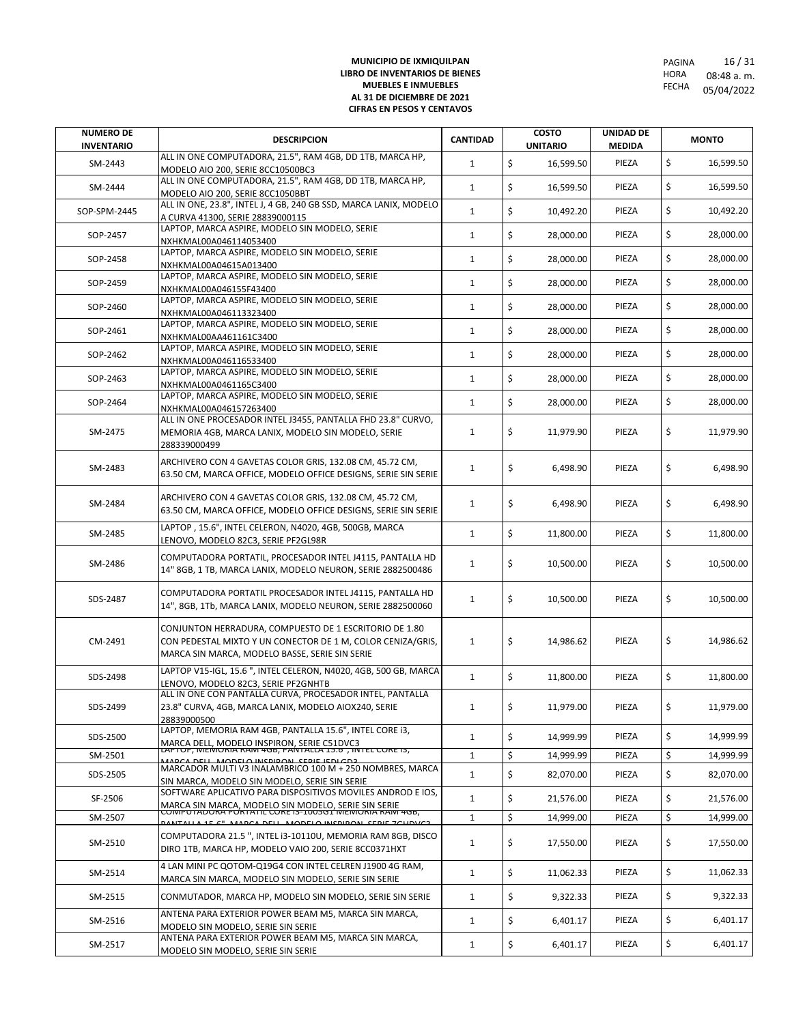| <b>NUMERO DE</b><br><b>INVENTARIO</b> | <b>DESCRIPCION</b>                                                                                                                                                         | <b>CANTIDAD</b> | <b>COSTO</b><br><b>UNITARIO</b> | UNIDAD DE<br><b>MEDIDA</b> | <b>MONTO</b>    |
|---------------------------------------|----------------------------------------------------------------------------------------------------------------------------------------------------------------------------|-----------------|---------------------------------|----------------------------|-----------------|
| SM-2443                               | ALL IN ONE COMPUTADORA, 21.5", RAM 4GB, DD 1TB, MARCA HP,<br>MODELO AIO 200, SERIE 8CC10500BC3                                                                             | $\mathbf{1}$    | \$<br>16,599.50                 | PIEZA                      | \$<br>16,599.50 |
| SM-2444                               | ALL IN ONE COMPUTADORA, 21.5", RAM 4GB, DD 1TB, MARCA HP,<br>MODELO AIO 200, SERIE 8CC1050BBT                                                                              | $\mathbf{1}$    | \$<br>16,599.50                 | PIEZA                      | \$<br>16,599.50 |
| SOP-SPM-2445                          | ALL IN ONE, 23.8", INTEL J, 4 GB, 240 GB SSD, MARCA LANIX, MODELO<br>A CURVA 41300, SERIE 28839000115                                                                      | $\mathbf{1}$    | \$<br>10,492.20                 | PIEZA                      | \$<br>10,492.20 |
| SOP-2457                              | LAPTOP, MARCA ASPIRE, MODELO SIN MODELO, SERIE<br>NXHKMAL00A046114053400                                                                                                   | $\mathbf{1}$    | \$<br>28,000.00                 | PIEZA                      | \$<br>28,000.00 |
| SOP-2458                              | LAPTOP, MARCA ASPIRE, MODELO SIN MODELO, SERIE<br>NXHKMAL00A04615A013400                                                                                                   | $\mathbf{1}$    | \$<br>28,000.00                 | PIEZA                      | \$<br>28,000.00 |
| SOP-2459                              | LAPTOP, MARCA ASPIRE, MODELO SIN MODELO, SERIE                                                                                                                             | $\mathbf{1}$    | \$<br>28,000.00                 | PIEZA                      | \$<br>28,000.00 |
| SOP-2460                              | NXHKMAL00A046155F43400<br>LAPTOP, MARCA ASPIRE, MODELO SIN MODELO, SERIE                                                                                                   | $\mathbf{1}$    | \$<br>28,000.00                 | PIEZA                      | \$<br>28,000.00 |
| SOP-2461                              | NXHKMAL00A046113323400<br>LAPTOP, MARCA ASPIRE, MODELO SIN MODELO, SERIE                                                                                                   | $\mathbf{1}$    | \$<br>28,000.00                 | PIEZA                      | \$<br>28,000.00 |
| SOP-2462                              | NXHKMAL00AA461161C3400<br>LAPTOP, MARCA ASPIRE, MODELO SIN MODELO, SERIE                                                                                                   | $\mathbf{1}$    | \$<br>28,000.00                 | PIEZA                      | \$<br>28,000.00 |
| SOP-2463                              | NXHKMAL00A046116533400<br>LAPTOP, MARCA ASPIRE, MODELO SIN MODELO, SERIE                                                                                                   | $\mathbf{1}$    | \$<br>28,000.00                 | PIEZA                      | \$<br>28,000.00 |
| SOP-2464                              | NXHKMAL00A0461165C3400<br>LAPTOP, MARCA ASPIRE, MODELO SIN MODELO, SERIE                                                                                                   | $\mathbf{1}$    | \$<br>28,000.00                 | PIEZA                      | \$<br>28,000.00 |
|                                       | NXHKMAL00A046157263400<br>ALL IN ONE PROCESADOR INTEL J3455, PANTALLA FHD 23.8" CURVO,                                                                                     |                 |                                 |                            |                 |
| SM-2475                               | MEMORIA 4GB, MARCA LANIX, MODELO SIN MODELO, SERIE<br>288339000499                                                                                                         | $\mathbf{1}$    | \$<br>11,979.90                 | PIEZA                      | \$<br>11,979.90 |
| SM-2483                               | ARCHIVERO CON 4 GAVETAS COLOR GRIS, 132.08 CM, 45.72 CM,<br>63.50 CM, MARCA OFFICE, MODELO OFFICE DESIGNS, SERIE SIN SERIE                                                 | $\mathbf{1}$    | \$<br>6,498.90                  | PIEZA                      | \$<br>6,498.90  |
| SM-2484                               | ARCHIVERO CON 4 GAVETAS COLOR GRIS, 132.08 CM, 45.72 CM,<br>63.50 CM, MARCA OFFICE, MODELO OFFICE DESIGNS, SERIE SIN SERIE                                                 | $\mathbf{1}$    | \$<br>6,498.90                  | PIEZA                      | \$<br>6,498.90  |
| SM-2485                               | LAPTOP, 15.6", INTEL CELERON, N4020, 4GB, 500GB, MARCA<br>LENOVO, MODELO 82C3, SERIE PF2GL98R                                                                              | $\mathbf{1}$    | \$<br>11,800.00                 | PIEZA                      | \$<br>11,800.00 |
| SM-2486                               | COMPUTADORA PORTATIL, PROCESADOR INTEL J4115, PANTALLA HD<br>14" 8GB, 1 TB, MARCA LANIX, MODELO NEURON, SERIE 2882500486                                                   | $\mathbf{1}$    | \$<br>10,500.00                 | PIEZA                      | \$<br>10,500.00 |
| SDS-2487                              | COMPUTADORA PORTATIL PROCESADOR INTEL J4115, PANTALLA HD<br>14", 8GB, 1Tb, MARCA LANIX, MODELO NEURON, SERIE 2882500060                                                    | $\mathbf{1}$    | \$<br>10,500.00                 | PIEZA                      | \$<br>10,500.00 |
| CM-2491                               | CONJUNTON HERRADURA, COMPUESTO DE 1 ESCRITORIO DE 1.80<br>CON PEDESTAL MIXTO Y UN CONECTOR DE 1 M, COLOR CENIZA/GRIS,<br>MARCA SIN MARCA, MODELO BASSE, SERIE SIN SERIE    | $\mathbf{1}$    | \$<br>14,986.62                 | PIEZA                      | \$<br>14,986.62 |
| SDS-2498                              | LAPTOP V15-IGL, 15.6", INTEL CELERON, N4020, 4GB, 500 GB, MARCA<br>LENOVO, MODELO 82C3, SERIE PF2GNHTB                                                                     | $\mathbf{1}$    | \$<br>11,800.00                 | PIEZA                      | \$<br>11,800.00 |
| SDS-2499                              | ALL IN ONE CON PANTALLA CURVA, PROCESADOR INTEL, PANTALLA<br>23.8" CURVA, 4GB, MARCA LANIX, MODELO AIOX240, SERIE<br>28839000500                                           |                 | $\zeta$<br>11,979.00            | PIEZA                      | \$<br>11,979.00 |
| SDS-2500                              | LAPTOP, MEMORIA RAM 4GB, PANTALLA 15.6", INTEL CORE i3,                                                                                                                    | $\mathbf{1}$    | \$<br>14,999.99                 | PIEZA                      | \$<br>14,999.99 |
| SM-2501                               | MARCA DELL, MODELO INSPIRON, SERIE C51DVC3<br>LAPTOP, MEMORIA RAM 4GB, PANTALLA 15.6, INTEL CORE 13,<br><b>JODELO INCRIDON, CERIE IEDI CD2</b>                             | $\mathbf{1}$    | \$<br>14,999.99                 | PIEZA                      | \$<br>14,999.99 |
| SDS-2505                              | MARCADOR MULTI V3 INALAMBRICO 100 M + 250 NOMBRES, MARCA<br>SIN MARCA, MODELO SIN MODELO, SERIE SIN SERIE                                                                  | $\mathbf{1}$    | \$<br>82,070.00                 | PIEZA                      | \$<br>82,070.00 |
| SF-2506                               | SOFTWARE APLICATIVO PARA DISPOSITIVOS MOVILES ANDROD E IOS,<br>MARCA SIN MARCA, MODELO SIN MODELO, SERIE SIN SERIE<br>COMPOTADORA PORTATIL CORE 13-1005G1 MEMORIA RAM 4GB, | $\mathbf{1}$    | \$<br>21,576.00                 | PIEZA                      | \$<br>21,576.00 |
| SM-2507                               |                                                                                                                                                                            | $\mathbf{1}$    | \$<br>14,999.00                 | PIEZA                      | \$<br>14,999.00 |
| SM-2510                               | COMPUTADORA 21.5", INTEL i3-10110U, MEMORIA RAM 8GB, DISCO<br>DIRO 1TB, MARCA HP, MODELO VAIO 200, SERIE 8CC0371HXT                                                        | $\mathbf{1}$    | \$<br>17,550.00                 | PIEZA                      | \$<br>17,550.00 |
| SM-2514                               | 4 LAN MINI PC QOTOM-Q19G4 CON INTEL CELREN J1900 4G RAM,<br>MARCA SIN MARCA, MODELO SIN MODELO, SERIE SIN SERIE                                                            | $\mathbf{1}$    | \$<br>11,062.33                 | PIEZA                      | \$<br>11,062.33 |
| SM-2515                               | CONMUTADOR, MARCA HP, MODELO SIN MODELO, SERIE SIN SERIE                                                                                                                   | $\mathbf{1}$    | \$<br>9,322.33                  | PIEZA                      | \$<br>9,322.33  |
| SM-2516                               | ANTENA PARA EXTERIOR POWER BEAM M5, MARCA SIN MARCA,<br>MODELO SIN MODELO, SERIE SIN SERIE                                                                                 | $\mathbf{1}$    | \$<br>6,401.17                  | PIEZA                      | \$<br>6,401.17  |
| SM-2517                               | ANTENA PARA EXTERIOR POWER BEAM M5, MARCA SIN MARCA,<br>MODELO SIN MODELO, SERIE SIN SERIE                                                                                 | $\mathbf{1}$    | \$<br>6,401.17                  | PIEZA                      | \$<br>6,401.17  |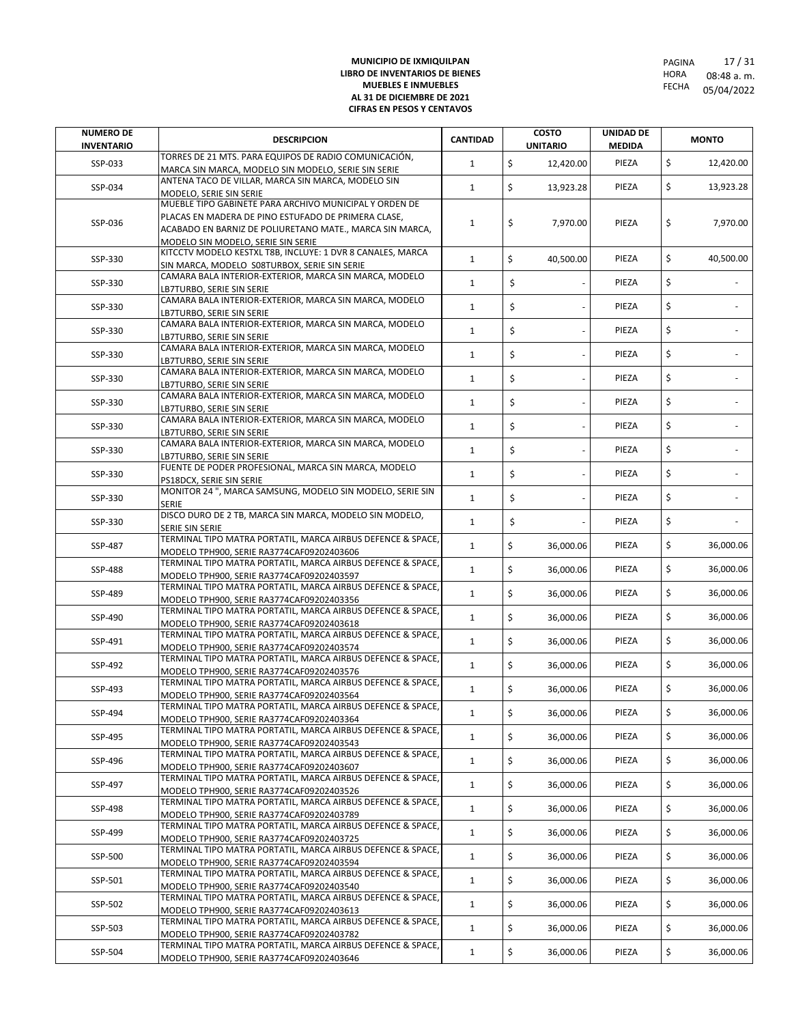| <b>NUMERO DE</b><br><b>INVENTARIO</b> | <b>DESCRIPCION</b>                                                                                                                                                                                              | <b>CANTIDAD</b> | <b>COSTO</b><br><b>UNITARIO</b> | UNIDAD DE<br><b>MEDIDA</b> | <b>MONTO</b>    |
|---------------------------------------|-----------------------------------------------------------------------------------------------------------------------------------------------------------------------------------------------------------------|-----------------|---------------------------------|----------------------------|-----------------|
| SSP-033                               | TORRES DE 21 MTS. PARA EQUIPOS DE RADIO COMUNICACIÓN,<br>MARCA SIN MARCA, MODELO SIN MODELO, SERIE SIN SERIE                                                                                                    | $\mathbf{1}$    | \$<br>12,420.00                 | PIEZA                      | \$<br>12,420.00 |
| SSP-034                               | ANTENA TACO DE VILLAR, MARCA SIN MARCA, MODELO SIN<br>MODELO, SERIE SIN SERIE                                                                                                                                   | $\mathbf{1}$    | \$<br>13,923.28                 | PIEZA                      | \$<br>13,923.28 |
| SSP-036                               | MUEBLE TIPO GABINETE PARA ARCHIVO MUNICIPAL Y ORDEN DE<br>PLACAS EN MADERA DE PINO ESTUFADO DE PRIMERA CLASE,<br>ACABADO EN BARNIZ DE POLIURETANO MATE., MARCA SIN MARCA,<br>MODELO SIN MODELO, SERIE SIN SERIE | $\mathbf{1}$    | \$<br>7,970.00                  | PIEZA                      | \$<br>7,970.00  |
| SSP-330                               | KITCCTV MODELO KESTXL T8B, INCLUYE: 1 DVR 8 CANALES, MARCA<br>SIN MARCA, MODELO S08TURBOX, SERIE SIN SERIE                                                                                                      | $\mathbf{1}$    | \$<br>40.500.00                 | PIEZA                      | \$<br>40.500.00 |
| SSP-330                               | CAMARA BALA INTERIOR-EXTERIOR, MARCA SIN MARCA, MODELO<br>LB7TURBO, SERIE SIN SERIE                                                                                                                             | $\mathbf{1}$    | \$                              | PIEZA                      | \$              |
| SSP-330                               | CAMARA BALA INTERIOR-EXTERIOR, MARCA SIN MARCA, MODELO<br>LB7TURBO, SERIE SIN SERIE                                                                                                                             | $\mathbf{1}$    | \$                              | PIEZA                      | \$              |
| SSP-330                               | CAMARA BALA INTERIOR-EXTERIOR, MARCA SIN MARCA, MODELO<br>LB7TURBO, SERIE SIN SERIE                                                                                                                             | $\mathbf{1}$    | \$                              | PIEZA                      | \$              |
| SSP-330                               | CAMARA BALA INTERIOR-EXTERIOR, MARCA SIN MARCA, MODELO<br>LB7TURBO, SERIE SIN SERIE                                                                                                                             | $\mathbf{1}$    | \$                              | PIEZA                      | \$              |
| SSP-330                               | CAMARA BALA INTERIOR-EXTERIOR, MARCA SIN MARCA, MODELO<br>LB7TURBO, SERIE SIN SERIE                                                                                                                             | $\mathbf{1}$    | \$                              | PIEZA                      | \$              |
| SSP-330                               | CAMARA BALA INTERIOR-EXTERIOR, MARCA SIN MARCA, MODELO<br>LB7TURBO, SERIE SIN SERIE                                                                                                                             | $\mathbf{1}$    | \$                              | PIEZA                      | \$              |
| SSP-330                               | CAMARA BALA INTERIOR-EXTERIOR, MARCA SIN MARCA, MODELO<br>LB7TURBO, SERIE SIN SERIE                                                                                                                             | $\mathbf{1}$    | \$                              | PIEZA                      | \$              |
| SSP-330                               | CAMARA BALA INTERIOR-EXTERIOR, MARCA SIN MARCA, MODELO<br>LB7TURBO, SERIE SIN SERIE                                                                                                                             | $\mathbf{1}$    | \$                              | PIEZA                      | \$              |
| SSP-330                               | FUENTE DE PODER PROFESIONAL, MARCA SIN MARCA, MODELO<br>PS18DCX, SERIE SIN SERIE                                                                                                                                | $\mathbf{1}$    | \$                              | PIEZA                      | \$              |
| SSP-330                               | MONITOR 24", MARCA SAMSUNG, MODELO SIN MODELO, SERIE SIN<br>SERIE                                                                                                                                               | $\mathbf{1}$    | \$                              | PIEZA                      | \$              |
| SSP-330                               | DISCO DURO DE 2 TB, MARCA SIN MARCA, MODELO SIN MODELO,<br>SERIE SIN SERIE                                                                                                                                      | $\mathbf{1}$    | \$                              | PIEZA                      | \$              |
| SSP-487                               | TERMINAL TIPO MATRA PORTATIL, MARCA AIRBUS DEFENCE & SPACE,<br>MODELO TPH900, SERIE RA3774CAF09202403606                                                                                                        | $\mathbf{1}$    | \$<br>36,000.06                 | PIEZA                      | \$<br>36,000.06 |
| SSP-488                               | TERMINAL TIPO MATRA PORTATIL, MARCA AIRBUS DEFENCE & SPACE,<br>MODELO TPH900, SERIE RA3774CAF09202403597                                                                                                        | $\mathbf{1}$    | \$<br>36,000.06                 | PIEZA                      | \$<br>36,000.06 |
| SSP-489                               | TERMINAL TIPO MATRA PORTATIL, MARCA AIRBUS DEFENCE & SPACE,<br>MODELO TPH900, SERIE RA3774CAF09202403356                                                                                                        | $\mathbf{1}$    | \$<br>36,000.06                 | PIEZA                      | \$<br>36,000.06 |
| SSP-490                               | TERMINAL TIPO MATRA PORTATIL, MARCA AIRBUS DEFENCE & SPACE,<br>MODELO TPH900, SERIE RA3774CAF09202403618                                                                                                        | $\mathbf{1}$    | \$<br>36,000.06                 | PIEZA                      | \$<br>36,000.06 |
| SSP-491                               | TERMINAL TIPO MATRA PORTATIL, MARCA AIRBUS DEFENCE & SPACE,<br>MODELO TPH900, SERIE RA3774CAF09202403574                                                                                                        | $\mathbf{1}$    | \$<br>36,000.06                 | PIEZA                      | \$<br>36,000.06 |
| SSP-492                               | TERMINAL TIPO MATRA PORTATIL, MARCA AIRBUS DEFENCE & SPACE,<br>MODELO TPH900, SERIE RA3774CAF09202403576                                                                                                        | $\mathbf{1}$    | \$<br>36,000.06                 | PIEZA                      | \$<br>36,000.06 |
| SSP-493                               | TERMINAL TIPO MATRA PORTATIL, MARCA AIRBUS DEFENCE & SPACE,<br>MODELO TPH900, SERIE RA3774CAF09202403564                                                                                                        | $\mathbf{1}$    | \$<br>36,000.06                 | PIEZA                      | \$<br>36,000.06 |
| SSP-494                               | TERMINAL TIPO MATRA PORTATIL, MARCA AIRBUS DEFENCE & SPACE.<br>MODELO TPH900, SERIE RA3774CAF09202403364                                                                                                        | $\mathbf{1}$    | \$<br>36,000.06                 | PIEZA                      | \$<br>36,000.06 |
| SSP-495                               | TERMINAL TIPO MATRA PORTATIL, MARCA AIRBUS DEFENCE & SPACE,<br>MODELO TPH900, SERIE RA3774CAF09202403543                                                                                                        | $\mathbf{1}$    | \$<br>36,000.06                 | PIEZA                      | \$<br>36,000.06 |
| SSP-496                               | TERMINAL TIPO MATRA PORTATIL, MARCA AIRBUS DEFENCE & SPACE,<br>MODELO TPH900, SERIE RA3774CAF09202403607                                                                                                        | $\mathbf{1}$    | \$<br>36,000.06                 | PIEZA                      | \$<br>36,000.06 |
| SSP-497                               | TERMINAL TIPO MATRA PORTATIL, MARCA AIRBUS DEFENCE & SPACE,<br>MODELO TPH900, SERIE RA3774CAF09202403526                                                                                                        | $\mathbf{1}$    | \$<br>36,000.06                 | PIEZA                      | \$<br>36,000.06 |
| SSP-498                               | TERMINAL TIPO MATRA PORTATIL, MARCA AIRBUS DEFENCE & SPACE,<br>MODELO TPH900, SERIE RA3774CAF09202403789                                                                                                        | $\mathbf{1}$    | \$<br>36,000.06                 | PIEZA                      | \$<br>36,000.06 |
| SSP-499                               | TERMINAL TIPO MATRA PORTATIL, MARCA AIRBUS DEFENCE & SPACE,<br>MODELO TPH900, SERIE RA3774CAF09202403725                                                                                                        | $\mathbf{1}$    | \$<br>36,000.06                 | PIEZA                      | \$<br>36,000.06 |
| SSP-500                               | TERMINAL TIPO MATRA PORTATIL, MARCA AIRBUS DEFENCE & SPACE,<br>MODELO TPH900, SERIE RA3774CAF09202403594                                                                                                        | $\mathbf{1}$    | \$<br>36,000.06                 | PIEZA                      | \$<br>36,000.06 |
| SSP-501                               | TERMINAL TIPO MATRA PORTATIL, MARCA AIRBUS DEFENCE & SPACE,<br>MODELO TPH900, SERIE RA3774CAF09202403540                                                                                                        | $\mathbf{1}$    | \$<br>36,000.06                 | PIEZA                      | \$<br>36,000.06 |
| SSP-502                               | TERMINAL TIPO MATRA PORTATIL, MARCA AIRBUS DEFENCE & SPACE,<br>MODELO TPH900, SERIE RA3774CAF09202403613                                                                                                        | $\mathbf{1}$    | \$<br>36,000.06                 | PIEZA                      | \$<br>36,000.06 |
| SSP-503                               | TERMINAL TIPO MATRA PORTATIL, MARCA AIRBUS DEFENCE & SPACE,<br>MODELO TPH900, SERIE RA3774CAF09202403782                                                                                                        | $\mathbf{1}$    | \$<br>36,000.06                 | PIEZA                      | \$<br>36,000.06 |
| SSP-504                               | TERMINAL TIPO MATRA PORTATIL, MARCA AIRBUS DEFENCE & SPACE,<br>MODELO TPH900, SERIE RA3774CAF09202403646                                                                                                        | $\mathbf{1}$    | \$<br>36,000.06                 | PIEZA                      | \$<br>36,000.06 |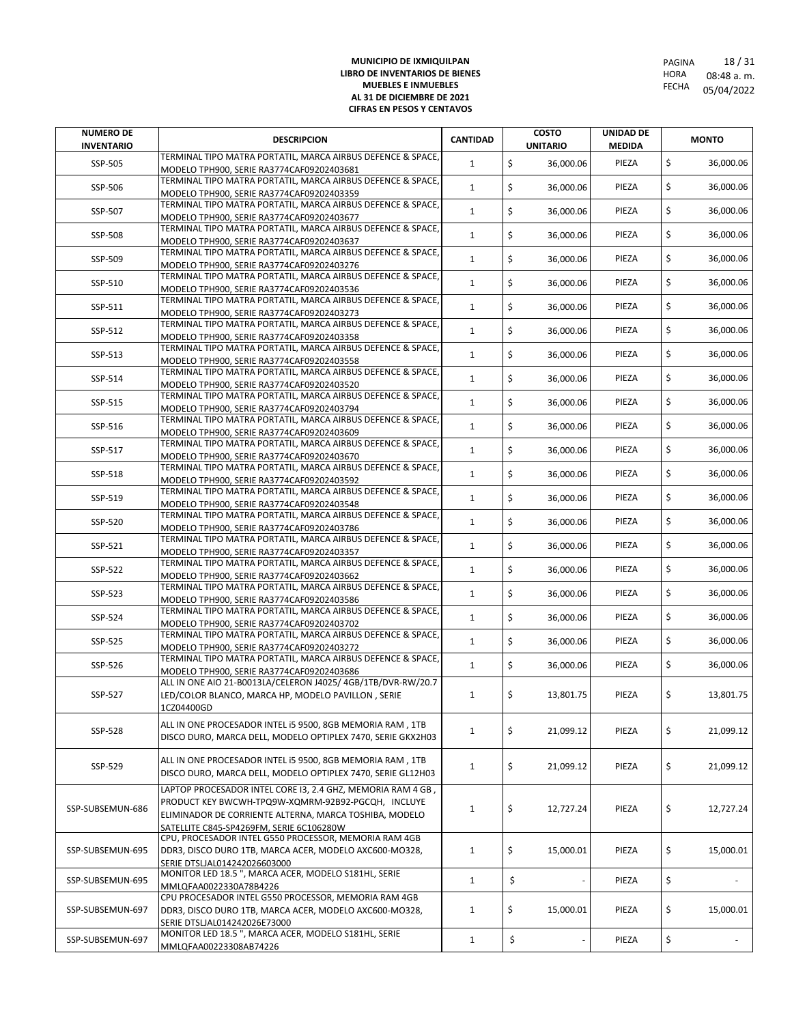| <b>NUMERO DE</b><br><b>INVENTARIO</b> | <b>DESCRIPCION</b>                                                                                       | <b>CANTIDAD</b> | <b>COSTO</b><br><b>UNITARIO</b> | <b>UNIDAD DE</b><br><b>MEDIDA</b> | <b>MONTO</b>    |
|---------------------------------------|----------------------------------------------------------------------------------------------------------|-----------------|---------------------------------|-----------------------------------|-----------------|
| SSP-505                               | TERMINAL TIPO MATRA PORTATIL, MARCA AIRBUS DEFENCE & SPACE,                                              | $\mathbf{1}$    | \$<br>36,000.06                 | PIEZA                             | \$<br>36,000.06 |
|                                       | MODELO TPH900, SERIE RA3774CAF09202403681                                                                |                 |                                 |                                   |                 |
| SSP-506                               | TERMINAL TIPO MATRA PORTATIL, MARCA AIRBUS DEFENCE & SPACE,                                              | $\mathbf{1}$    | \$<br>36,000.06                 | PIEZA                             | \$<br>36,000.06 |
|                                       | MODELO TPH900, SERIE RA3774CAF09202403359<br>TERMINAL TIPO MATRA PORTATIL, MARCA AIRBUS DEFENCE & SPACE, |                 |                                 |                                   |                 |
| SSP-507                               | MODELO TPH900, SERIE RA3774CAF09202403677                                                                | $\mathbf{1}$    | \$<br>36,000.06                 | PIEZA                             | \$<br>36,000.06 |
|                                       | TERMINAL TIPO MATRA PORTATIL, MARCA AIRBUS DEFENCE & SPACE,                                              |                 |                                 |                                   |                 |
| SSP-508                               | MODELO TPH900, SERIE RA3774CAF09202403637                                                                | $\mathbf{1}$    | \$<br>36,000.06                 | PIEZA                             | \$<br>36,000.06 |
| SSP-509                               | TERMINAL TIPO MATRA PORTATIL, MARCA AIRBUS DEFENCE & SPACE,                                              | $\mathbf{1}$    | \$<br>36,000.06                 | PIEZA                             | \$<br>36,000.06 |
|                                       | MODELO TPH900, SERIE RA3774CAF09202403276                                                                |                 |                                 |                                   |                 |
| SSP-510                               | TERMINAL TIPO MATRA PORTATIL, MARCA AIRBUS DEFENCE & SPACE,                                              | $\mathbf{1}$    | \$<br>36,000.06                 | PIEZA                             | \$<br>36,000.06 |
|                                       | MODELO TPH900, SERIE RA3774CAF09202403536<br>TERMINAL TIPO MATRA PORTATIL, MARCA AIRBUS DEFENCE & SPACE, |                 |                                 |                                   |                 |
| SSP-511                               | MODELO TPH900, SERIE RA3774CAF09202403273                                                                | $\mathbf{1}$    | \$<br>36,000.06                 | PIEZA                             | \$<br>36,000.06 |
|                                       | TERMINAL TIPO MATRA PORTATIL, MARCA AIRBUS DEFENCE & SPACE,                                              | $\mathbf{1}$    | \$                              | PIEZA                             | \$              |
| SSP-512                               | MODELO TPH900, SERIE RA3774CAF09202403358                                                                |                 | 36,000.06                       |                                   | 36,000.06       |
| SSP-513                               | TERMINAL TIPO MATRA PORTATIL, MARCA AIRBUS DEFENCE & SPACE,                                              | $\mathbf{1}$    | \$<br>36,000.06                 | PIEZA                             | \$<br>36,000.06 |
|                                       | MODELO TPH900, SERIE RA3774CAF09202403558                                                                |                 |                                 |                                   |                 |
| SSP-514                               | TERMINAL TIPO MATRA PORTATIL, MARCA AIRBUS DEFENCE & SPACE,<br>MODELO TPH900, SERIE RA3774CAF09202403520 | $\mathbf{1}$    | \$<br>36,000.06                 | PIEZA                             | \$<br>36,000.06 |
|                                       | TERMINAL TIPO MATRA PORTATIL, MARCA AIRBUS DEFENCE & SPACE,                                              |                 |                                 |                                   |                 |
| SSP-515                               | MODELO TPH900, SERIE RA3774CAF09202403794                                                                | $\mathbf{1}$    | \$<br>36,000.06                 | PIEZA                             | \$<br>36,000.06 |
|                                       | TERMINAL TIPO MATRA PORTATIL, MARCA AIRBUS DEFENCE & SPACE,                                              | $\mathbf{1}$    | \$                              |                                   | \$              |
| SSP-516                               | MODELO TPH900, SERIE RA3774CAF09202403609                                                                |                 | 36,000.06                       | PIEZA                             | 36,000.06       |
| SSP-517                               | TERMINAL TIPO MATRA PORTATIL, MARCA AIRBUS DEFENCE & SPACE,                                              | $\mathbf{1}$    | \$<br>36,000.06                 | PIEZA                             | \$<br>36,000.06 |
|                                       | MODELO TPH900, SERIE RA3774CAF09202403670                                                                |                 |                                 |                                   |                 |
| SSP-518                               | TERMINAL TIPO MATRA PORTATIL, MARCA AIRBUS DEFENCE & SPACE,                                              | $\mathbf{1}$    | \$<br>36,000.06                 | PIEZA                             | \$<br>36,000.06 |
|                                       | MODELO TPH900, SERIE RA3774CAF09202403592<br>TERMINAL TIPO MATRA PORTATIL, MARCA AIRBUS DEFENCE & SPACE, |                 |                                 |                                   |                 |
| SSP-519                               | MODELO TPH900, SERIE RA3774CAF09202403548                                                                | $\mathbf{1}$    | \$<br>36,000.06                 | PIEZA                             | \$<br>36,000.06 |
| SSP-520                               | TERMINAL TIPO MATRA PORTATIL, MARCA AIRBUS DEFENCE & SPACE,                                              | $\mathbf{1}$    | \$<br>36,000.06                 | PIEZA                             | \$<br>36,000.06 |
|                                       | MODELO TPH900, SERIE RA3774CAF09202403786                                                                |                 |                                 |                                   |                 |
| SSP-521                               | TERMINAL TIPO MATRA PORTATIL, MARCA AIRBUS DEFENCE & SPACE,                                              | $\mathbf{1}$    | \$<br>36,000.06                 | PIEZA                             | \$<br>36,000.06 |
|                                       | MODELO TPH900, SERIE RA3774CAF09202403357<br>TERMINAL TIPO MATRA PORTATIL, MARCA AIRBUS DEFENCE & SPACE, |                 |                                 |                                   |                 |
| SSP-522                               | MODELO TPH900, SERIE RA3774CAF09202403662                                                                | $\mathbf{1}$    | \$<br>36,000.06                 | PIEZA                             | \$<br>36,000.06 |
|                                       | TERMINAL TIPO MATRA PORTATIL, MARCA AIRBUS DEFENCE & SPACE,                                              |                 |                                 |                                   |                 |
| SSP-523                               | MODELO TPH900, SERIE RA3774CAF09202403586                                                                | $\mathbf{1}$    | \$<br>36,000.06                 | PIEZA                             | \$<br>36,000.06 |
| SSP-524                               | TERMINAL TIPO MATRA PORTATIL, MARCA AIRBUS DEFENCE & SPACE,                                              | $\mathbf{1}$    | \$<br>36,000.06                 | PIEZA                             | \$<br>36,000.06 |
|                                       | MODELO TPH900, SERIE RA3774CAF09202403702                                                                |                 |                                 |                                   |                 |
| SSP-525                               | TERMINAL TIPO MATRA PORTATIL, MARCA AIRBUS DEFENCE & SPACE,                                              | $\mathbf{1}$    | \$<br>36,000.06                 | PIEZA                             | \$<br>36,000.06 |
|                                       | MODELO TPH900. SERIE RA3774CAF09202403272<br>TERMINAL TIPO MATRA PORTATIL, MARCA AIRBUS DEFENCE & SPACE, |                 |                                 |                                   |                 |
| SSP-526                               | MODELO TPH900, SERIE RA3774CAF09202403686                                                                | $\mathbf{1}$    | \$<br>36,000.06                 | PIEZA                             | \$<br>36,000.06 |
|                                       | ALL IN ONE AIO 21-B0013LA/CELERON J4025/ 4GB/1TB/DVR-RW/20.7                                             |                 |                                 |                                   |                 |
| SSP-527                               | LED/COLOR BLANCO, MARCA HP, MODELO PAVILLON, SERIE                                                       | $\mathbf{1}$    | \$<br>13,801.75                 | PIEZA                             | \$<br>13,801.75 |
|                                       | 1CZ04400GD                                                                                               |                 |                                 |                                   |                 |
|                                       | ALL IN ONE PROCESADOR INTEL I5 9500, 8GB MEMORIA RAM, 1TB                                                |                 |                                 |                                   |                 |
| SSP-528                               | DISCO DURO, MARCA DELL, MODELO OPTIPLEX 7470, SERIE GKX2H03                                              | $\mathbf{1}$    | \$<br>21,099.12                 | PIEZA                             | \$<br>21,099.12 |
|                                       |                                                                                                          |                 |                                 |                                   |                 |
| SSP-529                               | ALL IN ONE PROCESADOR INTEL i5 9500, 8GB MEMORIA RAM, 1TB                                                | $\mathbf{1}$    | \$<br>21,099.12                 | PIEZA                             | \$<br>21,099.12 |
|                                       | DISCO DURO, MARCA DELL, MODELO OPTIPLEX 7470, SERIE GL12H03                                              |                 |                                 |                                   |                 |
|                                       | LAPTOP PROCESADOR INTEL CORE 13, 2.4 GHZ, MEMORIA RAM 4 GB,                                              |                 |                                 |                                   |                 |
| SSP-SUBSEMUN-686                      | PRODUCT KEY BWCWH-TPQ9W-XQMRM-92B92-PGCQH, INCLUYE                                                       | $\mathbf{1}$    | \$<br>12,727.24                 | PIEZA                             | \$<br>12,727.24 |
|                                       | ELIMINADOR DE CORRIENTE ALTERNA, MARCA TOSHIBA, MODELO                                                   |                 |                                 |                                   |                 |
|                                       | SATELLITE C845-SP4269FM, SERIE 6C106280W<br>CPU, PROCESADOR INTEL G550 PROCESSOR, MEMORIA RAM 4GB        |                 |                                 |                                   |                 |
| SSP-SUBSEMUN-695                      | DDR3, DISCO DURO 1TB, MARCA ACER, MODELO AXC600-MO328,                                                   | $\mathbf{1}$    | \$<br>15,000.01                 | PIEZA                             | \$<br>15,000.01 |
|                                       | SERIE DTSLJAL014242026603000                                                                             |                 |                                 |                                   |                 |
| SSP-SUBSEMUN-695                      | MONITOR LED 18.5 ", MARCA ACER, MODELO S181HL, SERIE                                                     | $\mathbf{1}$    | \$                              | PIEZA                             | \$              |
|                                       | MMLQFAA0022330A78B4226                                                                                   |                 |                                 |                                   |                 |
|                                       | CPU PROCESADOR INTEL G550 PROCESSOR, MEMORIA RAM 4GB                                                     |                 |                                 |                                   |                 |
| SSP-SUBSEMUN-697                      | DDR3, DISCO DURO 1TB, MARCA ACER, MODELO AXC600-MO328,                                                   | $\mathbf{1}$    | \$<br>15,000.01                 | PIEZA                             | \$<br>15,000.01 |
|                                       | SERIE DTSLJAL014242026E73000<br>MONITOR LED 18.5 ", MARCA ACER, MODELO S181HL, SERIE                     |                 |                                 |                                   |                 |
| SSP-SUBSEMUN-697                      | MMLQFAA00223308AB74226                                                                                   | $\mathbf{1}$    | \$                              | PIEZA                             | \$              |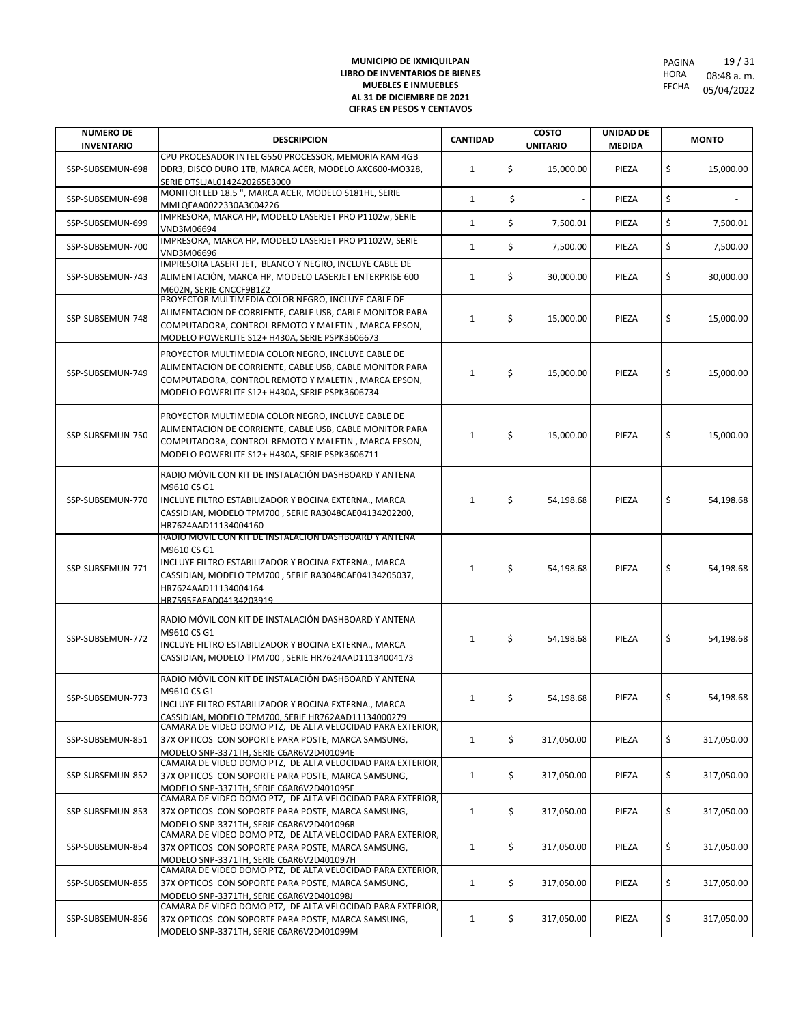| <b>NUMERO DE</b><br><b>INVENTARIO</b> | <b>DESCRIPCION</b>                                                                                                                                                                                                                       | <b>CANTIDAD</b> | <b>COSTO</b><br><b>UNITARIO</b> | UNIDAD DE<br><b>MEDIDA</b> | <b>MONTO</b>     |
|---------------------------------------|------------------------------------------------------------------------------------------------------------------------------------------------------------------------------------------------------------------------------------------|-----------------|---------------------------------|----------------------------|------------------|
| SSP-SUBSEMUN-698                      | CPU PROCESADOR INTEL G550 PROCESSOR, MEMORIA RAM 4GB<br>DDR3, DISCO DURO 1TB, MARCA ACER, MODELO AXC600-MO328,<br>SERIE DTSLJAL0142420265E3000                                                                                           | $\mathbf{1}$    | \$<br>15,000.00                 | PIEZA                      | \$<br>15,000.00  |
| SSP-SUBSEMUN-698                      | MONITOR LED 18.5 ", MARCA ACER, MODELO S181HL, SERIE<br>MMLQFAA0022330A3C04226                                                                                                                                                           | $\mathbf{1}$    | \$                              | PIEZA                      | \$               |
| SSP-SUBSEMUN-699                      | IMPRESORA, MARCA HP, MODELO LASERJET PRO P1102w, SERIE<br>VND3M06694                                                                                                                                                                     | $\mathbf{1}$    | \$<br>7,500.01                  | PIEZA                      | \$<br>7,500.01   |
| SSP-SUBSEMUN-700                      | IMPRESORA, MARCA HP, MODELO LASERJET PRO P1102W, SERIE<br>VND3M06696                                                                                                                                                                     | $\mathbf{1}$    | \$<br>7,500.00                  | PIEZA                      | \$<br>7,500.00   |
| SSP-SUBSEMUN-743                      | IMPRESORA LASERT JET, BLANCO Y NEGRO, INCLUYE CABLE DE<br>ALIMENTACIÓN, MARCA HP, MODELO LASERJET ENTERPRISE 600<br>M602N. SERIE CNCCF9B1Z2<br>PROYECTOR MULTIMEDIA COLOR NEGRO, INCLUYE CABLE DE                                        | $\mathbf{1}$    | \$<br>30,000.00                 | PIEZA                      | \$<br>30,000.00  |
| SSP-SUBSEMUN-748                      | ALIMENTACION DE CORRIENTE, CABLE USB, CABLE MONITOR PARA<br>COMPUTADORA, CONTROL REMOTO Y MALETIN, MARCA EPSON,<br>MODELO POWERLITE S12+ H430A, SERIE PSPK3606673                                                                        | $\mathbf{1}$    | \$<br>15,000.00                 | PIEZA                      | \$<br>15,000.00  |
| SSP-SUBSEMUN-749                      | PROYECTOR MULTIMEDIA COLOR NEGRO, INCLUYE CABLE DE<br>ALIMENTACION DE CORRIENTE, CABLE USB, CABLE MONITOR PARA<br>COMPUTADORA, CONTROL REMOTO Y MALETIN, MARCA EPSON,<br>MODELO POWERLITE S12+ H430A, SERIE PSPK3606734                  | $\mathbf{1}$    | \$<br>15,000.00                 | PIEZA                      | \$<br>15,000.00  |
| SSP-SUBSEMUN-750                      | PROYECTOR MULTIMEDIA COLOR NEGRO, INCLUYE CABLE DE<br>ALIMENTACION DE CORRIENTE, CABLE USB, CABLE MONITOR PARA<br>COMPUTADORA, CONTROL REMOTO Y MALETIN, MARCA EPSON,<br>MODELO POWERLITE S12+ H430A, SERIE PSPK3606711                  | $\mathbf{1}$    | \$<br>15,000.00                 | PIEZA                      | \$<br>15,000.00  |
| SSP-SUBSEMUN-770                      | RADIO MÓVIL CON KIT DE INSTALACIÓN DASHBOARD Y ANTENA<br>M9610 CS G1<br>INCLUYE FILTRO ESTABILIZADOR Y BOCINA EXTERNA., MARCA<br>CASSIDIAN, MODELO TPM700, SERIE RA3048CAE04134202200,<br>HR7624AAD11134004160                           | $\mathbf{1}$    | \$<br>54,198.68                 | PIEZA                      | \$<br>54,198.68  |
| SSP-SUBSEMUN-771                      | RADIO MOVIL CON KIT DE INSTALACION DASHBOARD Y ANTENA<br>M9610 CS G1<br>INCLUYE FILTRO ESTABILIZADOR Y BOCINA EXTERNA., MARCA<br>CASSIDIAN, MODELO TPM700, SERIE RA3048CAE04134205037,<br>HR7624AAD11134004164<br>HR7595FAFAD04134203919 | $\mathbf{1}$    | \$<br>54,198.68                 | PIEZA                      | \$<br>54,198.68  |
| SSP-SUBSEMUN-772                      | RADIO MÓVIL CON KIT DE INSTALACIÓN DASHBOARD Y ANTENA<br>M9610 CS G1<br>INCLUYE FILTRO ESTABILIZADOR Y BOCINA EXTERNA., MARCA<br>CASSIDIAN, MODELO TPM700, SERIE HR7624AAD11134004173                                                    | $\mathbf{1}$    | \$<br>54,198.68                 | PIEZA                      | \$<br>54,198.68  |
| SSP-SUBSEMUN-773                      | RADIO MÓVIL CON KIT DE INSTALACIÓN DASHBOARD Y ANTENA<br>M9610 CS G1<br>INCLUYE FILTRO ESTABILIZADOR Y BOCINA EXTERNA MARCA<br>CASSIDIAN, MODELO TPM700, SERIE HR762AAD11134000279                                                       | 1               | \$<br>54,198.68                 | PIEZA                      | \$<br>54,198.68  |
| SSP-SUBSEMUN-851                      | CAMARA DE VIDEO DOMO PTZ, DE ALTA VELOCIDAD PARA EXTERIOR,<br>37X OPTICOS CON SOPORTE PARA POSTE, MARCA SAMSUNG,<br>MODELO SNP-3371TH, SERIE C6AR6V2D401094E                                                                             | $\mathbf{1}$    | \$<br>317,050.00                | PIEZA                      | \$<br>317,050.00 |
| SSP-SUBSEMUN-852                      | CAMARA DE VIDEO DOMO PTZ, DE ALTA VELOCIDAD PARA EXTERIOR,<br>37X OPTICOS CON SOPORTE PARA POSTE, MARCA SAMSUNG,<br>MODELO SNP-3371TH, SERIE C6AR6V2D401095F                                                                             | 1               | \$<br>317,050.00                | PIEZA                      | \$<br>317,050.00 |
| SSP-SUBSEMUN-853                      | CAMARA DE VIDEO DOMO PTZ, DE ALTA VELOCIDAD PARA EXTERIOR,<br>37X OPTICOS CON SOPORTE PARA POSTE, MARCA SAMSUNG,<br>MODELO SNP-3371TH, SERIE C6AR6V2D401096R                                                                             | $\mathbf{1}$    | \$<br>317,050.00                | PIEZA                      | \$<br>317,050.00 |
| SSP-SUBSEMUN-854                      | CAMARA DE VIDEO DOMO PTZ, DE ALTA VELOCIDAD PARA EXTERIOR,<br>37X OPTICOS CON SOPORTE PARA POSTE, MARCA SAMSUNG,<br>MODELO SNP-3371TH, SERIE C6AR6V2D401097H                                                                             | $\mathbf{1}$    | \$<br>317,050.00                | PIEZA                      | \$<br>317,050.00 |
| SSP-SUBSEMUN-855                      | CAMARA DE VIDEO DOMO PTZ, DE ALTA VELOCIDAD PARA EXTERIOR,<br>37X OPTICOS CON SOPORTE PARA POSTE, MARCA SAMSUNG,<br>MODELO SNP-3371TH, SERIE C6AR6V2D401098J                                                                             | 1               | \$<br>317,050.00                | PIEZA                      | \$<br>317,050.00 |
| SSP-SUBSEMUN-856                      | CAMARA DE VIDEO DOMO PTZ, DE ALTA VELOCIDAD PARA EXTERIOR,<br>37X OPTICOS CON SOPORTE PARA POSTE, MARCA SAMSUNG,<br>MODELO SNP-3371TH, SERIE C6AR6V2D401099M                                                                             | 1               | \$<br>317,050.00                | PIEZA                      | \$<br>317,050.00 |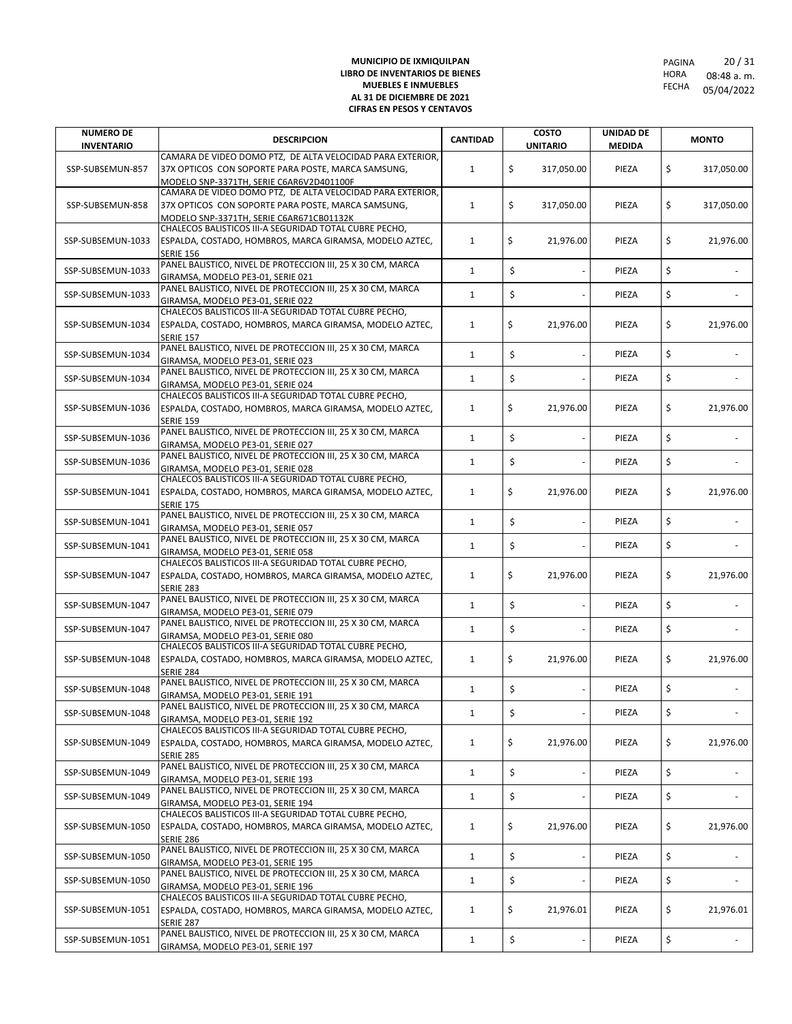| <b>NUMERO DE</b>  | <b>DESCRIPCION</b>                                                                                                | <b>CANTIDAD</b> | <b>COSTO</b>                   | <b>UNIDAD DE</b> |    | <b>MONTO</b> |
|-------------------|-------------------------------------------------------------------------------------------------------------------|-----------------|--------------------------------|------------------|----|--------------|
| <b>INVENTARIO</b> | CAMARA DE VIDEO DOMO PTZ, DE ALTA VELOCIDAD PARA EXTERIOR,                                                        |                 | <b>UNITARIO</b>                | <b>MEDIDA</b>    |    |              |
| SSP-SUBSEMUN-857  | 37X OPTICOS CON SOPORTE PARA POSTE, MARCA SAMSUNG,                                                                | 1               | \$<br>317,050.00               | PIEZA            | \$ | 317,050.00   |
|                   | MODELO SNP-3371TH, SERIE C6AR6V2D401100F                                                                          |                 |                                |                  |    |              |
|                   | CAMARA DE VIDEO DOMO PTZ, DE ALTA VELOCIDAD PARA EXTERIOR,                                                        |                 |                                |                  |    |              |
| SSP-SUBSEMUN-858  | 37X OPTICOS CON SOPORTE PARA POSTE, MARCA SAMSUNG,                                                                | 1               | \$<br>317,050.00               | PIEZA            | \$ | 317,050.00   |
|                   | MODELO SNP-3371TH, SERIE C6AR671CB01132K                                                                          |                 |                                |                  |    |              |
|                   | CHALECOS BALISTICOS III-A SEGURIDAD TOTAL CUBRE PECHO,                                                            |                 |                                |                  |    |              |
| SSP-SUBSEMUN-1033 | ESPALDA, COSTADO, HOMBROS, MARCA GIRAMSA, MODELO AZTEC,                                                           | 1               | \$<br>21,976.00                | PIEZA            | \$ | 21,976.00    |
|                   | <b>SERIE 156</b><br>PANEL BALISTICO, NIVEL DE PROTECCION III, 25 X 30 CM, MARCA                                   |                 |                                |                  |    |              |
| SSP-SUBSEMUN-1033 | GIRAMSA, MODELO PE3-01, SERIE 021                                                                                 | $\mathbf{1}$    | \$                             | PIEZA            | \$ |              |
|                   | PANEL BALISTICO, NIVEL DE PROTECCION III, 25 X 30 CM, MARCA                                                       |                 |                                |                  |    |              |
| SSP-SUBSEMUN-1033 | GIRAMSA, MODELO PE3-01, SERIE 022                                                                                 | $\mathbf{1}$    | \$                             | PIEZA            | \$ |              |
|                   | CHALECOS BALISTICOS III-A SEGURIDAD TOTAL CUBRE PECHO,                                                            |                 |                                |                  |    |              |
| SSP-SUBSEMUN-1034 | ESPALDA, COSTADO, HOMBROS, MARCA GIRAMSA, MODELO AZTEC,                                                           | 1               | \$<br>21,976.00                | PIEZA            | \$ | 21,976.00    |
|                   | <b>SERIE 157</b>                                                                                                  |                 |                                |                  |    |              |
| SSP-SUBSEMUN-1034 | PANEL BALISTICO, NIVEL DE PROTECCION III, 25 X 30 CM, MARCA                                                       | $\mathbf{1}$    | \$                             | PIEZA            | \$ |              |
|                   | GIRAMSA, MODELO PE3-01, SERIE 023<br>PANEL BALISTICO, NIVEL DE PROTECCION III, 25 X 30 CM, MARCA                  |                 |                                |                  |    |              |
| SSP-SUBSEMUN-1034 | GIRAMSA, MODELO PE3-01, SERIE 024                                                                                 | $\mathbf{1}$    | \$                             | PIEZA            | \$ |              |
|                   | CHALECOS BALISTICOS III-A SEGURIDAD TOTAL CUBRE PECHO,                                                            |                 |                                |                  |    |              |
| SSP-SUBSEMUN-1036 | ESPALDA, COSTADO, HOMBROS, MARCA GIRAMSA, MODELO AZTEC,                                                           | $\mathbf{1}$    | \$<br>21,976.00                | PIEZA            | \$ | 21,976.00    |
|                   | <b>SERIE 159</b>                                                                                                  |                 |                                |                  |    |              |
| SSP-SUBSEMUN-1036 | PANEL BALISTICO, NIVEL DE PROTECCION III, 25 X 30 CM, MARCA                                                       | $\mathbf{1}$    | \$                             | PIEZA            | \$ |              |
|                   | GIRAMSA, MODELO PE3-01, SERIE 027                                                                                 |                 |                                |                  |    |              |
| SSP-SUBSEMUN-1036 | PANEL BALISTICO, NIVEL DE PROTECCION III, 25 X 30 CM, MARCA                                                       | $\mathbf{1}$    | \$                             | PIEZA            | \$ |              |
|                   | GIRAMSA, MODELO PE3-01, SERIE 028<br>CHALECOS BALISTICOS III-A SEGURIDAD TOTAL CUBRE PECHO,                       |                 |                                |                  |    |              |
| SSP-SUBSEMUN-1041 | ESPALDA, COSTADO, HOMBROS, MARCA GIRAMSA, MODELO AZTEC,                                                           | 1               | \$<br>21,976.00                | PIEZA            | \$ | 21,976.00    |
|                   | <b>SERIE 175</b>                                                                                                  |                 |                                |                  |    |              |
|                   | PANEL BALISTICO, NIVEL DE PROTECCION III, 25 X 30 CM, MARCA                                                       |                 |                                |                  |    |              |
| SSP-SUBSEMUN-1041 | GIRAMSA, MODELO PE3-01, SERIE 057                                                                                 | $\mathbf{1}$    | \$                             | PIEZA            | \$ |              |
| SSP-SUBSEMUN-1041 | PANEL BALISTICO, NIVEL DE PROTECCION III, 25 X 30 CM, MARCA                                                       | $\mathbf{1}$    | \$                             | PIEZA            | \$ |              |
|                   | GIRAMSA, MODELO PE3-01, SERIE 058                                                                                 |                 |                                |                  |    |              |
| SSP-SUBSEMUN-1047 | CHALECOS BALISTICOS III-A SEGURIDAD TOTAL CUBRE PECHO,<br>ESPALDA, COSTADO, HOMBROS, MARCA GIRAMSA, MODELO AZTEC, |                 | \$                             | PIEZA            | \$ |              |
|                   | <b>SERIE 283</b>                                                                                                  | 1               | 21,976.00                      |                  |    | 21,976.00    |
|                   | PANEL BALISTICO, NIVEL DE PROTECCION III, 25 X 30 CM, MARCA                                                       |                 |                                |                  |    |              |
| SSP-SUBSEMUN-1047 | GIRAMSA, MODELO PE3-01, SERIE 079                                                                                 | $\mathbf{1}$    | \$                             | PIEZA            | Ś  |              |
| SSP-SUBSEMUN-1047 | PANEL BALISTICO, NIVEL DE PROTECCION III, 25 X 30 CM, MARCA                                                       | $\mathbf{1}$    | \$                             | PIEZA            | \$ |              |
|                   | GIRAMSA, MODELO PE3-01, SERIE 080                                                                                 |                 |                                |                  |    |              |
|                   | CHALECOS BALISTICOS III-A SEGURIDAD TOTAL CUBRE PECHO,                                                            |                 |                                |                  |    |              |
| SSP-SUBSEMUN-1048 | ESPALDA, COSTADO, HOMBROS, MARCA GIRAMSA, MODELO AZTEC,<br><b>SERIE 284</b>                                       | 1               | \$<br>21,976.00                | PIEZA            | \$ | 21,976.00    |
|                   | PANEL BALISTICO, NIVEL DE PROTECCION III, 25 X 30 CM, MARCA                                                       |                 |                                |                  |    |              |
| SSP-SUBSEMUN-1048 | GIRAMSA, MODELO PE3-01, SERIE 191                                                                                 | $\mathbf{1}$    | \$                             | PIEZA            | \$ |              |
| SSP-SUBSEMUN-1048 | PANEL BALISTICO, NIVEL DE PROTECCION III, 25 X 30 CM, MARCA                                                       | $\mathbf{1}$    | \$<br>$\overline{\phantom{a}}$ | PIEZA            | \$ |              |
|                   | GIRAMSA, MODELO PE3-01, SERIE 192                                                                                 |                 |                                |                  |    |              |
|                   | CHALECOS BALISTICOS III-A SEGURIDAD TOTAL CUBRE PECHO,                                                            |                 |                                |                  |    |              |
| SSP-SUBSEMUN-1049 | ESPALDA, COSTADO, HOMBROS, MARCA GIRAMSA, MODELO AZTEC,                                                           | $\mathbf{1}$    | \$<br>21,976.00                | PIEZA            | \$ | 21,976.00    |
|                   | <b>SERIE 285</b><br>PANEL BALISTICO, NIVEL DE PROTECCION III, 25 X 30 CM, MARCA                                   |                 |                                |                  |    |              |
| SSP-SUBSEMUN-1049 | GIRAMSA, MODELO PE3-01, SERIE 193                                                                                 | 1               | \$                             | PIEZA            | \$ |              |
|                   | PANEL BALISTICO, NIVEL DE PROTECCION III, 25 X 30 CM, MARCA                                                       |                 |                                |                  |    |              |
| SSP-SUBSEMUN-1049 | GIRAMSA, MODELO PE3-01, SERIE 194                                                                                 | $\mathbf 1$     | \$                             | PIEZA            | \$ |              |
|                   | CHALECOS BALISTICOS III-A SEGURIDAD TOTAL CUBRE PECHO,                                                            |                 |                                |                  |    |              |
| SSP-SUBSEMUN-1050 | ESPALDA, COSTADO, HOMBROS, MARCA GIRAMSA, MODELO AZTEC,                                                           | $\mathbf{1}$    | \$<br>21,976.00                | PIEZA            | \$ | 21,976.00    |
|                   | <b>SERIE 286</b><br>PANEL BALISTICO, NIVEL DE PROTECCION III, 25 X 30 CM, MARCA                                   |                 |                                |                  |    |              |
| SSP-SUBSEMUN-1050 | GIRAMSA, MODELO PE3-01, SERIE 195                                                                                 | $\mathbf{1}$    | \$                             | PIEZA            | \$ |              |
|                   | PANEL BALISTICO, NIVEL DE PROTECCION III, 25 X 30 CM, MARCA                                                       |                 |                                |                  |    |              |
| SSP-SUBSEMUN-1050 | GIRAMSA, MODELO PE3-01, SERIE 196                                                                                 | $\mathbf{1}$    | \$                             | PIEZA            | \$ |              |
|                   | CHALECOS BALISTICOS III-A SEGURIDAD TOTAL CUBRE PECHO,                                                            |                 |                                |                  |    |              |
| SSP-SUBSEMUN-1051 | ESPALDA, COSTADO, HOMBROS, MARCA GIRAMSA, MODELO AZTEC,                                                           | 1               | \$<br>21,976.01                | PIEZA            | \$ | 21,976.01    |
|                   | <b>SERIE 287</b>                                                                                                  |                 |                                |                  |    |              |
| SSP-SUBSEMUN-1051 | PANEL BALISTICO, NIVEL DE PROTECCION III, 25 X 30 CM, MARCA                                                       | $\mathbf{1}$    | \$                             | PIEZA            | \$ |              |
|                   | GIRAMSA, MODELO PE3-01, SERIE 197                                                                                 |                 |                                |                  |    |              |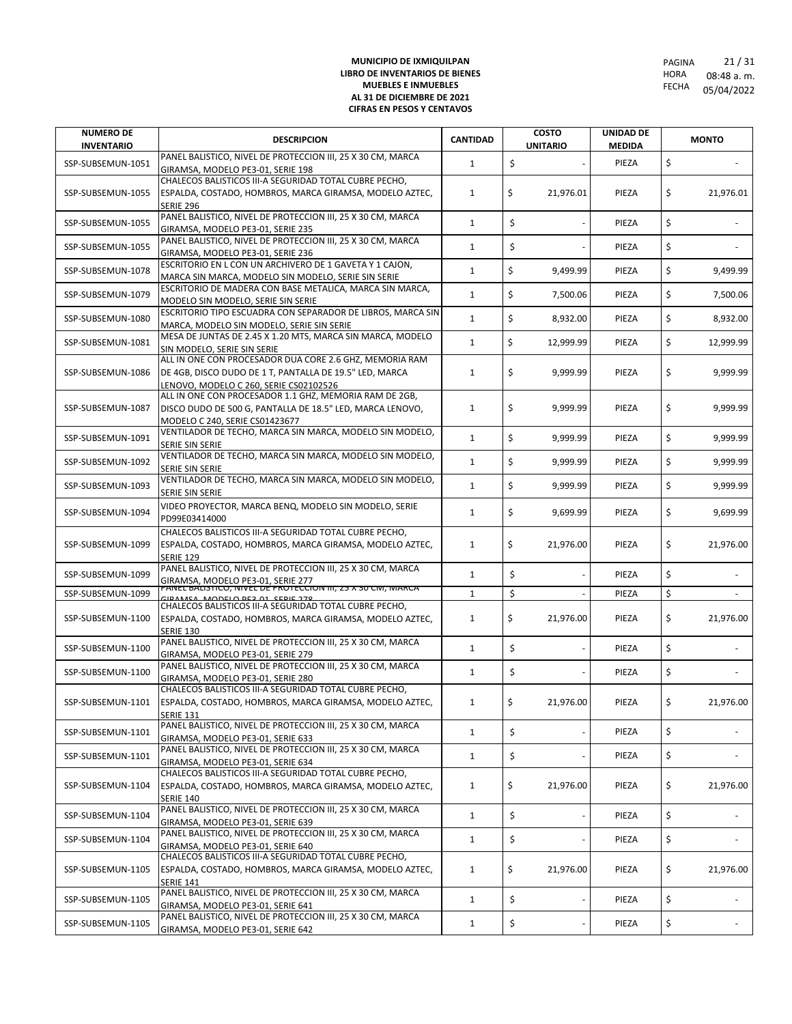| <b>NUMERO DE</b><br><b>INVENTARIO</b> | <b>DESCRIPCION</b>                                                                                                                                              | <b>CANTIDAD</b> | <b>COSTO</b><br><b>UNITARIO</b> | <b>UNIDAD DE</b><br><b>MEDIDA</b> | <b>MONTO</b>    |
|---------------------------------------|-----------------------------------------------------------------------------------------------------------------------------------------------------------------|-----------------|---------------------------------|-----------------------------------|-----------------|
| SSP-SUBSEMUN-1051                     | PANEL BALISTICO, NIVEL DE PROTECCION III, 25 X 30 CM, MARCA<br>GIRAMSA, MODELO PE3-01, SERIE 198                                                                | $\mathbf{1}$    | \$                              | PIEZA                             | \$              |
| SSP-SUBSEMUN-1055                     | CHALECOS BALISTICOS III-A SEGURIDAD TOTAL CUBRE PECHO,<br>ESPALDA, COSTADO, HOMBROS, MARCA GIRAMSA, MODELO AZTEC,<br><b>SERIE 296</b>                           | $\mathbf{1}$    | \$<br>21,976.01                 | PIEZA                             | \$<br>21,976.01 |
| SSP-SUBSEMUN-1055                     | PANEL BALISTICO, NIVEL DE PROTECCION III, 25 X 30 CM, MARCA<br>GIRAMSA, MODELO PE3-01, SERIE 235                                                                | $\mathbf{1}$    | \$                              | PIEZA                             | \$              |
| SSP-SUBSEMUN-1055                     | PANEL BALISTICO, NIVEL DE PROTECCION III, 25 X 30 CM, MARCA<br>GIRAMSA, MODELO PE3-01, SERIE 236                                                                | $\mathbf{1}$    | \$                              | PIEZA                             | \$              |
| SSP-SUBSEMUN-1078                     | ESCRITORIO EN L CON UN ARCHIVERO DE 1 GAVETA Y 1 CAJON,<br>MARCA SIN MARCA, MODELO SIN MODELO, SERIE SIN SERIE                                                  | $\mathbf{1}$    | \$<br>9,499.99                  | PIEZA                             | \$<br>9,499.99  |
| SSP-SUBSEMUN-1079                     | ESCRITORIO DE MADERA CON BASE METALICA, MARCA SIN MARCA,<br>MODELO SIN MODELO, SERIE SIN SERIE                                                                  | 1               | \$<br>7,500.06                  | PIEZA                             | \$<br>7,500.06  |
| SSP-SUBSEMUN-1080                     | ESCRITORIO TIPO ESCUADRA CON SEPARADOR DE LIBROS, MARCA SIN<br>MARCA, MODELO SIN MODELO, SERIE SIN SERIE                                                        | 1               | \$<br>8,932.00                  | PIEZA                             | \$<br>8,932.00  |
| SSP-SUBSEMUN-1081                     | MESA DE JUNTAS DE 2.45 X 1.20 MTS, MARCA SIN MARCA, MODELO<br>SIN MODELO, SERIE SIN SERIE                                                                       | $\mathbf{1}$    | \$<br>12,999.99                 | PIEZA                             | \$<br>12,999.99 |
| SSP-SUBSEMUN-1086                     | ALL IN ONE CON PROCESADOR DUA CORE 2.6 GHZ, MEMORIA RAM<br>DE 4GB, DISCO DUDO DE 1 T, PANTALLA DE 19.5" LED, MARCA<br>LENOVO, MODELO C 260, SERIE CS02102526    | 1               | \$<br>9,999.99                  | PIEZA                             | \$<br>9,999.99  |
| SSP-SUBSEMUN-1087                     | ALL IN ONE CON PROCESADOR 1.1 GHZ, MEMORIA RAM DE 2GB,<br>DISCO DUDO DE 500 G, PANTALLA DE 18.5" LED, MARCA LENOVO,<br>MODELO C 240, SERIE CS01423677           | $\mathbf{1}$    | \$<br>9,999.99                  | PIEZA                             | \$<br>9,999.99  |
| SSP-SUBSEMUN-1091                     | VENTILADOR DE TECHO, MARCA SIN MARCA, MODELO SIN MODELO,<br>SERIE SIN SERIE                                                                                     | $\mathbf{1}$    | \$<br>9,999.99                  | PIEZA                             | \$<br>9,999.99  |
| SSP-SUBSEMUN-1092                     | VENTILADOR DE TECHO, MARCA SIN MARCA, MODELO SIN MODELO,<br><b>SERIE SIN SERIE</b>                                                                              | $\mathbf{1}$    | \$<br>9,999.99                  | PIEZA                             | \$<br>9,999.99  |
| SSP-SUBSEMUN-1093                     | VENTILADOR DE TECHO, MARCA SIN MARCA, MODELO SIN MODELO,<br>SERIE SIN SERIE                                                                                     | $\mathbf{1}$    | \$<br>9.999.99                  | PIEZA                             | \$<br>9,999.99  |
| SSP-SUBSEMUN-1094                     | VIDEO PROYECTOR, MARCA BENQ, MODELO SIN MODELO, SERIE<br>PD99E03414000                                                                                          | 1               | \$<br>9,699.99                  | PIEZA                             | \$<br>9,699.99  |
| SSP-SUBSEMUN-1099                     | CHALECOS BALISTICOS III-A SEGURIDAD TOTAL CUBRE PECHO,<br>ESPALDA, COSTADO, HOMBROS, MARCA GIRAMSA, MODELO AZTEC,<br><b>SERIE 129</b>                           | 1               | \$<br>21,976.00                 | PIEZA                             | \$<br>21,976.00 |
| SSP-SUBSEMUN-1099                     | PANEL BALISTICO, NIVEL DE PROTECCION III, 25 X 30 CM, MARCA<br>GIRAMSA, MODELO PE3-01, SERIE 277<br>PANEL BALISTICO, NIVEL DE PROTECCION III, 25 X 30 CM, MARCA | $\mathbf{1}$    | \$                              | PIEZA                             | \$              |
| SSP-SUBSEMUN-1099                     |                                                                                                                                                                 | $\mathbf{1}$    | \$                              | PIEZA                             | \$              |
| SSP-SUBSEMUN-1100                     | CHALECOS BALISTICOS III-A SEGURIDAD TOTAL CUBRE PECHO,<br>ESPALDA, COSTADO, HOMBROS, MARCA GIRAMSA, MODELO AZTEC,<br><b>SERIE 130</b>                           | $\mathbf{1}$    | \$<br>21,976.00                 | PIEZA                             | \$<br>21,976.00 |
| SSP-SUBSEMUN-1100                     | PANEL BALISTICO, NIVEL DE PROTECCION III, 25 X 30 CM, MARCA<br>GIRAMSA, MODELO PE3-01, SERIE 279                                                                | $\mathbf{1}$    | \$                              | PIEZA                             | \$              |
| SSP-SUBSEMUN-1100                     | PANEL BALISTICO, NIVEL DE PROTECCION III, 25 X 30 CM, MARCA<br>GIRAMSA, MODELO PE3-01, SERIE 280                                                                | $\mathbf{1}$    | \$                              | PIEZA                             | \$              |
| SSP-SUBSEMUN-1101                     | CHALECOS BALISTICOS III-A SEGURIDAD TOTAL CUBRE PECHO.<br>ESPALDA, COSTADO, HOMBROS, MARCA GIRAMSA, MODELO AZTEC,<br><b>SERIE 131</b>                           | 1               | \$<br>21,976.00                 | PIEZA                             | \$<br>21,976.00 |
| SSP-SUBSEMUN-1101                     | PANEL BALISTICO, NIVEL DE PROTECCION III, 25 X 30 CM, MARCA<br>GIRAMSA, MODELO PE3-01, SERIE 633                                                                | $\mathbf{1}$    | \$<br>$\sim$                    | PIEZA                             | \$              |
| SSP-SUBSEMUN-1101                     | PANEL BALISTICO, NIVEL DE PROTECCION III, 25 X 30 CM, MARCA<br>GIRAMSA, MODELO PE3-01, SERIE 634                                                                | $\mathbf{1}$    | \$                              | PIEZA                             | \$              |
| SSP-SUBSEMUN-1104                     | CHALECOS BALISTICOS III-A SEGURIDAD TOTAL CUBRE PECHO,<br>ESPALDA, COSTADO, HOMBROS, MARCA GIRAMSA, MODELO AZTEC,<br><b>SERIE 140</b>                           | 1               | \$<br>21,976.00                 | PIEZA                             | \$<br>21,976.00 |
| SSP-SUBSEMUN-1104                     | PANEL BALISTICO, NIVEL DE PROTECCION III, 25 X 30 CM, MARCA<br>GIRAMSA, MODELO PE3-01, SERIE 639                                                                | $\mathbf{1}$    | \$<br>$\overline{\phantom{a}}$  | PIEZA                             | \$              |
| SSP-SUBSEMUN-1104                     | PANEL BALISTICO, NIVEL DE PROTECCION III, 25 X 30 CM, MARCA<br>GIRAMSA, MODELO PE3-01, SERIE 640                                                                | $\mathbf{1}$    | \$<br>$\overline{\phantom{a}}$  | PIEZA                             | \$              |
| SSP-SUBSEMUN-1105                     | CHALECOS BALISTICOS III-A SEGURIDAD TOTAL CUBRE PECHO,<br>ESPALDA, COSTADO, HOMBROS, MARCA GIRAMSA, MODELO AZTEC,<br><b>SERIE 141</b>                           | 1               | \$<br>21,976.00                 | PIEZA                             | \$<br>21,976.00 |
| SSP-SUBSEMUN-1105                     | PANEL BALISTICO, NIVEL DE PROTECCION III, 25 X 30 CM, MARCA<br>GIRAMSA, MODELO PE3-01, SERIE 641                                                                | $\mathbf{1}$    | \$                              | PIEZA                             | \$              |
| SSP-SUBSEMUN-1105                     | PANEL BALISTICO, NIVEL DE PROTECCION III, 25 X 30 CM, MARCA<br>GIRAMSA, MODELO PE3-01, SERIE 642                                                                | $\mathbf{1}$    | \$                              | PIEZA                             | \$              |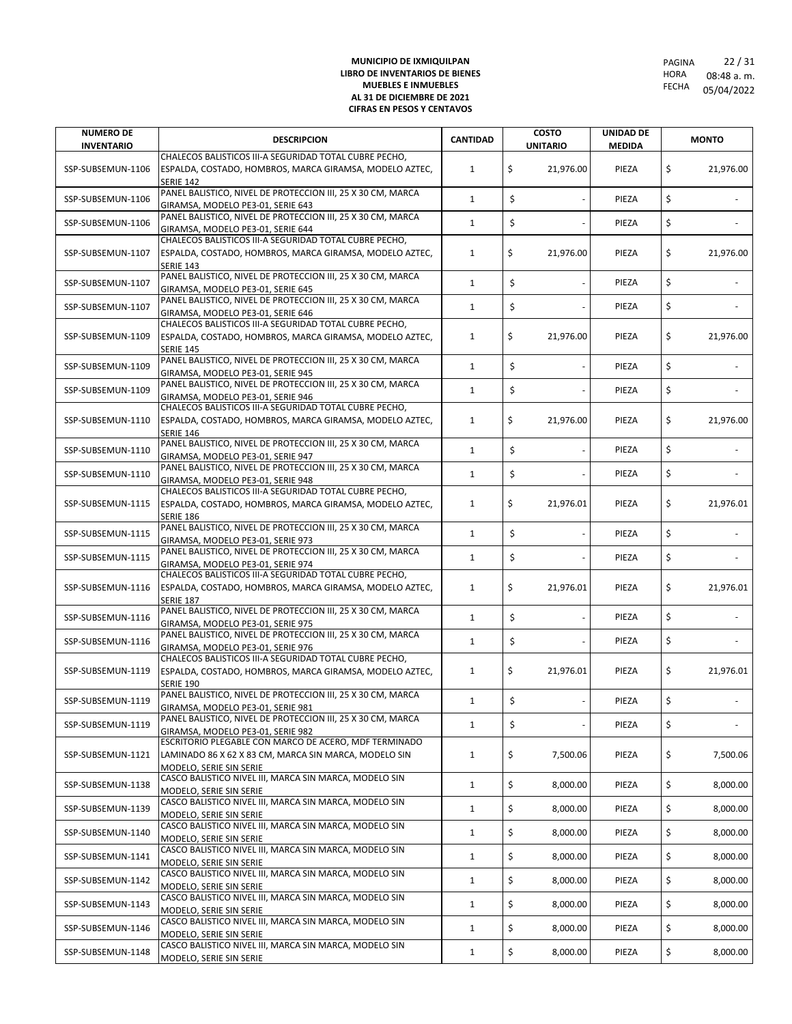| <b>NUMERO DE</b><br><b>INVENTARIO</b> | <b>DESCRIPCION</b>                                                                                                                                  | <b>CANTIDAD</b> | <b>COSTO</b><br><b>UNITARIO</b> | <b>UNIDAD DE</b><br><b>MEDIDA</b> | <b>MONTO</b>    |
|---------------------------------------|-----------------------------------------------------------------------------------------------------------------------------------------------------|-----------------|---------------------------------|-----------------------------------|-----------------|
| SSP-SUBSEMUN-1106                     | CHALECOS BALISTICOS III-A SEGURIDAD TOTAL CUBRE PECHO,<br>ESPALDA, COSTADO, HOMBROS, MARCA GIRAMSA, MODELO AZTEC,                                   | $\mathbf{1}$    | \$<br>21,976.00                 | PIEZA                             | \$<br>21,976.00 |
| SSP-SUBSEMUN-1106                     | <b>SERIE 142</b><br>PANEL BALISTICO, NIVEL DE PROTECCION III, 25 X 30 CM, MARCA                                                                     | $\mathbf{1}$    | \$                              | PIEZA                             | \$              |
|                                       | GIRAMSA, MODELO PE3-01, SERIE 643<br>PANEL BALISTICO, NIVEL DE PROTECCION III, 25 X 30 CM, MARCA                                                    |                 |                                 |                                   |                 |
| SSP-SUBSEMUN-1106                     | GIRAMSA, MODELO PE3-01, SERIE 644                                                                                                                   | $\mathbf{1}$    | \$                              | PIEZA                             | \$              |
| SSP-SUBSEMUN-1107                     | CHALECOS BALISTICOS III-A SEGURIDAD TOTAL CUBRE PECHO,<br>ESPALDA, COSTADO, HOMBROS, MARCA GIRAMSA, MODELO AZTEC,<br><b>SERIE 143</b>               | $\mathbf{1}$    | \$<br>21,976.00                 | PIEZA                             | \$<br>21,976.00 |
| SSP-SUBSEMUN-1107                     | PANEL BALISTICO, NIVEL DE PROTECCION III, 25 X 30 CM, MARCA<br>GIRAMSA, MODELO PE3-01, SERIE 645                                                    | $\mathbf{1}$    | \$                              | PIEZA                             | \$              |
| SSP-SUBSEMUN-1107                     | PANEL BALISTICO, NIVEL DE PROTECCION III, 25 X 30 CM, MARCA<br>GIRAMSA, MODELO PE3-01, SERIE 646                                                    | $\mathbf{1}$    | \$                              | PIEZA                             | \$              |
| SSP-SUBSEMUN-1109                     | CHALECOS BALISTICOS III-A SEGURIDAD TOTAL CUBRE PECHO,<br>ESPALDA, COSTADO, HOMBROS, MARCA GIRAMSA, MODELO AZTEC,<br><b>SERIE 145</b>               | 1               | \$<br>21,976.00                 | PIEZA                             | \$<br>21,976.00 |
| SSP-SUBSEMUN-1109                     | PANEL BALISTICO, NIVEL DE PROTECCION III, 25 X 30 CM, MARCA<br>GIRAMSA, MODELO PE3-01, SERIE 945                                                    | $\mathbf{1}$    | \$                              | PIEZA                             | \$              |
| SSP-SUBSEMUN-1109                     | PANEL BALISTICO, NIVEL DE PROTECCION III, 25 X 30 CM, MARCA<br>GIRAMSA, MODELO PE3-01, SERIE 946                                                    | $\mathbf{1}$    | \$                              | PIEZA                             | \$              |
| SSP-SUBSEMUN-1110                     | CHALECOS BALISTICOS III-A SEGURIDAD TOTAL CUBRE PECHO,<br>ESPALDA, COSTADO, HOMBROS, MARCA GIRAMSA, MODELO AZTEC,<br><b>SERIE 146</b>               | $\mathbf{1}$    | \$<br>21,976.00                 | PIEZA                             | \$<br>21,976.00 |
| SSP-SUBSEMUN-1110                     | PANEL BALISTICO, NIVEL DE PROTECCION III, 25 X 30 CM, MARCA<br>GIRAMSA, MODELO PE3-01, SERIE 947                                                    | $\mathbf{1}$    | \$                              | PIEZA                             | \$              |
| SSP-SUBSEMUN-1110                     | PANEL BALISTICO, NIVEL DE PROTECCION III, 25 X 30 CM, MARCA<br>GIRAMSA, MODELO PE3-01, SERIE 948                                                    | $\mathbf{1}$    | \$                              | PIEZA                             | \$              |
| SSP-SUBSEMUN-1115                     | CHALECOS BALISTICOS III-A SEGURIDAD TOTAL CUBRE PECHO,<br>ESPALDA, COSTADO, HOMBROS, MARCA GIRAMSA, MODELO AZTEC,<br><b>SERIE 186</b>               | 1               | \$<br>21,976.01                 | PIEZA                             | \$<br>21,976.01 |
| SSP-SUBSEMUN-1115                     | PANEL BALISTICO, NIVEL DE PROTECCION III, 25 X 30 CM, MARCA<br>GIRAMSA, MODELO PE3-01, SERIE 973                                                    | $\mathbf{1}$    | \$                              | PIEZA                             | \$              |
| SSP-SUBSEMUN-1115                     | PANEL BALISTICO, NIVEL DE PROTECCION III, 25 X 30 CM, MARCA<br>GIRAMSA, MODELO PE3-01, SERIE 974                                                    | $\mathbf{1}$    | \$                              | PIEZA                             | \$              |
| SSP-SUBSEMUN-1116                     | CHALECOS BALISTICOS III-A SEGURIDAD TOTAL CUBRE PECHO,<br>ESPALDA, COSTADO, HOMBROS, MARCA GIRAMSA, MODELO AZTEC,<br><b>SERIE 187</b>               | 1               | \$<br>21,976.01                 | PIEZA                             | \$<br>21,976.01 |
| SSP-SUBSEMUN-1116                     | PANEL BALISTICO, NIVEL DE PROTECCION III, 25 X 30 CM, MARCA<br>GIRAMSA, MODELO PE3-01, SERIE 975                                                    | $\mathbf{1}$    | \$                              | PIEZA                             | \$              |
| SSP-SUBSEMUN-1116                     | PANEL BALISTICO, NIVEL DE PROTECCION III, 25 X 30 CM, MARCA<br>GIRAMSA, MODELO PE3-01, SERIE 976                                                    | $\mathbf{1}$    | \$                              | PIEZA                             | \$              |
| SSP-SUBSEMUN-1119                     | CHALECOS BALISTICOS III-A SEGURIDAD TOTAL CUBRE PECHO,<br>ESPALDA, COSTADO, HOMBROS, MARCA GIRAMSA, MODELO AZTEC,<br><b>SERIE 190</b>               | $\mathbf{1}$    | \$<br>21,976.01                 | PIEZA                             | \$<br>21,976.01 |
| SSP-SUBSEMUN-1119                     | PANEL BALISTICO, NIVEL DE PROTECCION III, 25 X 30 CM, MARCA<br>GIRAMSA, MODELO PE3-01, SERIE 981                                                    | $\mathbf{1}$    | \$                              | PIEZA                             | \$              |
| SSP-SUBSEMUN-1119                     | PANEL BALISTICO, NIVEL DE PROTECCION III, 25 X 30 CM, MARCA                                                                                         | $\mathbf{1}$    | \$                              | PIEZA                             | \$              |
| SSP-SUBSEMUN-1121                     | GIRAMSA, MODELO PE3-01, SERIE 982<br>ESCRITORIO PLEGABLE CON MARCO DE ACERO, MDF TERMINADO<br>LAMINADO 86 X 62 X 83 CM, MARCA SIN MARCA, MODELO SIN | $\mathbf{1}$    | \$<br>7,500.06                  | PIEZA                             | \$<br>7,500.06  |
| SSP-SUBSEMUN-1138                     | MODELO, SERIE SIN SERIE<br>CASCO BALISTICO NIVEL III, MARCA SIN MARCA, MODELO SIN<br>MODELO, SERIE SIN SERIE                                        | $\mathbf{1}$    | \$<br>8,000.00                  | PIEZA                             | \$<br>8,000.00  |
| SSP-SUBSEMUN-1139                     | CASCO BALISTICO NIVEL III, MARCA SIN MARCA, MODELO SIN<br>MODELO, SERIE SIN SERIE                                                                   | $\mathbf{1}$    | \$<br>8,000.00                  | PIEZA                             | \$<br>8,000.00  |
| SSP-SUBSEMUN-1140                     | CASCO BALISTICO NIVEL III, MARCA SIN MARCA, MODELO SIN<br>MODELO, SERIE SIN SERIE                                                                   | $\mathbf{1}$    | \$<br>8,000.00                  | PIEZA                             | \$<br>8,000.00  |
| SSP-SUBSEMUN-1141                     | CASCO BALISTICO NIVEL III, MARCA SIN MARCA, MODELO SIN<br>MODELO, SERIE SIN SERIE                                                                   | $\mathbf{1}$    | \$<br>8,000.00                  | PIEZA                             | \$<br>8,000.00  |
| SSP-SUBSEMUN-1142                     | CASCO BALISTICO NIVEL III, MARCA SIN MARCA, MODELO SIN<br>MODELO, SERIE SIN SERIE                                                                   | $\mathbf{1}$    | \$<br>8,000.00                  | PIEZA                             | \$<br>8,000.00  |
| SSP-SUBSEMUN-1143                     | CASCO BALISTICO NIVEL III, MARCA SIN MARCA, MODELO SIN<br>MODELO, SERIE SIN SERIE                                                                   | $\mathbf{1}$    | \$<br>8,000.00                  | PIEZA                             | \$<br>8,000.00  |
| SSP-SUBSEMUN-1146                     | CASCO BALISTICO NIVEL III, MARCA SIN MARCA, MODELO SIN<br>MODELO, SERIE SIN SERIE                                                                   | $\mathbf{1}$    | \$<br>8,000.00                  | PIEZA                             | \$<br>8,000.00  |
| SSP-SUBSEMUN-1148                     | CASCO BALISTICO NIVEL III, MARCA SIN MARCA, MODELO SIN<br>MODELO, SERIE SIN SERIE                                                                   | $\mathbf{1}$    | \$<br>8,000.00                  | PIEZA                             | \$<br>8,000.00  |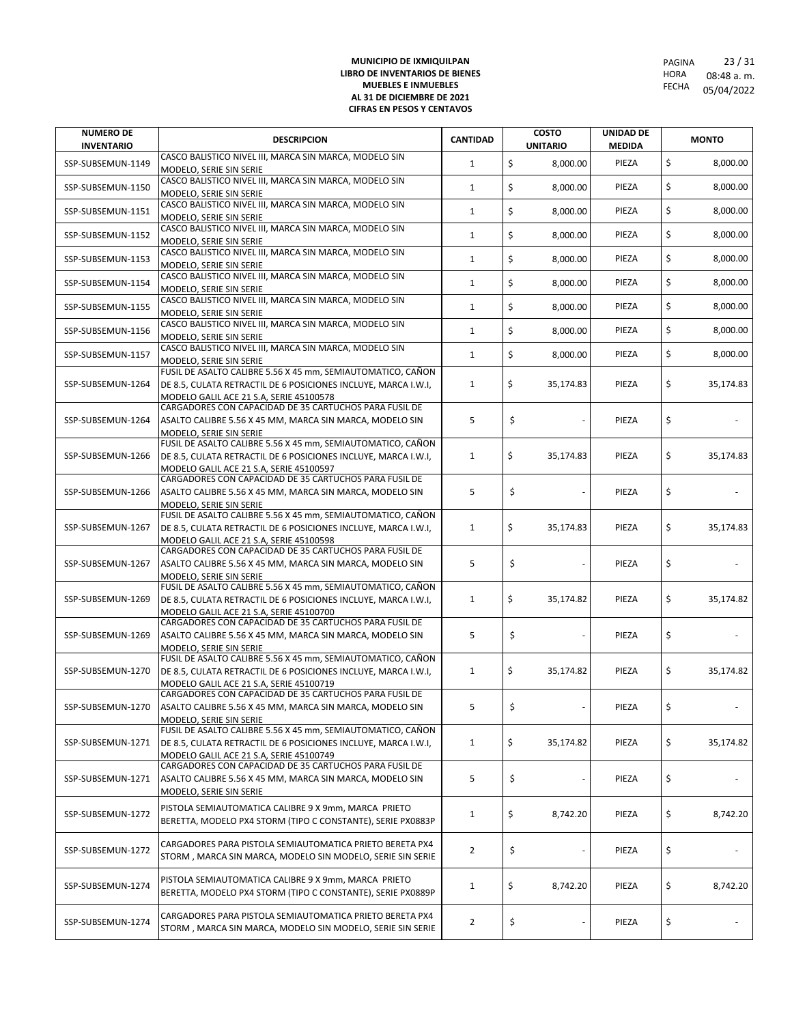| <b>NUMERO DE</b><br><b>INVENTARIO</b> | <b>DESCRIPCION</b>                                                                                                                                                       | <b>CANTIDAD</b> | <b>COSTO</b><br><b>UNITARIO</b> | <b>UNIDAD DE</b><br><b>MEDIDA</b> | <b>MONTO</b>    |
|---------------------------------------|--------------------------------------------------------------------------------------------------------------------------------------------------------------------------|-----------------|---------------------------------|-----------------------------------|-----------------|
| SSP-SUBSEMUN-1149                     | CASCO BALISTICO NIVEL III, MARCA SIN MARCA, MODELO SIN<br>MODELO, SERIE SIN SERIE                                                                                        | $\mathbf{1}$    | \$<br>8,000.00                  | PIEZA                             | \$<br>8,000.00  |
| SSP-SUBSEMUN-1150                     | CASCO BALISTICO NIVEL III, MARCA SIN MARCA, MODELO SIN<br>MODELO, SERIE SIN SERIE                                                                                        | $\mathbf{1}$    | \$<br>8,000.00                  | PIEZA                             | \$<br>8,000.00  |
| SSP-SUBSEMUN-1151                     | CASCO BALISTICO NIVEL III, MARCA SIN MARCA, MODELO SIN<br>MODELO, SERIE SIN SERIE                                                                                        | $\mathbf{1}$    | \$<br>8,000.00                  | PIEZA                             | \$<br>8,000.00  |
| SSP-SUBSEMUN-1152                     | CASCO BALISTICO NIVEL III, MARCA SIN MARCA, MODELO SIN<br>MODELO, SERIE SIN SERIE                                                                                        | $\mathbf{1}$    | \$<br>8,000.00                  | PIEZA                             | \$<br>8,000.00  |
| SSP-SUBSEMUN-1153                     | CASCO BALISTICO NIVEL III, MARCA SIN MARCA, MODELO SIN<br>MODELO. SERIE SIN SERIE                                                                                        | $\mathbf{1}$    | \$<br>8,000.00                  | PIEZA                             | \$<br>8,000.00  |
| SSP-SUBSEMUN-1154                     | CASCO BALISTICO NIVEL III, MARCA SIN MARCA, MODELO SIN<br>MODELO, SERIE SIN SERIE                                                                                        | $\mathbf{1}$    | \$<br>8.000.00                  | PIEZA                             | \$<br>8,000.00  |
| SSP-SUBSEMUN-1155                     | CASCO BALISTICO NIVEL III, MARCA SIN MARCA, MODELO SIN<br>MODELO, SERIE SIN SERIE                                                                                        | $\mathbf{1}$    | \$<br>8,000.00                  | PIEZA                             | \$<br>8,000.00  |
| SSP-SUBSEMUN-1156                     | CASCO BALISTICO NIVEL III, MARCA SIN MARCA, MODELO SIN<br>MODELO, SERIE SIN SERIE                                                                                        | $\mathbf{1}$    | \$<br>8,000.00                  | PIEZA                             | \$<br>8,000.00  |
| SSP-SUBSEMUN-1157                     | CASCO BALISTICO NIVEL III, MARCA SIN MARCA, MODELO SIN<br>MODELO, SERIE SIN SERIE                                                                                        | $\mathbf{1}$    | \$<br>8,000.00                  | PIEZA                             | \$<br>8,000.00  |
| SSP-SUBSEMUN-1264                     | FUSIL DE ASALTO CALIBRE 5.56 X 45 mm, SEMIAUTOMATICO, CAÑON<br>DE 8.5, CULATA RETRACTIL DE 6 POSICIONES INCLUYE, MARCA I.W.I,<br>MODELO GALIL ACE 21 S.A, SERIE 45100578 | 1               | \$<br>35,174.83                 | PIEZA                             | \$<br>35,174.83 |
| SSP-SUBSEMUN-1264                     | CARGADORES CON CAPACIDAD DE 35 CARTUCHOS PARA FUSIL DE<br>ASALTO CALIBRE 5.56 X 45 MM, MARCA SIN MARCA, MODELO SIN                                                       | 5               | \$                              | PIEZA                             | \$              |
| SSP-SUBSEMUN-1266                     | MODELO, SERIE SIN SERIE<br>FUSIL DE ASALTO CALIBRE 5.56 X 45 mm, SEMIAUTOMATICO, CAÑON<br>DE 8.5, CULATA RETRACTIL DE 6 POSICIONES INCLUYE, MARCA I.W.I,                 | $\mathbf{1}$    | \$<br>35,174.83                 | PIEZA                             | \$<br>35,174.83 |
|                                       | MODELO GALIL ACE 21 S.A, SERIE 45100597<br>CARGADORES CON CAPACIDAD DE 35 CARTUCHOS PARA FUSIL DE                                                                        |                 |                                 |                                   |                 |
| SSP-SUBSEMUN-1266                     | ASALTO CALIBRE 5.56 X 45 MM, MARCA SIN MARCA, MODELO SIN<br>MODELO, SERIE SIN SERIE                                                                                      | 5               | \$                              | PIEZA                             | \$              |
| SSP-SUBSEMUN-1267                     | FUSIL DE ASALTO CALIBRE 5.56 X 45 mm, SEMIAUTOMATICO, CAÑON<br>DE 8.5, CULATA RETRACTIL DE 6 POSICIONES INCLUYE, MARCA I.W.I,<br>MODELO GALIL ACE 21 S.A, SERIE 45100598 | $\mathbf{1}$    | \$<br>35,174.83                 | PIEZA                             | \$<br>35,174.83 |
| SSP-SUBSEMUN-1267                     | CARGADORES CON CAPACIDAD DE 35 CARTUCHOS PARA FUSIL DE<br>ASALTO CALIBRE 5.56 X 45 MM, MARCA SIN MARCA, MODELO SIN                                                       | 5               | \$                              | PIEZA                             | \$              |
| SSP-SUBSEMUN-1269                     | MODELO, SERIE SIN SERIE<br>FUSIL DE ASALTO CALIBRE 5.56 X 45 mm, SEMIAUTOMATICO, CAÑON<br>DE 8.5, CULATA RETRACTIL DE 6 POSICIONES INCLUYE, MARCA I.W.I,                 | $\mathbf{1}$    | \$<br>35,174.82                 | PIEZA                             | \$<br>35,174.82 |
|                                       | MODELO GALIL ACE 21 S.A, SERIE 45100700<br>CARGADORES CON CAPACIDAD DE 35 CARTUCHOS PARA FUSIL DE                                                                        |                 |                                 |                                   |                 |
| SSP-SUBSEMUN-1269                     | ASALTO CALIBRE 5.56 X 45 MM, MARCA SIN MARCA, MODELO SIN<br>MODELO, SERIE SIN SERIE<br>FUSIL DE ASALTO CALIBRE 5.56 X 45 mm, SEMIAUTOMATICO, CAÑON                       | 5               | \$                              | PIEZA                             | \$              |
| SSP-SUBSEMUN-1270                     | DE 8.5, CULATA RETRACTIL DE 6 POSICIONES INCLUYE, MARCA I.W.I,<br>MODELO GALIL ACE 21 S.A, SERIE 45100719                                                                | $\mathbf{1}$    | \$<br>35,174.82                 | PIEZA                             | \$<br>35,174.82 |
| SSP-SUBSEMUN-1270                     | CARGADORES CON CAPACIDAD DE 35 CARTUCHOS PARA FUSIL DE<br>ASALTO CALIBRE 5.56 X 45 MM, MARCA SIN MARCA, MODELO SIN<br>MODELO, SERIE SIN SERIE                            | 5               | \$                              | PIEZA                             | \$              |
| SSP-SUBSEMUN-1271                     | FUSIL DE ASALTO CALIBRE 5.56 X 45 mm, SEMIAUTOMATICO, CAÑON<br>DE 8.5, CULATA RETRACTIL DE 6 POSICIONES INCLUYE, MARCA I.W.I,<br>MODELO GALIL ACE 21 S.A, SERIE 45100749 | $\mathbf{1}$    | \$<br>35,174.82                 | PIEZA                             | \$<br>35,174.82 |
| SSP-SUBSEMUN-1271                     | CARGADORES CON CAPACIDAD DE 35 CARTUCHOS PARA FUSIL DE<br>ASALTO CALIBRE 5.56 X 45 MM, MARCA SIN MARCA, MODELO SIN<br>MODELO, SERIE SIN SERIE                            | 5               | \$                              | PIEZA                             | \$              |
| SSP-SUBSEMUN-1272                     | PISTOLA SEMIAUTOMATICA CALIBRE 9 X 9mm, MARCA PRIETO<br>BERETTA, MODELO PX4 STORM (TIPO C CONSTANTE), SERIE PX0883P                                                      | 1               | \$<br>8,742.20                  | PIEZA                             | \$<br>8,742.20  |
| SSP-SUBSEMUN-1272                     | CARGADORES PARA PISTOLA SEMIAUTOMATICA PRIETO BERETA PX4<br>STORM, MARCA SIN MARCA, MODELO SIN MODELO, SERIE SIN SERIE                                                   | $\overline{2}$  | \$                              | PIEZA                             | \$              |
| SSP-SUBSEMUN-1274                     | PISTOLA SEMIAUTOMATICA CALIBRE 9 X 9mm, MARCA PRIETO<br>BERETTA, MODELO PX4 STORM (TIPO C CONSTANTE), SERIE PX0889P                                                      | $\mathbf{1}$    | \$<br>8,742.20                  | PIEZA                             | \$<br>8,742.20  |
| SSP-SUBSEMUN-1274                     | CARGADORES PARA PISTOLA SEMIAUTOMATICA PRIETO BERETA PX4<br>STORM, MARCA SIN MARCA, MODELO SIN MODELO, SERIE SIN SERIE                                                   | $\overline{2}$  | \$                              | PIEZA                             | \$              |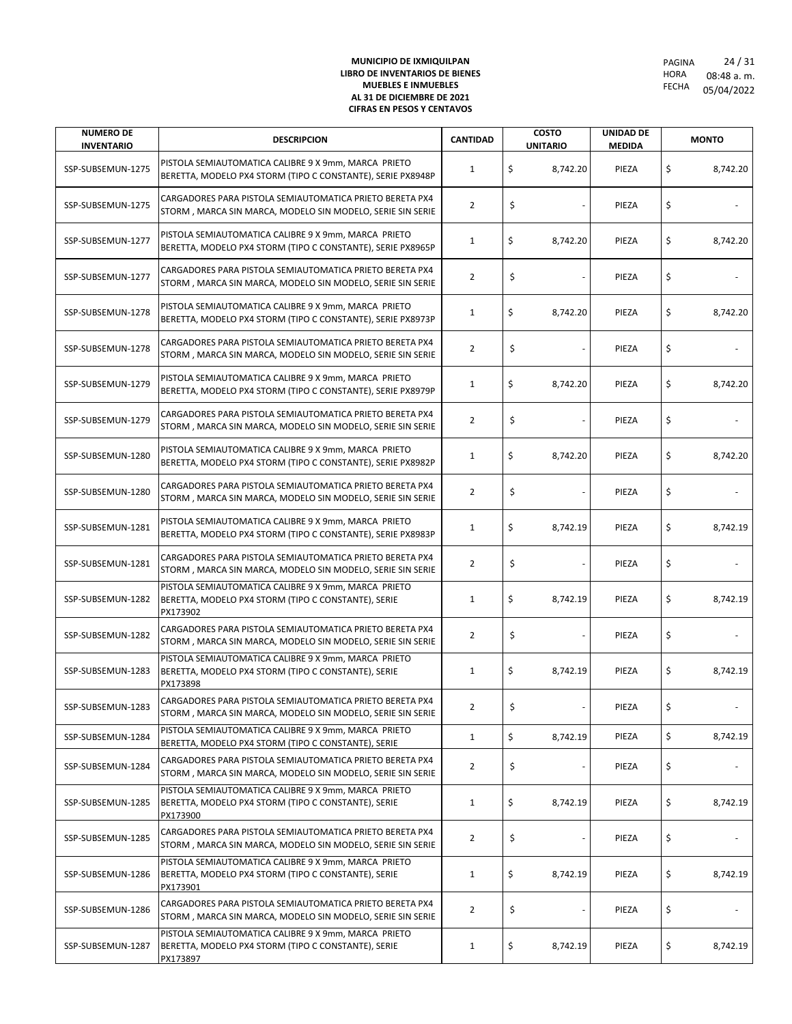| <b>NUMERO DE</b><br><b>INVENTARIO</b> | <b>DESCRIPCION</b>                                                                                                      | <b>CANTIDAD</b> | <b>COSTO</b><br><b>UNITARIO</b> | <b>UNIDAD DE</b><br><b>MEDIDA</b> |    | <b>MONTO</b> |
|---------------------------------------|-------------------------------------------------------------------------------------------------------------------------|-----------------|---------------------------------|-----------------------------------|----|--------------|
| SSP-SUBSEMUN-1275                     | PISTOLA SEMIAUTOMATICA CALIBRE 9 X 9mm, MARCA PRIETO<br>BERETTA, MODELO PX4 STORM (TIPO C CONSTANTE), SERIE PX8948P     | 1               | \$<br>8,742.20                  | PIEZA                             | \$ | 8,742.20     |
| SSP-SUBSEMUN-1275                     | CARGADORES PARA PISTOLA SEMIAUTOMATICA PRIETO BERETA PX4<br>STORM, MARCA SIN MARCA, MODELO SIN MODELO, SERIE SIN SERIE  | 2               | \$                              | PIEZA                             | \$ |              |
| SSP-SUBSEMUN-1277                     | PISTOLA SEMIAUTOMATICA CALIBRE 9 X 9mm, MARCA PRIETO<br>BERETTA, MODELO PX4 STORM (TIPO C CONSTANTE), SERIE PX8965P     | $\mathbf{1}$    | \$<br>8,742.20                  | PIEZA                             | \$ | 8,742.20     |
| SSP-SUBSEMUN-1277                     | CARGADORES PARA PISTOLA SEMIAUTOMATICA PRIETO BERETA PX4<br>STORM, MARCA SIN MARCA, MODELO SIN MODELO, SERIE SIN SERIE  | $\overline{2}$  | \$                              | PIEZA                             | \$ |              |
| SSP-SUBSEMUN-1278                     | PISTOLA SEMIAUTOMATICA CALIBRE 9 X 9mm, MARCA PRIETO<br>BERETTA, MODELO PX4 STORM (TIPO C CONSTANTE), SERIE PX8973P     | $\mathbf{1}$    | \$<br>8,742.20                  | PIEZA                             | \$ | 8,742.20     |
| SSP-SUBSEMUN-1278                     | CARGADORES PARA PISTOLA SEMIAUTOMATICA PRIETO BERETA PX4<br>STORM, MARCA SIN MARCA, MODELO SIN MODELO, SERIE SIN SERIE  | $\overline{2}$  | \$                              | PIEZA                             | \$ |              |
| SSP-SUBSEMUN-1279                     | PISTOLA SEMIAUTOMATICA CALIBRE 9 X 9mm, MARCA PRIETO<br>BERETTA, MODELO PX4 STORM (TIPO C CONSTANTE), SERIE PX8979P     | $\mathbf{1}$    | \$<br>8,742.20                  | PIEZA                             | \$ | 8,742.20     |
| SSP-SUBSEMUN-1279                     | CARGADORES PARA PISTOLA SEMIAUTOMATICA PRIETO BERETA PX4<br>STORM, MARCA SIN MARCA, MODELO SIN MODELO, SERIE SIN SERIE  | $\overline{2}$  | \$                              | PIEZA                             | \$ |              |
| SSP-SUBSEMUN-1280                     | PISTOLA SEMIAUTOMATICA CALIBRE 9 X 9mm, MARCA PRIETO<br>BERETTA, MODELO PX4 STORM (TIPO C CONSTANTE), SERIE PX8982P     | $\mathbf{1}$    | \$<br>8,742.20                  | PIEZA                             | \$ | 8,742.20     |
| SSP-SUBSEMUN-1280                     | CARGADORES PARA PISTOLA SEMIAUTOMATICA PRIETO BERETA PX4<br>STORM, MARCA SIN MARCA, MODELO SIN MODELO, SERIE SIN SERIE  | $\overline{2}$  | \$                              | PIEZA                             | \$ |              |
| SSP-SUBSEMUN-1281                     | PISTOLA SEMIAUTOMATICA CALIBRE 9 X 9mm, MARCA PRIETO<br>BERETTA, MODELO PX4 STORM (TIPO C CONSTANTE), SERIE PX8983P     | 1               | \$<br>8,742.19                  | PIEZA                             | \$ | 8,742.19     |
| SSP-SUBSEMUN-1281                     | CARGADORES PARA PISTOLA SEMIAUTOMATICA PRIETO BERETA PX4<br>STORM, MARCA SIN MARCA, MODELO SIN MODELO, SERIE SIN SERIE  | $\overline{2}$  | \$                              | PIEZA                             | \$ |              |
| SSP-SUBSEMUN-1282                     | PISTOLA SEMIAUTOMATICA CALIBRE 9 X 9mm, MARCA PRIETO<br>BERETTA, MODELO PX4 STORM (TIPO C CONSTANTE), SERIE<br>PX173902 | $\mathbf{1}$    | \$<br>8,742.19                  | PIEZA                             | \$ | 8,742.19     |
| SSP-SUBSEMUN-1282                     | CARGADORES PARA PISTOLA SEMIAUTOMATICA PRIETO BERETA PX4<br>STORM, MARCA SIN MARCA, MODELO SIN MODELO, SERIE SIN SERIE  | 2               | \$                              | PIEZA                             | \$ |              |
| SSP-SUBSEMUN-1283                     | PISTOLA SEMIAUTOMATICA CALIBRE 9 X 9mm, MARCA PRIETO<br>BERETTA, MODELO PX4 STORM (TIPO C CONSTANTE), SERIE<br>PX173898 | $\mathbf{1}$    | \$<br>8,742.19                  | PIEZA                             | \$ | 8,742.19     |
| SSP-SUBSEMUN-1283                     | CARGADORES PARA PISTOLA SEMIAUTOMATICA PRIETO BERETA PX4<br>STORM, MARCA SIN MARCA, MODELO SIN MODELO, SERIE SIN SERIE  |                 |                                 | PIEZA                             | Ş  |              |
| SSP-SUBSEMUN-1284                     | PISTOLA SEMIAUTOMATICA CALIBRE 9 X 9mm, MARCA PRIETO<br>BERETTA, MODELO PX4 STORM (TIPO C CONSTANTE), SERIE             | $\mathbf{1}$    | \$<br>8,742.19                  | PIEZA                             | \$ | 8,742.19     |
| SSP-SUBSEMUN-1284                     | CARGADORES PARA PISTOLA SEMIAUTOMATICA PRIETO BERETA PX4<br>STORM, MARCA SIN MARCA, MODELO SIN MODELO, SERIE SIN SERIE  | 2               | \$                              | PIEZA                             | \$ |              |
| SSP-SUBSEMUN-1285                     | PISTOLA SEMIAUTOMATICA CALIBRE 9 X 9mm, MARCA PRIETO<br>BERETTA, MODELO PX4 STORM (TIPO C CONSTANTE), SERIE<br>PX173900 | 1               | \$<br>8,742.19                  | PIEZA                             | \$ | 8,742.19     |
| SSP-SUBSEMUN-1285                     | CARGADORES PARA PISTOLA SEMIAUTOMATICA PRIETO BERETA PX4<br>STORM, MARCA SIN MARCA, MODELO SIN MODELO, SERIE SIN SERIE  | $\overline{2}$  | \$                              | PIEZA                             | \$ |              |
| SSP-SUBSEMUN-1286                     | PISTOLA SEMIAUTOMATICA CALIBRE 9 X 9mm, MARCA PRIETO<br>BERETTA, MODELO PX4 STORM (TIPO C CONSTANTE), SERIE<br>PX173901 | $\mathbf{1}$    | \$<br>8,742.19                  | PIEZA                             | \$ | 8,742.19     |
| SSP-SUBSEMUN-1286                     | CARGADORES PARA PISTOLA SEMIAUTOMATICA PRIETO BERETA PX4<br>STORM, MARCA SIN MARCA, MODELO SIN MODELO, SERIE SIN SERIE  | $\overline{2}$  | \$                              | PIEZA                             | \$ |              |
| SSP-SUBSEMUN-1287                     | PISTOLA SEMIAUTOMATICA CALIBRE 9 X 9mm, MARCA PRIETO<br>BERETTA, MODELO PX4 STORM (TIPO C CONSTANTE), SERIE<br>PX173897 | $\mathbf{1}$    | \$<br>8,742.19                  | PIEZA                             | \$ | 8,742.19     |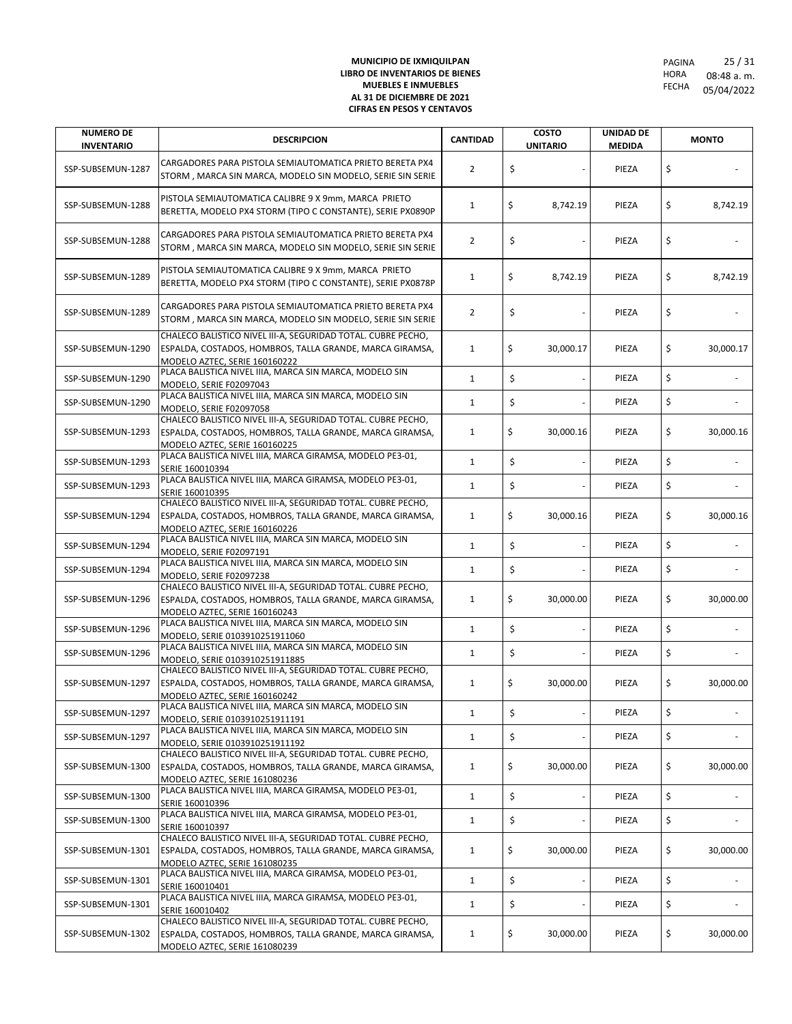| <b>NUMERO DE</b><br><b>INVENTARIO</b> | <b>DESCRIPCION</b>                                                                                                                                                                          | <b>CANTIDAD</b> | <b>COSTO</b><br><b>UNITARIO</b> | <b>UNIDAD DE</b><br><b>MEDIDA</b> | <b>MONTO</b>    |
|---------------------------------------|---------------------------------------------------------------------------------------------------------------------------------------------------------------------------------------------|-----------------|---------------------------------|-----------------------------------|-----------------|
| SSP-SUBSEMUN-1287                     | CARGADORES PARA PISTOLA SEMIAUTOMATICA PRIETO BERETA PX4<br>STORM, MARCA SIN MARCA, MODELO SIN MODELO, SERIE SIN SERIE                                                                      | 2               | \$                              | PIEZA                             | \$              |
| SSP-SUBSEMUN-1288                     | PISTOLA SEMIAUTOMATICA CALIBRE 9 X 9mm, MARCA PRIETO<br>BERETTA, MODELO PX4 STORM (TIPO C CONSTANTE), SERIE PX0890P                                                                         | 1               | \$<br>8,742.19                  | PIEZA                             | \$<br>8,742.19  |
| SSP-SUBSEMUN-1288                     | CARGADORES PARA PISTOLA SEMIAUTOMATICA PRIETO BERETA PX4<br>STORM, MARCA SIN MARCA, MODELO SIN MODELO, SERIE SIN SERIE                                                                      | $\overline{2}$  | \$                              | PIEZA                             | \$              |
| SSP-SUBSEMUN-1289                     | PISTOLA SEMIAUTOMATICA CALIBRE 9 X 9mm, MARCA PRIETO<br>BERETTA, MODELO PX4 STORM (TIPO C CONSTANTE), SERIE PX0878P                                                                         | 1               | \$<br>8,742.19                  | PIEZA                             | \$<br>8,742.19  |
| SSP-SUBSEMUN-1289                     | CARGADORES PARA PISTOLA SEMIAUTOMATICA PRIETO BERETA PX4<br>STORM, MARCA SIN MARCA, MODELO SIN MODELO, SERIE SIN SERIE                                                                      | 2               | \$                              | PIEZA                             | \$              |
| SSP-SUBSEMUN-1290                     | CHALECO BALISTICO NIVEL III-A, SEGURIDAD TOTAL. CUBRE PECHO,<br>ESPALDA, COSTADOS, HOMBROS, TALLA GRANDE, MARCA GIRAMSA,<br>MODELO AZTEC, SERIE 160160222                                   | 1               | \$<br>30,000.17                 | PIEZA                             | \$<br>30,000.17 |
| SSP-SUBSEMUN-1290                     | PLACA BALISTICA NIVEL IIIA, MARCA SIN MARCA, MODELO SIN<br>MODELO, SERIE F02097043                                                                                                          | $\mathbf{1}$    | \$                              | PIEZA                             | \$              |
| SSP-SUBSEMUN-1290                     | PLACA BALISTICA NIVEL IIIA, MARCA SIN MARCA, MODELO SIN<br>MODELO, SERIE F02097058                                                                                                          | $\mathbf{1}$    | \$                              | PIEZA                             | \$              |
| SSP-SUBSEMUN-1293                     | CHALECO BALISTICO NIVEL III-A, SEGURIDAD TOTAL. CUBRE PECHO,<br>ESPALDA, COSTADOS, HOMBROS, TALLA GRANDE, MARCA GIRAMSA,<br>MODELO AZTEC, SERIE 160160225                                   | $\mathbf{1}$    | \$<br>30,000.16                 | PIEZA                             | \$<br>30,000.16 |
| SSP-SUBSEMUN-1293                     | PLACA BALISTICA NIVEL IIIA, MARCA GIRAMSA, MODELO PE3-01,<br>SERIE 160010394                                                                                                                | $\mathbf{1}$    | \$                              | PIEZA                             | \$              |
| SSP-SUBSEMUN-1293                     | PLACA BALISTICA NIVEL IIIA, MARCA GIRAMSA, MODELO PE3-01,<br>SERIE 160010395                                                                                                                | $\mathbf{1}$    | \$                              | PIEZA                             | \$              |
| SSP-SUBSEMUN-1294                     | CHALECO BALISTICO NIVEL III-A, SEGURIDAD TOTAL. CUBRE PECHO,<br>ESPALDA, COSTADOS, HOMBROS, TALLA GRANDE, MARCA GIRAMSA,<br>MODELO AZTEC, SERIE 160160226                                   | $\mathbf{1}$    | \$<br>30,000.16                 | PIEZA                             | \$<br>30,000.16 |
| SSP-SUBSEMUN-1294                     | PLACA BALISTICA NIVEL IIIA, MARCA SIN MARCA, MODELO SIN<br>MODELO, SERIE F02097191                                                                                                          | $\mathbf{1}$    | \$                              | PIEZA                             | \$              |
| SSP-SUBSEMUN-1294                     | PLACA BALISTICA NIVEL IIIA, MARCA SIN MARCA, MODELO SIN<br>MODELO, SERIE F02097238                                                                                                          | $\mathbf{1}$    | \$                              | PIEZA                             | \$              |
| SSP-SUBSEMUN-1296                     | CHALECO BALISTICO NIVEL III-A, SEGURIDAD TOTAL. CUBRE PECHO,<br>ESPALDA, COSTADOS, HOMBROS, TALLA GRANDE, MARCA GIRAMSA,<br>MODELO AZTEC, SERIE 160160243                                   | $\mathbf{1}$    | \$<br>30,000.00                 | PIEZA                             | \$<br>30,000.00 |
| SSP-SUBSEMUN-1296                     | PLACA BALISTICA NIVEL IIIA, MARCA SIN MARCA, MODELO SIN<br>MODELO, SERIE 0103910251911060                                                                                                   | $\mathbf{1}$    | \$                              | PIEZA                             | \$              |
| SSP-SUBSEMUN-1296                     | PLACA BALISTICA NIVEL IIIA, MARCA SIN MARCA, MODELO SIN<br>MODELO, SERIE 0103910251911885                                                                                                   | $\mathbf{1}$    | \$                              | PIEZA                             | \$              |
| SSP-SUBSEMUN-1297                     | CHALECO BALISTICO NIVEL III-A, SEGURIDAD TOTAL. CUBRE PECHO,<br>ESPALDA, COSTADOS, HOMBROS, TALLA GRANDE, MARCA GIRAMSA,<br>MODELO AZTEC, SERIE 160160242                                   | 1               | \$<br>30,000.00                 | PIEZA                             | \$<br>30,000.00 |
| SSP-SUBSEMUN-1297                     | PLACA BALISTICA NIVEL IIIA, MARCA SIN MARCA, MODELO SIN<br>MODELO, SERIE 0103910251911191                                                                                                   | $\mathbf{1}$    | \$<br>$\overline{\phantom{a}}$  | PIEZA                             | \$              |
| SSP-SUBSEMUN-1297                     | PLACA BALISTICA NIVEL IIIA, MARCA SIN MARCA, MODELO SIN                                                                                                                                     | $\mathbf{1}$    | \$                              | PIEZA                             | \$              |
| SSP-SUBSEMUN-1300                     | MODELO, SERIE 0103910251911192<br>CHALECO BALISTICO NIVEL III-A, SEGURIDAD TOTAL. CUBRE PECHO,<br>ESPALDA, COSTADOS, HOMBROS, TALLA GRANDE, MARCA GIRAMSA,<br>MODELO AZTEC, SERIE 161080236 | 1               | \$<br>30,000.00                 | PIEZA                             | \$<br>30,000.00 |
| SSP-SUBSEMUN-1300                     | PLACA BALISTICA NIVEL IIIA, MARCA GIRAMSA, MODELO PE3-01,<br>SERIE 160010396                                                                                                                | $\mathbf{1}$    | \$                              | PIEZA                             | \$              |
| SSP-SUBSEMUN-1300                     | PLACA BALISTICA NIVEL IIIA, MARCA GIRAMSA, MODELO PE3-01,<br>SERIE 160010397                                                                                                                | $\mathbf{1}$    | \$                              | PIEZA                             | \$              |
| SSP-SUBSEMUN-1301                     | CHALECO BALISTICO NIVEL III-A, SEGURIDAD TOTAL. CUBRE PECHO,<br>ESPALDA, COSTADOS, HOMBROS, TALLA GRANDE, MARCA GIRAMSA,                                                                    | $\mathbf{1}$    | \$<br>30,000.00                 | PIEZA                             | \$<br>30,000.00 |
| SSP-SUBSEMUN-1301                     | MODELO AZTEC, SERIE 161080235<br>PLACA BALISTICA NIVEL IIIA, MARCA GIRAMSA, MODELO PE3-01,<br>SERIE 160010401                                                                               | $\mathbf{1}$    | \$                              | PIEZA                             | \$              |
| SSP-SUBSEMUN-1301                     | PLACA BALISTICA NIVEL IIIA, MARCA GIRAMSA, MODELO PE3-01,<br>SERIE 160010402                                                                                                                | $\mathbf{1}$    | \$                              | PIEZA                             | \$              |
| SSP-SUBSEMUN-1302                     | CHALECO BALISTICO NIVEL III-A, SEGURIDAD TOTAL. CUBRE PECHO,<br>ESPALDA, COSTADOS, HOMBROS, TALLA GRANDE, MARCA GIRAMSA,<br>MODELO AZTEC, SERIE 161080239                                   | $\mathbf{1}$    | \$<br>30,000.00                 | PIEZA                             | \$<br>30,000.00 |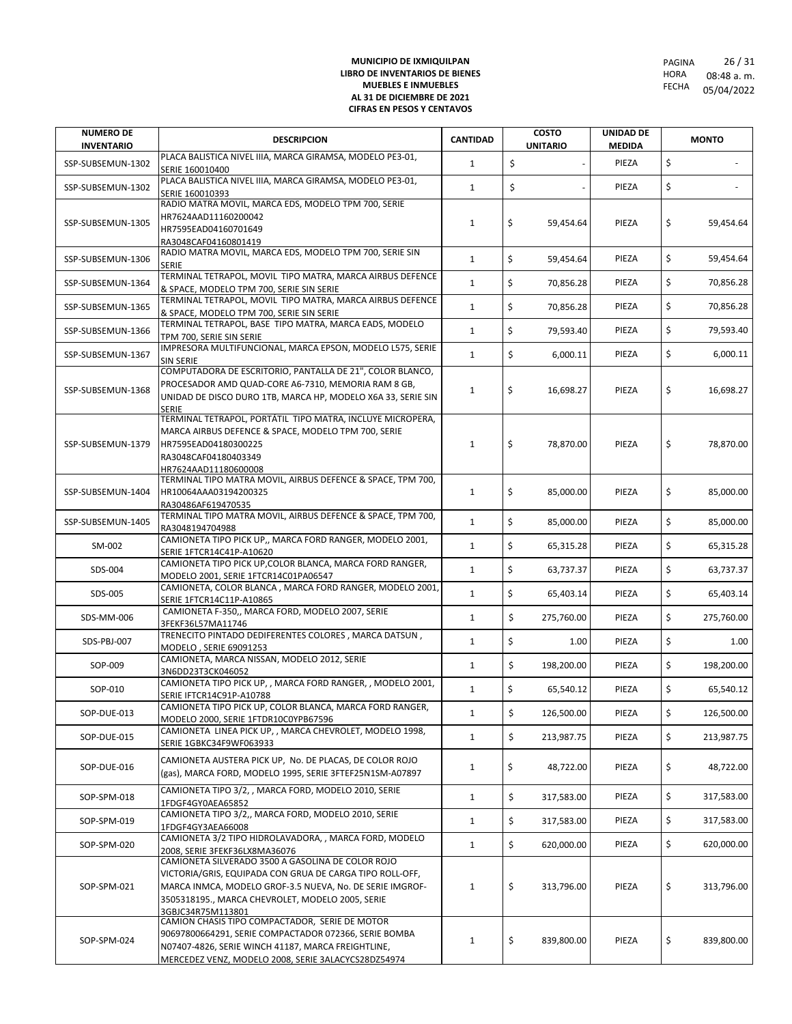| <b>NUMERO DE</b><br><b>INVENTARIO</b> | <b>DESCRIPCION</b>                                                                                                   | <b>CANTIDAD</b> | <b>COSTO</b><br><b>UNITARIO</b> | <b>UNIDAD DE</b><br><b>MEDIDA</b> | <b>MONTO</b>     |
|---------------------------------------|----------------------------------------------------------------------------------------------------------------------|-----------------|---------------------------------|-----------------------------------|------------------|
|                                       | PLACA BALISTICA NIVEL IIIA, MARCA GIRAMSA, MODELO PE3-01,                                                            |                 | \$                              | PIEZA                             | \$               |
| SSP-SUBSEMUN-1302                     | SERIE 160010400                                                                                                      | $\mathbf{1}$    |                                 |                                   |                  |
| SSP-SUBSEMUN-1302                     | PLACA BALISTICA NIVEL IIIA, MARCA GIRAMSA, MODELO PE3-01,<br>SERIE 160010393                                         | $\mathbf{1}$    | \$                              | PIEZA                             | \$               |
|                                       | RADIO MATRA MOVIL, MARCA EDS, MODELO TPM 700, SERIE                                                                  |                 |                                 |                                   |                  |
| SSP-SUBSEMUN-1305                     | HR7624AAD11160200042                                                                                                 | $\mathbf{1}$    | \$<br>59,454.64                 | PIEZA                             | \$<br>59,454.64  |
|                                       | HR7595EAD04160701649<br>RA3048CAF04160801419                                                                         |                 |                                 |                                   |                  |
| SSP-SUBSEMUN-1306                     | RADIO MATRA MOVIL, MARCA EDS, MODELO TPM 700, SERIE SIN                                                              | $\mathbf{1}$    | \$<br>59,454.64                 | PIEZA                             | \$<br>59,454.64  |
|                                       | <b>SERIE</b><br>TERMINAL TETRAPOL, MOVIL TIPO MATRA, MARCA AIRBUS DEFENCE                                            |                 |                                 |                                   |                  |
| SSP-SUBSEMUN-1364                     | & SPACE, MODELO TPM 700, SERIE SIN SERIE                                                                             | $\mathbf{1}$    | \$<br>70,856.28                 | PIEZA                             | \$<br>70,856.28  |
| SSP-SUBSEMUN-1365                     | TERMINAL TETRAPOL, MOVIL TIPO MATRA, MARCA AIRBUS DEFENCE                                                            | $\mathbf{1}$    | \$<br>70,856.28                 | PIEZA                             | \$<br>70,856.28  |
|                                       | & SPACE, MODELO TPM 700, SERIE SIN SERIE<br>TERMINAL TETRAPOL, BASE TIPO MATRA, MARCA EADS, MODELO                   |                 |                                 |                                   |                  |
| SSP-SUBSEMUN-1366                     | TPM 700, SERIE SIN SERIE                                                                                             | $\mathbf{1}$    | \$<br>79,593.40                 | PIEZA                             | \$<br>79,593.40  |
| SSP-SUBSEMUN-1367                     | IMPRESORA MULTIFUNCIONAL, MARCA EPSON, MODELO L575, SERIE                                                            | $\mathbf{1}$    | \$<br>6,000.11                  | PIEZA                             | \$<br>6,000.11   |
|                                       | <b>SIN SERIE</b><br>COMPUTADORA DE ESCRITORIO, PANTALLA DE 21", COLOR BLANCO,                                        |                 |                                 |                                   |                  |
| SSP-SUBSEMUN-1368                     | PROCESADOR AMD QUAD-CORE A6-7310, MEMORIA RAM 8 GB,                                                                  | 1               | \$<br>16,698.27                 | PIEZA                             | \$<br>16,698.27  |
|                                       | UNIDAD DE DISCO DURO 1TB, MARCA HP, MODELO X6A 33, SERIE SIN                                                         |                 |                                 |                                   |                  |
|                                       | <b>SERIE</b><br>TERMINAL TETRAPOL, PORTÁTIL TIPO MATRA, INCLUYE MICROPERA,                                           |                 |                                 |                                   |                  |
|                                       | MARCA AIRBUS DEFENCE & SPACE, MODELO TPM 700, SERIE                                                                  |                 |                                 |                                   |                  |
| SSP-SUBSEMUN-1379                     | HR7595EAD04180300225                                                                                                 | $\mathbf{1}$    | \$<br>78,870.00                 | PIEZA                             | \$<br>78,870.00  |
|                                       | RA3048CAF04180403349<br>HR7624AAD11180600008                                                                         |                 |                                 |                                   |                  |
|                                       | TERMINAL TIPO MATRA MOVIL, AIRBUS DEFENCE & SPACE, TPM 700,                                                          |                 |                                 |                                   |                  |
| SSP-SUBSEMUN-1404                     | HR10064AAA03194200325                                                                                                | $\mathbf{1}$    | \$<br>85.000.00                 | PIEZA                             | \$<br>85,000.00  |
|                                       | RA30486AF619470535<br>TERMINAL TIPO MATRA MOVIL, AIRBUS DEFENCE & SPACE, TPM 700,                                    |                 |                                 |                                   |                  |
| SSP-SUBSEMUN-1405                     | RA3048194704988                                                                                                      | $\mathbf{1}$    | \$<br>85,000.00                 | PIEZA                             | \$<br>85,000.00  |
| SM-002                                | CAMIONETA TIPO PICK UP,, MARCA FORD RANGER, MODELO 2001,                                                             | $\mathbf{1}$    | \$<br>65,315.28                 | PIEZA                             | \$<br>65,315.28  |
|                                       | SERIE 1FTCR14C41P-A10620<br>CAMIONETA TIPO PICK UP, COLOR BLANCA, MARCA FORD RANGER,                                 |                 |                                 |                                   |                  |
| SDS-004                               | MODELO 2001, SERIE 1FTCR14C01PA06547                                                                                 | $\mathbf{1}$    | \$<br>63,737.37                 | PIEZA                             | \$<br>63,737.37  |
| SDS-005                               | CAMIONETA, COLOR BLANCA, MARCA FORD RANGER, MODELO 2001,                                                             | $\mathbf{1}$    | \$<br>65,403.14                 | PIEZA                             | \$<br>65,403.14  |
|                                       | SERIE 1FTCR14C11P-A10865<br>CAMIONETA F-350,, MARCA FORD, MODELO 2007, SERIE                                         |                 |                                 |                                   |                  |
| SDS-MM-006                            | 3FEKF36L57MA11746                                                                                                    | $\mathbf{1}$    | \$<br>275,760.00                | PIEZA                             | \$<br>275,760.00 |
| SDS-PBJ-007                           | TRENECITO PINTADO DEDIFERENTES COLORES, MARCA DATSUN,                                                                | $\mathbf{1}$    | \$<br>1.00                      | PIEZA                             | \$<br>1.00       |
|                                       | MODELO, SERIE 69091253<br>CAMIONETA, MARCA NISSAN, MODELO 2012, SERIE                                                |                 |                                 |                                   |                  |
| SOP-009                               | 3N6DD23T3CK046052                                                                                                    | $\mathbf{1}$    | \$<br>198,200.00                | PIEZA                             | \$<br>198,200.00 |
| SOP-010                               | CAMIONETA TIPO PICK UP, , MARCA FORD RANGER, , MODELO 2001,<br>SERIE IFTCR14C91P-A10788                              | $\mathbf{1}$    | \$<br>65,540.12                 | PIEZA                             | \$<br>65,540.12  |
|                                       | CAMIONETA TIPO PICK UP, COLOR BLANCA, MARCA FORD RANGER,                                                             |                 |                                 |                                   |                  |
| SOP-DUE-013                           | MODELO 2000, SERIE 1FTDR10C0YPB67596                                                                                 | $\mathbf{1}$    | \$<br>126,500.00                | PIEZA                             | \$<br>126,500.00 |
| SOP-DUE-015                           | CAMIONETA LINEA PICK UP, , MARCA CHEVROLET, MODELO 1998,<br>SERIE 1GBKC34F9WF063933                                  | $\mathbf{1}$    | \$<br>213,987.75                | PIEZA                             | \$<br>213,987.75 |
|                                       |                                                                                                                      |                 |                                 |                                   |                  |
| SOP-DUE-016                           | CAMIONETA AUSTERA PICK UP, No. DE PLACAS, DE COLOR ROJO<br>(gas), MARCA FORD, MODELO 1995, SERIE 3FTEF25N1SM-A07897  | $\mathbf{1}$    | \$<br>48,722.00                 | PIEZA                             | \$<br>48,722.00  |
|                                       | CAMIONETA TIPO 3/2, , MARCA FORD, MODELO 2010, SERIE                                                                 |                 |                                 |                                   |                  |
| SOP-SPM-018                           | 1FDGF4GY0AEA65852                                                                                                    | $\mathbf{1}$    | \$<br>317,583.00                | PIEZA                             | \$<br>317,583.00 |
| SOP-SPM-019                           | CAMIONETA TIPO 3/2,, MARCA FORD, MODELO 2010, SERIE                                                                  | 1               | \$<br>317,583.00                | PIEZA                             | \$<br>317,583.00 |
|                                       | 1FDGF4GY3AEA66008<br>CAMIONETA 3/2 TIPO HIDROLAVADORA, , MARCA FORD, MODELO                                          |                 |                                 |                                   |                  |
| SOP-SPM-020                           | 2008, SERIE 3FEKF36LX8MA36076                                                                                        | $\mathbf{1}$    | \$<br>620,000.00                | PIEZA                             | \$<br>620,000.00 |
|                                       | CAMIONETA SILVERADO 3500 A GASOLINA DE COLOR ROJO                                                                    |                 |                                 |                                   |                  |
| SOP-SPM-021                           | VICTORIA/GRIS, EQUIPADA CON GRUA DE CARGA TIPO ROLL-OFF,<br>MARCA INMCA, MODELO GROF-3.5 NUEVA, No. DE SERIE IMGROF- | $\mathbf{1}$    | \$<br>313,796.00                | PIEZA                             | \$<br>313,796.00 |
|                                       | 3505318195., MARCA CHEVROLET, MODELO 2005, SERIE                                                                     |                 |                                 |                                   |                  |
|                                       | 3GBJC34R75M113801                                                                                                    |                 |                                 |                                   |                  |
|                                       | CAMION CHASIS TIPO COMPACTADOR, SERIE DE MOTOR<br>90697800664291, SERIE COMPACTADOR 072366, SERIE BOMBA              |                 |                                 |                                   |                  |
| SOP-SPM-024                           | N07407-4826, SERIE WINCH 41187, MARCA FREIGHTLINE,                                                                   | $\mathbf{1}$    | \$<br>839,800.00                | PIEZA                             | \$<br>839,800.00 |
|                                       | MERCEDEZ VENZ, MODELO 2008, SERIE 3ALACYCS28DZ54974                                                                  |                 |                                 |                                   |                  |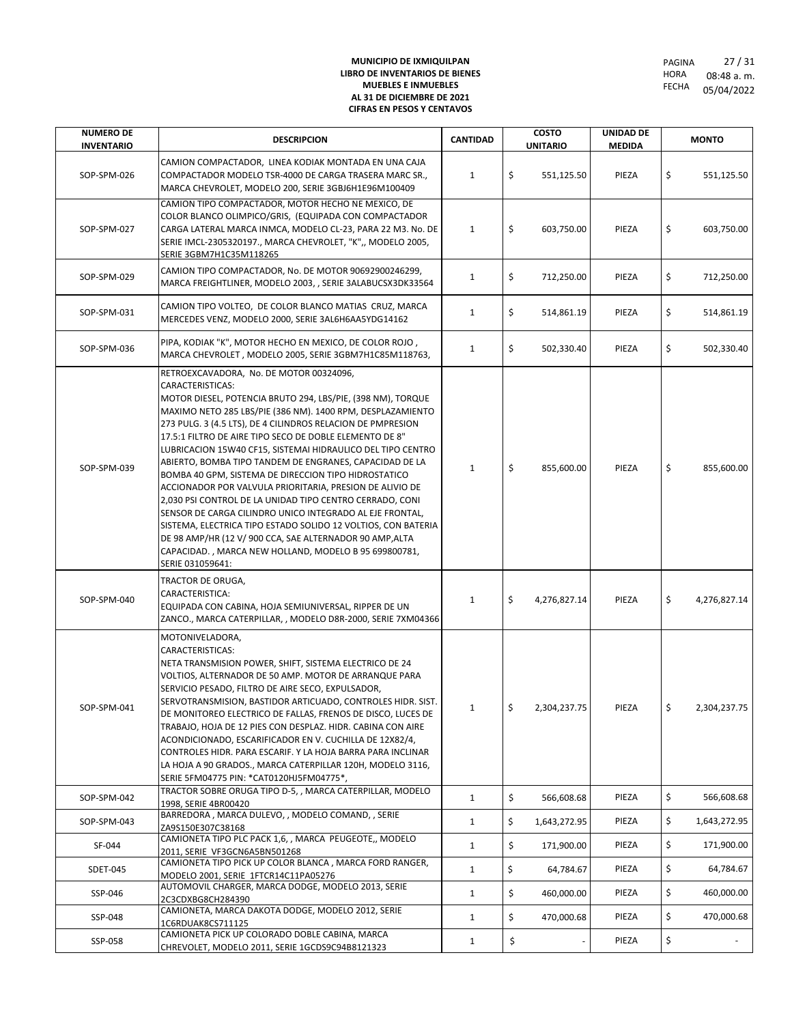| <b>NUMERO DE</b><br><b>INVENTARIO</b> | <b>DESCRIPCION</b>                                                                                                                                                                                                                                                                                                                                                                                                                                                                                                                                                                                                                                                                                                                                                                                                                                                                                 | <b>CANTIDAD</b> | <b>COSTO</b><br><b>UNITARIO</b> | <b>UNIDAD DE</b><br><b>MEDIDA</b> | <b>MONTO</b>       |
|---------------------------------------|----------------------------------------------------------------------------------------------------------------------------------------------------------------------------------------------------------------------------------------------------------------------------------------------------------------------------------------------------------------------------------------------------------------------------------------------------------------------------------------------------------------------------------------------------------------------------------------------------------------------------------------------------------------------------------------------------------------------------------------------------------------------------------------------------------------------------------------------------------------------------------------------------|-----------------|---------------------------------|-----------------------------------|--------------------|
| SOP-SPM-026                           | CAMION COMPACTADOR, LINEA KODIAK MONTADA EN UNA CAJA<br>COMPACTADOR MODELO TSR-4000 DE CARGA TRASERA MARC SR.,<br>MARCA CHEVROLET, MODELO 200, SERIE 3GBJ6H1E96M100409                                                                                                                                                                                                                                                                                                                                                                                                                                                                                                                                                                                                                                                                                                                             | $\mathbf{1}$    | \$<br>551,125.50                | PIEZA                             | \$<br>551,125.50   |
| SOP-SPM-027                           | CAMION TIPO COMPACTADOR, MOTOR HECHO NE MEXICO, DE<br>COLOR BLANCO OLIMPICO/GRIS, (EQUIPADA CON COMPACTADOR<br>CARGA LATERAL MARCA INMCA, MODELO CL-23, PARA 22 M3. No. DE<br>SERIE IMCL-2305320197., MARCA CHEVROLET, "K",, MODELO 2005,<br>SERIE 3GBM7H1C35M118265                                                                                                                                                                                                                                                                                                                                                                                                                                                                                                                                                                                                                               | 1               | \$<br>603,750.00                | PIEZA                             | \$<br>603,750.00   |
| SOP-SPM-029                           | CAMION TIPO COMPACTADOR, No. DE MOTOR 90692900246299,<br>MARCA FREIGHTLINER, MODELO 2003, , SERIE 3ALABUCSX3DK33564                                                                                                                                                                                                                                                                                                                                                                                                                                                                                                                                                                                                                                                                                                                                                                                | $\mathbf{1}$    | \$<br>712,250.00                | PIEZA                             | \$<br>712,250.00   |
| SOP-SPM-031                           | CAMION TIPO VOLTEO, DE COLOR BLANCO MATIAS CRUZ, MARCA<br>MERCEDES VENZ, MODELO 2000, SERIE 3AL6H6AA5YDG14162                                                                                                                                                                                                                                                                                                                                                                                                                                                                                                                                                                                                                                                                                                                                                                                      | $\mathbf{1}$    | \$<br>514,861.19                | PIEZA                             | \$<br>514,861.19   |
| SOP-SPM-036                           | PIPA, KODIAK "K", MOTOR HECHO EN MEXICO, DE COLOR ROJO,<br>MARCA CHEVROLET, MODELO 2005, SERIE 3GBM7H1C85M118763,                                                                                                                                                                                                                                                                                                                                                                                                                                                                                                                                                                                                                                                                                                                                                                                  | $\mathbf{1}$    | \$<br>502,330.40                | PIEZA                             | \$<br>502,330.40   |
| SOP-SPM-039                           | RETROEXCAVADORA, No. DE MOTOR 00324096,<br>CARACTERISTICAS:<br>MOTOR DIESEL, POTENCIA BRUTO 294, LBS/PIE, (398 NM), TORQUE<br>MAXIMO NETO 285 LBS/PIE (386 NM). 1400 RPM, DESPLAZAMIENTO<br>273 PULG. 3 (4.5 LTS), DE 4 CILINDROS RELACION DE PMPRESION<br>17.5:1 FILTRO DE AIRE TIPO SECO DE DOBLE ELEMENTO DE 8"<br>LUBRICACION 15W40 CF15, SISTEMAI HIDRAULICO DEL TIPO CENTRO<br>ABIERTO, BOMBA TIPO TANDEM DE ENGRANES, CAPACIDAD DE LA<br>BOMBA 40 GPM, SISTEMA DE DIRECCION TIPO HIDROSTATICO<br>ACCIONADOR POR VALVULA PRIORITARIA, PRESION DE ALIVIO DE<br>2,030 PSI CONTROL DE LA UNIDAD TIPO CENTRO CERRADO, CONI<br>SENSOR DE CARGA CILINDRO UNICO INTEGRADO AL EJE FRONTAL,<br>SISTEMA, ELECTRICA TIPO ESTADO SOLIDO 12 VOLTIOS, CON BATERIA<br>DE 98 AMP/HR (12 V/ 900 CCA, SAE ALTERNADOR 90 AMP, ALTA<br>CAPACIDAD., MARCA NEW HOLLAND, MODELO B 95 699800781,<br>SERIE 031059641: | $\mathbf{1}$    | \$<br>855,600.00                | PIEZA                             | \$<br>855,600.00   |
| SOP-SPM-040                           | TRACTOR DE ORUGA,<br>CARACTERISTICA:<br>EQUIPADA CON CABINA, HOJA SEMIUNIVERSAL, RIPPER DE UN<br>ZANCO., MARCA CATERPILLAR, , MODELO D8R-2000, SERIE 7XM04366                                                                                                                                                                                                                                                                                                                                                                                                                                                                                                                                                                                                                                                                                                                                      | $\mathbf{1}$    | \$<br>4,276,827.14              | PIEZA                             | \$<br>4,276,827.14 |
| SOP-SPM-041                           | MOTONIVELADORA,<br>CARACTERISTICAS:<br>NETA TRANSMISION POWER, SHIFT, SISTEMA ELECTRICO DE 24<br>VOLTIOS, ALTERNADOR DE 50 AMP. MOTOR DE ARRANQUE PARA<br>SERVICIO PESADO, FILTRO DE AIRE SECO, EXPULSADOR,<br>SERVOTRANSMISION, BASTIDOR ARTICUADO, CONTROLES HIDR. SIST.<br>DE MONITOREO ELECTRICO DE FALLAS, FRENOS DE DISCO, LUCES DE<br>TRABAJO, HOJA DE 12 PIES CON DESPLAZ. HIDR. CABINA CON AIRE<br>ACONDICIONADO, ESCARIFICADOR EN V. CUCHILLA DE 12X82/4,<br>CONTROLES HIDR. PARA ESCARIF. Y LA HOJA BARRA PARA INCLINAR<br>LA HOJA A 90 GRADOS., MARCA CATERPILLAR 120H, MODELO 3116,<br>SERIE 5FM04775 PIN: * CAT0120HJ5FM04775*,                                                                                                                                                                                                                                                      |                 | $\zeta$<br>2,304,237.75         | PIEZA                             | \$<br>2,304,237.75 |
| SOP-SPM-042                           | TRACTOR SOBRE ORUGA TIPO D-5, , MARCA CATERPILLAR, MODELO<br>1998, SERIE 4BR00420                                                                                                                                                                                                                                                                                                                                                                                                                                                                                                                                                                                                                                                                                                                                                                                                                  | $\mathbf{1}$    | \$<br>566,608.68                | PIEZA                             | \$<br>566,608.68   |
| SOP-SPM-043                           | BARREDORA, MARCA DULEVO,, MODELO COMAND,, SERIE<br>ZA9S150E307C38168                                                                                                                                                                                                                                                                                                                                                                                                                                                                                                                                                                                                                                                                                                                                                                                                                               | $\mathbf{1}$    | \$<br>1,643,272.95              | PIEZA                             | \$<br>1,643,272.95 |
| SF-044                                | CAMIONETA TIPO PLC PACK 1,6, , MARCA PEUGEOTE,, MODELO<br>2011, SERIE VF3GCN6A5BN501268                                                                                                                                                                                                                                                                                                                                                                                                                                                                                                                                                                                                                                                                                                                                                                                                            | $\mathbf{1}$    | \$<br>171,900.00                | PIEZA                             | \$<br>171,900.00   |
| SDET-045                              | CAMIONETA TIPO PICK UP COLOR BLANCA, MARCA FORD RANGER,<br>MODELO 2001, SERIE 1FTCR14C11PA05276                                                                                                                                                                                                                                                                                                                                                                                                                                                                                                                                                                                                                                                                                                                                                                                                    | $\mathbf{1}$    | \$<br>64,784.67                 | PIEZA                             | \$<br>64,784.67    |
| SSP-046                               | AUTOMOVIL CHARGER, MARCA DODGE, MODELO 2013, SERIE<br>2C3CDXBG8CH284390                                                                                                                                                                                                                                                                                                                                                                                                                                                                                                                                                                                                                                                                                                                                                                                                                            | $\mathbf{1}$    | \$<br>460,000.00                | PIEZA                             | \$<br>460,000.00   |
| SSP-048                               | CAMIONETA, MARCA DAKOTA DODGE, MODELO 2012, SERIE<br>1C6RDUAK8CS711125                                                                                                                                                                                                                                                                                                                                                                                                                                                                                                                                                                                                                                                                                                                                                                                                                             | $\mathbf{1}$    | \$<br>470,000.68                | PIEZA                             | \$<br>470,000.68   |
| SSP-058                               | CAMIONETA PICK UP COLORADO DOBLE CABINA, MARCA<br>CHREVOLET, MODELO 2011, SERIE 1GCDS9C94B8121323                                                                                                                                                                                                                                                                                                                                                                                                                                                                                                                                                                                                                                                                                                                                                                                                  | $\mathbf{1}$    | \$                              | PIEZA                             | \$                 |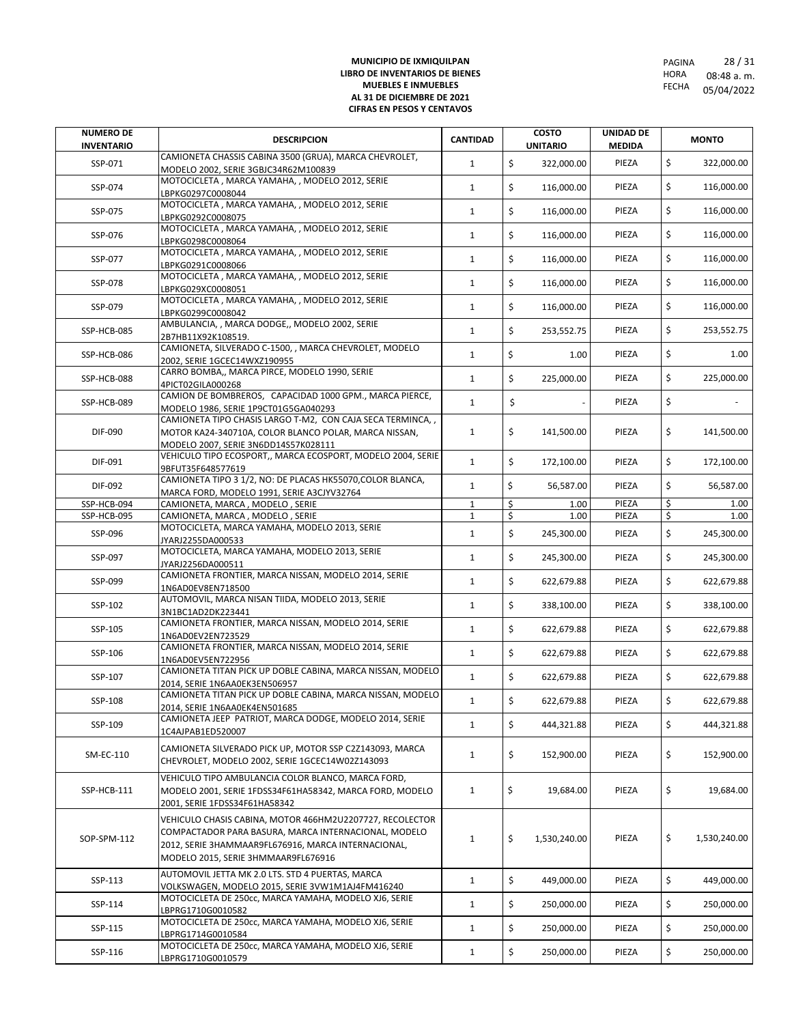| <b>NUMERO DE</b><br><b>INVENTARIO</b> | <b>DESCRIPCION</b>                                                                                                                                                                                             | <b>CANTIDAD</b>              | <b>COSTO</b><br><b>UNITARIO</b> | UNIDAD DE<br><b>MEDIDA</b> |          | <b>MONTO</b>       |
|---------------------------------------|----------------------------------------------------------------------------------------------------------------------------------------------------------------------------------------------------------------|------------------------------|---------------------------------|----------------------------|----------|--------------------|
| SSP-071                               | CAMIONETA CHASSIS CABINA 3500 (GRUA), MARCA CHEVROLET,<br>MODELO 2002, SERIE 3GBJC34R62M100839                                                                                                                 | $\mathbf{1}$                 | \$<br>322,000.00                | PIEZA                      | \$       | 322,000.00         |
| SSP-074                               | MOTOCICLETA, MARCA YAMAHA, , MODELO 2012, SERIE<br>LBPKG0297C0008044                                                                                                                                           | $\mathbf{1}$                 | \$<br>116,000.00                | PIEZA                      | \$       | 116,000.00         |
| SSP-075                               | MOTOCICLETA, MARCA YAMAHA, , MODELO 2012, SERIE<br>LBPKG0292C0008075                                                                                                                                           | $\mathbf{1}$                 | \$<br>116,000.00                | PIEZA                      | \$       | 116,000.00         |
| SSP-076                               | MOTOCICLETA, MARCA YAMAHA, , MODELO 2012, SERIE<br>LBPKG0298C0008064                                                                                                                                           | $\mathbf{1}$                 | \$<br>116,000.00                | PIEZA                      | \$       | 116,000.00         |
| SSP-077                               | MOTOCICLETA, MARCA YAMAHA, , MODELO 2012, SERIE<br>LBPKG0291C0008066                                                                                                                                           | $\mathbf{1}$                 | \$<br>116,000.00                | PIEZA                      | \$       | 116,000.00         |
| SSP-078                               | MOTOCICLETA, MARCA YAMAHA, , MODELO 2012, SERIE<br>LBPKG029XC0008051                                                                                                                                           | $\mathbf{1}$                 | \$<br>116,000.00                | PIEZA                      | \$       | 116,000.00         |
| SSP-079                               | MOTOCICLETA, MARCA YAMAHA, , MODELO 2012, SERIE<br>LBPKG0299C0008042                                                                                                                                           | $\mathbf{1}$                 | \$<br>116,000.00                | PIEZA                      | \$       | 116,000.00         |
| SSP-HCB-085                           | AMBULANCIA, , MARCA DODGE,, MODELO 2002, SERIE<br>2B7HB11X92K108519.                                                                                                                                           | $\mathbf{1}$                 | \$<br>253,552.75                | PIEZA                      | \$       | 253,552.75         |
| SSP-HCB-086                           | CAMIONETA, SILVERADO C-1500, , MARCA CHEVROLET, MODELO                                                                                                                                                         | $\mathbf{1}$                 | \$<br>1.00                      | PIEZA                      | \$       | 1.00               |
| SSP-HCB-088                           | 2002, SERIE 1GCEC14WXZ190955<br>CARRO BOMBA,, MARCA PIRCE, MODELO 1990, SERIE                                                                                                                                  | $\mathbf{1}$                 | \$<br>225,000.00                | PIEZA                      | \$       | 225,000.00         |
| SSP-HCB-089                           | 4PICT02GILA000268<br>CAMION DE BOMBREROS, CAPACIDAD 1000 GPM., MARCA PIERCE,                                                                                                                                   | $\mathbf{1}$                 | \$                              | PIEZA                      | \$       |                    |
| DIF-090                               | MODELO 1986. SERIE 1P9CT01G5GA040293<br>CAMIONETA TIPO CHASIS LARGO T-M2, CON CAJA SECA TERMINCA, ,<br>MOTOR KA24-340710A, COLOR BLANCO POLAR, MARCA NISSAN,                                                   | $\mathbf{1}$                 | \$                              |                            | \$       |                    |
|                                       | MODELO 2007. SERIE 3N6DD14S57K028111                                                                                                                                                                           |                              | 141,500.00                      | PIEZA                      |          | 141,500.00         |
| DIF-091                               | VEHICULO TIPO ECOSPORT,, MARCA ECOSPORT, MODELO 2004, SERIE<br>9BFUT35F648577619                                                                                                                               | $\mathbf{1}$                 | \$<br>172,100.00                | PIEZA                      | \$       | 172,100.00         |
| DIF-092                               | CAMIONETA TIPO 3 1/2, NO: DE PLACAS HK55070, COLOR BLANCA,<br>MARCA FORD, MODELO 1991, SERIE A3CJYV32764                                                                                                       | $\mathbf{1}$                 | \$<br>56,587.00                 | PIEZA                      | \$       | 56,587.00          |
| SSP-HCB-094<br>SSP-HCB-095            | CAMIONETA, MARCA, MODELO, SERIE                                                                                                                                                                                | $\mathbf{1}$                 | \$<br>1.00<br>Ś                 | PIEZA                      | \$<br>\$ | 1.00               |
| SSP-096                               | CAMIONETA, MARCA, MODELO, SERIE<br>MOTOCICLETA, MARCA YAMAHA, MODELO 2013, SERIE                                                                                                                               | $\mathbf{1}$<br>$\mathbf{1}$ | 1.00<br>\$<br>245,300.00        | PIEZA<br>PIEZA             | \$       | 1.00<br>245,300.00 |
| SSP-097                               | JYARJ2255DA000533<br>MOTOCICLETA, MARCA YAMAHA, MODELO 2013, SERIE                                                                                                                                             | $\mathbf{1}$                 | \$<br>245,300.00                | PIEZA                      | \$       | 245,300.00         |
| SSP-099                               | JYARJ2256DA000511<br>CAMIONETA FRONTIER, MARCA NISSAN, MODELO 2014, SERIE<br>1N6AD0EV8EN718500                                                                                                                 | $\mathbf{1}$                 | \$<br>622,679.88                | PIEZA                      | \$       | 622,679.88         |
| SSP-102                               | AUTOMOVIL, MARCA NISAN TIIDA, MODELO 2013, SERIE<br>3N1BC1AD2DK223441                                                                                                                                          | $\mathbf{1}$                 | \$<br>338,100.00                | PIEZA                      | \$       | 338,100.00         |
| SSP-105                               | CAMIONETA FRONTIER, MARCA NISSAN, MODELO 2014, SERIE<br>1N6AD0EV2EN723529                                                                                                                                      | $\mathbf{1}$                 | \$<br>622,679.88                | PIEZA                      | \$       | 622,679.88         |
| SSP-106                               | CAMIONETA FRONTIER, MARCA NISSAN, MODELO 2014, SERIE<br>1N6AD0EV5EN722956                                                                                                                                      | $\mathbf{1}$                 | \$<br>622,679.88                | PIEZA                      | \$       | 622,679.88         |
| SSP-107                               | CAMIONETA TITAN PICK UP DOBLE CABINA, MARCA NISSAN, MODELO                                                                                                                                                     | $\mathbf{1}$                 | \$<br>622,679.88                | PIEZA                      | \$       | 622,679.88         |
| SSP-108                               | 2014, SERIE 1N6AA0EK3EN506957<br>CAMIONETA TITAN PICK UP DOBLE CABINA, MARCA NISSAN, MODELO                                                                                                                    | $\mathbf{1}$                 | \$<br>622,679.88                | PIEZA                      | \$       | 622,679.88         |
| SSP-109                               | 2014, SERIE 1N6AA0EK4EN501685<br>CAMIONETA JEEP PATRIOT, MARCA DODGE, MODELO 2014, SERIE                                                                                                                       | $\mathbf{1}$                 | \$<br>444,321.88                | PIEZA                      | \$       | 444,321.88         |
| SM-EC-110                             | 1C4AJPAB1ED520007<br>CAMIONETA SILVERADO PICK UP, MOTOR SSP C2Z143093, MARCA<br>CHEVROLET, MODELO 2002, SERIE 1GCEC14W02Z143093                                                                                | $\mathbf{1}$                 | \$<br>152,900.00                | PIEZA                      | \$       | 152,900.00         |
|                                       | VEHICULO TIPO AMBULANCIA COLOR BLANCO, MARCA FORD,                                                                                                                                                             |                              |                                 |                            |          |                    |
| SSP-HCB-111                           | MODELO 2001, SERIE 1FDSS34F61HA58342, MARCA FORD, MODELO<br>2001, SERIE 1FDSS34F61HA58342                                                                                                                      | $\mathbf{1}$                 | \$<br>19,684.00                 | PIEZA                      | \$       | 19,684.00          |
| SOP-SPM-112                           | VEHICULO CHASIS CABINA, MOTOR 466HM2U2207727, RECOLECTOR<br>COMPACTADOR PARA BASURA, MARCA INTERNACIONAL, MODELO<br>2012, SERIE 3HAMMAAR9FL676916, MARCA INTERNACIONAL,<br>MODELO 2015, SERIE 3HMMAAR9FL676916 | $\mathbf{1}$                 | \$<br>1,530,240.00              | PIEZA                      | \$       | 1,530,240.00       |
| SSP-113                               | AUTOMOVIL JETTA MK 2.0 LTS. STD 4 PUERTAS, MARCA<br>VOLKSWAGEN, MODELO 2015, SERIE 3VW1M1AJ4FM416240                                                                                                           | $\mathbf{1}$                 | \$<br>449,000.00                | PIEZA                      | \$       | 449,000.00         |
| SSP-114                               | MOTOCICLETA DE 250cc, MARCA YAMAHA, MODELO XJ6, SERIE<br>LBPRG1710G0010582                                                                                                                                     | $\mathbf{1}$                 | \$<br>250,000.00                | PIEZA                      | \$       | 250,000.00         |
| SSP-115                               | MOTOCICLETA DE 250cc, MARCA YAMAHA, MODELO XJ6, SERIE<br>LBPRG1714G0010584                                                                                                                                     | $\mathbf{1}$                 | \$<br>250,000.00                | PIEZA                      | \$       | 250,000.00         |
| SSP-116                               | MOTOCICLETA DE 250cc, MARCA YAMAHA, MODELO XJ6, SERIE<br>LBPRG1710G0010579                                                                                                                                     | $\mathbf{1}$                 | \$<br>250,000.00                | PIEZA                      | \$       | 250,000.00         |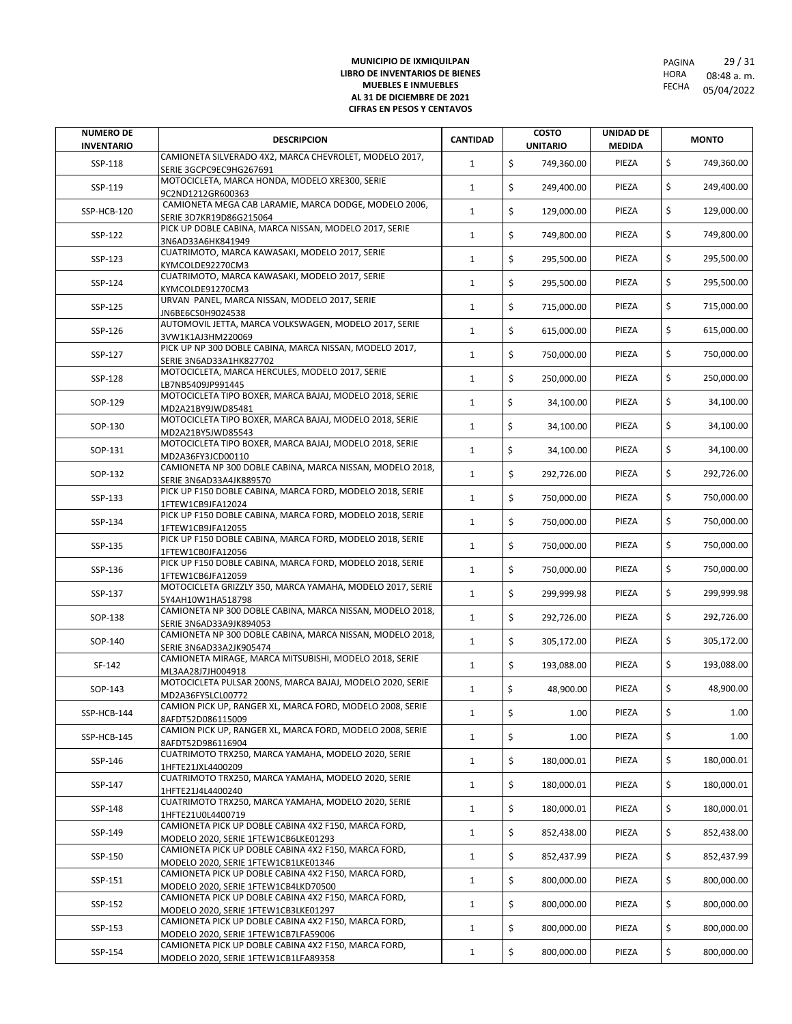| <b>NUMERO DE</b><br><b>INVENTARIO</b> | <b>DESCRIPCION</b>                                                                           | <b>CANTIDAD</b> | <b>COSTO</b><br><b>UNITARIO</b> | <b>UNIDAD DE</b><br><b>MEDIDA</b> | <b>MONTO</b>     |
|---------------------------------------|----------------------------------------------------------------------------------------------|-----------------|---------------------------------|-----------------------------------|------------------|
| SSP-118                               | CAMIONETA SILVERADO 4X2, MARCA CHEVROLET, MODELO 2017,<br>SERIE 3GCPC9EC9HG267691            | $\mathbf{1}$    | \$<br>749,360.00                | PIEZA                             | \$<br>749,360.00 |
| SSP-119                               | MOTOCICLETA, MARCA HONDA, MODELO XRE300, SERIE<br>9C2ND1212GR600363                          | $\mathbf{1}$    | \$<br>249,400.00                | PIEZA                             | \$<br>249,400.00 |
| SSP-HCB-120                           | CAMIONETA MEGA CAB LARAMIE, MARCA DODGE, MODELO 2006,<br>SERIE 3D7KR19D86G215064             | $\mathbf{1}$    | \$<br>129,000.00                | PIEZA                             | \$<br>129,000.00 |
| SSP-122                               | PICK UP DOBLE CABINA, MARCA NISSAN, MODELO 2017, SERIE<br>3N6AD33A6HK841949                  | $\mathbf{1}$    | \$<br>749,800.00                | PIEZA                             | \$<br>749,800.00 |
| SSP-123                               | CUATRIMOTO, MARCA KAWASAKI, MODELO 2017, SERIE<br>KYMCOLDE92270CM3                           | $\mathbf{1}$    | \$<br>295,500.00                | PIEZA                             | \$<br>295,500.00 |
| SSP-124                               | CUATRIMOTO, MARCA KAWASAKI, MODELO 2017, SERIE<br>KYMCOLDE91270CM3                           | $\mathbf{1}$    | \$<br>295,500.00                | PIEZA                             | \$<br>295,500.00 |
| SSP-125                               | URVAN PANEL, MARCA NISSAN, MODELO 2017, SERIE<br>JN6BE6CS0H9024538                           | $\mathbf{1}$    | \$<br>715,000.00                | PIEZA                             | \$<br>715,000.00 |
| SSP-126                               | AUTOMOVIL JETTA, MARCA VOLKSWAGEN, MODELO 2017, SERIE<br>3VW1K1AJ3HM220069                   | $\mathbf{1}$    | \$<br>615,000.00                | PIEZA                             | \$<br>615,000.00 |
| SSP-127                               | PICK UP NP 300 DOBLE CABINA, MARCA NISSAN, MODELO 2017,<br>SERIE 3N6AD33A1HK827702           | $\mathbf{1}$    | \$<br>750,000.00                | PIEZA                             | \$<br>750,000.00 |
| SSP-128                               | MOTOCICLETA, MARCA HERCULES, MODELO 2017, SERIE<br>LB7NB5409JP991445                         | $\mathbf{1}$    | \$<br>250,000.00                | PIEZA                             | \$<br>250,000.00 |
| SOP-129                               | MOTOCICLETA TIPO BOXER, MARCA BAJAJ, MODELO 2018, SERIE                                      | $\mathbf{1}$    | \$<br>34,100.00                 | PIEZA                             | \$<br>34,100.00  |
| SOP-130                               | MD2A21BY9JWD85481<br>MOTOCICLETA TIPO BOXER, MARCA BAJAJ, MODELO 2018, SERIE                 | $\mathbf{1}$    | \$<br>34,100.00                 | PIEZA                             | \$<br>34,100.00  |
| SOP-131                               | MD2A21BY5JWD85543<br>MOTOCICLETA TIPO BOXER, MARCA BAJAJ, MODELO 2018, SERIE                 | $\mathbf{1}$    | \$<br>34,100.00                 | PIEZA                             | \$<br>34,100.00  |
| SOP-132                               | MD2A36FY3JCD00110<br>CAMIONETA NP 300 DOBLE CABINA, MARCA NISSAN, MODELO 2018,               | $\mathbf{1}$    | \$<br>292,726.00                | PIEZA                             | \$<br>292,726.00 |
| SSP-133                               | SERIE 3N6AD33A4JK889570<br>PICK UP F150 DOBLE CABINA, MARCA FORD, MODELO 2018, SERIE         | $\mathbf{1}$    | \$<br>750,000.00                | PIEZA                             | \$<br>750,000.00 |
| SSP-134                               | 1FTEW1CB9JFA12024<br>PICK UP F150 DOBLE CABINA, MARCA FORD, MODELO 2018, SERIE               | $\mathbf{1}$    | \$<br>750,000.00                | PIEZA                             | \$<br>750,000.00 |
| SSP-135                               | 1FTEW1CB9JFA12055<br>PICK UP F150 DOBLE CABINA, MARCA FORD, MODELO 2018, SERIE               | $\mathbf{1}$    | \$<br>750,000.00                | PIEZA                             | \$<br>750,000.00 |
| SSP-136                               | 1FTEW1CB0JFA12056<br>PICK UP F150 DOBLE CABINA, MARCA FORD, MODELO 2018, SERIE               | $\mathbf{1}$    | \$<br>750,000.00                | PIEZA                             | \$<br>750,000.00 |
| SSP-137                               | 1FTEW1CB6JFA12059<br>MOTOCICLETA GRIZZLY 350, MARCA YAMAHA, MODELO 2017, SERIE               | $\mathbf{1}$    | \$<br>299,999.98                | PIEZA                             | \$<br>299,999.98 |
| SOP-138                               | 5Y4AH10W1HA518798<br>CAMIONETA NP 300 DOBLE CABINA, MARCA NISSAN, MODELO 2018,               | $\mathbf{1}$    | \$<br>292,726.00                | PIEZA                             | \$<br>292,726.00 |
| SOP-140                               | SERIE 3N6AD33A9JK894053<br>CAMIONETA NP 300 DOBLE CABINA, MARCA NISSAN, MODELO 2018,         | $\mathbf{1}$    | \$<br>305,172.00                | PIEZA                             | \$<br>305,172.00 |
|                                       | SERIE 3N6AD33A2JK905474<br>CAMIONETA MIRAGE, MARCA MITSUBISHI, MODELO 2018, SERIE            | $\mathbf{1}$    | \$                              | PIEZA                             | \$<br>193,088.00 |
| SF-142                                | ML3AA28J7JH004918<br>MOTOCICLETA PULSAR 200NS, MARCA BAJAJ, MODELO 2020, SERIE               | $\mathbf{1}$    | 193,088.00<br>\$                |                                   |                  |
| SOP-143                               | MD2A36FY5LCL00772<br>CAMION PICK UP, RANGER XL, MARCA FORD, MODELO 2008, SERIE               |                 | 48,900.00                       | PIEZA                             | \$<br>48,900.00  |
| SSP-HCB-144                           | 8AFDT52D086115009<br>CAMION PICK UP, RANGER XL, MARCA FORD, MODELO 2008, SERIE               | $\mathbf{1}$    | \$<br>1.00                      | PIEZA                             | \$<br>1.00       |
| SSP-HCB-145                           | 8AFDT52D986116904<br>CUATRIMOTO TRX250, MARCA YAMAHA, MODELO 2020, SERIE                     | $\mathbf{1}$    | \$<br>1.00                      | PIEZA                             | \$<br>1.00       |
| SSP-146                               | 1HFTE21JXL4400209<br>CUATRIMOTO TRX250, MARCA YAMAHA, MODELO 2020, SERIE                     | $\mathbf{1}$    | \$<br>180,000.01                | PIEZA                             | \$<br>180,000.01 |
| SSP-147                               | 1HFTE21J4L4400240<br>CUATRIMOTO TRX250, MARCA YAMAHA, MODELO 2020, SERIE                     | $\mathbf{1}$    | \$<br>180,000.01                | PIEZA                             | \$<br>180,000.01 |
| SSP-148                               | 1HFTE21U0L4400719<br>CAMIONETA PICK UP DOBLE CABINA 4X2 F150, MARCA FORD,                    | $\mathbf{1}$    | \$<br>180,000.01                | PIEZA                             | \$<br>180,000.01 |
| SSP-149                               | MODELO 2020, SERIE 1FTEW1CB6LKE01293<br>CAMIONETA PICK UP DOBLE CABINA 4X2 F150, MARCA FORD, | $\mathbf{1}$    | \$<br>852,438.00                | PIEZA                             | \$<br>852,438.00 |
| SSP-150                               | MODELO 2020, SERIE 1FTEW1CB1LKE01346<br>CAMIONETA PICK UP DOBLE CABINA 4X2 F150, MARCA FORD, | $\mathbf{1}$    | \$<br>852,437.99                | PIEZA                             | \$<br>852,437.99 |
| SSP-151                               | MODELO 2020, SERIE 1FTEW1CB4LKD70500                                                         | $\mathbf{1}$    | \$<br>800,000.00                | PIEZA                             | \$<br>800,000.00 |
| SSP-152                               | CAMIONETA PICK UP DOBLE CABINA 4X2 F150, MARCA FORD,<br>MODELO 2020, SERIE 1FTEW1CB3LKE01297 | $\mathbf{1}$    | \$<br>800,000.00                | PIEZA                             | \$<br>800,000.00 |
| SSP-153                               | CAMIONETA PICK UP DOBLE CABINA 4X2 F150, MARCA FORD,<br>MODELO 2020, SERIE 1FTEW1CB7LFA59006 | $\mathbf{1}$    | \$<br>800,000.00                | PIEZA                             | \$<br>800,000.00 |
| SSP-154                               | CAMIONETA PICK UP DOBLE CABINA 4X2 F150, MARCA FORD,<br>MODELO 2020, SERIE 1FTEW1CB1LFA89358 | $\mathbf{1}$    | \$<br>800,000.00                | PIEZA                             | \$<br>800,000.00 |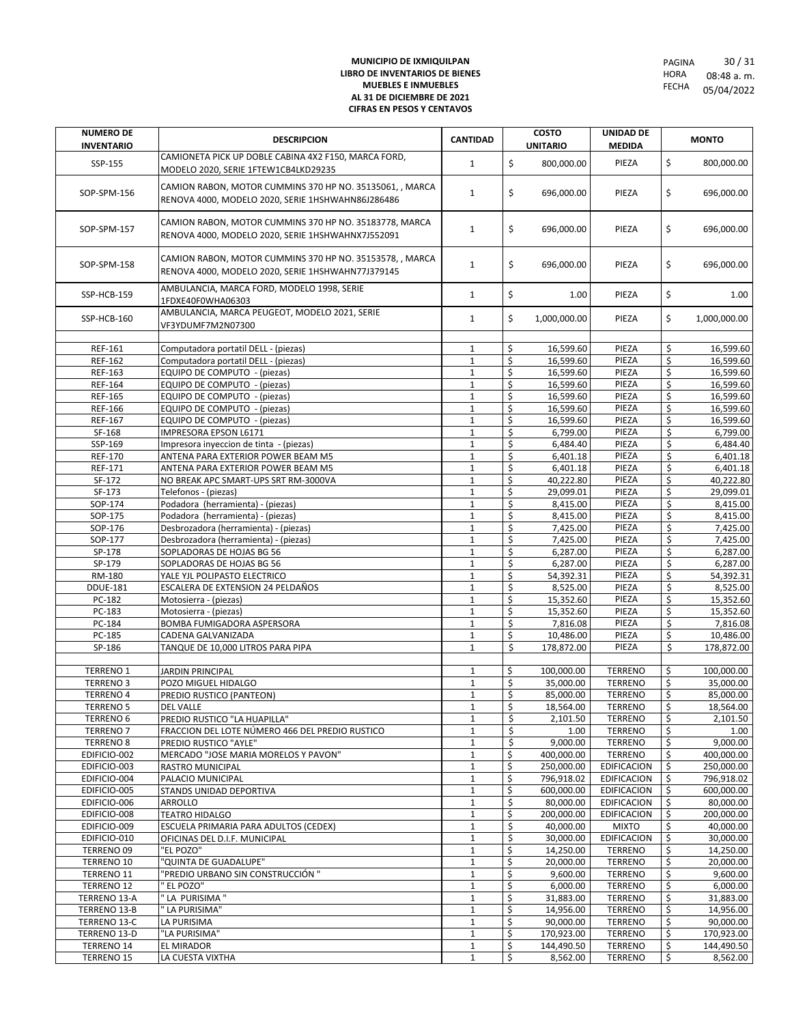| <b>DESCRIPCION</b><br><b>MONTO</b><br><b>UNITARIO</b><br><b>INVENTARIO</b><br><b>MEDIDA</b><br>CAMIONETA PICK UP DOBLE CABINA 4X2 F150, MARCA FORD,<br>\$<br>\$<br>PIEZA<br>$\mathbf{1}$<br>800,000.00<br>SSP-155<br>800,000.00<br>MODELO 2020, SERIE 1FTEW1CB4LKD29235<br>CAMION RABON, MOTOR CUMMINS 370 HP NO. 35135061, , MARCA<br>\$<br>\$<br>$\mathbf{1}$<br>696,000.00<br>696,000.00<br>SOP-SPM-156<br>PIEZA<br>RENOVA 4000, MODELO 2020, SERIE 1HSHWAHN86J286486<br>CAMION RABON, MOTOR CUMMINS 370 HP NO. 35183778, MARCA<br>\$<br>\$<br>$\mathbf{1}$<br>696,000.00<br>PIEZA<br>696,000.00<br>SOP-SPM-157<br>RENOVA 4000, MODELO 2020, SERIE 1HSHWAHNX7J552091<br>CAMION RABON, MOTOR CUMMINS 370 HP NO. 35153578, , MARCA<br>\$<br>\$<br>$\mathbf{1}$<br>696,000.00<br>PIEZA<br>696,000.00<br>SOP-SPM-158<br>RENOVA 4000, MODELO 2020, SERIE 1HSHWAHN77J379145<br>AMBULANCIA, MARCA FORD, MODELO 1998, SERIE<br>\$<br>\$<br>PIEZA<br>1.00<br>SSP-HCB-159<br>$\mathbf{1}$<br>1.00<br>1FDXE40F0WHA06303<br>AMBULANCIA, MARCA PEUGEOT, MODELO 2021, SERIE<br>\$<br>\$<br>SSP-HCB-160<br>$\mathbf{1}$<br>1,000,000.00<br>PIEZA<br>1,000,000.00<br>VF3YDUMF7M2N07300<br>\$<br>\$<br>REF-161<br>16,599.60<br>PIEZA<br>16,599.60<br>Computadora portatil DELL - (piezas)<br>$\mathbf{1}$<br>\$<br>PIEZA<br>\$<br>REF-162<br>Computadora portatil DELL - (piezas)<br>16,599.60<br>$\mathbf{1}$<br>\$<br>PIEZA<br>\$<br>REF-163<br>EQUIPO DE COMPUTO - (piezas)<br>$\mathbf 1$<br>16,599.60<br>\$<br>\$<br>PIEZA<br>REF-164<br>EQUIPO DE COMPUTO - (piezas)<br>16,599.60<br>$\mathbf{1}$<br>\$<br>\$<br>PIEZA<br><b>REF-165</b><br>EQUIPO DE COMPUTO - (piezas)<br>$\mathbf 1$<br>16,599.60<br>\$<br>\$<br>PIEZA<br><b>REF-166</b><br>EQUIPO DE COMPUTO - (piezas)<br>$\mathbf{1}$<br>16,599.60<br>\$<br>\$<br>EQUIPO DE COMPUTO - (piezas)<br>16,599.60<br>PIEZA<br><b>REF-167</b><br>$\mathbf 1$<br>\$<br>\$<br><b>IMPRESORA EPSON L6171</b><br>6,799.00<br>SF-168<br>$\mathbf 1$<br>6,799.00<br>PIEZA<br>\$<br>\$<br>SSP-169<br>$\mathbf 1$<br>PIEZA<br>Impresora inyeccion de tinta - (piezas)<br>6,484.40<br>6,484.40<br>\$<br>\$<br>PIEZA<br>6,401.18<br><b>REF-170</b><br>ANTENA PARA EXTERIOR POWER BEAM M5<br>$\mathbf 1$<br>6,401.18<br>\$<br>PIEZA<br>\$<br>REF-171<br>ANTENA PARA EXTERIOR POWER BEAM M5<br>$\mathbf 1$<br>6,401.18<br>\$<br>\$<br>SF-172<br>$\mathbf 1$<br>40,222.80<br>PIEZA<br>NO BREAK APC SMART-UPS SRT RM-3000VA<br>\$<br>\$<br>SF-173<br>Telefonos - (piezas)<br>29,099.01<br>PIEZA<br>29,099.01<br>$\mathbf 1$<br>Ś<br>\$<br>PIEZA<br>8,415.00<br>SOP-174<br>Podadora (herramienta) - (piezas)<br>$\mathbf{1}$<br>8,415.00<br>\$<br>\$<br>SOP-175<br>Podadora (herramienta) - (piezas)<br>PIEZA<br>8,415.00<br>$\mathbf{1}$<br>8,415.00<br>\$<br>\$<br>SOP-176<br>Desbrozadora (herramienta) - (piezas)<br>$\mathbf 1$<br>7,425.00<br>PIEZA<br>7,425.00<br>\$<br>\$<br>7,425.00<br>SOP-177<br>Desbrozadora (herramienta) - (piezas)<br>$\mathbf 1$<br>7,425.00<br>PIEZA<br>$\overline{\xi}$<br>\$<br>$\mathbf 1$<br>PIEZA<br>6,287.00<br>SP-178<br>SOPLADORAS DE HOJAS BG 56<br>6,287.00<br>\$<br>\$<br>SP-179<br>6,287.00<br>SOPLADORAS DE HOJAS BG 56<br>$\mathbf 1$<br>6,287.00<br>PIEZA<br>\$<br>\$<br>RM-180<br>PIEZA<br>YALE YJL POLIPASTO ELECTRICO<br>$\mathbf 1$<br>54,392.31<br>54,392.31<br>\$<br>\$<br>$\mathbf 1$<br>PIEZA<br>8,525.00<br><b>DDUE-181</b><br>ESCALERA DE EXTENSION 24 PELDAÑOS<br>8,525.00<br>\$<br>\$<br>PC-182<br>$\mathbf 1$<br>15,352.60<br>PIEZA<br>15,352.60<br>Motosierra - (piezas)<br>\$<br>\$<br>$\mathbf 1$<br>15,352.60<br>PIEZA<br>PC-183<br>Motosierra - (piezas)<br>\$<br>PIEZA<br>\$<br>PC-184<br>BOMBA FUMIGADORA ASPERSORA<br>7,816.08<br>7,816.08<br>$\mathbf{1}$<br>\$<br>\$<br>PIEZA<br>PC-185<br>CADENA GALVANIZADA<br>$\mathbf{1}$<br>10,486.00<br>\$<br>\$<br>SP-186<br>TANQUE DE 10,000 LITROS PARA PIPA<br>$\mathbf{1}$<br>178,872.00<br>PIEZA<br>178,872.00<br>\$<br><b>TERRENO 1</b><br>JARDIN PRINCIPAL<br>100,000.00<br><b>TERRENO</b><br>\$<br>100,000.00<br>1<br>\$<br>\$<br>35,000.00<br>35,000.00<br><b>TERRENO3</b><br>POZO MIGUEL HIDALGO<br>$\mathbf{1}$<br><b>TERRENO</b><br>\$<br>$\overline{\mathbf{r}}$<br>$\mathbf{1}$<br><b>TERRENO</b><br>85,000.00<br><b>TERRENO 4</b><br>PREDIO RUSTICO (PANTEON)<br>85,000.00<br>$\overline{\phantom{a}}$<br>\$<br>18,564.00<br><b>DEL VALLE</b><br>18,564.00<br>TERRENO<br><b>TERRENO 5</b><br>$\mathbf 1$<br>\$<br>PREDIO RUSTICO "LA HUAPILLA"<br>\$<br><b>TERRENO 6</b><br>$\mathbf{1}$<br>2,101.50<br><b>TERRENO</b><br>2,101.50<br>\$<br><b>TERRENO 7</b><br>FRACCION DEL LOTE NÚMERO 466 DEL PREDIO RUSTICO<br>$\mathbf{1}$<br><b>TERRENO</b><br>\$<br>1.00<br>1.00<br>\$<br>\$<br>9.000.00<br><b>TERRENO 8</b><br>PREDIO RUSTICO "AYLE"<br>$\mathbf 1$<br>9,000.00<br><b>TERRENO</b><br>\$<br>EDIFICIO-002<br>400,000.00<br><b>TERRENO</b><br>\$<br>400,000.00<br>MERCADO "JOSE MARIA MORELOS Y PAVON"<br>$\mathbf{1}$<br>\$<br>$\mathbf 1$<br>\$<br>250,000.00<br>EDIFICACION<br>250,000.00<br>EDIFICIO-003<br><b>RASTRO MUNICIPAL</b><br>\$<br>EDIFICIO-004<br>PALACIO MUNICIPAL<br>796,918.02<br><b>EDIFICACION</b><br>\$<br>796,918.02<br>$\mathbf{1}$<br>\$<br>600,000.00<br>EDIFICIO-005<br>$\mathbf{1}$<br>600,000.00<br>EDIFICACION<br>\$<br>STANDS UNIDAD DEPORTIVA<br>\$<br>80,000.00<br>EDIFICIO-006<br>ARROLLO<br>80,000.00<br>EDIFICACION<br>\$<br>1<br>\$<br>$\mathbf 1$<br>\$<br>200,000.00<br>EDIFICIO-008<br><b>TEATRO HIDALGO</b><br>200,000.00<br>EDIFICACION<br>\$<br>40,000.00<br><b>MIXTO</b><br>\$<br>EDIFICIO-009<br>ESCUELA PRIMARIA PARA ADULTOS (CEDEX)<br>40,000.00<br>1<br>\$<br>\$<br>OFICINAS DEL D.I.F. MUNICIPAL<br>$\mathbf{1}$<br>30,000.00<br><b>EDIFICACION</b><br>30,000.00<br>EDIFICIO-010<br>\$<br>\$<br>TERRENO 09<br>"EL POZO"<br>14,250.00<br><b>TERRENO</b><br>14,250.00<br>$\mathbf{1}$<br>\$<br>\$<br>TERRENO 10<br>'QUINTA DE GUADALUPE"<br>$\mathbf{1}$<br>20,000.00<br><b>TERRENO</b><br>20,000.00<br>\$<br>\$<br>TERRENO 11<br>"PREDIO URBANO SIN CONSTRUCCIÓN "<br>$\mathbf{1}$<br><b>TERRENO</b><br>9,600.00<br>9,600.00<br>\$<br>" EL POZO"<br>\$<br>TERRENO 12<br>$\mathbf{1}$<br>6,000.00<br><b>TERRENO</b><br>6,000.00<br>\$<br>\$<br>TERRENO 13-A<br>' LA PURISIMA "<br>$\mathbf{1}$<br>31,883.00<br><b>TERRENO</b><br>31,883.00<br>" LA PURISIMA"<br>\$<br>\$<br>14,956.00<br>$\mathbf{1}$<br>14,956.00<br><b>TERRENO</b><br>TERRENO 13-B<br>\$<br>\$<br>$\mathbf 1$<br>90,000.00<br>90,000.00<br>TERRENO 13-C<br>LA PURISIMA<br><b>TERRENO</b><br>\$<br>TERRENO 13-D<br>"LA PURISIMA"<br>170,923.00<br><b>TERRENO</b><br>\$<br>170,923.00<br>1<br>\$<br>\$<br><b>TERRENO 14</b><br>EL MIRADOR<br>$\mathbf{1}$<br>144,490.50<br><b>TERRENO</b><br>144,490.50<br>$\mathbf{1}$ | <b>NUMERO DE</b>  |                  | <b>CANTIDAD</b> | <b>COSTO</b>   | <b>UNIDAD DE</b> |                |
|-------------------------------------------------------------------------------------------------------------------------------------------------------------------------------------------------------------------------------------------------------------------------------------------------------------------------------------------------------------------------------------------------------------------------------------------------------------------------------------------------------------------------------------------------------------------------------------------------------------------------------------------------------------------------------------------------------------------------------------------------------------------------------------------------------------------------------------------------------------------------------------------------------------------------------------------------------------------------------------------------------------------------------------------------------------------------------------------------------------------------------------------------------------------------------------------------------------------------------------------------------------------------------------------------------------------------------------------------------------------------------------------------------------------------------------------------------------------------------------------------------------------------------------------------------------------------------------------------------------------------------------------------------------------------------------------------------------------------------------------------------------------------------------------------------------------------------------------------------------------------------------------------------------------------------------------------------------------------------------------------------------------------------------------------------------------------------------------------------------------------------------------------------------------------------------------------------------------------------------------------------------------------------------------------------------------------------------------------------------------------------------------------------------------------------------------------------------------------------------------------------------------------------------------------------------------------------------------------------------------------------------------------------------------------------------------------------------------------------------------------------------------------------------------------------------------------------------------------------------------------------------------------------------------------------------------------------------------------------------------------------------------------------------------------------------------------------------------------------------------------------------------------------------------------------------------------------------------------------------------------------------------------------------------------------------------------------------------------------------------------------------------------------------------------------------------------------------------------------------------------------------------------------------------------------------------------------------------------------------------------------------------------------------------------------------------------------------------------------------------------------------------------------------------------------------------------------------------------------------------------------------------------------------------------------------------------------------------------------------------------------------------------------------------------------------------------------------------------------------------------------------------------------------------------------------------------------------------------------------------------------------------------------------------------------------------------------------------------------------------------------------------------------------------------------------------------------------------------------------------------------------------------------------------------------------------------------------------------------------------------------------------------------------------------------------------------------------------------------------------------------------------------------------------------------------------------------------------------------------------------------------------------------------------------------------------------------------------------------------------------------------------------------------------------------------------------------------------------------------------------------------------------------------------------------------------------------------------------------------------------------------------------------------------------------------------------------------------------------------------------------------------------------------------------------------------------------------------------------------------------------------------------------------------------------------------------------------------------------------------------------------------------------------------------------------------------------------------------------------------------------------------------------------------------------------------------------------------------------------------------------------------------------------------------------------------------------------------------------------------------------------------------------------------------------------------------------------------------------------------------------------------------------------------------------------------------------------------------------------------------------------------------------------------------------------------------------------------------------------------------------------------------------------------------------------------------------------------------------------------------------------------------------------------------------------------------------------------------------------------------------------------------------------------------------------------------------------------------------------------------------------------------------------------------|-------------------|------------------|-----------------|----------------|------------------|----------------|
| 16,599.60<br>16,599.60<br>16,599.60<br>16,599.60<br>16,599.60<br>6,401.18<br>40,222.80<br>15,352.60<br>10,486.00                                                                                                                                                                                                                                                                                                                                                                                                                                                                                                                                                                                                                                                                                                                                                                                                                                                                                                                                                                                                                                                                                                                                                                                                                                                                                                                                                                                                                                                                                                                                                                                                                                                                                                                                                                                                                                                                                                                                                                                                                                                                                                                                                                                                                                                                                                                                                                                                                                                                                                                                                                                                                                                                                                                                                                                                                                                                                                                                                                                                                                                                                                                                                                                                                                                                                                                                                                                                                                                                                                                                                                                                                                                                                                                                                                                                                                                                                                                                                                                                                                                                                                                                                                                                                                                                                                                                                                                                                                                                                                                                                                                                                                                                                                                                                                                                                                                                                                                                                                                                                                                                                                                                                                                                                                                                                                                                                                                                                                                                                                                                                                                                                                                                                                                                                                                                                                                                                                                                                                                                                                                                                                                                                                                                                                                                                                                                                                                                                                                                                                                                                                                                                                                                                |                   |                  |                 |                |                  |                |
|                                                                                                                                                                                                                                                                                                                                                                                                                                                                                                                                                                                                                                                                                                                                                                                                                                                                                                                                                                                                                                                                                                                                                                                                                                                                                                                                                                                                                                                                                                                                                                                                                                                                                                                                                                                                                                                                                                                                                                                                                                                                                                                                                                                                                                                                                                                                                                                                                                                                                                                                                                                                                                                                                                                                                                                                                                                                                                                                                                                                                                                                                                                                                                                                                                                                                                                                                                                                                                                                                                                                                                                                                                                                                                                                                                                                                                                                                                                                                                                                                                                                                                                                                                                                                                                                                                                                                                                                                                                                                                                                                                                                                                                                                                                                                                                                                                                                                                                                                                                                                                                                                                                                                                                                                                                                                                                                                                                                                                                                                                                                                                                                                                                                                                                                                                                                                                                                                                                                                                                                                                                                                                                                                                                                                                                                                                                                                                                                                                                                                                                                                                                                                                                                                                                                                                                                 |                   |                  |                 |                |                  |                |
| 16,599.60                                                                                                                                                                                                                                                                                                                                                                                                                                                                                                                                                                                                                                                                                                                                                                                                                                                                                                                                                                                                                                                                                                                                                                                                                                                                                                                                                                                                                                                                                                                                                                                                                                                                                                                                                                                                                                                                                                                                                                                                                                                                                                                                                                                                                                                                                                                                                                                                                                                                                                                                                                                                                                                                                                                                                                                                                                                                                                                                                                                                                                                                                                                                                                                                                                                                                                                                                                                                                                                                                                                                                                                                                                                                                                                                                                                                                                                                                                                                                                                                                                                                                                                                                                                                                                                                                                                                                                                                                                                                                                                                                                                                                                                                                                                                                                                                                                                                                                                                                                                                                                                                                                                                                                                                                                                                                                                                                                                                                                                                                                                                                                                                                                                                                                                                                                                                                                                                                                                                                                                                                                                                                                                                                                                                                                                                                                                                                                                                                                                                                                                                                                                                                                                                                                                                                                                       |                   |                  |                 |                |                  |                |
|                                                                                                                                                                                                                                                                                                                                                                                                                                                                                                                                                                                                                                                                                                                                                                                                                                                                                                                                                                                                                                                                                                                                                                                                                                                                                                                                                                                                                                                                                                                                                                                                                                                                                                                                                                                                                                                                                                                                                                                                                                                                                                                                                                                                                                                                                                                                                                                                                                                                                                                                                                                                                                                                                                                                                                                                                                                                                                                                                                                                                                                                                                                                                                                                                                                                                                                                                                                                                                                                                                                                                                                                                                                                                                                                                                                                                                                                                                                                                                                                                                                                                                                                                                                                                                                                                                                                                                                                                                                                                                                                                                                                                                                                                                                                                                                                                                                                                                                                                                                                                                                                                                                                                                                                                                                                                                                                                                                                                                                                                                                                                                                                                                                                                                                                                                                                                                                                                                                                                                                                                                                                                                                                                                                                                                                                                                                                                                                                                                                                                                                                                                                                                                                                                                                                                                                                 |                   |                  |                 |                |                  |                |
|                                                                                                                                                                                                                                                                                                                                                                                                                                                                                                                                                                                                                                                                                                                                                                                                                                                                                                                                                                                                                                                                                                                                                                                                                                                                                                                                                                                                                                                                                                                                                                                                                                                                                                                                                                                                                                                                                                                                                                                                                                                                                                                                                                                                                                                                                                                                                                                                                                                                                                                                                                                                                                                                                                                                                                                                                                                                                                                                                                                                                                                                                                                                                                                                                                                                                                                                                                                                                                                                                                                                                                                                                                                                                                                                                                                                                                                                                                                                                                                                                                                                                                                                                                                                                                                                                                                                                                                                                                                                                                                                                                                                                                                                                                                                                                                                                                                                                                                                                                                                                                                                                                                                                                                                                                                                                                                                                                                                                                                                                                                                                                                                                                                                                                                                                                                                                                                                                                                                                                                                                                                                                                                                                                                                                                                                                                                                                                                                                                                                                                                                                                                                                                                                                                                                                                                                 |                   |                  |                 |                |                  |                |
|                                                                                                                                                                                                                                                                                                                                                                                                                                                                                                                                                                                                                                                                                                                                                                                                                                                                                                                                                                                                                                                                                                                                                                                                                                                                                                                                                                                                                                                                                                                                                                                                                                                                                                                                                                                                                                                                                                                                                                                                                                                                                                                                                                                                                                                                                                                                                                                                                                                                                                                                                                                                                                                                                                                                                                                                                                                                                                                                                                                                                                                                                                                                                                                                                                                                                                                                                                                                                                                                                                                                                                                                                                                                                                                                                                                                                                                                                                                                                                                                                                                                                                                                                                                                                                                                                                                                                                                                                                                                                                                                                                                                                                                                                                                                                                                                                                                                                                                                                                                                                                                                                                                                                                                                                                                                                                                                                                                                                                                                                                                                                                                                                                                                                                                                                                                                                                                                                                                                                                                                                                                                                                                                                                                                                                                                                                                                                                                                                                                                                                                                                                                                                                                                                                                                                                                                 |                   |                  |                 |                |                  |                |
|                                                                                                                                                                                                                                                                                                                                                                                                                                                                                                                                                                                                                                                                                                                                                                                                                                                                                                                                                                                                                                                                                                                                                                                                                                                                                                                                                                                                                                                                                                                                                                                                                                                                                                                                                                                                                                                                                                                                                                                                                                                                                                                                                                                                                                                                                                                                                                                                                                                                                                                                                                                                                                                                                                                                                                                                                                                                                                                                                                                                                                                                                                                                                                                                                                                                                                                                                                                                                                                                                                                                                                                                                                                                                                                                                                                                                                                                                                                                                                                                                                                                                                                                                                                                                                                                                                                                                                                                                                                                                                                                                                                                                                                                                                                                                                                                                                                                                                                                                                                                                                                                                                                                                                                                                                                                                                                                                                                                                                                                                                                                                                                                                                                                                                                                                                                                                                                                                                                                                                                                                                                                                                                                                                                                                                                                                                                                                                                                                                                                                                                                                                                                                                                                                                                                                                                                 |                   |                  |                 |                |                  |                |
|                                                                                                                                                                                                                                                                                                                                                                                                                                                                                                                                                                                                                                                                                                                                                                                                                                                                                                                                                                                                                                                                                                                                                                                                                                                                                                                                                                                                                                                                                                                                                                                                                                                                                                                                                                                                                                                                                                                                                                                                                                                                                                                                                                                                                                                                                                                                                                                                                                                                                                                                                                                                                                                                                                                                                                                                                                                                                                                                                                                                                                                                                                                                                                                                                                                                                                                                                                                                                                                                                                                                                                                                                                                                                                                                                                                                                                                                                                                                                                                                                                                                                                                                                                                                                                                                                                                                                                                                                                                                                                                                                                                                                                                                                                                                                                                                                                                                                                                                                                                                                                                                                                                                                                                                                                                                                                                                                                                                                                                                                                                                                                                                                                                                                                                                                                                                                                                                                                                                                                                                                                                                                                                                                                                                                                                                                                                                                                                                                                                                                                                                                                                                                                                                                                                                                                                                 |                   |                  |                 |                |                  |                |
|                                                                                                                                                                                                                                                                                                                                                                                                                                                                                                                                                                                                                                                                                                                                                                                                                                                                                                                                                                                                                                                                                                                                                                                                                                                                                                                                                                                                                                                                                                                                                                                                                                                                                                                                                                                                                                                                                                                                                                                                                                                                                                                                                                                                                                                                                                                                                                                                                                                                                                                                                                                                                                                                                                                                                                                                                                                                                                                                                                                                                                                                                                                                                                                                                                                                                                                                                                                                                                                                                                                                                                                                                                                                                                                                                                                                                                                                                                                                                                                                                                                                                                                                                                                                                                                                                                                                                                                                                                                                                                                                                                                                                                                                                                                                                                                                                                                                                                                                                                                                                                                                                                                                                                                                                                                                                                                                                                                                                                                                                                                                                                                                                                                                                                                                                                                                                                                                                                                                                                                                                                                                                                                                                                                                                                                                                                                                                                                                                                                                                                                                                                                                                                                                                                                                                                                                 |                   |                  |                 |                |                  |                |
|                                                                                                                                                                                                                                                                                                                                                                                                                                                                                                                                                                                                                                                                                                                                                                                                                                                                                                                                                                                                                                                                                                                                                                                                                                                                                                                                                                                                                                                                                                                                                                                                                                                                                                                                                                                                                                                                                                                                                                                                                                                                                                                                                                                                                                                                                                                                                                                                                                                                                                                                                                                                                                                                                                                                                                                                                                                                                                                                                                                                                                                                                                                                                                                                                                                                                                                                                                                                                                                                                                                                                                                                                                                                                                                                                                                                                                                                                                                                                                                                                                                                                                                                                                                                                                                                                                                                                                                                                                                                                                                                                                                                                                                                                                                                                                                                                                                                                                                                                                                                                                                                                                                                                                                                                                                                                                                                                                                                                                                                                                                                                                                                                                                                                                                                                                                                                                                                                                                                                                                                                                                                                                                                                                                                                                                                                                                                                                                                                                                                                                                                                                                                                                                                                                                                                                                                 |                   |                  |                 |                |                  |                |
|                                                                                                                                                                                                                                                                                                                                                                                                                                                                                                                                                                                                                                                                                                                                                                                                                                                                                                                                                                                                                                                                                                                                                                                                                                                                                                                                                                                                                                                                                                                                                                                                                                                                                                                                                                                                                                                                                                                                                                                                                                                                                                                                                                                                                                                                                                                                                                                                                                                                                                                                                                                                                                                                                                                                                                                                                                                                                                                                                                                                                                                                                                                                                                                                                                                                                                                                                                                                                                                                                                                                                                                                                                                                                                                                                                                                                                                                                                                                                                                                                                                                                                                                                                                                                                                                                                                                                                                                                                                                                                                                                                                                                                                                                                                                                                                                                                                                                                                                                                                                                                                                                                                                                                                                                                                                                                                                                                                                                                                                                                                                                                                                                                                                                                                                                                                                                                                                                                                                                                                                                                                                                                                                                                                                                                                                                                                                                                                                                                                                                                                                                                                                                                                                                                                                                                                                 |                   |                  |                 |                |                  |                |
|                                                                                                                                                                                                                                                                                                                                                                                                                                                                                                                                                                                                                                                                                                                                                                                                                                                                                                                                                                                                                                                                                                                                                                                                                                                                                                                                                                                                                                                                                                                                                                                                                                                                                                                                                                                                                                                                                                                                                                                                                                                                                                                                                                                                                                                                                                                                                                                                                                                                                                                                                                                                                                                                                                                                                                                                                                                                                                                                                                                                                                                                                                                                                                                                                                                                                                                                                                                                                                                                                                                                                                                                                                                                                                                                                                                                                                                                                                                                                                                                                                                                                                                                                                                                                                                                                                                                                                                                                                                                                                                                                                                                                                                                                                                                                                                                                                                                                                                                                                                                                                                                                                                                                                                                                                                                                                                                                                                                                                                                                                                                                                                                                                                                                                                                                                                                                                                                                                                                                                                                                                                                                                                                                                                                                                                                                                                                                                                                                                                                                                                                                                                                                                                                                                                                                                                                 |                   |                  |                 |                |                  |                |
|                                                                                                                                                                                                                                                                                                                                                                                                                                                                                                                                                                                                                                                                                                                                                                                                                                                                                                                                                                                                                                                                                                                                                                                                                                                                                                                                                                                                                                                                                                                                                                                                                                                                                                                                                                                                                                                                                                                                                                                                                                                                                                                                                                                                                                                                                                                                                                                                                                                                                                                                                                                                                                                                                                                                                                                                                                                                                                                                                                                                                                                                                                                                                                                                                                                                                                                                                                                                                                                                                                                                                                                                                                                                                                                                                                                                                                                                                                                                                                                                                                                                                                                                                                                                                                                                                                                                                                                                                                                                                                                                                                                                                                                                                                                                                                                                                                                                                                                                                                                                                                                                                                                                                                                                                                                                                                                                                                                                                                                                                                                                                                                                                                                                                                                                                                                                                                                                                                                                                                                                                                                                                                                                                                                                                                                                                                                                                                                                                                                                                                                                                                                                                                                                                                                                                                                                 |                   |                  |                 |                |                  |                |
|                                                                                                                                                                                                                                                                                                                                                                                                                                                                                                                                                                                                                                                                                                                                                                                                                                                                                                                                                                                                                                                                                                                                                                                                                                                                                                                                                                                                                                                                                                                                                                                                                                                                                                                                                                                                                                                                                                                                                                                                                                                                                                                                                                                                                                                                                                                                                                                                                                                                                                                                                                                                                                                                                                                                                                                                                                                                                                                                                                                                                                                                                                                                                                                                                                                                                                                                                                                                                                                                                                                                                                                                                                                                                                                                                                                                                                                                                                                                                                                                                                                                                                                                                                                                                                                                                                                                                                                                                                                                                                                                                                                                                                                                                                                                                                                                                                                                                                                                                                                                                                                                                                                                                                                                                                                                                                                                                                                                                                                                                                                                                                                                                                                                                                                                                                                                                                                                                                                                                                                                                                                                                                                                                                                                                                                                                                                                                                                                                                                                                                                                                                                                                                                                                                                                                                                                 |                   |                  |                 |                |                  |                |
|                                                                                                                                                                                                                                                                                                                                                                                                                                                                                                                                                                                                                                                                                                                                                                                                                                                                                                                                                                                                                                                                                                                                                                                                                                                                                                                                                                                                                                                                                                                                                                                                                                                                                                                                                                                                                                                                                                                                                                                                                                                                                                                                                                                                                                                                                                                                                                                                                                                                                                                                                                                                                                                                                                                                                                                                                                                                                                                                                                                                                                                                                                                                                                                                                                                                                                                                                                                                                                                                                                                                                                                                                                                                                                                                                                                                                                                                                                                                                                                                                                                                                                                                                                                                                                                                                                                                                                                                                                                                                                                                                                                                                                                                                                                                                                                                                                                                                                                                                                                                                                                                                                                                                                                                                                                                                                                                                                                                                                                                                                                                                                                                                                                                                                                                                                                                                                                                                                                                                                                                                                                                                                                                                                                                                                                                                                                                                                                                                                                                                                                                                                                                                                                                                                                                                                                                 |                   |                  |                 |                |                  |                |
|                                                                                                                                                                                                                                                                                                                                                                                                                                                                                                                                                                                                                                                                                                                                                                                                                                                                                                                                                                                                                                                                                                                                                                                                                                                                                                                                                                                                                                                                                                                                                                                                                                                                                                                                                                                                                                                                                                                                                                                                                                                                                                                                                                                                                                                                                                                                                                                                                                                                                                                                                                                                                                                                                                                                                                                                                                                                                                                                                                                                                                                                                                                                                                                                                                                                                                                                                                                                                                                                                                                                                                                                                                                                                                                                                                                                                                                                                                                                                                                                                                                                                                                                                                                                                                                                                                                                                                                                                                                                                                                                                                                                                                                                                                                                                                                                                                                                                                                                                                                                                                                                                                                                                                                                                                                                                                                                                                                                                                                                                                                                                                                                                                                                                                                                                                                                                                                                                                                                                                                                                                                                                                                                                                                                                                                                                                                                                                                                                                                                                                                                                                                                                                                                                                                                                                                                 |                   |                  |                 |                |                  |                |
|                                                                                                                                                                                                                                                                                                                                                                                                                                                                                                                                                                                                                                                                                                                                                                                                                                                                                                                                                                                                                                                                                                                                                                                                                                                                                                                                                                                                                                                                                                                                                                                                                                                                                                                                                                                                                                                                                                                                                                                                                                                                                                                                                                                                                                                                                                                                                                                                                                                                                                                                                                                                                                                                                                                                                                                                                                                                                                                                                                                                                                                                                                                                                                                                                                                                                                                                                                                                                                                                                                                                                                                                                                                                                                                                                                                                                                                                                                                                                                                                                                                                                                                                                                                                                                                                                                                                                                                                                                                                                                                                                                                                                                                                                                                                                                                                                                                                                                                                                                                                                                                                                                                                                                                                                                                                                                                                                                                                                                                                                                                                                                                                                                                                                                                                                                                                                                                                                                                                                                                                                                                                                                                                                                                                                                                                                                                                                                                                                                                                                                                                                                                                                                                                                                                                                                                                 |                   |                  |                 |                |                  |                |
|                                                                                                                                                                                                                                                                                                                                                                                                                                                                                                                                                                                                                                                                                                                                                                                                                                                                                                                                                                                                                                                                                                                                                                                                                                                                                                                                                                                                                                                                                                                                                                                                                                                                                                                                                                                                                                                                                                                                                                                                                                                                                                                                                                                                                                                                                                                                                                                                                                                                                                                                                                                                                                                                                                                                                                                                                                                                                                                                                                                                                                                                                                                                                                                                                                                                                                                                                                                                                                                                                                                                                                                                                                                                                                                                                                                                                                                                                                                                                                                                                                                                                                                                                                                                                                                                                                                                                                                                                                                                                                                                                                                                                                                                                                                                                                                                                                                                                                                                                                                                                                                                                                                                                                                                                                                                                                                                                                                                                                                                                                                                                                                                                                                                                                                                                                                                                                                                                                                                                                                                                                                                                                                                                                                                                                                                                                                                                                                                                                                                                                                                                                                                                                                                                                                                                                                                 |                   |                  |                 |                |                  |                |
|                                                                                                                                                                                                                                                                                                                                                                                                                                                                                                                                                                                                                                                                                                                                                                                                                                                                                                                                                                                                                                                                                                                                                                                                                                                                                                                                                                                                                                                                                                                                                                                                                                                                                                                                                                                                                                                                                                                                                                                                                                                                                                                                                                                                                                                                                                                                                                                                                                                                                                                                                                                                                                                                                                                                                                                                                                                                                                                                                                                                                                                                                                                                                                                                                                                                                                                                                                                                                                                                                                                                                                                                                                                                                                                                                                                                                                                                                                                                                                                                                                                                                                                                                                                                                                                                                                                                                                                                                                                                                                                                                                                                                                                                                                                                                                                                                                                                                                                                                                                                                                                                                                                                                                                                                                                                                                                                                                                                                                                                                                                                                                                                                                                                                                                                                                                                                                                                                                                                                                                                                                                                                                                                                                                                                                                                                                                                                                                                                                                                                                                                                                                                                                                                                                                                                                                                 |                   |                  |                 |                |                  |                |
|                                                                                                                                                                                                                                                                                                                                                                                                                                                                                                                                                                                                                                                                                                                                                                                                                                                                                                                                                                                                                                                                                                                                                                                                                                                                                                                                                                                                                                                                                                                                                                                                                                                                                                                                                                                                                                                                                                                                                                                                                                                                                                                                                                                                                                                                                                                                                                                                                                                                                                                                                                                                                                                                                                                                                                                                                                                                                                                                                                                                                                                                                                                                                                                                                                                                                                                                                                                                                                                                                                                                                                                                                                                                                                                                                                                                                                                                                                                                                                                                                                                                                                                                                                                                                                                                                                                                                                                                                                                                                                                                                                                                                                                                                                                                                                                                                                                                                                                                                                                                                                                                                                                                                                                                                                                                                                                                                                                                                                                                                                                                                                                                                                                                                                                                                                                                                                                                                                                                                                                                                                                                                                                                                                                                                                                                                                                                                                                                                                                                                                                                                                                                                                                                                                                                                                                                 |                   |                  |                 |                |                  |                |
|                                                                                                                                                                                                                                                                                                                                                                                                                                                                                                                                                                                                                                                                                                                                                                                                                                                                                                                                                                                                                                                                                                                                                                                                                                                                                                                                                                                                                                                                                                                                                                                                                                                                                                                                                                                                                                                                                                                                                                                                                                                                                                                                                                                                                                                                                                                                                                                                                                                                                                                                                                                                                                                                                                                                                                                                                                                                                                                                                                                                                                                                                                                                                                                                                                                                                                                                                                                                                                                                                                                                                                                                                                                                                                                                                                                                                                                                                                                                                                                                                                                                                                                                                                                                                                                                                                                                                                                                                                                                                                                                                                                                                                                                                                                                                                                                                                                                                                                                                                                                                                                                                                                                                                                                                                                                                                                                                                                                                                                                                                                                                                                                                                                                                                                                                                                                                                                                                                                                                                                                                                                                                                                                                                                                                                                                                                                                                                                                                                                                                                                                                                                                                                                                                                                                                                                                 |                   |                  |                 |                |                  |                |
|                                                                                                                                                                                                                                                                                                                                                                                                                                                                                                                                                                                                                                                                                                                                                                                                                                                                                                                                                                                                                                                                                                                                                                                                                                                                                                                                                                                                                                                                                                                                                                                                                                                                                                                                                                                                                                                                                                                                                                                                                                                                                                                                                                                                                                                                                                                                                                                                                                                                                                                                                                                                                                                                                                                                                                                                                                                                                                                                                                                                                                                                                                                                                                                                                                                                                                                                                                                                                                                                                                                                                                                                                                                                                                                                                                                                                                                                                                                                                                                                                                                                                                                                                                                                                                                                                                                                                                                                                                                                                                                                                                                                                                                                                                                                                                                                                                                                                                                                                                                                                                                                                                                                                                                                                                                                                                                                                                                                                                                                                                                                                                                                                                                                                                                                                                                                                                                                                                                                                                                                                                                                                                                                                                                                                                                                                                                                                                                                                                                                                                                                                                                                                                                                                                                                                                                                 |                   |                  |                 |                |                  |                |
|                                                                                                                                                                                                                                                                                                                                                                                                                                                                                                                                                                                                                                                                                                                                                                                                                                                                                                                                                                                                                                                                                                                                                                                                                                                                                                                                                                                                                                                                                                                                                                                                                                                                                                                                                                                                                                                                                                                                                                                                                                                                                                                                                                                                                                                                                                                                                                                                                                                                                                                                                                                                                                                                                                                                                                                                                                                                                                                                                                                                                                                                                                                                                                                                                                                                                                                                                                                                                                                                                                                                                                                                                                                                                                                                                                                                                                                                                                                                                                                                                                                                                                                                                                                                                                                                                                                                                                                                                                                                                                                                                                                                                                                                                                                                                                                                                                                                                                                                                                                                                                                                                                                                                                                                                                                                                                                                                                                                                                                                                                                                                                                                                                                                                                                                                                                                                                                                                                                                                                                                                                                                                                                                                                                                                                                                                                                                                                                                                                                                                                                                                                                                                                                                                                                                                                                                 |                   |                  |                 |                |                  |                |
|                                                                                                                                                                                                                                                                                                                                                                                                                                                                                                                                                                                                                                                                                                                                                                                                                                                                                                                                                                                                                                                                                                                                                                                                                                                                                                                                                                                                                                                                                                                                                                                                                                                                                                                                                                                                                                                                                                                                                                                                                                                                                                                                                                                                                                                                                                                                                                                                                                                                                                                                                                                                                                                                                                                                                                                                                                                                                                                                                                                                                                                                                                                                                                                                                                                                                                                                                                                                                                                                                                                                                                                                                                                                                                                                                                                                                                                                                                                                                                                                                                                                                                                                                                                                                                                                                                                                                                                                                                                                                                                                                                                                                                                                                                                                                                                                                                                                                                                                                                                                                                                                                                                                                                                                                                                                                                                                                                                                                                                                                                                                                                                                                                                                                                                                                                                                                                                                                                                                                                                                                                                                                                                                                                                                                                                                                                                                                                                                                                                                                                                                                                                                                                                                                                                                                                                                 |                   |                  |                 |                |                  |                |
|                                                                                                                                                                                                                                                                                                                                                                                                                                                                                                                                                                                                                                                                                                                                                                                                                                                                                                                                                                                                                                                                                                                                                                                                                                                                                                                                                                                                                                                                                                                                                                                                                                                                                                                                                                                                                                                                                                                                                                                                                                                                                                                                                                                                                                                                                                                                                                                                                                                                                                                                                                                                                                                                                                                                                                                                                                                                                                                                                                                                                                                                                                                                                                                                                                                                                                                                                                                                                                                                                                                                                                                                                                                                                                                                                                                                                                                                                                                                                                                                                                                                                                                                                                                                                                                                                                                                                                                                                                                                                                                                                                                                                                                                                                                                                                                                                                                                                                                                                                                                                                                                                                                                                                                                                                                                                                                                                                                                                                                                                                                                                                                                                                                                                                                                                                                                                                                                                                                                                                                                                                                                                                                                                                                                                                                                                                                                                                                                                                                                                                                                                                                                                                                                                                                                                                                                 |                   |                  |                 |                |                  |                |
|                                                                                                                                                                                                                                                                                                                                                                                                                                                                                                                                                                                                                                                                                                                                                                                                                                                                                                                                                                                                                                                                                                                                                                                                                                                                                                                                                                                                                                                                                                                                                                                                                                                                                                                                                                                                                                                                                                                                                                                                                                                                                                                                                                                                                                                                                                                                                                                                                                                                                                                                                                                                                                                                                                                                                                                                                                                                                                                                                                                                                                                                                                                                                                                                                                                                                                                                                                                                                                                                                                                                                                                                                                                                                                                                                                                                                                                                                                                                                                                                                                                                                                                                                                                                                                                                                                                                                                                                                                                                                                                                                                                                                                                                                                                                                                                                                                                                                                                                                                                                                                                                                                                                                                                                                                                                                                                                                                                                                                                                                                                                                                                                                                                                                                                                                                                                                                                                                                                                                                                                                                                                                                                                                                                                                                                                                                                                                                                                                                                                                                                                                                                                                                                                                                                                                                                                 |                   |                  |                 |                |                  |                |
|                                                                                                                                                                                                                                                                                                                                                                                                                                                                                                                                                                                                                                                                                                                                                                                                                                                                                                                                                                                                                                                                                                                                                                                                                                                                                                                                                                                                                                                                                                                                                                                                                                                                                                                                                                                                                                                                                                                                                                                                                                                                                                                                                                                                                                                                                                                                                                                                                                                                                                                                                                                                                                                                                                                                                                                                                                                                                                                                                                                                                                                                                                                                                                                                                                                                                                                                                                                                                                                                                                                                                                                                                                                                                                                                                                                                                                                                                                                                                                                                                                                                                                                                                                                                                                                                                                                                                                                                                                                                                                                                                                                                                                                                                                                                                                                                                                                                                                                                                                                                                                                                                                                                                                                                                                                                                                                                                                                                                                                                                                                                                                                                                                                                                                                                                                                                                                                                                                                                                                                                                                                                                                                                                                                                                                                                                                                                                                                                                                                                                                                                                                                                                                                                                                                                                                                                 |                   |                  |                 |                |                  |                |
|                                                                                                                                                                                                                                                                                                                                                                                                                                                                                                                                                                                                                                                                                                                                                                                                                                                                                                                                                                                                                                                                                                                                                                                                                                                                                                                                                                                                                                                                                                                                                                                                                                                                                                                                                                                                                                                                                                                                                                                                                                                                                                                                                                                                                                                                                                                                                                                                                                                                                                                                                                                                                                                                                                                                                                                                                                                                                                                                                                                                                                                                                                                                                                                                                                                                                                                                                                                                                                                                                                                                                                                                                                                                                                                                                                                                                                                                                                                                                                                                                                                                                                                                                                                                                                                                                                                                                                                                                                                                                                                                                                                                                                                                                                                                                                                                                                                                                                                                                                                                                                                                                                                                                                                                                                                                                                                                                                                                                                                                                                                                                                                                                                                                                                                                                                                                                                                                                                                                                                                                                                                                                                                                                                                                                                                                                                                                                                                                                                                                                                                                                                                                                                                                                                                                                                                                 |                   |                  |                 |                |                  |                |
|                                                                                                                                                                                                                                                                                                                                                                                                                                                                                                                                                                                                                                                                                                                                                                                                                                                                                                                                                                                                                                                                                                                                                                                                                                                                                                                                                                                                                                                                                                                                                                                                                                                                                                                                                                                                                                                                                                                                                                                                                                                                                                                                                                                                                                                                                                                                                                                                                                                                                                                                                                                                                                                                                                                                                                                                                                                                                                                                                                                                                                                                                                                                                                                                                                                                                                                                                                                                                                                                                                                                                                                                                                                                                                                                                                                                                                                                                                                                                                                                                                                                                                                                                                                                                                                                                                                                                                                                                                                                                                                                                                                                                                                                                                                                                                                                                                                                                                                                                                                                                                                                                                                                                                                                                                                                                                                                                                                                                                                                                                                                                                                                                                                                                                                                                                                                                                                                                                                                                                                                                                                                                                                                                                                                                                                                                                                                                                                                                                                                                                                                                                                                                                                                                                                                                                                                 |                   |                  |                 |                |                  |                |
|                                                                                                                                                                                                                                                                                                                                                                                                                                                                                                                                                                                                                                                                                                                                                                                                                                                                                                                                                                                                                                                                                                                                                                                                                                                                                                                                                                                                                                                                                                                                                                                                                                                                                                                                                                                                                                                                                                                                                                                                                                                                                                                                                                                                                                                                                                                                                                                                                                                                                                                                                                                                                                                                                                                                                                                                                                                                                                                                                                                                                                                                                                                                                                                                                                                                                                                                                                                                                                                                                                                                                                                                                                                                                                                                                                                                                                                                                                                                                                                                                                                                                                                                                                                                                                                                                                                                                                                                                                                                                                                                                                                                                                                                                                                                                                                                                                                                                                                                                                                                                                                                                                                                                                                                                                                                                                                                                                                                                                                                                                                                                                                                                                                                                                                                                                                                                                                                                                                                                                                                                                                                                                                                                                                                                                                                                                                                                                                                                                                                                                                                                                                                                                                                                                                                                                                                 |                   |                  |                 |                |                  |                |
|                                                                                                                                                                                                                                                                                                                                                                                                                                                                                                                                                                                                                                                                                                                                                                                                                                                                                                                                                                                                                                                                                                                                                                                                                                                                                                                                                                                                                                                                                                                                                                                                                                                                                                                                                                                                                                                                                                                                                                                                                                                                                                                                                                                                                                                                                                                                                                                                                                                                                                                                                                                                                                                                                                                                                                                                                                                                                                                                                                                                                                                                                                                                                                                                                                                                                                                                                                                                                                                                                                                                                                                                                                                                                                                                                                                                                                                                                                                                                                                                                                                                                                                                                                                                                                                                                                                                                                                                                                                                                                                                                                                                                                                                                                                                                                                                                                                                                                                                                                                                                                                                                                                                                                                                                                                                                                                                                                                                                                                                                                                                                                                                                                                                                                                                                                                                                                                                                                                                                                                                                                                                                                                                                                                                                                                                                                                                                                                                                                                                                                                                                                                                                                                                                                                                                                                                 |                   |                  |                 |                |                  |                |
|                                                                                                                                                                                                                                                                                                                                                                                                                                                                                                                                                                                                                                                                                                                                                                                                                                                                                                                                                                                                                                                                                                                                                                                                                                                                                                                                                                                                                                                                                                                                                                                                                                                                                                                                                                                                                                                                                                                                                                                                                                                                                                                                                                                                                                                                                                                                                                                                                                                                                                                                                                                                                                                                                                                                                                                                                                                                                                                                                                                                                                                                                                                                                                                                                                                                                                                                                                                                                                                                                                                                                                                                                                                                                                                                                                                                                                                                                                                                                                                                                                                                                                                                                                                                                                                                                                                                                                                                                                                                                                                                                                                                                                                                                                                                                                                                                                                                                                                                                                                                                                                                                                                                                                                                                                                                                                                                                                                                                                                                                                                                                                                                                                                                                                                                                                                                                                                                                                                                                                                                                                                                                                                                                                                                                                                                                                                                                                                                                                                                                                                                                                                                                                                                                                                                                                                                 |                   |                  |                 |                |                  |                |
|                                                                                                                                                                                                                                                                                                                                                                                                                                                                                                                                                                                                                                                                                                                                                                                                                                                                                                                                                                                                                                                                                                                                                                                                                                                                                                                                                                                                                                                                                                                                                                                                                                                                                                                                                                                                                                                                                                                                                                                                                                                                                                                                                                                                                                                                                                                                                                                                                                                                                                                                                                                                                                                                                                                                                                                                                                                                                                                                                                                                                                                                                                                                                                                                                                                                                                                                                                                                                                                                                                                                                                                                                                                                                                                                                                                                                                                                                                                                                                                                                                                                                                                                                                                                                                                                                                                                                                                                                                                                                                                                                                                                                                                                                                                                                                                                                                                                                                                                                                                                                                                                                                                                                                                                                                                                                                                                                                                                                                                                                                                                                                                                                                                                                                                                                                                                                                                                                                                                                                                                                                                                                                                                                                                                                                                                                                                                                                                                                                                                                                                                                                                                                                                                                                                                                                                                 |                   |                  |                 |                |                  |                |
|                                                                                                                                                                                                                                                                                                                                                                                                                                                                                                                                                                                                                                                                                                                                                                                                                                                                                                                                                                                                                                                                                                                                                                                                                                                                                                                                                                                                                                                                                                                                                                                                                                                                                                                                                                                                                                                                                                                                                                                                                                                                                                                                                                                                                                                                                                                                                                                                                                                                                                                                                                                                                                                                                                                                                                                                                                                                                                                                                                                                                                                                                                                                                                                                                                                                                                                                                                                                                                                                                                                                                                                                                                                                                                                                                                                                                                                                                                                                                                                                                                                                                                                                                                                                                                                                                                                                                                                                                                                                                                                                                                                                                                                                                                                                                                                                                                                                                                                                                                                                                                                                                                                                                                                                                                                                                                                                                                                                                                                                                                                                                                                                                                                                                                                                                                                                                                                                                                                                                                                                                                                                                                                                                                                                                                                                                                                                                                                                                                                                                                                                                                                                                                                                                                                                                                                                 |                   |                  |                 |                |                  |                |
|                                                                                                                                                                                                                                                                                                                                                                                                                                                                                                                                                                                                                                                                                                                                                                                                                                                                                                                                                                                                                                                                                                                                                                                                                                                                                                                                                                                                                                                                                                                                                                                                                                                                                                                                                                                                                                                                                                                                                                                                                                                                                                                                                                                                                                                                                                                                                                                                                                                                                                                                                                                                                                                                                                                                                                                                                                                                                                                                                                                                                                                                                                                                                                                                                                                                                                                                                                                                                                                                                                                                                                                                                                                                                                                                                                                                                                                                                                                                                                                                                                                                                                                                                                                                                                                                                                                                                                                                                                                                                                                                                                                                                                                                                                                                                                                                                                                                                                                                                                                                                                                                                                                                                                                                                                                                                                                                                                                                                                                                                                                                                                                                                                                                                                                                                                                                                                                                                                                                                                                                                                                                                                                                                                                                                                                                                                                                                                                                                                                                                                                                                                                                                                                                                                                                                                                                 |                   |                  |                 |                |                  |                |
|                                                                                                                                                                                                                                                                                                                                                                                                                                                                                                                                                                                                                                                                                                                                                                                                                                                                                                                                                                                                                                                                                                                                                                                                                                                                                                                                                                                                                                                                                                                                                                                                                                                                                                                                                                                                                                                                                                                                                                                                                                                                                                                                                                                                                                                                                                                                                                                                                                                                                                                                                                                                                                                                                                                                                                                                                                                                                                                                                                                                                                                                                                                                                                                                                                                                                                                                                                                                                                                                                                                                                                                                                                                                                                                                                                                                                                                                                                                                                                                                                                                                                                                                                                                                                                                                                                                                                                                                                                                                                                                                                                                                                                                                                                                                                                                                                                                                                                                                                                                                                                                                                                                                                                                                                                                                                                                                                                                                                                                                                                                                                                                                                                                                                                                                                                                                                                                                                                                                                                                                                                                                                                                                                                                                                                                                                                                                                                                                                                                                                                                                                                                                                                                                                                                                                                                                 |                   |                  |                 |                |                  |                |
|                                                                                                                                                                                                                                                                                                                                                                                                                                                                                                                                                                                                                                                                                                                                                                                                                                                                                                                                                                                                                                                                                                                                                                                                                                                                                                                                                                                                                                                                                                                                                                                                                                                                                                                                                                                                                                                                                                                                                                                                                                                                                                                                                                                                                                                                                                                                                                                                                                                                                                                                                                                                                                                                                                                                                                                                                                                                                                                                                                                                                                                                                                                                                                                                                                                                                                                                                                                                                                                                                                                                                                                                                                                                                                                                                                                                                                                                                                                                                                                                                                                                                                                                                                                                                                                                                                                                                                                                                                                                                                                                                                                                                                                                                                                                                                                                                                                                                                                                                                                                                                                                                                                                                                                                                                                                                                                                                                                                                                                                                                                                                                                                                                                                                                                                                                                                                                                                                                                                                                                                                                                                                                                                                                                                                                                                                                                                                                                                                                                                                                                                                                                                                                                                                                                                                                                                 |                   |                  |                 |                |                  |                |
|                                                                                                                                                                                                                                                                                                                                                                                                                                                                                                                                                                                                                                                                                                                                                                                                                                                                                                                                                                                                                                                                                                                                                                                                                                                                                                                                                                                                                                                                                                                                                                                                                                                                                                                                                                                                                                                                                                                                                                                                                                                                                                                                                                                                                                                                                                                                                                                                                                                                                                                                                                                                                                                                                                                                                                                                                                                                                                                                                                                                                                                                                                                                                                                                                                                                                                                                                                                                                                                                                                                                                                                                                                                                                                                                                                                                                                                                                                                                                                                                                                                                                                                                                                                                                                                                                                                                                                                                                                                                                                                                                                                                                                                                                                                                                                                                                                                                                                                                                                                                                                                                                                                                                                                                                                                                                                                                                                                                                                                                                                                                                                                                                                                                                                                                                                                                                                                                                                                                                                                                                                                                                                                                                                                                                                                                                                                                                                                                                                                                                                                                                                                                                                                                                                                                                                                                 |                   |                  |                 |                |                  |                |
|                                                                                                                                                                                                                                                                                                                                                                                                                                                                                                                                                                                                                                                                                                                                                                                                                                                                                                                                                                                                                                                                                                                                                                                                                                                                                                                                                                                                                                                                                                                                                                                                                                                                                                                                                                                                                                                                                                                                                                                                                                                                                                                                                                                                                                                                                                                                                                                                                                                                                                                                                                                                                                                                                                                                                                                                                                                                                                                                                                                                                                                                                                                                                                                                                                                                                                                                                                                                                                                                                                                                                                                                                                                                                                                                                                                                                                                                                                                                                                                                                                                                                                                                                                                                                                                                                                                                                                                                                                                                                                                                                                                                                                                                                                                                                                                                                                                                                                                                                                                                                                                                                                                                                                                                                                                                                                                                                                                                                                                                                                                                                                                                                                                                                                                                                                                                                                                                                                                                                                                                                                                                                                                                                                                                                                                                                                                                                                                                                                                                                                                                                                                                                                                                                                                                                                                                 |                   |                  |                 |                |                  |                |
|                                                                                                                                                                                                                                                                                                                                                                                                                                                                                                                                                                                                                                                                                                                                                                                                                                                                                                                                                                                                                                                                                                                                                                                                                                                                                                                                                                                                                                                                                                                                                                                                                                                                                                                                                                                                                                                                                                                                                                                                                                                                                                                                                                                                                                                                                                                                                                                                                                                                                                                                                                                                                                                                                                                                                                                                                                                                                                                                                                                                                                                                                                                                                                                                                                                                                                                                                                                                                                                                                                                                                                                                                                                                                                                                                                                                                                                                                                                                                                                                                                                                                                                                                                                                                                                                                                                                                                                                                                                                                                                                                                                                                                                                                                                                                                                                                                                                                                                                                                                                                                                                                                                                                                                                                                                                                                                                                                                                                                                                                                                                                                                                                                                                                                                                                                                                                                                                                                                                                                                                                                                                                                                                                                                                                                                                                                                                                                                                                                                                                                                                                                                                                                                                                                                                                                                                 |                   |                  |                 |                |                  |                |
|                                                                                                                                                                                                                                                                                                                                                                                                                                                                                                                                                                                                                                                                                                                                                                                                                                                                                                                                                                                                                                                                                                                                                                                                                                                                                                                                                                                                                                                                                                                                                                                                                                                                                                                                                                                                                                                                                                                                                                                                                                                                                                                                                                                                                                                                                                                                                                                                                                                                                                                                                                                                                                                                                                                                                                                                                                                                                                                                                                                                                                                                                                                                                                                                                                                                                                                                                                                                                                                                                                                                                                                                                                                                                                                                                                                                                                                                                                                                                                                                                                                                                                                                                                                                                                                                                                                                                                                                                                                                                                                                                                                                                                                                                                                                                                                                                                                                                                                                                                                                                                                                                                                                                                                                                                                                                                                                                                                                                                                                                                                                                                                                                                                                                                                                                                                                                                                                                                                                                                                                                                                                                                                                                                                                                                                                                                                                                                                                                                                                                                                                                                                                                                                                                                                                                                                                 |                   |                  |                 |                |                  |                |
|                                                                                                                                                                                                                                                                                                                                                                                                                                                                                                                                                                                                                                                                                                                                                                                                                                                                                                                                                                                                                                                                                                                                                                                                                                                                                                                                                                                                                                                                                                                                                                                                                                                                                                                                                                                                                                                                                                                                                                                                                                                                                                                                                                                                                                                                                                                                                                                                                                                                                                                                                                                                                                                                                                                                                                                                                                                                                                                                                                                                                                                                                                                                                                                                                                                                                                                                                                                                                                                                                                                                                                                                                                                                                                                                                                                                                                                                                                                                                                                                                                                                                                                                                                                                                                                                                                                                                                                                                                                                                                                                                                                                                                                                                                                                                                                                                                                                                                                                                                                                                                                                                                                                                                                                                                                                                                                                                                                                                                                                                                                                                                                                                                                                                                                                                                                                                                                                                                                                                                                                                                                                                                                                                                                                                                                                                                                                                                                                                                                                                                                                                                                                                                                                                                                                                                                                 |                   |                  |                 |                |                  |                |
|                                                                                                                                                                                                                                                                                                                                                                                                                                                                                                                                                                                                                                                                                                                                                                                                                                                                                                                                                                                                                                                                                                                                                                                                                                                                                                                                                                                                                                                                                                                                                                                                                                                                                                                                                                                                                                                                                                                                                                                                                                                                                                                                                                                                                                                                                                                                                                                                                                                                                                                                                                                                                                                                                                                                                                                                                                                                                                                                                                                                                                                                                                                                                                                                                                                                                                                                                                                                                                                                                                                                                                                                                                                                                                                                                                                                                                                                                                                                                                                                                                                                                                                                                                                                                                                                                                                                                                                                                                                                                                                                                                                                                                                                                                                                                                                                                                                                                                                                                                                                                                                                                                                                                                                                                                                                                                                                                                                                                                                                                                                                                                                                                                                                                                                                                                                                                                                                                                                                                                                                                                                                                                                                                                                                                                                                                                                                                                                                                                                                                                                                                                                                                                                                                                                                                                                                 |                   |                  |                 |                |                  |                |
|                                                                                                                                                                                                                                                                                                                                                                                                                                                                                                                                                                                                                                                                                                                                                                                                                                                                                                                                                                                                                                                                                                                                                                                                                                                                                                                                                                                                                                                                                                                                                                                                                                                                                                                                                                                                                                                                                                                                                                                                                                                                                                                                                                                                                                                                                                                                                                                                                                                                                                                                                                                                                                                                                                                                                                                                                                                                                                                                                                                                                                                                                                                                                                                                                                                                                                                                                                                                                                                                                                                                                                                                                                                                                                                                                                                                                                                                                                                                                                                                                                                                                                                                                                                                                                                                                                                                                                                                                                                                                                                                                                                                                                                                                                                                                                                                                                                                                                                                                                                                                                                                                                                                                                                                                                                                                                                                                                                                                                                                                                                                                                                                                                                                                                                                                                                                                                                                                                                                                                                                                                                                                                                                                                                                                                                                                                                                                                                                                                                                                                                                                                                                                                                                                                                                                                                                 |                   |                  |                 |                |                  |                |
|                                                                                                                                                                                                                                                                                                                                                                                                                                                                                                                                                                                                                                                                                                                                                                                                                                                                                                                                                                                                                                                                                                                                                                                                                                                                                                                                                                                                                                                                                                                                                                                                                                                                                                                                                                                                                                                                                                                                                                                                                                                                                                                                                                                                                                                                                                                                                                                                                                                                                                                                                                                                                                                                                                                                                                                                                                                                                                                                                                                                                                                                                                                                                                                                                                                                                                                                                                                                                                                                                                                                                                                                                                                                                                                                                                                                                                                                                                                                                                                                                                                                                                                                                                                                                                                                                                                                                                                                                                                                                                                                                                                                                                                                                                                                                                                                                                                                                                                                                                                                                                                                                                                                                                                                                                                                                                                                                                                                                                                                                                                                                                                                                                                                                                                                                                                                                                                                                                                                                                                                                                                                                                                                                                                                                                                                                                                                                                                                                                                                                                                                                                                                                                                                                                                                                                                                 |                   |                  |                 |                |                  |                |
|                                                                                                                                                                                                                                                                                                                                                                                                                                                                                                                                                                                                                                                                                                                                                                                                                                                                                                                                                                                                                                                                                                                                                                                                                                                                                                                                                                                                                                                                                                                                                                                                                                                                                                                                                                                                                                                                                                                                                                                                                                                                                                                                                                                                                                                                                                                                                                                                                                                                                                                                                                                                                                                                                                                                                                                                                                                                                                                                                                                                                                                                                                                                                                                                                                                                                                                                                                                                                                                                                                                                                                                                                                                                                                                                                                                                                                                                                                                                                                                                                                                                                                                                                                                                                                                                                                                                                                                                                                                                                                                                                                                                                                                                                                                                                                                                                                                                                                                                                                                                                                                                                                                                                                                                                                                                                                                                                                                                                                                                                                                                                                                                                                                                                                                                                                                                                                                                                                                                                                                                                                                                                                                                                                                                                                                                                                                                                                                                                                                                                                                                                                                                                                                                                                                                                                                                 |                   |                  |                 |                |                  |                |
|                                                                                                                                                                                                                                                                                                                                                                                                                                                                                                                                                                                                                                                                                                                                                                                                                                                                                                                                                                                                                                                                                                                                                                                                                                                                                                                                                                                                                                                                                                                                                                                                                                                                                                                                                                                                                                                                                                                                                                                                                                                                                                                                                                                                                                                                                                                                                                                                                                                                                                                                                                                                                                                                                                                                                                                                                                                                                                                                                                                                                                                                                                                                                                                                                                                                                                                                                                                                                                                                                                                                                                                                                                                                                                                                                                                                                                                                                                                                                                                                                                                                                                                                                                                                                                                                                                                                                                                                                                                                                                                                                                                                                                                                                                                                                                                                                                                                                                                                                                                                                                                                                                                                                                                                                                                                                                                                                                                                                                                                                                                                                                                                                                                                                                                                                                                                                                                                                                                                                                                                                                                                                                                                                                                                                                                                                                                                                                                                                                                                                                                                                                                                                                                                                                                                                                                                 |                   |                  |                 |                |                  |                |
|                                                                                                                                                                                                                                                                                                                                                                                                                                                                                                                                                                                                                                                                                                                                                                                                                                                                                                                                                                                                                                                                                                                                                                                                                                                                                                                                                                                                                                                                                                                                                                                                                                                                                                                                                                                                                                                                                                                                                                                                                                                                                                                                                                                                                                                                                                                                                                                                                                                                                                                                                                                                                                                                                                                                                                                                                                                                                                                                                                                                                                                                                                                                                                                                                                                                                                                                                                                                                                                                                                                                                                                                                                                                                                                                                                                                                                                                                                                                                                                                                                                                                                                                                                                                                                                                                                                                                                                                                                                                                                                                                                                                                                                                                                                                                                                                                                                                                                                                                                                                                                                                                                                                                                                                                                                                                                                                                                                                                                                                                                                                                                                                                                                                                                                                                                                                                                                                                                                                                                                                                                                                                                                                                                                                                                                                                                                                                                                                                                                                                                                                                                                                                                                                                                                                                                                                 |                   |                  |                 |                |                  |                |
|                                                                                                                                                                                                                                                                                                                                                                                                                                                                                                                                                                                                                                                                                                                                                                                                                                                                                                                                                                                                                                                                                                                                                                                                                                                                                                                                                                                                                                                                                                                                                                                                                                                                                                                                                                                                                                                                                                                                                                                                                                                                                                                                                                                                                                                                                                                                                                                                                                                                                                                                                                                                                                                                                                                                                                                                                                                                                                                                                                                                                                                                                                                                                                                                                                                                                                                                                                                                                                                                                                                                                                                                                                                                                                                                                                                                                                                                                                                                                                                                                                                                                                                                                                                                                                                                                                                                                                                                                                                                                                                                                                                                                                                                                                                                                                                                                                                                                                                                                                                                                                                                                                                                                                                                                                                                                                                                                                                                                                                                                                                                                                                                                                                                                                                                                                                                                                                                                                                                                                                                                                                                                                                                                                                                                                                                                                                                                                                                                                                                                                                                                                                                                                                                                                                                                                                                 |                   |                  |                 |                |                  |                |
|                                                                                                                                                                                                                                                                                                                                                                                                                                                                                                                                                                                                                                                                                                                                                                                                                                                                                                                                                                                                                                                                                                                                                                                                                                                                                                                                                                                                                                                                                                                                                                                                                                                                                                                                                                                                                                                                                                                                                                                                                                                                                                                                                                                                                                                                                                                                                                                                                                                                                                                                                                                                                                                                                                                                                                                                                                                                                                                                                                                                                                                                                                                                                                                                                                                                                                                                                                                                                                                                                                                                                                                                                                                                                                                                                                                                                                                                                                                                                                                                                                                                                                                                                                                                                                                                                                                                                                                                                                                                                                                                                                                                                                                                                                                                                                                                                                                                                                                                                                                                                                                                                                                                                                                                                                                                                                                                                                                                                                                                                                                                                                                                                                                                                                                                                                                                                                                                                                                                                                                                                                                                                                                                                                                                                                                                                                                                                                                                                                                                                                                                                                                                                                                                                                                                                                                                 |                   |                  |                 |                |                  |                |
|                                                                                                                                                                                                                                                                                                                                                                                                                                                                                                                                                                                                                                                                                                                                                                                                                                                                                                                                                                                                                                                                                                                                                                                                                                                                                                                                                                                                                                                                                                                                                                                                                                                                                                                                                                                                                                                                                                                                                                                                                                                                                                                                                                                                                                                                                                                                                                                                                                                                                                                                                                                                                                                                                                                                                                                                                                                                                                                                                                                                                                                                                                                                                                                                                                                                                                                                                                                                                                                                                                                                                                                                                                                                                                                                                                                                                                                                                                                                                                                                                                                                                                                                                                                                                                                                                                                                                                                                                                                                                                                                                                                                                                                                                                                                                                                                                                                                                                                                                                                                                                                                                                                                                                                                                                                                                                                                                                                                                                                                                                                                                                                                                                                                                                                                                                                                                                                                                                                                                                                                                                                                                                                                                                                                                                                                                                                                                                                                                                                                                                                                                                                                                                                                                                                                                                                                 |                   |                  |                 |                |                  |                |
|                                                                                                                                                                                                                                                                                                                                                                                                                                                                                                                                                                                                                                                                                                                                                                                                                                                                                                                                                                                                                                                                                                                                                                                                                                                                                                                                                                                                                                                                                                                                                                                                                                                                                                                                                                                                                                                                                                                                                                                                                                                                                                                                                                                                                                                                                                                                                                                                                                                                                                                                                                                                                                                                                                                                                                                                                                                                                                                                                                                                                                                                                                                                                                                                                                                                                                                                                                                                                                                                                                                                                                                                                                                                                                                                                                                                                                                                                                                                                                                                                                                                                                                                                                                                                                                                                                                                                                                                                                                                                                                                                                                                                                                                                                                                                                                                                                                                                                                                                                                                                                                                                                                                                                                                                                                                                                                                                                                                                                                                                                                                                                                                                                                                                                                                                                                                                                                                                                                                                                                                                                                                                                                                                                                                                                                                                                                                                                                                                                                                                                                                                                                                                                                                                                                                                                                                 |                   |                  |                 |                |                  |                |
|                                                                                                                                                                                                                                                                                                                                                                                                                                                                                                                                                                                                                                                                                                                                                                                                                                                                                                                                                                                                                                                                                                                                                                                                                                                                                                                                                                                                                                                                                                                                                                                                                                                                                                                                                                                                                                                                                                                                                                                                                                                                                                                                                                                                                                                                                                                                                                                                                                                                                                                                                                                                                                                                                                                                                                                                                                                                                                                                                                                                                                                                                                                                                                                                                                                                                                                                                                                                                                                                                                                                                                                                                                                                                                                                                                                                                                                                                                                                                                                                                                                                                                                                                                                                                                                                                                                                                                                                                                                                                                                                                                                                                                                                                                                                                                                                                                                                                                                                                                                                                                                                                                                                                                                                                                                                                                                                                                                                                                                                                                                                                                                                                                                                                                                                                                                                                                                                                                                                                                                                                                                                                                                                                                                                                                                                                                                                                                                                                                                                                                                                                                                                                                                                                                                                                                                                 |                   |                  |                 |                |                  |                |
|                                                                                                                                                                                                                                                                                                                                                                                                                                                                                                                                                                                                                                                                                                                                                                                                                                                                                                                                                                                                                                                                                                                                                                                                                                                                                                                                                                                                                                                                                                                                                                                                                                                                                                                                                                                                                                                                                                                                                                                                                                                                                                                                                                                                                                                                                                                                                                                                                                                                                                                                                                                                                                                                                                                                                                                                                                                                                                                                                                                                                                                                                                                                                                                                                                                                                                                                                                                                                                                                                                                                                                                                                                                                                                                                                                                                                                                                                                                                                                                                                                                                                                                                                                                                                                                                                                                                                                                                                                                                                                                                                                                                                                                                                                                                                                                                                                                                                                                                                                                                                                                                                                                                                                                                                                                                                                                                                                                                                                                                                                                                                                                                                                                                                                                                                                                                                                                                                                                                                                                                                                                                                                                                                                                                                                                                                                                                                                                                                                                                                                                                                                                                                                                                                                                                                                                                 |                   |                  |                 |                |                  |                |
|                                                                                                                                                                                                                                                                                                                                                                                                                                                                                                                                                                                                                                                                                                                                                                                                                                                                                                                                                                                                                                                                                                                                                                                                                                                                                                                                                                                                                                                                                                                                                                                                                                                                                                                                                                                                                                                                                                                                                                                                                                                                                                                                                                                                                                                                                                                                                                                                                                                                                                                                                                                                                                                                                                                                                                                                                                                                                                                                                                                                                                                                                                                                                                                                                                                                                                                                                                                                                                                                                                                                                                                                                                                                                                                                                                                                                                                                                                                                                                                                                                                                                                                                                                                                                                                                                                                                                                                                                                                                                                                                                                                                                                                                                                                                                                                                                                                                                                                                                                                                                                                                                                                                                                                                                                                                                                                                                                                                                                                                                                                                                                                                                                                                                                                                                                                                                                                                                                                                                                                                                                                                                                                                                                                                                                                                                                                                                                                                                                                                                                                                                                                                                                                                                                                                                                                                 |                   |                  |                 |                |                  |                |
|                                                                                                                                                                                                                                                                                                                                                                                                                                                                                                                                                                                                                                                                                                                                                                                                                                                                                                                                                                                                                                                                                                                                                                                                                                                                                                                                                                                                                                                                                                                                                                                                                                                                                                                                                                                                                                                                                                                                                                                                                                                                                                                                                                                                                                                                                                                                                                                                                                                                                                                                                                                                                                                                                                                                                                                                                                                                                                                                                                                                                                                                                                                                                                                                                                                                                                                                                                                                                                                                                                                                                                                                                                                                                                                                                                                                                                                                                                                                                                                                                                                                                                                                                                                                                                                                                                                                                                                                                                                                                                                                                                                                                                                                                                                                                                                                                                                                                                                                                                                                                                                                                                                                                                                                                                                                                                                                                                                                                                                                                                                                                                                                                                                                                                                                                                                                                                                                                                                                                                                                                                                                                                                                                                                                                                                                                                                                                                                                                                                                                                                                                                                                                                                                                                                                                                                                 |                   |                  |                 |                |                  |                |
|                                                                                                                                                                                                                                                                                                                                                                                                                                                                                                                                                                                                                                                                                                                                                                                                                                                                                                                                                                                                                                                                                                                                                                                                                                                                                                                                                                                                                                                                                                                                                                                                                                                                                                                                                                                                                                                                                                                                                                                                                                                                                                                                                                                                                                                                                                                                                                                                                                                                                                                                                                                                                                                                                                                                                                                                                                                                                                                                                                                                                                                                                                                                                                                                                                                                                                                                                                                                                                                                                                                                                                                                                                                                                                                                                                                                                                                                                                                                                                                                                                                                                                                                                                                                                                                                                                                                                                                                                                                                                                                                                                                                                                                                                                                                                                                                                                                                                                                                                                                                                                                                                                                                                                                                                                                                                                                                                                                                                                                                                                                                                                                                                                                                                                                                                                                                                                                                                                                                                                                                                                                                                                                                                                                                                                                                                                                                                                                                                                                                                                                                                                                                                                                                                                                                                                                                 |                   |                  |                 |                |                  |                |
|                                                                                                                                                                                                                                                                                                                                                                                                                                                                                                                                                                                                                                                                                                                                                                                                                                                                                                                                                                                                                                                                                                                                                                                                                                                                                                                                                                                                                                                                                                                                                                                                                                                                                                                                                                                                                                                                                                                                                                                                                                                                                                                                                                                                                                                                                                                                                                                                                                                                                                                                                                                                                                                                                                                                                                                                                                                                                                                                                                                                                                                                                                                                                                                                                                                                                                                                                                                                                                                                                                                                                                                                                                                                                                                                                                                                                                                                                                                                                                                                                                                                                                                                                                                                                                                                                                                                                                                                                                                                                                                                                                                                                                                                                                                                                                                                                                                                                                                                                                                                                                                                                                                                                                                                                                                                                                                                                                                                                                                                                                                                                                                                                                                                                                                                                                                                                                                                                                                                                                                                                                                                                                                                                                                                                                                                                                                                                                                                                                                                                                                                                                                                                                                                                                                                                                                                 |                   |                  |                 |                |                  |                |
|                                                                                                                                                                                                                                                                                                                                                                                                                                                                                                                                                                                                                                                                                                                                                                                                                                                                                                                                                                                                                                                                                                                                                                                                                                                                                                                                                                                                                                                                                                                                                                                                                                                                                                                                                                                                                                                                                                                                                                                                                                                                                                                                                                                                                                                                                                                                                                                                                                                                                                                                                                                                                                                                                                                                                                                                                                                                                                                                                                                                                                                                                                                                                                                                                                                                                                                                                                                                                                                                                                                                                                                                                                                                                                                                                                                                                                                                                                                                                                                                                                                                                                                                                                                                                                                                                                                                                                                                                                                                                                                                                                                                                                                                                                                                                                                                                                                                                                                                                                                                                                                                                                                                                                                                                                                                                                                                                                                                                                                                                                                                                                                                                                                                                                                                                                                                                                                                                                                                                                                                                                                                                                                                                                                                                                                                                                                                                                                                                                                                                                                                                                                                                                                                                                                                                                                                 |                   |                  |                 |                |                  |                |
|                                                                                                                                                                                                                                                                                                                                                                                                                                                                                                                                                                                                                                                                                                                                                                                                                                                                                                                                                                                                                                                                                                                                                                                                                                                                                                                                                                                                                                                                                                                                                                                                                                                                                                                                                                                                                                                                                                                                                                                                                                                                                                                                                                                                                                                                                                                                                                                                                                                                                                                                                                                                                                                                                                                                                                                                                                                                                                                                                                                                                                                                                                                                                                                                                                                                                                                                                                                                                                                                                                                                                                                                                                                                                                                                                                                                                                                                                                                                                                                                                                                                                                                                                                                                                                                                                                                                                                                                                                                                                                                                                                                                                                                                                                                                                                                                                                                                                                                                                                                                                                                                                                                                                                                                                                                                                                                                                                                                                                                                                                                                                                                                                                                                                                                                                                                                                                                                                                                                                                                                                                                                                                                                                                                                                                                                                                                                                                                                                                                                                                                                                                                                                                                                                                                                                                                                 |                   |                  |                 |                |                  |                |
|                                                                                                                                                                                                                                                                                                                                                                                                                                                                                                                                                                                                                                                                                                                                                                                                                                                                                                                                                                                                                                                                                                                                                                                                                                                                                                                                                                                                                                                                                                                                                                                                                                                                                                                                                                                                                                                                                                                                                                                                                                                                                                                                                                                                                                                                                                                                                                                                                                                                                                                                                                                                                                                                                                                                                                                                                                                                                                                                                                                                                                                                                                                                                                                                                                                                                                                                                                                                                                                                                                                                                                                                                                                                                                                                                                                                                                                                                                                                                                                                                                                                                                                                                                                                                                                                                                                                                                                                                                                                                                                                                                                                                                                                                                                                                                                                                                                                                                                                                                                                                                                                                                                                                                                                                                                                                                                                                                                                                                                                                                                                                                                                                                                                                                                                                                                                                                                                                                                                                                                                                                                                                                                                                                                                                                                                                                                                                                                                                                                                                                                                                                                                                                                                                                                                                                                                 |                   |                  |                 |                |                  |                |
|                                                                                                                                                                                                                                                                                                                                                                                                                                                                                                                                                                                                                                                                                                                                                                                                                                                                                                                                                                                                                                                                                                                                                                                                                                                                                                                                                                                                                                                                                                                                                                                                                                                                                                                                                                                                                                                                                                                                                                                                                                                                                                                                                                                                                                                                                                                                                                                                                                                                                                                                                                                                                                                                                                                                                                                                                                                                                                                                                                                                                                                                                                                                                                                                                                                                                                                                                                                                                                                                                                                                                                                                                                                                                                                                                                                                                                                                                                                                                                                                                                                                                                                                                                                                                                                                                                                                                                                                                                                                                                                                                                                                                                                                                                                                                                                                                                                                                                                                                                                                                                                                                                                                                                                                                                                                                                                                                                                                                                                                                                                                                                                                                                                                                                                                                                                                                                                                                                                                                                                                                                                                                                                                                                                                                                                                                                                                                                                                                                                                                                                                                                                                                                                                                                                                                                                                 |                   |                  |                 |                |                  |                |
|                                                                                                                                                                                                                                                                                                                                                                                                                                                                                                                                                                                                                                                                                                                                                                                                                                                                                                                                                                                                                                                                                                                                                                                                                                                                                                                                                                                                                                                                                                                                                                                                                                                                                                                                                                                                                                                                                                                                                                                                                                                                                                                                                                                                                                                                                                                                                                                                                                                                                                                                                                                                                                                                                                                                                                                                                                                                                                                                                                                                                                                                                                                                                                                                                                                                                                                                                                                                                                                                                                                                                                                                                                                                                                                                                                                                                                                                                                                                                                                                                                                                                                                                                                                                                                                                                                                                                                                                                                                                                                                                                                                                                                                                                                                                                                                                                                                                                                                                                                                                                                                                                                                                                                                                                                                                                                                                                                                                                                                                                                                                                                                                                                                                                                                                                                                                                                                                                                                                                                                                                                                                                                                                                                                                                                                                                                                                                                                                                                                                                                                                                                                                                                                                                                                                                                                                 |                   |                  |                 |                |                  |                |
|                                                                                                                                                                                                                                                                                                                                                                                                                                                                                                                                                                                                                                                                                                                                                                                                                                                                                                                                                                                                                                                                                                                                                                                                                                                                                                                                                                                                                                                                                                                                                                                                                                                                                                                                                                                                                                                                                                                                                                                                                                                                                                                                                                                                                                                                                                                                                                                                                                                                                                                                                                                                                                                                                                                                                                                                                                                                                                                                                                                                                                                                                                                                                                                                                                                                                                                                                                                                                                                                                                                                                                                                                                                                                                                                                                                                                                                                                                                                                                                                                                                                                                                                                                                                                                                                                                                                                                                                                                                                                                                                                                                                                                                                                                                                                                                                                                                                                                                                                                                                                                                                                                                                                                                                                                                                                                                                                                                                                                                                                                                                                                                                                                                                                                                                                                                                                                                                                                                                                                                                                                                                                                                                                                                                                                                                                                                                                                                                                                                                                                                                                                                                                                                                                                                                                                                                 |                   |                  |                 |                |                  |                |
|                                                                                                                                                                                                                                                                                                                                                                                                                                                                                                                                                                                                                                                                                                                                                                                                                                                                                                                                                                                                                                                                                                                                                                                                                                                                                                                                                                                                                                                                                                                                                                                                                                                                                                                                                                                                                                                                                                                                                                                                                                                                                                                                                                                                                                                                                                                                                                                                                                                                                                                                                                                                                                                                                                                                                                                                                                                                                                                                                                                                                                                                                                                                                                                                                                                                                                                                                                                                                                                                                                                                                                                                                                                                                                                                                                                                                                                                                                                                                                                                                                                                                                                                                                                                                                                                                                                                                                                                                                                                                                                                                                                                                                                                                                                                                                                                                                                                                                                                                                                                                                                                                                                                                                                                                                                                                                                                                                                                                                                                                                                                                                                                                                                                                                                                                                                                                                                                                                                                                                                                                                                                                                                                                                                                                                                                                                                                                                                                                                                                                                                                                                                                                                                                                                                                                                                                 |                   |                  |                 |                |                  |                |
|                                                                                                                                                                                                                                                                                                                                                                                                                                                                                                                                                                                                                                                                                                                                                                                                                                                                                                                                                                                                                                                                                                                                                                                                                                                                                                                                                                                                                                                                                                                                                                                                                                                                                                                                                                                                                                                                                                                                                                                                                                                                                                                                                                                                                                                                                                                                                                                                                                                                                                                                                                                                                                                                                                                                                                                                                                                                                                                                                                                                                                                                                                                                                                                                                                                                                                                                                                                                                                                                                                                                                                                                                                                                                                                                                                                                                                                                                                                                                                                                                                                                                                                                                                                                                                                                                                                                                                                                                                                                                                                                                                                                                                                                                                                                                                                                                                                                                                                                                                                                                                                                                                                                                                                                                                                                                                                                                                                                                                                                                                                                                                                                                                                                                                                                                                                                                                                                                                                                                                                                                                                                                                                                                                                                                                                                                                                                                                                                                                                                                                                                                                                                                                                                                                                                                                                                 |                   |                  |                 |                |                  |                |
|                                                                                                                                                                                                                                                                                                                                                                                                                                                                                                                                                                                                                                                                                                                                                                                                                                                                                                                                                                                                                                                                                                                                                                                                                                                                                                                                                                                                                                                                                                                                                                                                                                                                                                                                                                                                                                                                                                                                                                                                                                                                                                                                                                                                                                                                                                                                                                                                                                                                                                                                                                                                                                                                                                                                                                                                                                                                                                                                                                                                                                                                                                                                                                                                                                                                                                                                                                                                                                                                                                                                                                                                                                                                                                                                                                                                                                                                                                                                                                                                                                                                                                                                                                                                                                                                                                                                                                                                                                                                                                                                                                                                                                                                                                                                                                                                                                                                                                                                                                                                                                                                                                                                                                                                                                                                                                                                                                                                                                                                                                                                                                                                                                                                                                                                                                                                                                                                                                                                                                                                                                                                                                                                                                                                                                                                                                                                                                                                                                                                                                                                                                                                                                                                                                                                                                                                 |                   |                  |                 |                |                  |                |
|                                                                                                                                                                                                                                                                                                                                                                                                                                                                                                                                                                                                                                                                                                                                                                                                                                                                                                                                                                                                                                                                                                                                                                                                                                                                                                                                                                                                                                                                                                                                                                                                                                                                                                                                                                                                                                                                                                                                                                                                                                                                                                                                                                                                                                                                                                                                                                                                                                                                                                                                                                                                                                                                                                                                                                                                                                                                                                                                                                                                                                                                                                                                                                                                                                                                                                                                                                                                                                                                                                                                                                                                                                                                                                                                                                                                                                                                                                                                                                                                                                                                                                                                                                                                                                                                                                                                                                                                                                                                                                                                                                                                                                                                                                                                                                                                                                                                                                                                                                                                                                                                                                                                                                                                                                                                                                                                                                                                                                                                                                                                                                                                                                                                                                                                                                                                                                                                                                                                                                                                                                                                                                                                                                                                                                                                                                                                                                                                                                                                                                                                                                                                                                                                                                                                                                                                 |                   |                  |                 |                |                  |                |
|                                                                                                                                                                                                                                                                                                                                                                                                                                                                                                                                                                                                                                                                                                                                                                                                                                                                                                                                                                                                                                                                                                                                                                                                                                                                                                                                                                                                                                                                                                                                                                                                                                                                                                                                                                                                                                                                                                                                                                                                                                                                                                                                                                                                                                                                                                                                                                                                                                                                                                                                                                                                                                                                                                                                                                                                                                                                                                                                                                                                                                                                                                                                                                                                                                                                                                                                                                                                                                                                                                                                                                                                                                                                                                                                                                                                                                                                                                                                                                                                                                                                                                                                                                                                                                                                                                                                                                                                                                                                                                                                                                                                                                                                                                                                                                                                                                                                                                                                                                                                                                                                                                                                                                                                                                                                                                                                                                                                                                                                                                                                                                                                                                                                                                                                                                                                                                                                                                                                                                                                                                                                                                                                                                                                                                                                                                                                                                                                                                                                                                                                                                                                                                                                                                                                                                                                 |                   |                  |                 |                |                  |                |
|                                                                                                                                                                                                                                                                                                                                                                                                                                                                                                                                                                                                                                                                                                                                                                                                                                                                                                                                                                                                                                                                                                                                                                                                                                                                                                                                                                                                                                                                                                                                                                                                                                                                                                                                                                                                                                                                                                                                                                                                                                                                                                                                                                                                                                                                                                                                                                                                                                                                                                                                                                                                                                                                                                                                                                                                                                                                                                                                                                                                                                                                                                                                                                                                                                                                                                                                                                                                                                                                                                                                                                                                                                                                                                                                                                                                                                                                                                                                                                                                                                                                                                                                                                                                                                                                                                                                                                                                                                                                                                                                                                                                                                                                                                                                                                                                                                                                                                                                                                                                                                                                                                                                                                                                                                                                                                                                                                                                                                                                                                                                                                                                                                                                                                                                                                                                                                                                                                                                                                                                                                                                                                                                                                                                                                                                                                                                                                                                                                                                                                                                                                                                                                                                                                                                                                                                 |                   |                  |                 |                |                  |                |
|                                                                                                                                                                                                                                                                                                                                                                                                                                                                                                                                                                                                                                                                                                                                                                                                                                                                                                                                                                                                                                                                                                                                                                                                                                                                                                                                                                                                                                                                                                                                                                                                                                                                                                                                                                                                                                                                                                                                                                                                                                                                                                                                                                                                                                                                                                                                                                                                                                                                                                                                                                                                                                                                                                                                                                                                                                                                                                                                                                                                                                                                                                                                                                                                                                                                                                                                                                                                                                                                                                                                                                                                                                                                                                                                                                                                                                                                                                                                                                                                                                                                                                                                                                                                                                                                                                                                                                                                                                                                                                                                                                                                                                                                                                                                                                                                                                                                                                                                                                                                                                                                                                                                                                                                                                                                                                                                                                                                                                                                                                                                                                                                                                                                                                                                                                                                                                                                                                                                                                                                                                                                                                                                                                                                                                                                                                                                                                                                                                                                                                                                                                                                                                                                                                                                                                                                 |                   |                  |                 |                |                  |                |
|                                                                                                                                                                                                                                                                                                                                                                                                                                                                                                                                                                                                                                                                                                                                                                                                                                                                                                                                                                                                                                                                                                                                                                                                                                                                                                                                                                                                                                                                                                                                                                                                                                                                                                                                                                                                                                                                                                                                                                                                                                                                                                                                                                                                                                                                                                                                                                                                                                                                                                                                                                                                                                                                                                                                                                                                                                                                                                                                                                                                                                                                                                                                                                                                                                                                                                                                                                                                                                                                                                                                                                                                                                                                                                                                                                                                                                                                                                                                                                                                                                                                                                                                                                                                                                                                                                                                                                                                                                                                                                                                                                                                                                                                                                                                                                                                                                                                                                                                                                                                                                                                                                                                                                                                                                                                                                                                                                                                                                                                                                                                                                                                                                                                                                                                                                                                                                                                                                                                                                                                                                                                                                                                                                                                                                                                                                                                                                                                                                                                                                                                                                                                                                                                                                                                                                                                 |                   |                  |                 |                |                  |                |
|                                                                                                                                                                                                                                                                                                                                                                                                                                                                                                                                                                                                                                                                                                                                                                                                                                                                                                                                                                                                                                                                                                                                                                                                                                                                                                                                                                                                                                                                                                                                                                                                                                                                                                                                                                                                                                                                                                                                                                                                                                                                                                                                                                                                                                                                                                                                                                                                                                                                                                                                                                                                                                                                                                                                                                                                                                                                                                                                                                                                                                                                                                                                                                                                                                                                                                                                                                                                                                                                                                                                                                                                                                                                                                                                                                                                                                                                                                                                                                                                                                                                                                                                                                                                                                                                                                                                                                                                                                                                                                                                                                                                                                                                                                                                                                                                                                                                                                                                                                                                                                                                                                                                                                                                                                                                                                                                                                                                                                                                                                                                                                                                                                                                                                                                                                                                                                                                                                                                                                                                                                                                                                                                                                                                                                                                                                                                                                                                                                                                                                                                                                                                                                                                                                                                                                                                 |                   |                  |                 |                |                  |                |
|                                                                                                                                                                                                                                                                                                                                                                                                                                                                                                                                                                                                                                                                                                                                                                                                                                                                                                                                                                                                                                                                                                                                                                                                                                                                                                                                                                                                                                                                                                                                                                                                                                                                                                                                                                                                                                                                                                                                                                                                                                                                                                                                                                                                                                                                                                                                                                                                                                                                                                                                                                                                                                                                                                                                                                                                                                                                                                                                                                                                                                                                                                                                                                                                                                                                                                                                                                                                                                                                                                                                                                                                                                                                                                                                                                                                                                                                                                                                                                                                                                                                                                                                                                                                                                                                                                                                                                                                                                                                                                                                                                                                                                                                                                                                                                                                                                                                                                                                                                                                                                                                                                                                                                                                                                                                                                                                                                                                                                                                                                                                                                                                                                                                                                                                                                                                                                                                                                                                                                                                                                                                                                                                                                                                                                                                                                                                                                                                                                                                                                                                                                                                                                                                                                                                                                                                 |                   |                  |                 |                |                  |                |
|                                                                                                                                                                                                                                                                                                                                                                                                                                                                                                                                                                                                                                                                                                                                                                                                                                                                                                                                                                                                                                                                                                                                                                                                                                                                                                                                                                                                                                                                                                                                                                                                                                                                                                                                                                                                                                                                                                                                                                                                                                                                                                                                                                                                                                                                                                                                                                                                                                                                                                                                                                                                                                                                                                                                                                                                                                                                                                                                                                                                                                                                                                                                                                                                                                                                                                                                                                                                                                                                                                                                                                                                                                                                                                                                                                                                                                                                                                                                                                                                                                                                                                                                                                                                                                                                                                                                                                                                                                                                                                                                                                                                                                                                                                                                                                                                                                                                                                                                                                                                                                                                                                                                                                                                                                                                                                                                                                                                                                                                                                                                                                                                                                                                                                                                                                                                                                                                                                                                                                                                                                                                                                                                                                                                                                                                                                                                                                                                                                                                                                                                                                                                                                                                                                                                                                                                 |                   |                  |                 |                |                  |                |
|                                                                                                                                                                                                                                                                                                                                                                                                                                                                                                                                                                                                                                                                                                                                                                                                                                                                                                                                                                                                                                                                                                                                                                                                                                                                                                                                                                                                                                                                                                                                                                                                                                                                                                                                                                                                                                                                                                                                                                                                                                                                                                                                                                                                                                                                                                                                                                                                                                                                                                                                                                                                                                                                                                                                                                                                                                                                                                                                                                                                                                                                                                                                                                                                                                                                                                                                                                                                                                                                                                                                                                                                                                                                                                                                                                                                                                                                                                                                                                                                                                                                                                                                                                                                                                                                                                                                                                                                                                                                                                                                                                                                                                                                                                                                                                                                                                                                                                                                                                                                                                                                                                                                                                                                                                                                                                                                                                                                                                                                                                                                                                                                                                                                                                                                                                                                                                                                                                                                                                                                                                                                                                                                                                                                                                                                                                                                                                                                                                                                                                                                                                                                                                                                                                                                                                                                 | <b>TERRENO 15</b> | LA CUESTA VIXTHA |                 | \$<br>8,562.00 | <b>TERRENO</b>   | \$<br>8,562.00 |